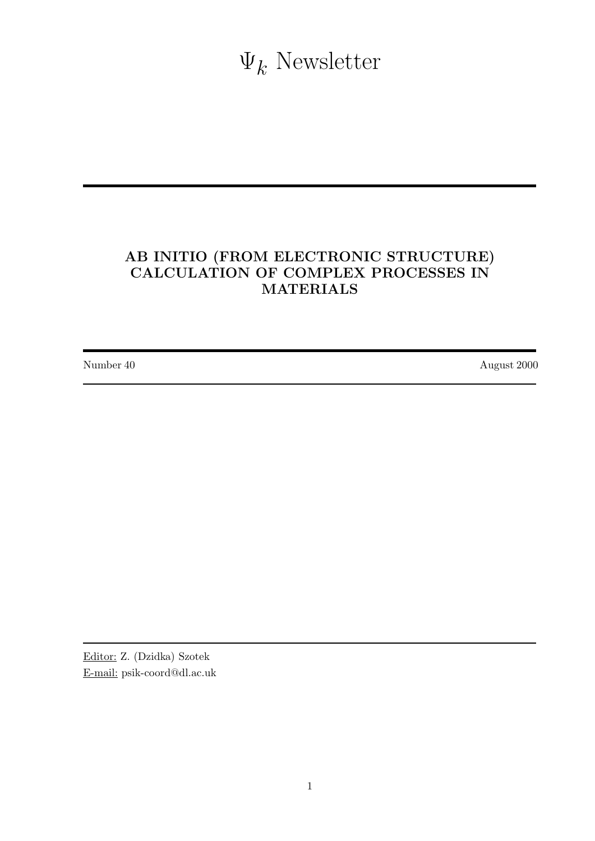$\Psi_k$  Newsletter

# AB INITIO (FROM ELECTRONIC STRUCTURE) CALCULATION OF COMPLEX PROCESSES IN MATERIALS

Number 40 August 2000

Editor: Z. (Dzidka) Szotek E-mail: psik-coord@dl.ac.uk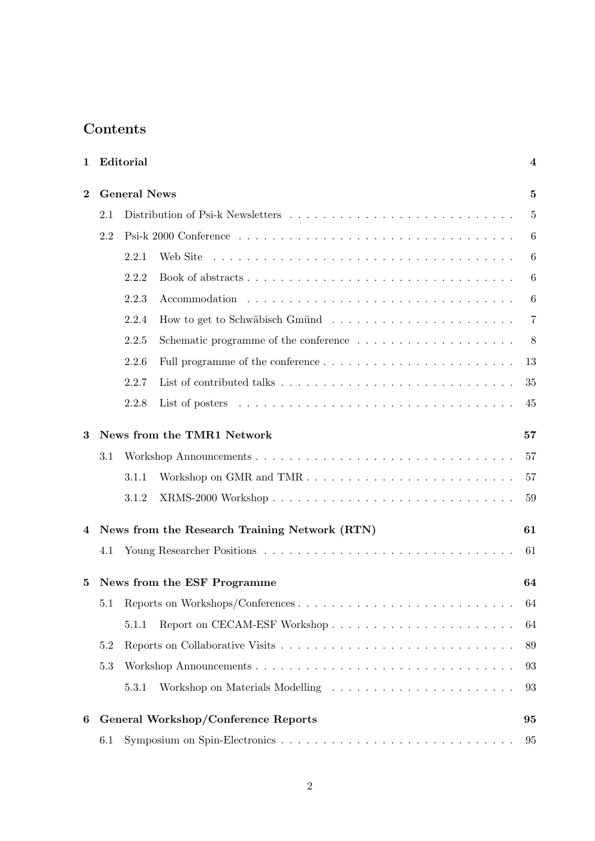# Contents

| 1        |                            | Editorial                                     | $\overline{\mathbf{4}}$ |  |
|----------|----------------------------|-----------------------------------------------|-------------------------|--|
| $\bf{2}$ |                            | <b>General News</b>                           | $\mathbf{5}$            |  |
|          | 2.1                        |                                               | $\overline{5}$          |  |
|          | 2.2                        |                                               | 6                       |  |
|          |                            | 2.2.1<br>Web Site                             | 6                       |  |
|          |                            | 2.2.2                                         | 6                       |  |
|          |                            | 2.2.3                                         | 6                       |  |
|          |                            | 2.2.4                                         | 7                       |  |
|          |                            | 2.2.5                                         | 8                       |  |
|          |                            | 2.2.6                                         | 13                      |  |
|          |                            | 2.2.7                                         | 35                      |  |
|          |                            | 2.2.8                                         | 45                      |  |
| 3        | News from the TMR1 Network |                                               |                         |  |
|          | 3.1                        |                                               | 57                      |  |
|          |                            | Workshop on GMR and TMR<br>3.1.1              | 57                      |  |
|          |                            | 3.1.2                                         | 59                      |  |
| 4        |                            | News from the Research Training Network (RTN) | 61                      |  |
|          | 4.1                        |                                               | 61                      |  |
| 5        |                            | News from the ESF Programme                   | 64                      |  |
|          |                            |                                               | 64                      |  |
|          |                            | 5.1.1                                         | 64                      |  |
|          | 5.2                        |                                               | 89                      |  |
|          | 5.3                        |                                               | 93                      |  |
|          |                            | 5.3.1<br>Workshop on Materials Modelling      | 93                      |  |
| 6        |                            | General Workshop/Conference Reports           | 95                      |  |
|          | 6.1                        |                                               | 95                      |  |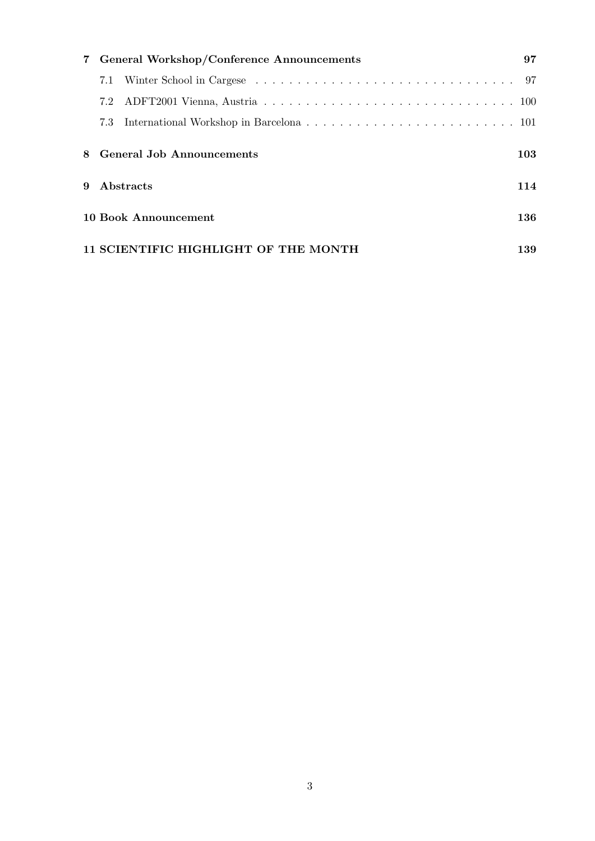|              | 7 General Workshop/Conference Announcements | 97  |
|--------------|---------------------------------------------|-----|
|              | 7.1                                         |     |
|              |                                             |     |
|              |                                             |     |
|              | 8 General Job Announcements                 | 103 |
| $\mathbf{Q}$ | Abstracts                                   | 114 |
|              | <b>10 Book Announcement</b>                 | 136 |
|              | 11 SCIENTIFIC HIGHLIGHT OF THE MONTH        | 139 |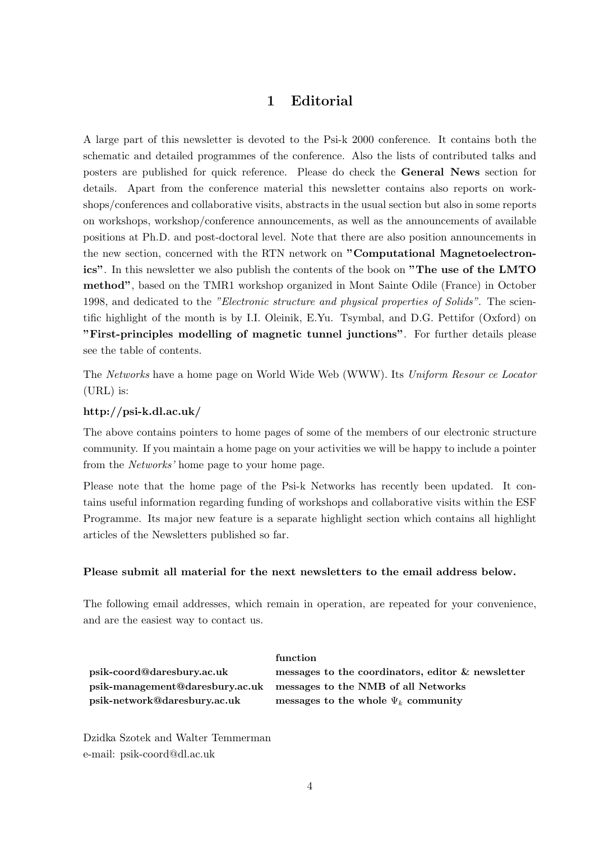## 1 Editorial

A large part of this newsletter is devoted to the Psi-k 2000 conference. It contains both the schematic and detailed programmes of the conference. Also the lists of contributed talks and posters are published for quick reference. Please do check the General News section for details. Apart from the conference material this newsletter contains also reports on workshops/conferences and collaborative visits, abstracts in the usual section but also in some reports on workshops, workshop/conference announcements, as well as the announcements of available positions at Ph.D. and post-doctoral level. Note that there are also position announcements in the new section, concerned with the RTN network on "Computational Magnetoelectronics". In this newsletter we also publish the contents of the book on "The use of the LMTO method", based on the TMR1 workshop organized in Mont Sainte Odile (France) in October 1998, and dedicated to the "Electronic structure and physical properties of Solids". The scientific highlight of the month is by I.I. Oleinik, E.Yu. Tsymbal, and D.G. Pettifor (Oxford) on "First-principles modelling of magnetic tunnel junctions". For further details please see the table of contents.

The Networks have a home page on World Wide Web (WWW). Its Uniform Resour ce Locator (URL) is:

#### http://psi-k.dl.ac.uk/

The above contains pointers to home pages of some of the members of our electronic structure community. If you maintain a home page on your activities we will be happy to include a pointer from the Networks' home page to your home page.

Please note that the home page of the Psi-k Networks has recently been updated. It contains useful information regarding funding of workshops and collaborative visits within the ESF Programme. Its major new feature is a separate highlight section which contains all highlight articles of the Newsletters published so far.

#### Please submit all material for the next newsletters to the email address below.

function

The following email addresses, which remain in operation, are repeated for your convenience, and are the easiest way to contact us.

psik-management@daresbury.ac.uk messages to the NMB of all Networks psik-network@daresbury.ac.uk messages to the whole  $\Psi_k$  community

psik-coord@daresbury.ac.uk messages to the coordinators, editor & newsletter

Dzidka Szotek and Walter Temmerman e-mail: psik-coord@dl.ac.uk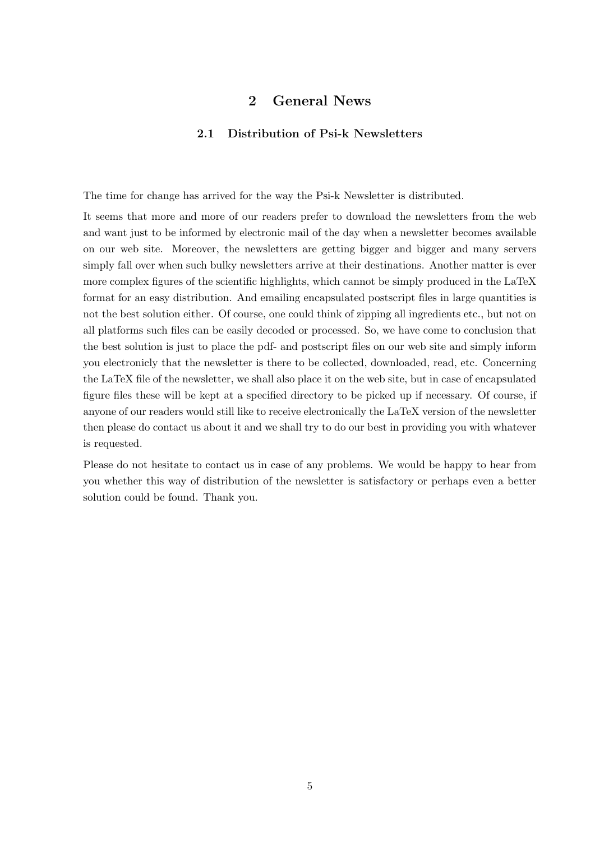## 2 General News

#### 2.1 Distribution of Psi-k Newsletters

The time for change has arrived for the way the Psi-k Newsletter is distributed.

It seems that more and more of our readers prefer to download the newsletters from the web and want just to be informed by electronic mail of the day when a newsletter becomes available on our web site. Moreover, the newsletters are getting bigger and bigger and many servers simply fall over when such bulky newsletters arrive at their destinations. Another matter is ever more complex figures of the scientific highlights, which cannot be simply produced in the LaTeX format for an easy distribution. And emailing encapsulated postscript files in large quantities is not the best solution either. Of course, one could think of zipping all ingredients etc., but not on all platforms such files can be easily decoded or processed. So, we have come to conclusion that the best solution is just to place the pdf- and postscript files on our web site and simply inform you electronicly that the newsletter is there to be collected, downloaded, read, etc. Concerning the LaTeX file of the newsletter, we shall also place it on the web site, but in case of encapsulated figure files these will be kept at a specified directory to be picked up if necessary. Of course, if anyone of our readers would still like to receive electronically the LaTeX version of the newsletter then please do contact us about it and we shall try to do our best in providing you with whatever is requested.

Please do not hesitate to contact us in case of any problems. We would be happy to hear from you whether this way of distribution of the newsletter is satisfactory or perhaps even a better solution could be found. Thank you.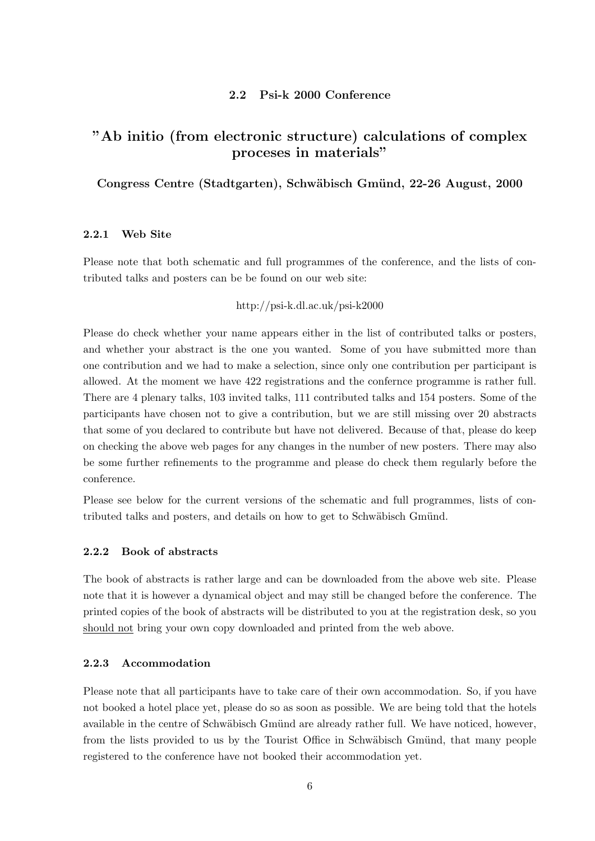#### 2.2 Psi-k 2000 Conference

## "Ab initio (from electronic structure) calculations of complex proceses in materials"

### Congress Centre (Stadtgarten), Schwäbisch Gmünd, 22-26 August, 2000

#### 2.2.1 Web Site

Please note that both schematic and full programmes of the conference, and the lists of contributed talks and posters can be be found on our web site:

#### http://psi-k.dl.ac.uk/psi-k2000

Please do check whether your name appears either in the list of contributed talks or posters, and whether your abstract is the one you wanted. Some of you have submitted more than one contribution and we had to make a selection, since only one contribution per participant is allowed. At the moment we have 422 registrations and the confernce programme is rather full. There are 4 plenary talks, 103 invited talks, 111 contributed talks and 154 posters. Some of the participants have chosen not to give a contribution, but we are still missing over 20 abstracts that some of you declared to contribute but have not delivered. Because of that, please do keep on checking the above web pages for any changes in the number of new posters. There may also be some further refinements to the programme and please do check them regularly before the conference.

Please see below for the current versions of the schematic and full programmes, lists of contributed talks and posters, and details on how to get to Schwäbisch Gmünd.

#### 2.2.2 Book of abstracts

The book of abstracts is rather large and can be downloaded from the above web site. Please note that it is however a dynamical object and may still be changed before the conference. The printed copies of the book of abstracts will be distributed to you at the registration desk, so you should not bring your own copy downloaded and printed from the web above.

#### 2.2.3 Accommodation

Please note that all participants have to take care of their own accommodation. So, if you have not booked a hotel place yet, please do so as soon as possible. We are being told that the hotels available in the centre of Schwäbisch Gmünd are already rather full. We have noticed, however, from the lists provided to us by the Tourist Office in Schwäbisch Gmünd, that many people registered to the conference have not booked their accommodation yet.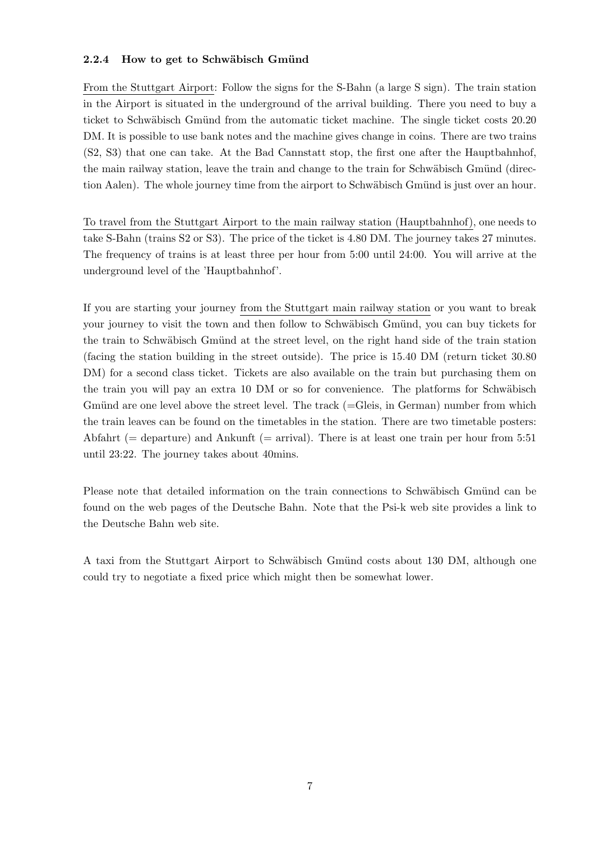### 2.2.4 How to get to Schwäbisch Gmünd

From the Stuttgart Airport: Follow the signs for the S-Bahn (a large S sign). The train station in the Airport is situated in the underground of the arrival building. There you need to buy a ticket to Schwäbisch Gmünd from the automatic ticket machine. The single ticket costs 20.20 DM. It is possible to use bank notes and the machine gives change in coins. There are two trains (S2, S3) that one can take. At the Bad Cannstatt stop, the first one after the Hauptbahnhof, the main railway station, leave the train and change to the train for Schwäbisch Gmünd (direction Aalen). The whole journey time from the airport to Schwäbisch Gmünd is just over an hour.

To travel from the Stuttgart Airport to the main railway station (Hauptbahnhof), one needs to take S-Bahn (trains S2 or S3). The price of the ticket is 4.80 DM. The journey takes 27 minutes. The frequency of trains is at least three per hour from 5:00 until 24:00. You will arrive at the underground level of the 'Hauptbahnhof'.

If you are starting your journey from the Stuttgart main railway station or you want to break your journey to visit the town and then follow to Schwäbisch Gmünd, you can buy tickets for the train to Schwäbisch Gmünd at the street level, on the right hand side of the train station (facing the station building in the street outside). The price is 15.40 DM (return ticket 30.80 DM) for a second class ticket. Tickets are also available on the train but purchasing them on the train you will pay an extra 10 DM or so for convenience. The platforms for Schwäbisch Gmünd are one level above the street level. The track  $(=\text{Gleis}, \text{in German})$  number from which the train leaves can be found on the timetables in the station. There are two timetable posters: Abfahrt ( $=$  departure) and Ankunft ( $=$  arrival). There is at least one train per hour from 5:51 until 23:22. The journey takes about 40mins.

Please note that detailed information on the train connections to Schwäbisch Gmünd can be found on the web pages of the Deutsche Bahn. Note that the Psi-k web site provides a link to the Deutsche Bahn web site.

A taxi from the Stuttgart Airport to Schwäbisch Gmünd costs about 130 DM, although one could try to negotiate a fixed price which might then be somewhat lower.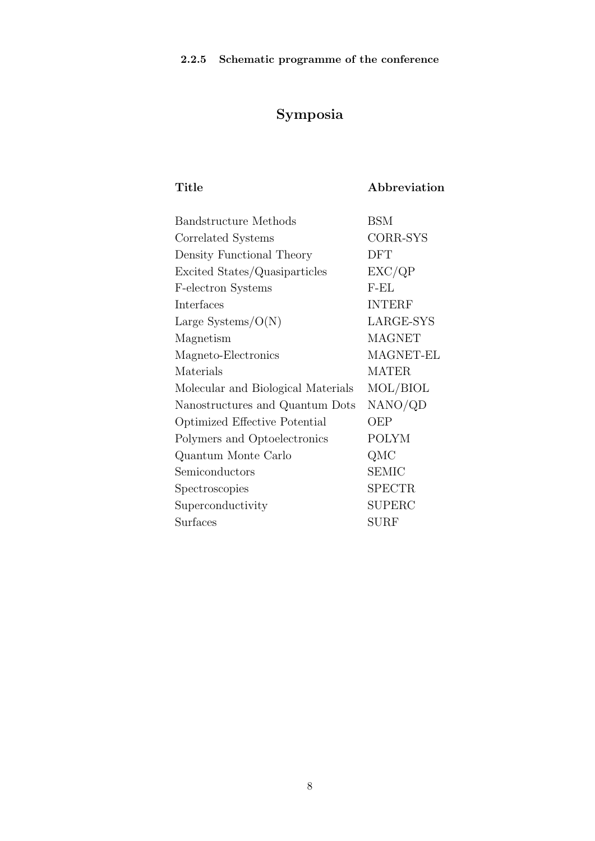# Symposia

Title Abbreviation

| <b>Bandstructure</b> Methods       | BSM           |
|------------------------------------|---------------|
| Correlated Systems                 | CORR-SYS      |
| Density Functional Theory          | <b>DFT</b>    |
| Excited States/Quasiparticles      | EXC/QP        |
| F-electron Systems                 | $F-EL$        |
| Interfaces                         | <b>INTERF</b> |
| Large Systems/ $O(N)$              | LARGE-SYS     |
| Magnetism                          | <b>MAGNET</b> |
| Magneto-Electronics                | MAGNET-EL     |
| Materials                          | <b>MATER</b>  |
| Molecular and Biological Materials | MOL/BIOL      |
| Nanostructures and Quantum Dots    | NANO/QD       |
| Optimized Effective Potential      | OEP           |
| Polymers and Optoelectronics       | <b>POLYM</b>  |
| Quantum Monte Carlo                | QMC           |
| Semiconductors                     | <b>SEMIC</b>  |
| Spectroscopies                     | <b>SPECTR</b> |
| Superconductivity                  | <b>SUPERC</b> |
| Surfaces                           | <b>SURF</b>   |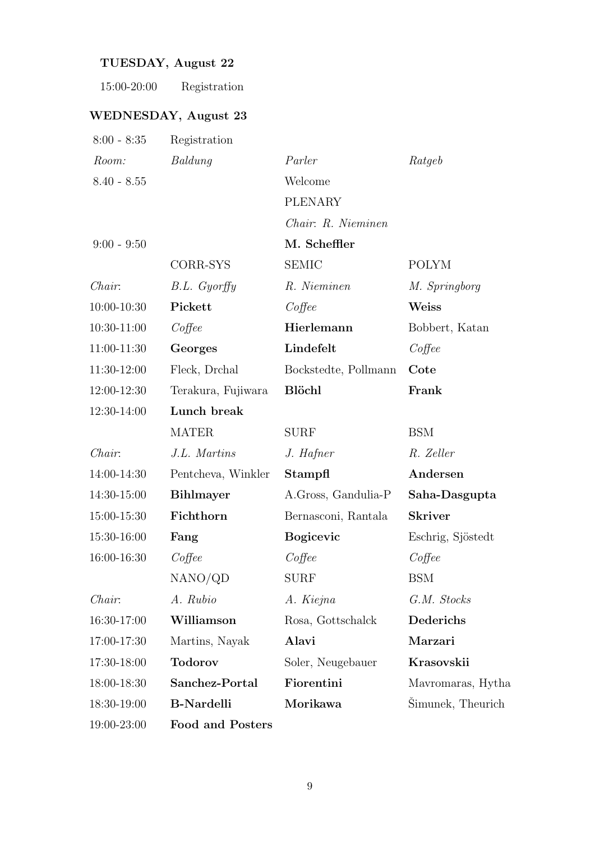# TUESDAY, August 22

## WEDNESDAY, August 23

| $8:00 - 8:35$ | Registration            |                      |                   |
|---------------|-------------------------|----------------------|-------------------|
| Room:         | Baldung                 | Parler               | Ratgeb            |
| $8.40 - 8.55$ |                         | Welcome              |                   |
|               |                         | <b>PLENARY</b>       |                   |
|               |                         | Chair: R. Nieminen   |                   |
| $9:00 - 9:50$ |                         | M. Scheffler         |                   |
|               | CORR-SYS                | <b>SEMIC</b>         | <b>POLYM</b>      |
| Chair:        | $B.L.$ Gyorffy          | R. Nieminen          | M. Springborg     |
| 10:00-10:30   | Pickett                 | $Cof$ fee            | Weiss             |
| 10:30-11:00   | $Cof$ fee               | Hierlemann           | Bobbert, Katan    |
| $11:00-11:30$ | Georges                 | Lindefelt            | $Cof$ fee         |
| 11:30-12:00   | Fleck, Drchal           | Bockstedte, Pollmann | Cote              |
| 12:00-12:30   | Terakura, Fujiwara      | <b>Blöchl</b>        | Frank             |
| $12:30-14:00$ | Lunch break             |                      |                   |
|               | <b>MATER</b>            | <b>SURF</b>          | <b>BSM</b>        |
| Chair:        | J.L. Martins            | J. Hafner            | R. Zeller         |
| 14:00-14:30   | Pentcheva, Winkler      | Stampfl              | Andersen          |
| 14:30-15:00   | <b>Bihlmayer</b>        | A.Gross, Gandulia-P  | Saha-Dasgupta     |
| 15:00-15:30   | Fichthorn               | Bernasconi, Rantala  | <b>Skriver</b>    |
| 15:30-16:00   | Fang                    | <b>Bogicevic</b>     | Eschrig, Sjöstedt |
| 16:00-16:30   | $Cof$ fee               | $Cof$ fee            | $Cof$ fee         |
|               | NANO/QD                 | <b>SURF</b>          | <b>BSM</b>        |
| Chair:        | A. Rubio                | A. Kiejna            | G.M. Stocks       |
| 16:30-17:00   | Williamson              | Rosa, Gottschalck    | Dederichs         |
| 17:00-17:30   | Martins, Nayak          | Alavi                | Marzari           |
| 17:30-18:00   | <b>Todorov</b>          | Soler, Neugebauer    | Krasovskii        |
| 18:00-18:30   | Sanchez-Portal          | Fiorentini           | Mavromaras, Hytha |
| 18:30-19:00   | <b>B-Nardelli</b>       | Morikawa             | Simunek, Theurich |
| 19:00-23:00   | <b>Food and Posters</b> |                      |                   |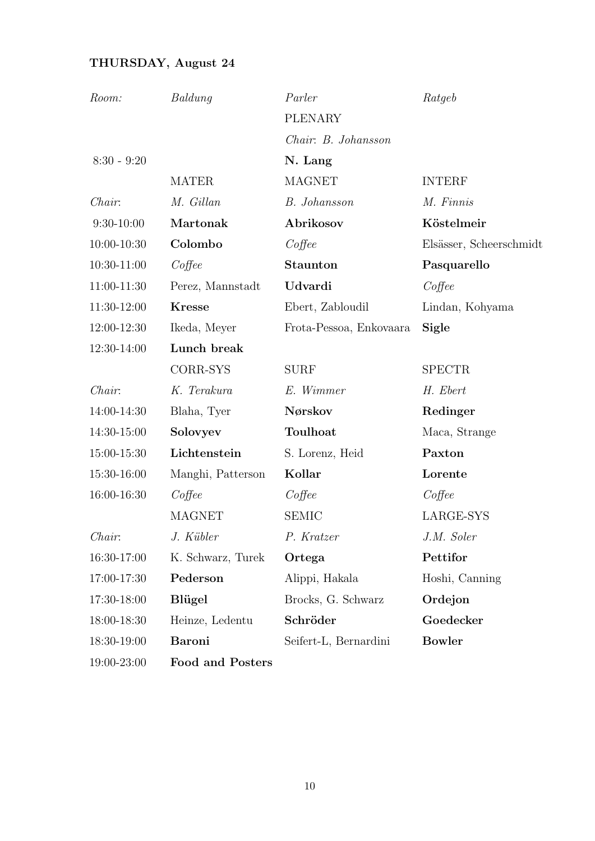# THURSDAY, August 24

| Room:           | Baldung           | Parler                  | Ratgeb                  |
|-----------------|-------------------|-------------------------|-------------------------|
|                 |                   | PLENARY                 |                         |
|                 |                   | Chair: B. Johansson     |                         |
| $8:30 - 9:20$   |                   | N. Lang                 |                         |
|                 | <b>MATER</b>      | <b>MAGNET</b>           | <b>INTERF</b>           |
| Chair:          | M. Gillan         | <b>B.</b> Johansson     | M. Finnis               |
| $9:30-10:00$    | Martonak          | Abrikosov               | Köstelmeir              |
| $10:00 - 10:30$ | Colombo           | $Cof$ fee               | Elsässer, Scheerschmidt |
| 10:30-11:00     | $Cof$ fee         | <b>Staunton</b>         | Pasquarello             |
| 11:00-11:30     | Perez, Mannstadt  | Udvardi                 | $Cof$ fee               |
| 11:30-12:00     | <b>Kresse</b>     | Ebert, Zabloudil        | Lindan, Kohyama         |
| 12:00-12:30     | Ikeda, Meyer      | Frota-Pessoa, Enkovaara | Sigle                   |
| 12:30-14:00     | Lunch break       |                         |                         |
|                 | CORR-SYS          | <b>SURF</b>             | <b>SPECTR</b>           |
| Chair:          | K. Terakura       | E. Wimmer               | H. Ebert                |
| 14:00-14:30     | Blaha, Tyer       | Nørskov                 | Redinger                |
| 14:30-15:00     | Solovyev          | Toulhoat                | Maca, Strange           |
| 15:00-15:30     | Lichtenstein      | S. Lorenz, Heid         | Paxton                  |
| 15:30-16:00     | Manghi, Patterson | Kollar                  | Lorente                 |
| 16:00-16:30     | $Cof$ fee         | $Cof$ fee               | $Cof$ fee               |
|                 | <b>MAGNET</b>     | <b>SEMIC</b>            | LARGE-SYS               |
| Chair:          | J. Kübler         | P. Kratzer              | J.M. Soler              |
| 16:30-17:00     | K. Schwarz, Turek | Ortega                  | Pettifor                |
| 17:00-17:30     | Pederson          | Alippi, Hakala          | Hoshi, Canning          |
| 17:30-18:00     | <b>Blügel</b>     | Brocks, G. Schwarz      | Ordejon                 |
| 18:00-18:30     | Heinze, Ledentu   | Schröder                | Goedecker               |
| 18:30-19:00     | <b>Baroni</b>     | Seifert-L, Bernardini   | <b>Bowler</b>           |
| 19:00-23:00     | Food and Posters  |                         |                         |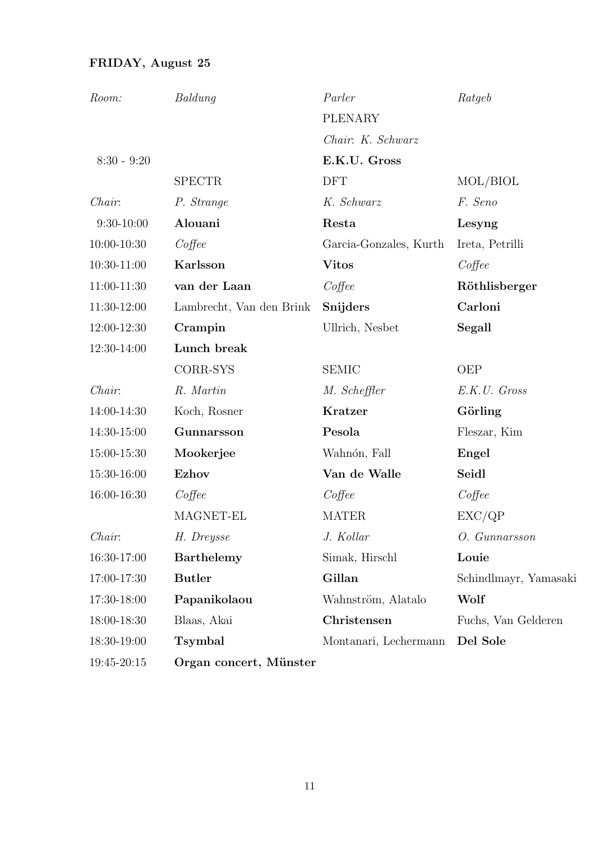# FRIDAY, August 25

| Room:           | Baldung                  | Parler                 | Ratgeb                |
|-----------------|--------------------------|------------------------|-----------------------|
|                 |                          | <b>PLENARY</b>         |                       |
|                 |                          | Chair: K. Schwarz      |                       |
| $8:30 - 9:20$   |                          | E.K.U. Gross           |                       |
|                 | <b>SPECTR</b>            | <b>DFT</b>             | MOL/BIOL              |
| Chair:          | P. Strange               | K. Schwarz             | F. Seno               |
| $9:30-10:00$    | Alouani                  | Resta                  | Lesyng                |
| $10:00 - 10:30$ | $Cof$ fee                | Garcia-Gonzales, Kurth | Ireta, Petrilli       |
| 10:30-11:00     | Karlsson                 | <b>Vitos</b>           | $Cof$ fee             |
| $11:00-11:30$   | van der Laan             | Coffee                 | Röthlisberger         |
| 11:30-12:00     | Lambrecht, Van den Brink | Snijders               | Carloni               |
| 12:00-12:30     | Crampin                  | Ullrich, Nesbet        | Segall                |
| 12:30-14:00     | Lunch break              |                        |                       |
|                 | CORR-SYS                 | <b>SEMIC</b>           | <b>OEP</b>            |
| Chair:          | R. Martin                | M. Scheffler           | E.K.U. Gross          |
| 14:00-14:30     | Koch, Rosner             | Kratzer                | Görling               |
| 14:30-15:00     | Gunnarsson               | Pesola                 | Fleszar, Kim          |
| 15:00-15:30     | Mookerjee                | Wahnón, Fall           | Engel                 |
| 15:30-16:00     | <b>Ezhov</b>             | Van de Walle           | Seidl                 |
| 16:00-16:30     | $Cof$ fee                | $Cof$ fee              | $Cof\neq$             |
|                 | MAGNET-EL                | <b>MATER</b>           | EXC/QP                |
| Chair:          | H. Dreysse               | J. Kollar              | O. Gunnarsson         |
| 16:30-17:00     | <b>Barthelemy</b>        | Simak, Hirschl         | Louie                 |
| 17:00-17:30     | <b>Butler</b>            | Gillan                 | Schindlmayr, Yamasaki |
| 17:30-18:00     | Papanikolaou             | Wahnström, Alatalo     | Wolf                  |
| 18:00-18:30     | Blaas, Akai              | Christensen            | Fuchs, Van Gelderen   |
| 18:30-19:00     | Tsymbal                  | Montanari, Lechermann  | Del Sole              |
| 19:45-20:15     | Organ concert, Münster   |                        |                       |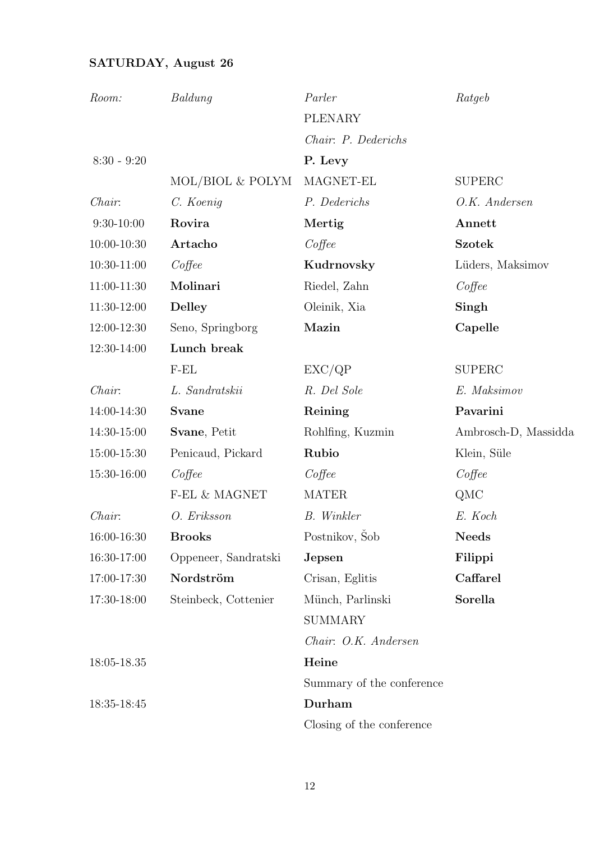# SATURDAY, August 26

| Room:         | Baldung              | Parler                    | Ratgeb               |
|---------------|----------------------|---------------------------|----------------------|
|               |                      | <b>PLENARY</b>            |                      |
|               |                      | Chair: P. Dederichs       |                      |
| $8:30 - 9:20$ |                      | P. Levy                   |                      |
|               | MOL/BIOL & POLYM     | MAGNET-EL                 | <b>SUPERC</b>        |
| Chair:        | C. Koenig            | P. Dederichs              | O.K. Andersen        |
| $9:30-10:00$  | Rovira               | Mertig                    | Annett               |
| 10:00-10:30   | Artacho              | $Cof$ fee                 | <b>Szotek</b>        |
| 10:30-11:00   | $Cof$ fee            | Kudrnovsky                | Lüders, Maksimov     |
| 11:00-11:30   | Molinari             | Riedel, Zahn              | $Cof$ fee            |
| 11:30-12:00   | <b>Delley</b>        | Oleinik, Xia              | Singh                |
| 12:00-12:30   | Seno, Springborg     | Mazin                     | Capelle              |
| 12:30-14:00   | Lunch break          |                           |                      |
|               | $F-EL$               | EXC/QP                    | <b>SUPERC</b>        |
| Chair:        | L. Sandratskii       | R. Del Sole               | E. Maksimov          |
| 14:00-14:30   | <b>Svane</b>         | Reining                   | Pavarini             |
| 14:30-15:00   | Svane, Petit         | Rohlfing, Kuzmin          | Ambrosch-D, Massidda |
| 15:00-15:30   | Penicaud, Pickard    | Rubio                     | Klein, Süle          |
| 15:30-16:00   | $Cof$ fee            | $Cof$ fee                 | Coffee               |
|               | $F$ EL $\&$ MAGNET   | <b>MATER</b>              | QMC                  |
| Chair:        | O. Eriksson          | <b>B.</b> Winkler         | E. Koch              |
| 16:00-16:30   | <b>Brooks</b>        | Postnikov, Šob            | <b>Needs</b>         |
| 16:30-17:00   | Oppeneer, Sandratski | Jepsen                    | Filippi              |
| 17:00-17:30   | Nordström            | Crisan, Eglitis           | Caffarel             |
| 17:30-18:00   | Steinbeck, Cottenier | Münch, Parlinski          | Sorella              |
|               |                      | <b>SUMMARY</b>            |                      |
|               |                      | Chair: O.K. Andersen      |                      |
| 18:05-18.35   |                      | Heine                     |                      |
|               |                      | Summary of the conference |                      |
| 18:35-18:45   |                      | Durham                    |                      |
|               |                      | Closing of the conference |                      |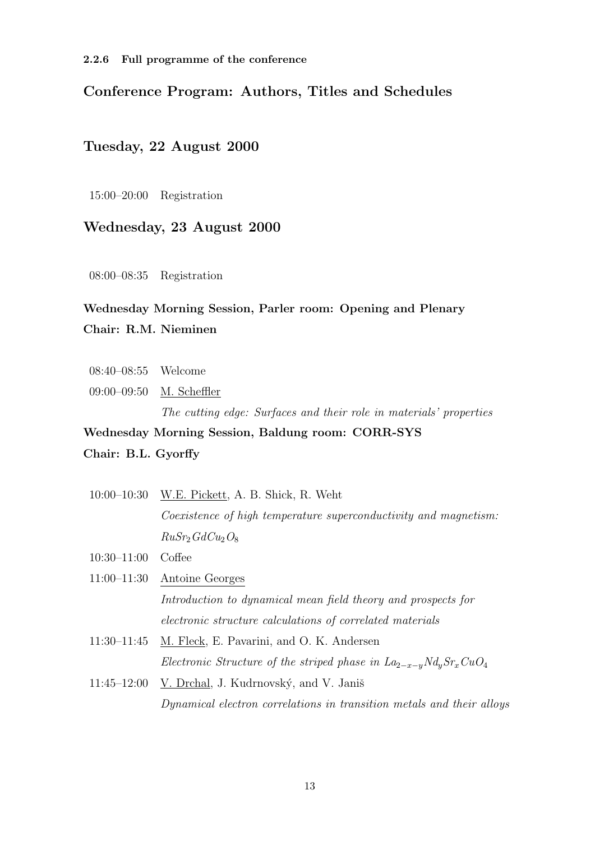## Conference Program: Authors, Titles and Schedules

### Tuesday, 22 August 2000

15:00–20:00 Registration

## Wednesday, 23 August 2000

08:00–08:35 Registration

# Wednesday Morning Session, Parler room: Opening and Plenary Chair: R.M. Nieminen

- 08:40–08:55 Welcome
- 09:00–09:50 M. Scheffler The cutting edge: Surfaces and their role in materials' properties

## Wednesday Morning Session, Baldung room: CORR-SYS

### Chair: B.L. Gyorffy

10:00–10:30 W.E. Pickett, A. B. Shick, R. Weht Coexistence of high temperature superconductivity and magnetism:  $RuSr<sub>2</sub>GdCu<sub>2</sub>O<sub>8</sub>$ 10:30–11:00 Coffee 11:00–11:30 Antoine Georges

> Introduction to dynamical mean field theory and prospects for electronic structure calculations of correlated materials

- 11:30–11:45 M. Fleck, E. Pavarini, and O. K. Andersen Electronic Structure of the striped phase in  $La_{2-x-y}Nd_{y}Sr_{x}CuO_{4}$
- $11:45-12:00$  V. Drchal, J. Kudrnovský, and V. Janiš Dynamical electron correlations in transition metals and their alloys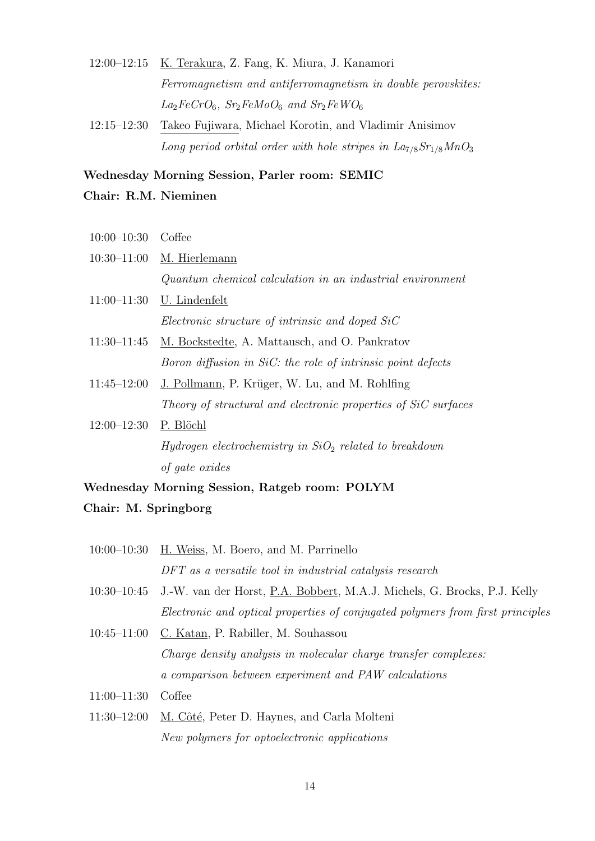- 12:00–12:15 K. Terakura, Z. Fang, K. Miura, J. Kanamori Ferromagnetism and antiferromagnetism in double perovskites:  $La_2FeCrO_6$ ,  $Sr_2FeMoO_6$  and  $Sr_2FeWO_6$
- 12:15–12:30 Takeo Fujiwara, Michael Korotin, and Vladimir Anisimov Long period orbital order with hole stripes in  $La<sub>7/8</sub>Sr<sub>1/8</sub>MnO<sub>3</sub>$

### Wednesday Morning Session, Parler room: SEMIC

### Chair: R.M. Nieminen

10:00–10:30 Coffee 10:30–11:00 M. Hierlemann Quantum chemical calculation in an industrial environment 11:00–11:30 U. Lindenfelt Electronic structure of intrinsic and doped SiC 11:30–11:45 M. Bockstedte, A. Mattausch, and O. Pankratov Boron diffusion in SiC: the role of intrinsic point defects  $11:45-12:00$  J. Pollmann, P. Krüger, W. Lu, and M. Rohlfing Theory of structural and electronic properties of SiC surfaces 12:00–12:30 P. Blöchl Hydrogen electrochemistry in  $SiO<sub>2</sub>$  related to breakdown

Wednesday Morning Session, Ratgeb room: POLYM Chair: M. Springborg

of gate oxides

- 10:00–10:30 H. Weiss, M. Boero, and M. Parrinello DFT as a versatile tool in industrial catalysis research
- 10:30–10:45 J.-W. van der Horst, P.A. Bobbert, M.A.J. Michels, G. Brocks, P.J. Kelly Electronic and optical properties of conjugated polymers from first principles
- 10:45–11:00 C. Katan, P. Rabiller, M. Souhassou Charge density analysis in molecular charge transfer complexes: a comparison between experiment and PAW calculations
- 11:00–11:30 Coffee
- 11:30–12:00 M. Côté, Peter D. Haynes, and Carla Molteni New polymers for optoelectronic applications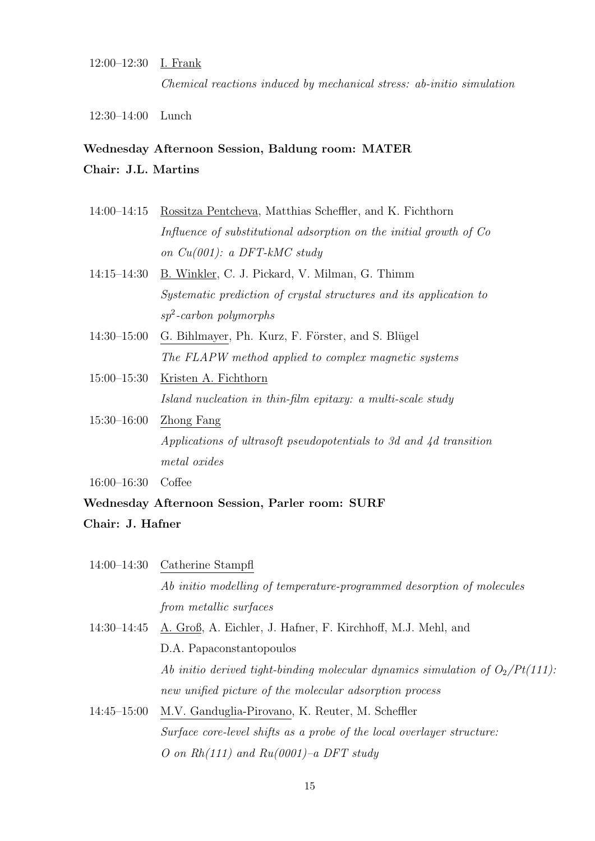### 12:00–12:30 I. Frank

Chemical reactions induced by mechanical stress: ab-initio simulation

12:30–14:00 Lunch

### Wednesday Afternoon Session, Baldung room: MATER

## Chair: J.L. Martins

- 14:00–14:15 Rossitza Pentcheva, Matthias Scheffler, and K. Fichthorn Influence of substitutional adsorption on the initial growth of Co on Cu(001): a DFT-kMC study
- 14:15–14:30 B. Winkler, C. J. Pickard, V. Milman, G. Thimm Systematic prediction of crystal structures and its application to sp<sup>2</sup> -carbon polymorphs
- 14:30–15:00 G. Bihlmayer, Ph. Kurz, F. Förster, and S. Blügel The FLAPW method applied to complex magnetic systems
- 15:00–15:30 Kristen A. Fichthorn Island nucleation in thin-film epitaxy: a multi-scale study
- 15:30–16:00 Zhong Fang Applications of ultrasoft pseudopotentials to 3d and 4d transition metal oxides

16:00–16:30 Coffee

# Wednesday Afternoon Session, Parler room: SURF Chair: J. Hafner

|                 | $14:00-14:30$ Catherine Stampfl                                                  |
|-----------------|----------------------------------------------------------------------------------|
|                 | Ab initio modelling of temperature-programmed desorption of molecules            |
|                 | from metallic surfaces                                                           |
| $14:30 - 14:45$ | A. Groß, A. Eichler, J. Hafner, F. Kirchhoff, M.J. Mehl, and                     |
|                 | D.A. Papaconstantopoulos                                                         |
|                 | Ab initio derived tight-binding molecular dynamics simulation of $O_2/Pt(111)$ : |
|                 | new unified picture of the molecular adsorption process                          |
| $14:45 - 15:00$ | M.V. Ganduglia-Pirovano, K. Reuter, M. Scheffler                                 |
|                 | Surface core-level shifts as a probe of the local overlayer structure:           |
|                 | O on $Rh(111)$ and $Ru(0001)$ -a DFT study                                       |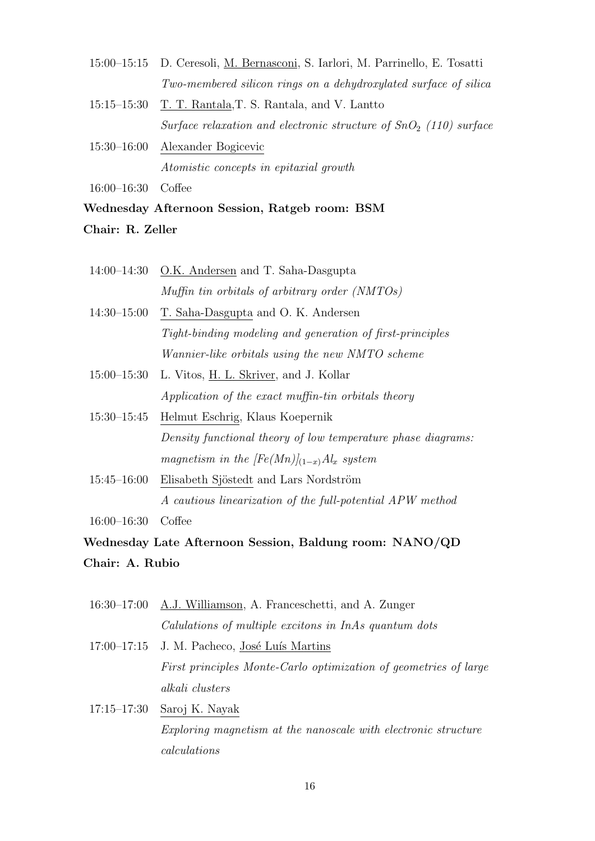- 15:00–15:15 D. Ceresoli, M. Bernasconi, S. Iarlori, M. Parrinello, E. Tosatti Two-membered silicon rings on a dehydroxylated surface of silica
- 15:15–15:30 T. T. Rantala,T. S. Rantala, and V. Lantto Surface relaxation and electronic structure of  $SnO<sub>2</sub>$  (110) surface
- 15:30–16:00 Alexander Bogicevic Atomistic concepts in epitaxial growth

16:00–16:30 Coffee

Wednesday Afternoon Session, Ratgeb room: BSM

### Chair: R. Zeller

- 14:00–14:30 O.K. Andersen and T. Saha-Dasgupta Muffin tin orbitals of arbitrary order (NMTOs)
- 14:30–15:00 T. Saha-Dasgupta and O. K. Andersen Tight-binding modeling and generation of first-principles Wannier-like orbitals using the new NMTO scheme
- 15:00–15:30 L. Vitos, H. L. Skriver, and J. Kollar Application of the exact muffin-tin orbitals theory
- 15:30–15:45 Helmut Eschrig, Klaus Koepernik Density functional theory of low temperature phase diagrams: magnetism in the  $[Fe(Mn)]_{(1-x)}$  Al<sub>x</sub> system
- 15:45–16:00 Elisabeth Sjöstedt and Lars Nordström A cautious linearization of the full-potential APW method

16:00–16:30 Coffee

Wednesday Late Afternoon Session, Baldung room: NANO/QD Chair: A. Rubio

- 16:30–17:00 A.J. Williamson, A. Franceschetti, and A. Zunger Calulations of multiple excitons in InAs quantum dots
- $17:00-17:15$  J. M. Pacheco, José Luís Martins First principles Monte-Carlo optimization of geometries of large alkali clusters
- 17:15–17:30 Saroj K. Nayak Exploring magnetism at the nanoscale with electronic structure calculations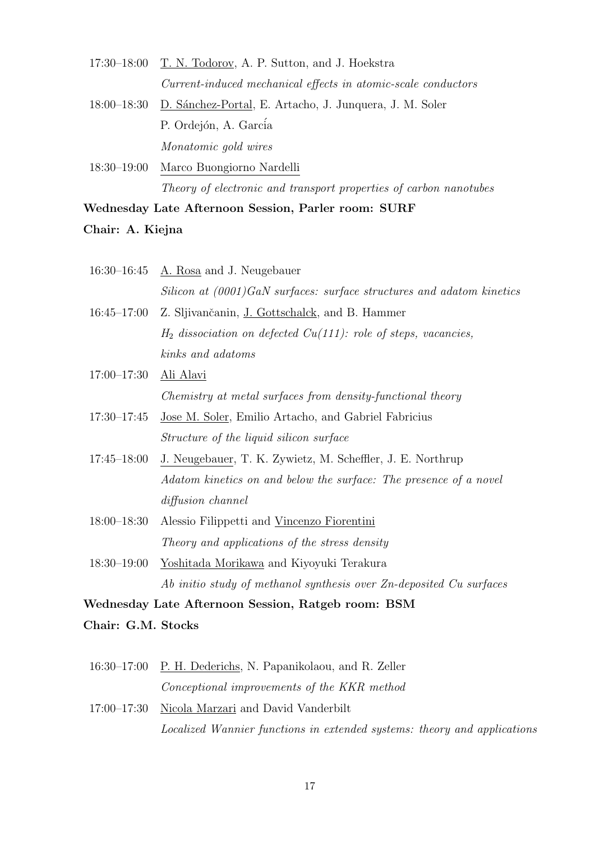| $17:30-18:00$ T. N. Todorov, A. P. Sutton, and J. Hoekstra          |  |
|---------------------------------------------------------------------|--|
| Current-induced mechanical effects in atomic-scale conductors       |  |
| 18:00–18:30 D. Sánchez-Portal, E. Artacho, J. Junquera, J. M. Soler |  |
| P. Ordejón, A. García                                               |  |
| Monatomic gold wires                                                |  |

18:30–19:00 Marco Buongiorno Nardelli Theory of electronic and transport properties of carbon nanotubes

### Wednesday Late Afternoon Session, Parler room: SURF

### Chair: A. Kiejna

|                 | $16:30-16:45$ A. Rosa and J. Neugebauer                                  |
|-----------------|--------------------------------------------------------------------------|
|                 | Silicon at $(0001)$ GaN surfaces: surface structures and adatom kinetics |
| $16:45 - 17:00$ | Z. Sljivančanin, J. Gottschalck, and B. Hammer                           |
|                 | $H_2$ dissociation on defected $Cu(111)$ : role of steps, vacancies,     |
|                 | kinks and adatoms                                                        |
| $17:00 - 17:30$ | <u>Ali Alavi</u>                                                         |
|                 | Chemistry at metal surfaces from density-functional theory               |
| $17:30 - 17:45$ | Jose M. Soler, Emilio Artacho, and Gabriel Fabricius                     |
|                 | Structure of the liquid silicon surface                                  |
| $17:45 - 18:00$ | J. Neugebauer, T. K. Zywietz, M. Scheffler, J. E. Northrup               |
|                 | Adatom kinetics on and below the surface: The presence of a novel        |
|                 | diffusion channel                                                        |
| $18:00 - 18:30$ | Alessio Filippetti and Vincenzo Fiorentini                               |
|                 | Theory and applications of the stress density                            |
| $18:30 - 19:00$ | Yoshitada Morikawa and Kiyoyuki Terakura                                 |
|                 | Ab initio study of methanol synthesis over Zn-deposited Cu surfaces      |

Wednesday Late Afternoon Session, Ratgeb room: BSM

Chair: G.M. Stocks

- 16:30–17:00 P. H. Dederichs, N. Papanikolaou, and R. Zeller Conceptional improvements of the KKR method
- 17:00–17:30 Nicola Marzari and David Vanderbilt Localized Wannier functions in extended systems: theory and applications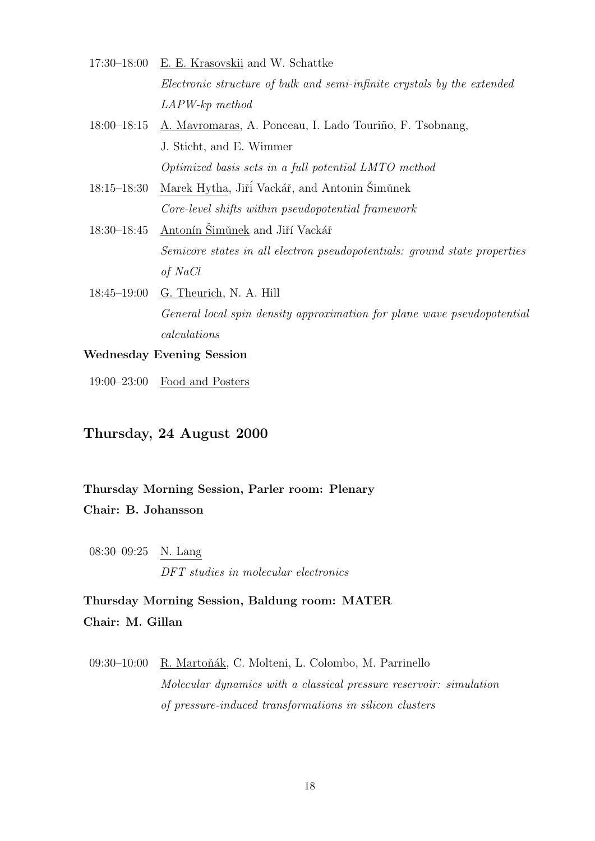- 17:30–18:00 E. E. Krasovskii and W. Schattke Electronic structure of bulk and semi-infinite crystals by the extended LAPW-kp method
- 18:00–18:15 A. Mavromaras, A. Ponceau, I. Lado Touriño, F. Tsobnang, J. Sticht, and E. Wimmer Optimized basis sets in a full potential LMTO method
- 18:15–18:30 Marek Hytha, Jiří Vackář, and Antonin Šimůnek Core-level shifts within pseudopotential framework
- 18:30–18:45 Antonín Šimŭnek and Jiří Vackář Semicore states in all electron pseudopotentials: ground state properties of NaCl
- 18:45–19:00 G. Theurich, N. A. Hill General local spin density approximation for plane wave pseudopotential calculations

## Wednesday Evening Session

19:00–23:00 Food and Posters

## Thursday, 24 August 2000

## Thursday Morning Session, Parler room: Plenary Chair: B. Johansson

08:30–09:25 N. Lang DFT studies in molecular electronics

Thursday Morning Session, Baldung room: MATER Chair: M. Gillan

09:30–10:00 R. Martoňák, C. Molteni, L. Colombo, M. Parrinello Molecular dynamics with a classical pressure reservoir: simulation of pressure-induced transformations in silicon clusters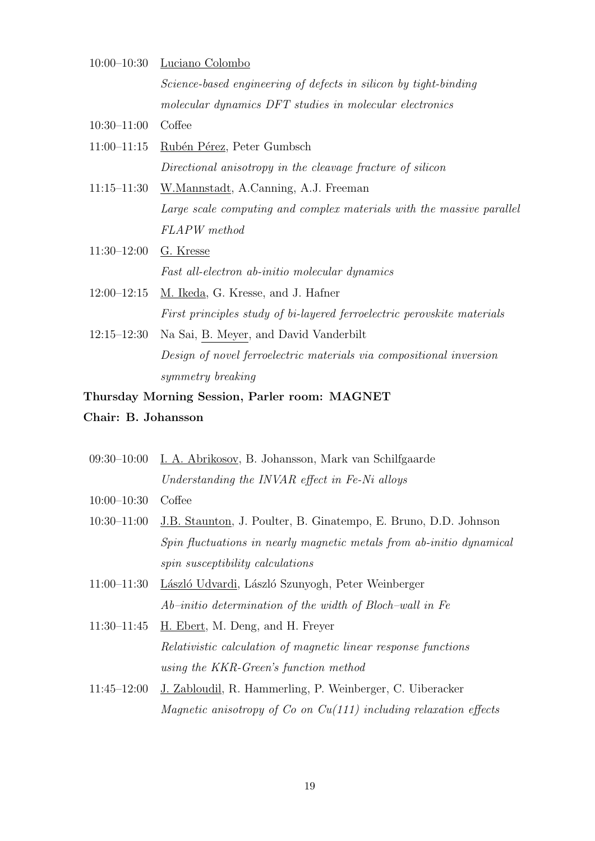- 10:00–10:30 Luciano Colombo Science-based engineering of defects in silicon by tight-binding molecular dynamics DFT studies in molecular electronics 10:30–11:00 Coffee 11:00–11:15 Rubén Pérez, Peter Gumbsch Directional anisotropy in the cleavage fracture of silicon 11:15–11:30 W.Mannstadt, A.Canning, A.J. Freeman Large scale computing and complex materials with the massive parallel FLAPW method 11:30–12:00 G. Kresse Fast all-electron ab-initio molecular dynamics
- 12:00–12:15 M. Ikeda, G. Kresse, and J. Hafner First principles study of bi-layered ferroelectric perovskite materials
- 12:15–12:30 Na Sai, B. Meyer, and David Vanderbilt Design of novel ferroelectric materials via compositional inversion symmetry breaking

### Thursday Morning Session, Parler room: MAGNET

### Chair: B. Johansson

- 09:30–10:00 I. A. Abrikosov, B. Johansson, Mark van Schilfgaarde Understanding the INVAR effect in Fe-Ni alloys
- 10:00–10:30 Coffee
- 10:30–11:00 J.B. Staunton, J. Poulter, B. Ginatempo, E. Bruno, D.D. Johnson Spin fluctuations in nearly magnetic metals from ab-initio dynamical spin susceptibility calculations
- 11:00–11:30 László Udvardi, László Szunyogh, Peter Weinberger Ab–initio determination of the width of Bloch–wall in Fe
- 11:30–11:45 H. Ebert, M. Deng, and H. Freyer Relativistic calculation of magnetic linear response functions using the KKR-Green's function method
- 11:45–12:00 J. Zabloudil, R. Hammerling, P. Weinberger, C. Uiberacker Magnetic anisotropy of  $Co$  on  $Cu(111)$  including relaxation effects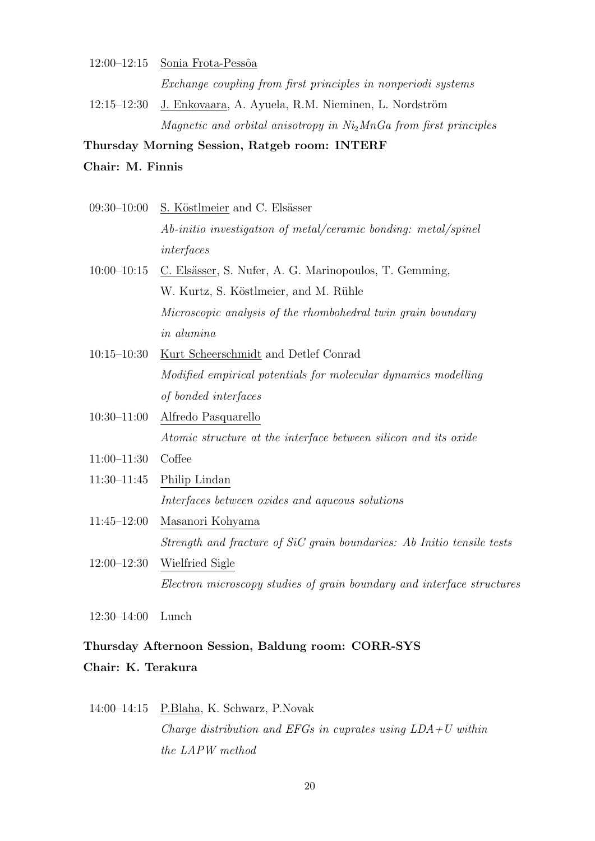# 12:00–12:15 Sonia Frota-Pessôa Exchange coupling from first principles in nonperiodi systems 12:15–12:30 J. Enkovaara, A. Ayuela, R.M. Nieminen, L. Nordström Magnetic and orbital anisotropy in  $Ni<sub>2</sub>MnGa$  from first principles

Thursday Morning Session, Ratgeb room: INTERF

### Chair: M. Finnis

|                 | 09:30-10:00 S. Köstlmeier and C. Elsässer                              |
|-----------------|------------------------------------------------------------------------|
|                 | Ab-initio investigation of metal/ceramic bonding: metal/spinel         |
|                 | interfaces                                                             |
| $10:00 - 10:15$ | C. Elsässer, S. Nufer, A. G. Marinopoulos, T. Gemming,                 |
|                 | W. Kurtz, S. Köstlmeier, and M. Rühle                                  |
|                 | Microscopic analysis of the rhombohedral twin grain boundary           |
|                 | <i>in alumina</i>                                                      |
| $10:15 - 10:30$ | Kurt Scheerschmidt and Detlef Conrad                                   |
|                 | Modified empirical potentials for molecular dynamics modelling         |
|                 | of bonded interfaces                                                   |
| $10:30 - 11:00$ | Alfredo Pasquarello                                                    |
|                 | Atomic structure at the interface between silicon and its oxide        |
| $11:00-11:30$   | Coffee                                                                 |
| $11:30-11:45$   | Philip Lindan                                                          |
|                 | Interfaces between oxides and aqueous solutions                        |
| $11:45 - 12:00$ | Masanori Kohyama                                                       |
|                 | Strength and fracture of SiC grain boundaries: Ab Initio tensile tests |
| $12:00 - 12:30$ | Wielfried Sigle                                                        |

Electron microscopy studies of grain boundary and interface structures

12:30–14:00 Lunch

# Thursday Afternoon Session, Baldung room: CORR-SYS Chair: K. Terakura

# 14:00–14:15 P.Blaha, K. Schwarz, P.Novak Charge distribution and EFGs in cuprates using  $LDA+U$  within the LAPW method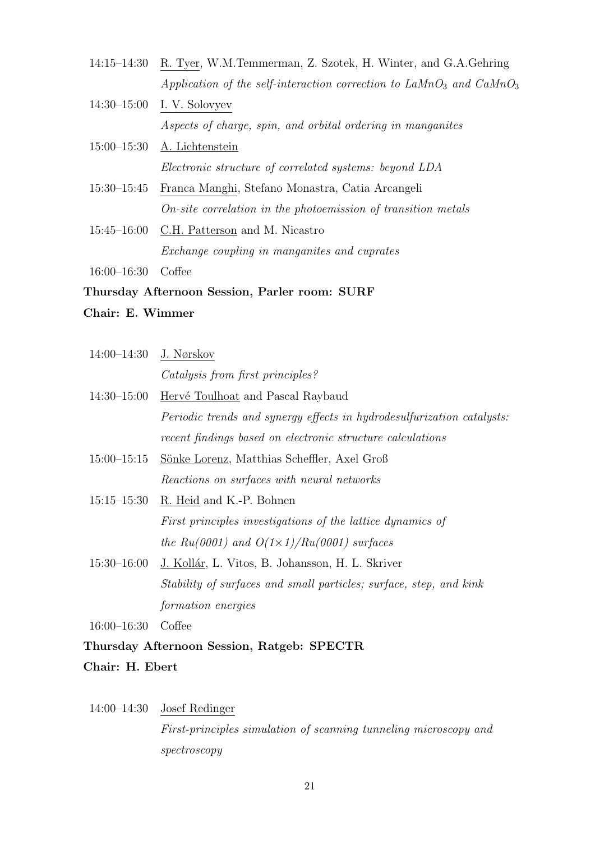- 14:15–14:30 R. Tyer, W.M.Temmerman, Z. Szotek, H. Winter, and G.A.Gehring Application of the self-interaction correction to  $LaMnO<sub>3</sub>$  and  $CaMnO<sub>3</sub>$
- 14:30–15:00 I. V. Solovyev Aspects of charge, spin, and orbital ordering in manganites
- 15:00–15:30 A. Lichtenstein Electronic structure of correlated systems: beyond LDA
- 15:30–15:45 Franca Manghi, Stefano Monastra, Catia Arcangeli On-site correlation in the photoemission of transition metals
- 15:45–16:00 C.H. Patterson and M. Nicastro Exchange coupling in manganites and cuprates

16:00–16:30 Coffee

## Thursday Afternoon Session, Parler room: SURF

## Chair: E. Wimmer

| 14:00–14:30 J. Nørskov |                                                                               |
|------------------------|-------------------------------------------------------------------------------|
|                        | Catalysis from first principles?                                              |
|                        | 14:30–15:00 <u>Hervé Toulhoat</u> and Pascal Raybaud                          |
|                        | <i>Periodic trends and synergy effects in hydrodesulfurization catalysts:</i> |
|                        | recent findings based on electronic structure calculations                    |
| $15:00 - 15:15$        | <u>Sönke Lorenz</u> , Matthias Scheffler, Axel Groß                           |
|                        | Reactions on surfaces with neural networks                                    |
|                        | 15:15–15:30 R. Heid and K.-P. Bohnen                                          |
|                        | First principles investigations of the lattice dynamics of                    |
|                        | the Ru(0001) and $O(1\times1)/Ru(0001)$ surfaces                              |
|                        | 15:30–16:00 J. Kollár, L. Vitos, B. Johansson, H. L. Skriver                  |
|                        | Stability of surfaces and small particles; surface, step, and kink            |
|                        | formation energies                                                            |

16:00–16:30 Coffee

## Thursday Afternoon Session, Ratgeb: SPECTR

- Chair: H. Ebert
- 14:00–14:30 Josef Redinger

First-principles simulation of scanning tunneling microscopy and spectroscopy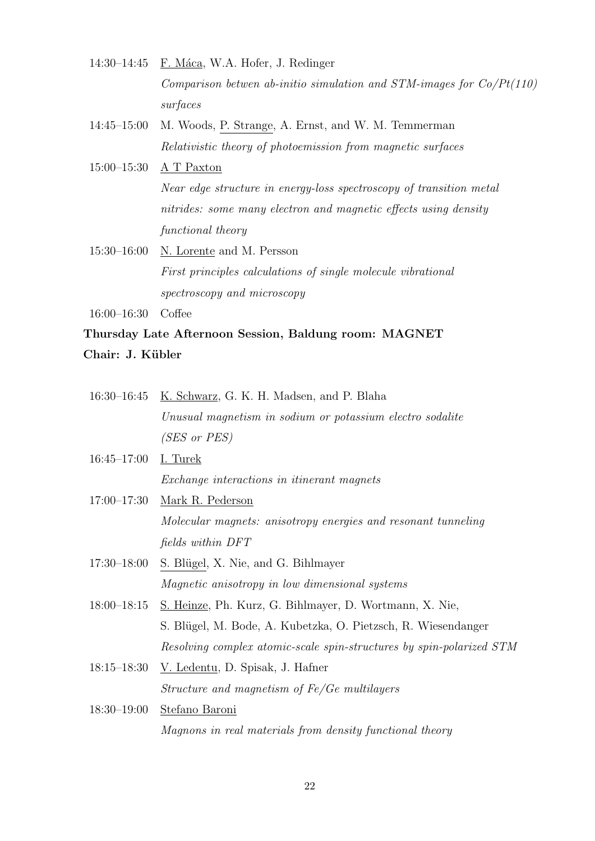- 14:30–14:45 F. Máca, W.A. Hofer, J. Redinger Comparison betwen ab-initio simulation and  $STM$ -images for  $Co/Pt(110)$ surfaces
- 14:45–15:00 M. Woods, P. Strange, A. Ernst, and W. M. Temmerman Relativistic theory of photoemission from magnetic surfaces
- 15:00–15:30 A T Paxton Near edge structure in energy-loss spectroscopy of transition metal nitrides: some many electron and magnetic effects using density functional theory
- 15:30–16:00 N. Lorente and M. Persson First principles calculations of single molecule vibrational spectroscopy and microscopy

16:00–16:30 Coffee

# Thursday Late Afternoon Session, Baldung room: MAGNET Chair: J. Kübler

- 16:30–16:45 K. Schwarz, G. K. H. Madsen, and P. Blaha Unusual magnetism in sodium or potassium electro sodalite (SES or PES)
- 16:45–17:00 I. Turek Exchange interactions in itinerant magnets
- 17:00–17:30 Mark R. Pederson Molecular magnets: anisotropy energies and resonant tunneling fields within DFT
- $17:30-18:00$  S. Blügel, X. Nie, and G. Bihlmayer Magnetic anisotropy in low dimensional systems
- 18:00–18:15 S. Heinze, Ph. Kurz, G. Bihlmayer, D. Wortmann, X. Nie, S. Blügel, M. Bode, A. Kubetzka, O. Pietzsch, R. Wiesendanger Resolving complex atomic-scale spin-structures by spin-polarized STM
- 18:15–18:30 V. Ledentu, D. Spisak, J. Hafner Structure and magnetism of Fe/Ge multilayers
- 18:30–19:00 Stefano Baroni Magnons in real materials from density functional theory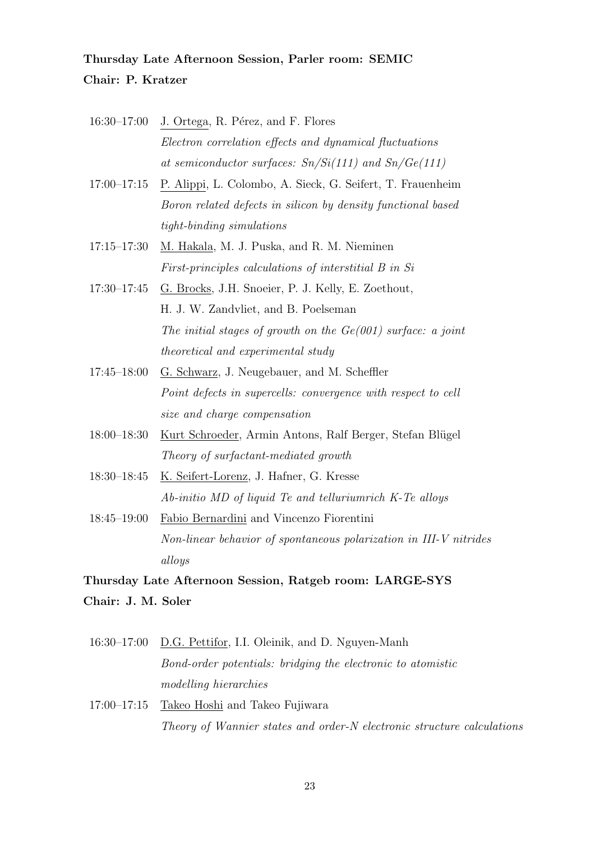# Thursday Late Afternoon Session, Parler room: SEMIC Chair: P. Kratzer

- $16:30-17:00$  J. Ortega, R. Pérez, and F. Flores Electron correlation effects and dynamical fluctuations at semiconductor surfaces:  $Sn/Si(111)$  and  $Sn/Ge(111)$
- 17:00–17:15 P. Alippi, L. Colombo, A. Sieck, G. Seifert, T. Frauenheim Boron related defects in silicon by density functional based tight-binding simulations
- 17:15–17:30 M. Hakala, M. J. Puska, and R. M. Nieminen First-principles calculations of interstitial B in Si
- 17:30–17:45 G. Brocks, J.H. Snoeier, P. J. Kelly, E. Zoethout, H. J. W. Zandvliet, and B. Poelseman The initial stages of growth on the  $Ge(001)$  surface: a joint theoretical and experimental study
- 17:45–18:00 G. Schwarz, J. Neugebauer, and M. Scheffler Point defects in supercells: convergence with respect to cell size and charge compensation
- 18:00–18:30 Kurt Schroeder, Armin Antons, Ralf Berger, Stefan Blügel Theory of surfactant-mediated growth
- 18:30–18:45 K. Seifert-Lorenz, J. Hafner, G. Kresse Ab-initio MD of liquid Te and telluriumrich K-Te alloys
- 18:45–19:00 Fabio Bernardini and Vincenzo Fiorentini Non-linear behavior of spontaneous polarization in III-V nitrides alloys

Thursday Late Afternoon Session, Ratgeb room: LARGE-SYS Chair: J. M. Soler

- 16:30–17:00 D.G. Pettifor, I.I. Oleinik, and D. Nguyen-Manh Bond-order potentials: bridging the electronic to atomistic modelling hierarchies
- 17:00–17:15 Takeo Hoshi and Takeo Fujiwara Theory of Wannier states and order-N electronic structure calculations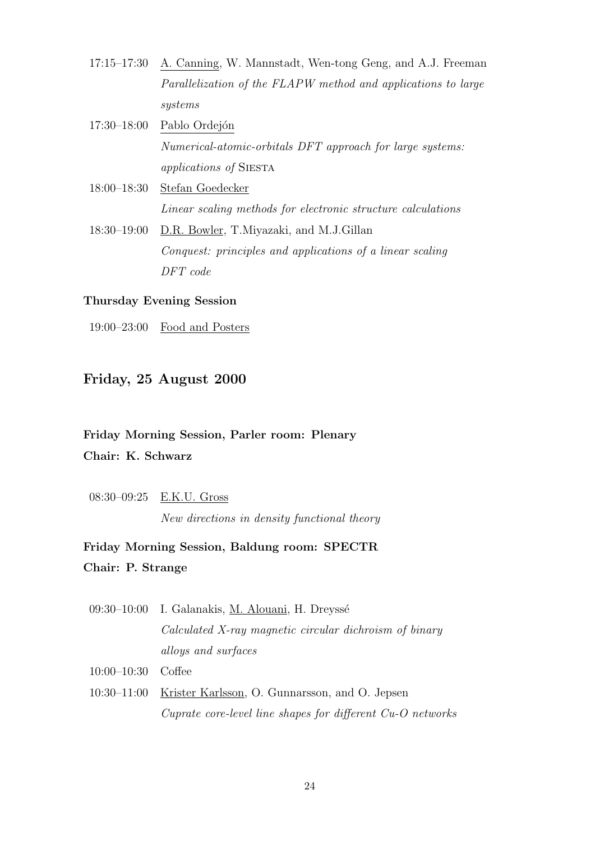- 17:15–17:30 A. Canning, W. Mannstadt, Wen-tong Geng, and A.J. Freeman Parallelization of the FLAPW method and applications to large systems
- 17:30–18:00 Pablo Ordejón Numerical-atomic-orbitals DFT approach for large systems: applications of Siesta
- 18:00–18:30 Stefan Goedecker Linear scaling methods for electronic structure calculations
- 18:30–19:00 D.R. Bowler, T.Miyazaki, and M.J.Gillan Conquest: principles and applications of a linear scaling DFT code

### Thursday Evening Session

19:00–23:00 Food and Posters

## Friday, 25 August 2000

# Friday Morning Session, Parler room: Plenary Chair: K. Schwarz

08:30–09:25 E.K.U. Gross

New directions in density functional theory

# Friday Morning Session, Baldung room: SPECTR Chair: P. Strange

- 09:30–10:00 I. Galanakis, M. Alouani, H. Dreyssé Calculated X-ray magnetic circular dichroism of binary alloys and surfaces
- 10:00–10:30 Coffee
- 10:30–11:00 Krister Karlsson, O. Gunnarsson, and O. Jepsen Cuprate core-level line shapes for different Cu-O networks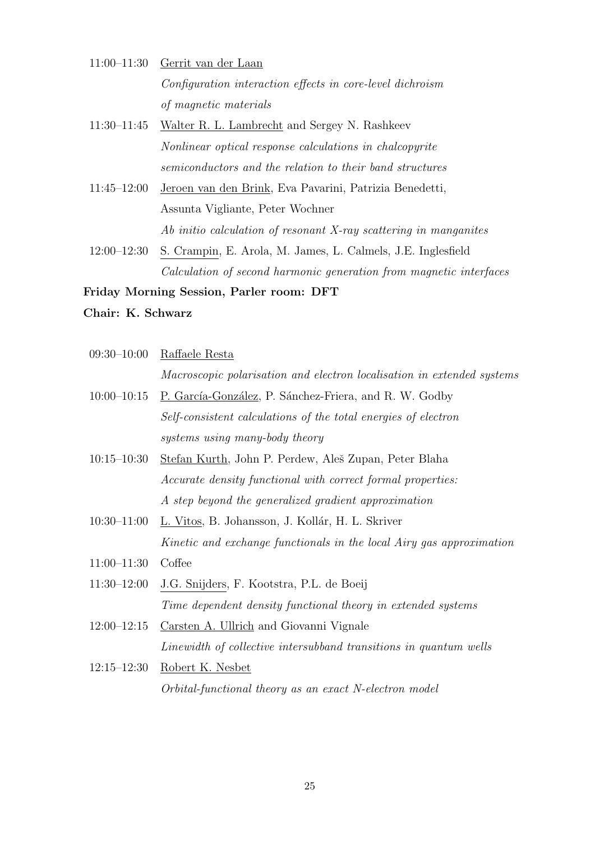- 11:00–11:30 Gerrit van der Laan Configuration interaction effects in core-level dichroism of magnetic materials
- 11:30–11:45 Walter R. L. Lambrecht and Sergey N. Rashkeev Nonlinear optical response calculations in chalcopyrite semiconductors and the relation to their band structures
- 11:45–12:00 Jeroen van den Brink, Eva Pavarini, Patrizia Benedetti, Assunta Vigliante, Peter Wochner Ab initio calculation of resonant X-ray scattering in manganites
- 12:00–12:30 S. Crampin, E. Arola, M. James, L. Calmels, J.E. Inglesfield Calculation of second harmonic generation from magnetic interfaces

#### Friday Morning Session, Parler room: DFT

## Chair: K. Schwarz

09:30–10:00 Raffaele Resta

Macroscopic polarisation and electron localisation in extended systems

- 10:00–10:15 P. García-González, P. Sánchez-Friera, and R. W. Godby Self-consistent calculations of the total energies of electron systems using many-body theory
- 10:15–10:30 Stefan Kurth, John P. Perdew, Aleš Zupan, Peter Blaha Accurate density functional with correct formal properties: A step beyond the generalized gradient approximation
- 10:30–11:00 L. Vitos, B. Johansson, J. Kollár, H. L. Skriver Kinetic and exchange functionals in the local Airy gas approximation
- 11:00–11:30 Coffee
- 11:30–12:00 J.G. Snijders, F. Kootstra, P.L. de Boeij Time dependent density functional theory in extended systems
- 12:00–12:15 Carsten A. Ullrich and Giovanni Vignale Linewidth of collective intersubband transitions in quantum wells
- 12:15–12:30 Robert K. Nesbet Orbital-functional theory as an exact N-electron model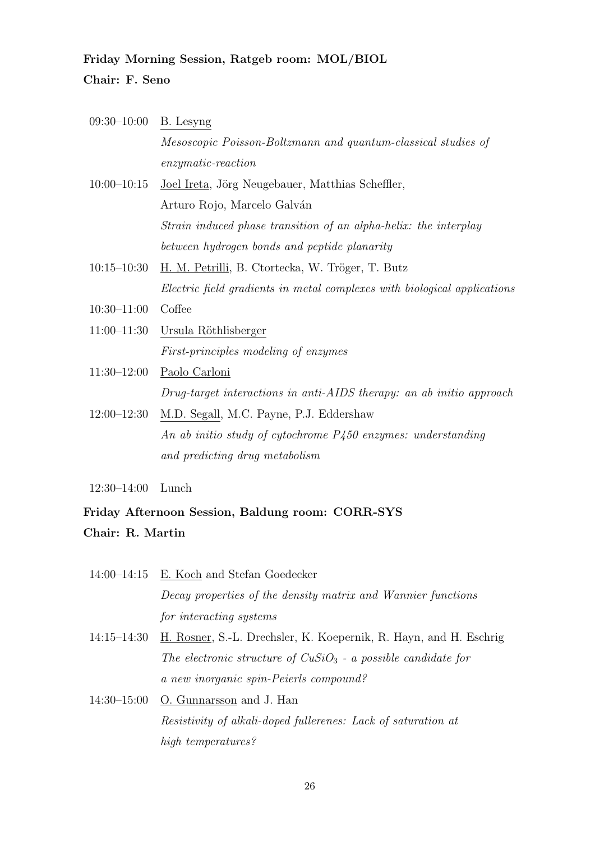# Friday Morning Session, Ratgeb room: MOL/BIOL Chair: F. Seno

|                 | $09:30-10:00$ B. Lesyng                                                  |  |
|-----------------|--------------------------------------------------------------------------|--|
|                 | Mesoscopic Poisson-Boltzmann and quantum-classical studies of            |  |
|                 | $enzymatic-reaction$                                                     |  |
| $10:00 - 10:15$ | Joel Ireta, Jörg Neugebauer, Matthias Scheffler,                         |  |
|                 | Arturo Rojo, Marcelo Galván                                              |  |
|                 | Strain induced phase transition of an alpha-helix: the interplay         |  |
|                 | between hydrogen bonds and peptide planarity                             |  |
| 10:15–10:30     | <u>H. M. Petrilli</u> , B. Ctortecka, W. Tröger, T. Butz                 |  |
|                 | Electric field gradients in metal complexes with biological applications |  |
| $10:30 - 11:00$ | Coffee                                                                   |  |
|                 | 11:00-11:30 Ursula Röthlisberger                                         |  |
|                 | <i>First-principles modeling of enzymes</i>                              |  |
| $11:30-12:00$   | Paolo Carloni                                                            |  |
|                 | Drug-target interactions in anti-AIDS therapy: an ab initio approach     |  |
| $12:00 - 12:30$ | M.D. Segall, M.C. Payne, P.J. Eddershaw                                  |  |
|                 | An ab initio study of cytochrome P450 enzymes: understanding             |  |

12:30–14:00 Lunch

# Friday Afternoon Session, Baldung room: CORR-SYS Chair: R. Martin

and predicting drug metabolism

| 14:00-14:15 E. Koch and Stefan Goedecker                     |
|--------------------------------------------------------------|
| Decay properties of the density matrix and Wannier functions |
| for interacting systems                                      |

- 14:15–14:30 H. Rosner, S.-L. Drechsler, K. Koepernik, R. Hayn, and H. Eschrig The electronic structure of  $CuSiO<sub>3</sub>$  - a possible candidate for a new inorganic spin-Peierls compound?
- 14:30–15:00  $\,$  <u>O. Gunnarsson</u> and J. Han Resistivity of alkali-doped fullerenes: Lack of saturation at high temperatures?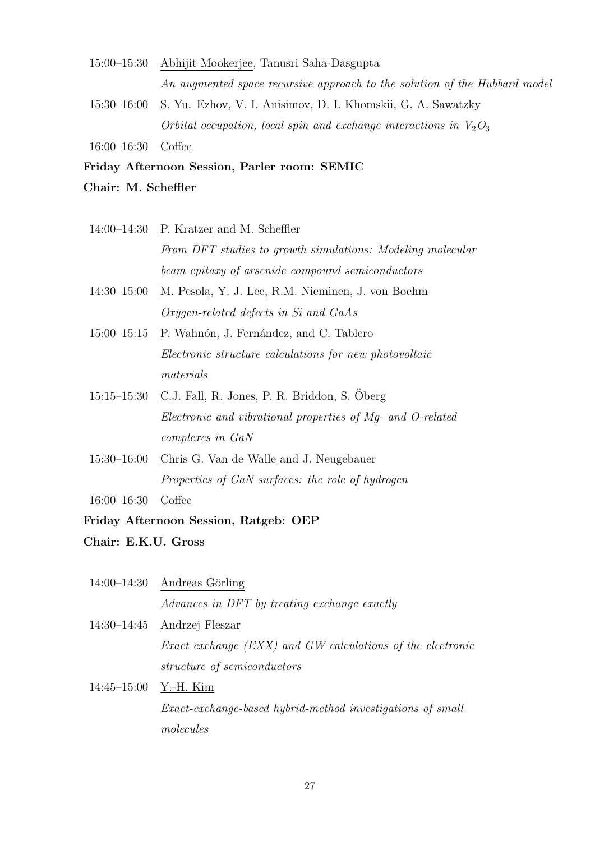- 15:00–15:30 Abhijit Mookerjee, Tanusri Saha-Dasgupta An augmented space recursive approach to the solution of the Hubbard model
- 15:30–16:00 S. Yu. Ezhov, V. I. Anisimov, D. I. Khomskii, G. A. Sawatzky Orbital occupation, local spin and exchange interactions in  $V_2O_3$

16:00–16:30 Coffee

### Friday Afternoon Session, Parler room: SEMIC

- Chair: M. Scheffler
- 14:00–14:30 P. Kratzer and M. Scheffler From DFT studies to growth simulations: Modeling molecular beam epitaxy of arsenide compound semiconductors
- 14:30–15:00 M. Pesola, Y. J. Lee, R.M. Nieminen, J. von Boehm Oxygen-related defects in Si and GaAs
- 15:00–15:15 P. Wahnón, J. Fernández, and C. Tablero Electronic structure calculations for new photovoltaic materials
- 15:15–15:30 C.J. Fall, R. Jones, P. R. Briddon, S. Öberg Electronic and vibrational properties of Mg- and O-related complexes in GaN
- 15:30–16:00 Chris G. Van de Walle and J. Neugebauer Properties of GaN surfaces: the role of hydrogen

16:00–16:30 Coffee

### Friday Afternoon Session, Ratgeb: OEP

- Chair: E.K.U. Gross
- $14:00-14:30$  Andreas Görling Advances in DFT by treating exchange exactly
- 14:30–14:45 Andrzej Fleszar Exact exchange (EXX) and GW calculations of the electronic structure of semiconductors
- 14:45–15:00 Y.-H. Kim Exact-exchange-based hybrid-method investigations of small molecules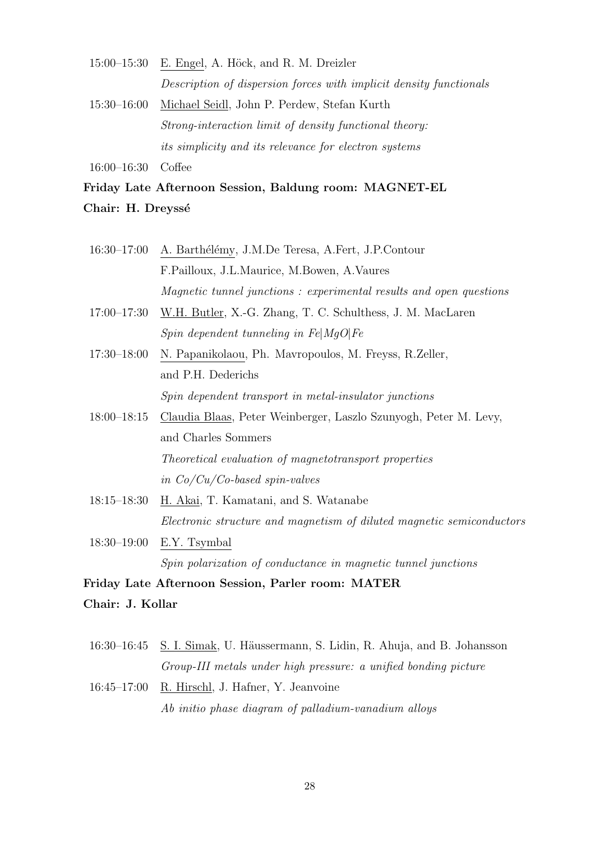$15:00-15:30$  E. Engel, A. Höck, and R. M. Dreizler Description of dispersion forces with implicit density functionals 15:30–16:00 Michael Seidl, John P. Perdew, Stefan Kurth Strong-interaction limit of density functional theory: its simplicity and its relevance for electron systems

16:00–16:30 Coffee

Friday Late Afternoon Session, Baldung room: MAGNET-EL Chair: H. Dreyssé

- 16:30–17:00 A. Barthélémy, J.M.De Teresa, A.Fert, J.P.Contour F.Pailloux, J.L.Maurice, M.Bowen, A.Vaures Magnetic tunnel junctions : experimental results and open questions
- 17:00–17:30 W.H. Butler, X.-G. Zhang, T. C. Schulthess, J. M. MacLaren Spin dependent tunneling in  $Fe|MqO|Fe$
- 17:30–18:00 N. Papanikolaou, Ph. Mavropoulos, M. Freyss, R.Zeller, and P.H. Dederichs Spin dependent transport in metal-insulator junctions
- 18:00–18:15 Claudia Blaas, Peter Weinberger, Laszlo Szunyogh, Peter M. Levy, and Charles Sommers Theoretical evaluation of magnetotransport properties in Co/Cu/Co-based spin-valves
- 18:15–18:30 H. Akai, T. Kamatani, and S. Watanabe Electronic structure and magnetism of diluted magnetic semiconductors
- 18:30–19:00 E.Y. Tsymbal Spin polarization of conductance in magnetic tunnel junctions

Friday Late Afternoon Session, Parler room: MATER

Chair: J. Kollar

- 16:30–16:45 S. I. Simak, U. Häussermann, S. Lidin, R. Ahuja, and B. Johansson Group-III metals under high pressure: a unified bonding picture
- 16:45–17:00 R. Hirschl, J. Hafner, Y. Jeanvoine Ab initio phase diagram of palladium-vanadium alloys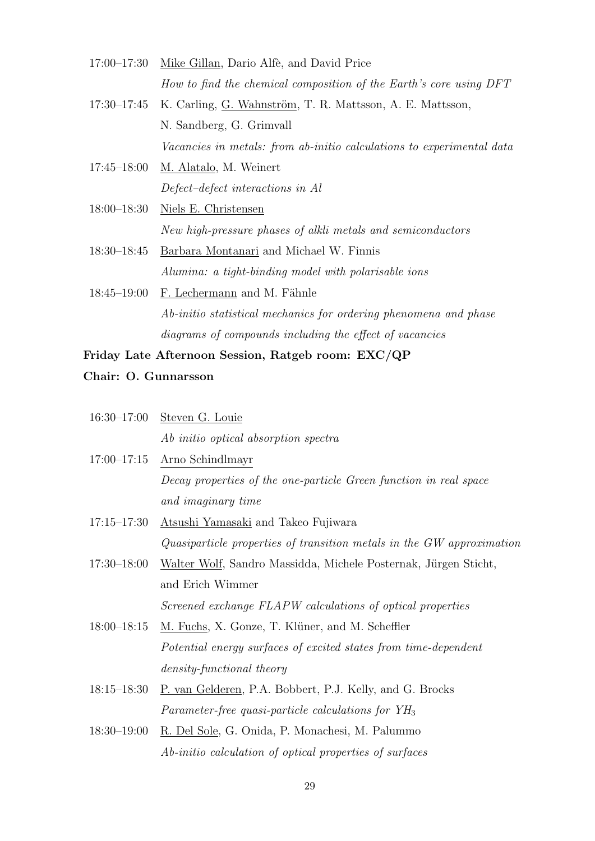- 17:00–17:30 Mike Gillan, Dario Alfè, and David Price How to find the chemical composition of the Earth's core using DFT
- 17:30–17:45 K. Carling, G. Wahnström, T. R. Mattsson, A. E. Mattsson, N. Sandberg, G. Grimvall Vacancies in metals: from ab-initio calculations to experimental data
- 17:45–18:00 M. Alatalo, M. Weinert Defect–defect interactions in Al
- 18:00–18:30 Niels E. Christensen New high-pressure phases of alkli metals and semiconductors
- 18:30–18:45 Barbara Montanari and Michael W. Finnis Alumina: a tight-binding model with polarisable ions
- 18:45–19:00  $\,$  F. Lechermann and M. Fähnle Ab-initio statistical mechanics for ordering phenomena and phase diagrams of compounds including the effect of vacancies
- Friday Late Afternoon Session, Ratgeb room: EXC/QP
- Chair: O. Gunnarsson

|                 | 16:30-17:00 Steven G. Louie                                           |
|-----------------|-----------------------------------------------------------------------|
|                 | Ab initio optical absorption spectra                                  |
| $17:00 - 17:15$ | Arno Schindlmayr                                                      |
|                 | Decay properties of the one-particle Green function in real space     |
|                 | and imaginary time                                                    |
| $17:15 - 17:30$ | Atsushi Yamasaki and Takeo Fujiwara                                   |
|                 | Quasiparticle properties of transition metals in the GW approximation |
| $17:30 - 18:00$ | Walter Wolf, Sandro Massidda, Michele Posternak, Jürgen Sticht,       |
|                 | and Erich Wimmer                                                      |
|                 | Screened exchange FLAPW calculations of optical properties            |
| $18:00 - 18:15$ | M. Fuchs, X. Gonze, T. Klüner, and M. Scheffler                       |
|                 | Potential energy surfaces of excited states from time-dependent       |
|                 | density-functional theory                                             |
| $18:15 - 18:30$ | P. van Gelderen, P.A. Bobbert, P.J. Kelly, and G. Brocks              |
|                 | Parameter-free quasi-particle calculations for $YH_3$                 |
|                 | <b>PPICICO</b> CHPHITICITI                                            |

18:30–19:00 R. Del Sole, G. Onida, P. Monachesi, M. Palummo Ab-initio calculation of optical properties of surfaces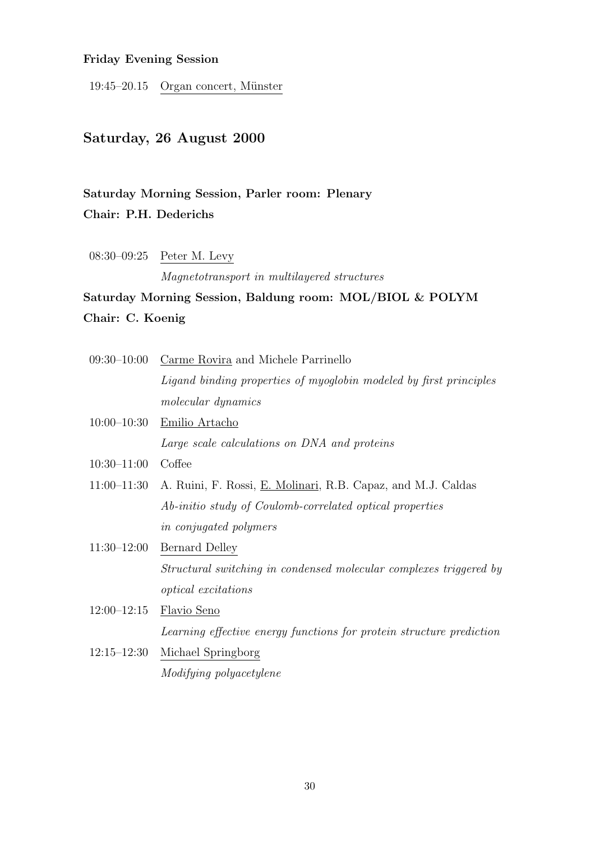## Friday Evening Session

19:45–20.15 Organ concert, Münster

## Saturday, 26 August 2000

# Saturday Morning Session, Parler room: Plenary Chair: P.H. Dederichs

08:30–09:25 Peter M. Levy

Magnetotransport in multilayered structures

# Saturday Morning Session, Baldung room: MOL/BIOL & POLYM Chair: C. Koenig

| $09:30 - 10:00$ | Carme Rovira and Michele Parrinello                                  |
|-----------------|----------------------------------------------------------------------|
|                 | Ligand binding properties of myoglobin modeled by first principles   |
|                 | <i>molecular dynamics</i>                                            |
| $10:00-10:30$   | Emilio Artacho                                                       |
|                 | Large scale calculations on DNA and proteins                         |
| $10:30 - 11:00$ | Coffee                                                               |
| $11:00 - 11:30$ | A. Ruini, F. Rossi, <u>E. Molinari</u> , R.B. Capaz, and M.J. Caldas |
|                 | Ab-initio study of Coulomb-correlated optical properties             |
|                 | <i>in conjugated polymers</i>                                        |
| $11:30-12:00$   | Bernard Delley                                                       |
|                 | Structural switching in condensed molecular complexes triggered by   |
|                 | <i>optical</i> excitations                                           |
| $12:00 - 12:15$ | Flavio Seno                                                          |
|                 | Learning effective energy functions for protein structure prediction |
| $12:15 - 12:30$ | Michael Springborg                                                   |

# Modifying polyacetylene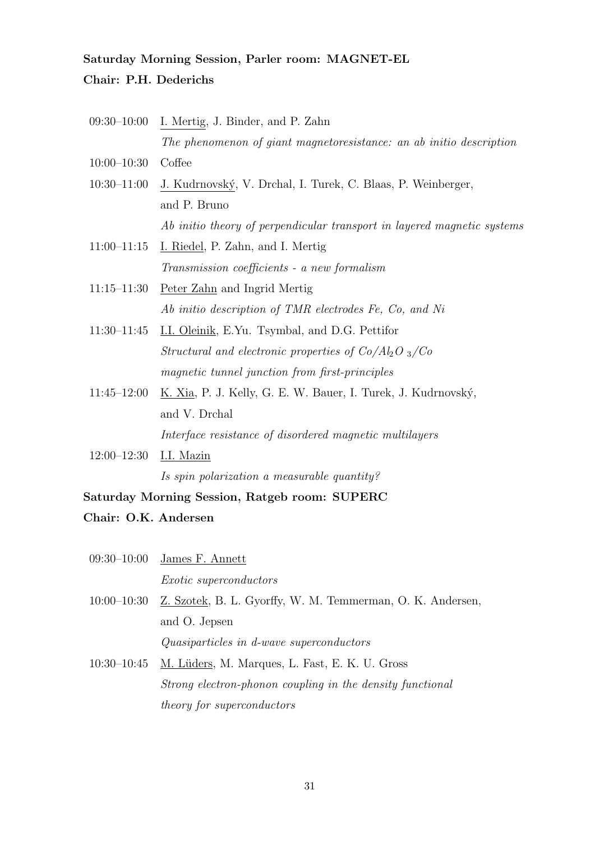# Saturday Morning Session, Parler room: MAGNET-EL Chair: P.H. Dederichs

- 09:30–10:00 I. Mertig, J. Binder, and P. Zahn The phenomenon of giant magnetoresistance: an ab initio description
- 10:00–10:30 Coffee
- 10:30–11:00 J. Kudrnovský, V. Drchal, I. Turek, C. Blaas, P. Weinberger, and P. Bruno Ab initio theory of perpendicular transport in layered magnetic systems
- 11:00–11:15 I. Riedel, P. Zahn, and I. Mertig Transmission coefficients - a new formalism
- 11:15–11:30 Peter Zahn and Ingrid Mertig Ab initio description of TMR electrodes Fe, Co, and Ni
- 11:30–11:45 I.I. Oleinik, E.Yu. Tsymbal, and D.G. Pettifor Structural and electronic properties of  $Co/Al_2O_3/Co$ magnetic tunnel junction from first-principles
- 11:45–12:00 K. Xia, P. J. Kelly, G. E. W. Bauer, I. Turek, J. Kudrnovský, and V. Drchal

Interface resistance of disordered magnetic multilayers

12:00–12:30 I.I. Mazin

Is spin polarization a measurable quantity?

Saturday Morning Session, Ratgeb room: SUPERC

### Chair: O.K. Andersen

| $09:30-10:00$ James F. Annett |
|-------------------------------|
| <i>Exotic superconductors</i> |

- 10:00–10:30 Z. Szotek, B. L. Gyorffy, W. M. Temmerman, O. K. Andersen, and O. Jepsen
	- Quasiparticles in d-wave superconductors
- 10:30–10:45 M. Lüders, M. Marques, L. Fast, E. K. U. Gross Strong electron-phonon coupling in the density functional theory for superconductors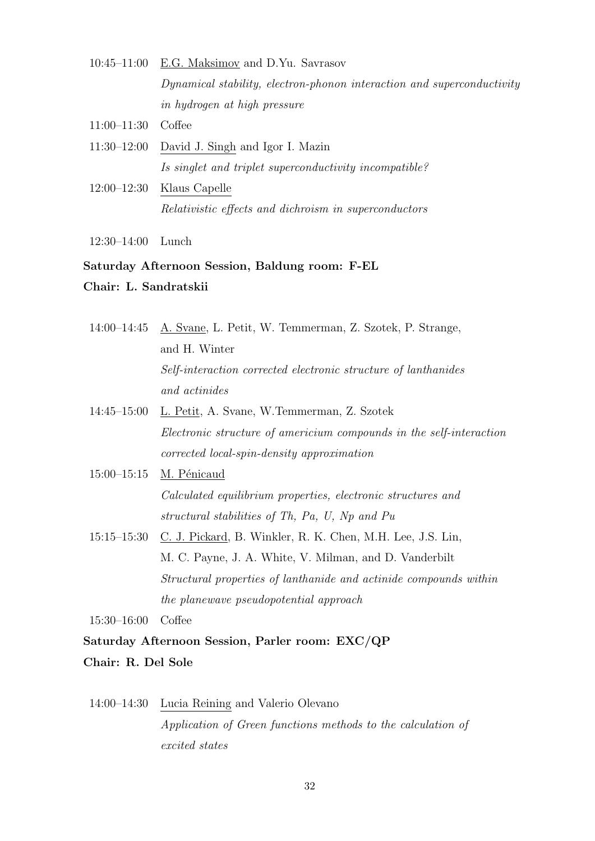- 10:45–11:00 E.G. Maksimov and D.Yu. Savrasov Dynamical stability, electron-phonon interaction and superconductivity in hydrogen at high pressure
- 11:00–11:30 Coffee
- 11:30–12:00 David J. Singh and Igor I. Mazin Is singlet and triplet superconductivity incompatible?
- 12:00–12:30 Klaus Capelle Relativistic effects and dichroism in superconductors
- 12:30–14:00 Lunch

#### Saturday Afternoon Session, Baldung room: F-EL

Chair: L. Sandratskii

14:00–14:45 A. Svane, L. Petit, W. Temmerman, Z. Szotek, P. Strange, and H. Winter Self-interaction corrected electronic structure of lanthanides and actinides

- 14:45–15:00 L. Petit, A. Svane, W.Temmerman, Z. Szotek Electronic structure of americium compounds in the self-interaction corrected local-spin-density approximation
- 15:00-15:15 M. Pénicaud Calculated equilibrium properties, electronic structures and structural stabilities of Th, Pa, U, Np and Pu
- 15:15–15:30 C. J. Pickard, B. Winkler, R. K. Chen, M.H. Lee, J.S. Lin, M. C. Payne, J. A. White, V. Milman, and D. Vanderbilt Structural properties of lanthanide and actinide compounds within the planewave pseudopotential approach

15:30–16:00 Coffee

Saturday Afternoon Session, Parler room: EXC/QP Chair: R. Del Sole

# 14:00–14:30 Lucia Reining and Valerio Olevano Application of Green functions methods to the calculation of excited states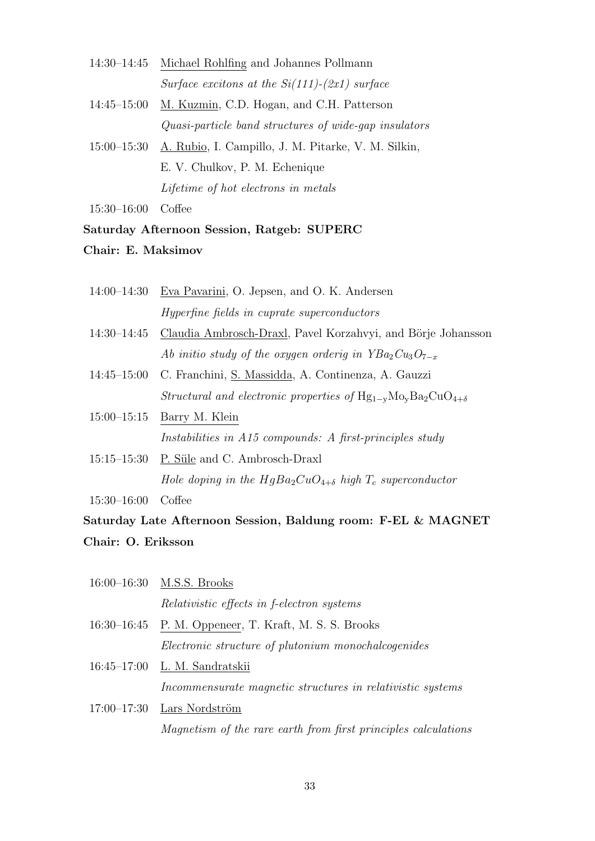- 14:30–14:45 Michael Rohlfing and Johannes Pollmann Surface excitons at the  $Si(111)-(2x1)$  surface
- 14:45–15:00 M. Kuzmin, C.D. Hogan, and C.H. Patterson Quasi-particle band structures of wide-gap insulators
- 15:00–15:30 A. Rubio, I. Campillo, J. M. Pitarke, V. M. Silkin, E. V. Chulkov, P. M. Echenique Lifetime of hot electrons in metals

15:30–16:00 Coffee

### Saturday Afternoon Session, Ratgeb: SUPERC

Chair: E. Maksimov

- 14:00–14:30 Eva Pavarini, O. Jepsen, and O. K. Andersen Hyperfine fields in cuprate superconductors
- 14:30–14:45 Claudia Ambrosch-Draxl, Pavel Korzahvyi, and Börje Johansson Ab initio study of the oxygen orderig in  $YBa<sub>2</sub>Cu<sub>3</sub>O<sub>7-x</sub>$
- 14:45–15:00 C. Franchini, S. Massidda, A. Continenza, A. Gauzzi Structural and electronic properties of  $Hg_{1-v}Mo_{v}Ba_{2}CuO_{4+\delta}$
- 15:00–15:15 Barry M. Klein Instabilities in A15 compounds: A first-principles study
- 15:15–15:30 P. Süle and C. Ambrosch-Draxl Hole doping in the  $HgBa_2CuO_{4+\delta}$  high  $T_c$  superconductor

15:30–16:00 Coffee

# Saturday Late Afternoon Session, Baldung room: F-EL & MAGNET Chair: O. Eriksson

| $16:00 - 16:30$ | M.S.S. Brooks                                     |
|-----------------|---------------------------------------------------|
|                 | <i>Relativistic effects in f-electron systems</i> |

- 16:30–16:45 P. M. Oppeneer, T. Kraft, M. S. S. Brooks Electronic structure of plutonium monochalcogenides
- 16:45–17:00 L. M. Sandratskii Incommensurate magnetic structures in relativistic systems
- $17:00-17:30$  Lars Nordström Magnetism of the rare earth from first principles calculations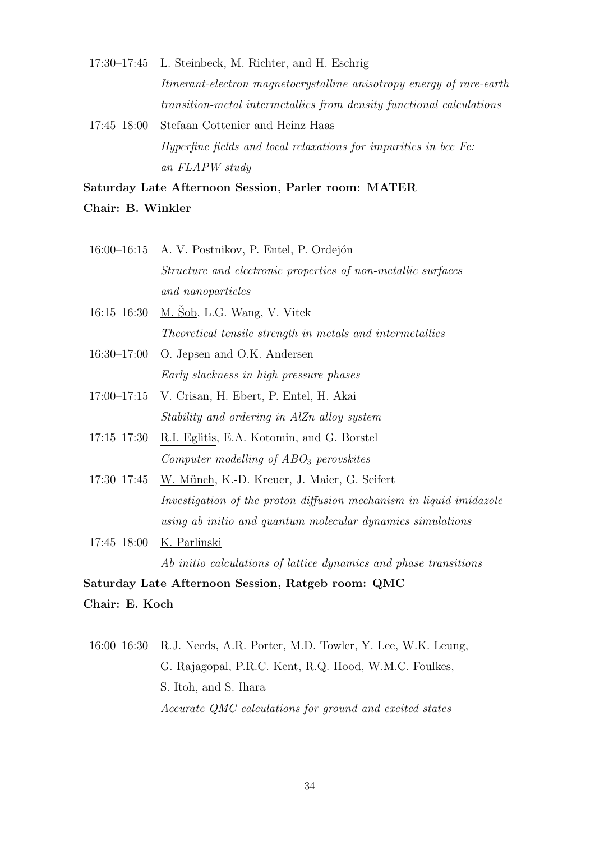17:30–17:45 L. Steinbeck, M. Richter, and H. Eschrig Itinerant-electron magnetocrystalline anisotropy energy of rare-earth transition-metal intermetallics from density functional calculations

17:45–18:00 Stefaan Cottenier and Heinz Haas Hyperfine fields and local relaxations for impurities in bcc Fe: an FLAPW study

Saturday Late Afternoon Session, Parler room: MATER Chair: B. Winkler

- 16:00–16:15 A. V. Postnikov, P. Entel, P. Ordejón Structure and electronic properties of non-metallic surfaces and nanoparticles
- 16:15–16:30 M. Šob, L.G. Wang, V. Vitek Theoretical tensile strength in metals and intermetallics
- 16:30–17:00 O. Jepsen and O.K. Andersen Early slackness in high pressure phases
- 17:00–17:15 V. Crisan, H. Ebert, P. Entel, H. Akai Stability and ordering in AlZn alloy system
- 17:15–17:30 R.I. Eglitis, E.A. Kotomin, and G. Borstel Computer modelling of  $ABO<sub>3</sub>$  perovskites
- 17:30–17:45 W. Münch, K.-D. Kreuer, J. Maier, G. Seifert Investigation of the proton diffusion mechanism in liquid imidazole using ab initio and quantum molecular dynamics simulations
- 17:45–18:00 K. Parlinski

Ab initio calculations of lattice dynamics and phase transitions

Saturday Late Afternoon Session, Ratgeb room: QMC Chair: E. Koch

16:00–16:30 R.J. Needs, A.R. Porter, M.D. Towler, Y. Lee, W.K. Leung, G. Rajagopal, P.R.C. Kent, R.Q. Hood, W.M.C. Foulkes, S. Itoh, and S. Ihara Accurate QMC calculations for ground and excited states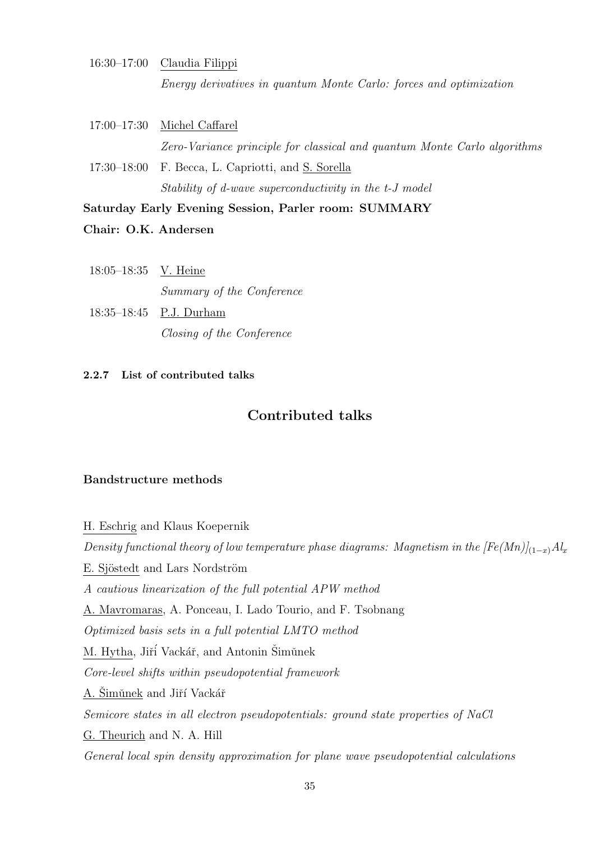- 16:30–17:00 Claudia Filippi Energy derivatives in quantum Monte Carlo: forces and optimization
- 17:00–17:30 Michel Caffarel Zero-Variance principle for classical and quantum Monte Carlo algorithms 17:30–18:00 F. Becca, L. Capriotti, and S. Sorella

Stability of d-wave superconductivity in the t-J model

Saturday Early Evening Session, Parler room: SUMMARY

Chair: O.K. Andersen

| $18:05-18:35$ V. Heine |                           |
|------------------------|---------------------------|
|                        | Summary of the Conference |
|                        | $18:35-18:45$ P.J. Durham |

Closing of the Conference

### 2.2.7 List of contributed talks

## Contributed talks

### Bandstructure methods

H. Eschrig and Klaus Koepernik Density functional theory of low temperature phase diagrams: Magnetism in the  $[Fe(Mn)]_{(1-x)}$  Al<sub>x</sub> E. Sjöstedt and Lars Nordström A cautious linearization of the full potential APW method A. Mavromaras, A. Ponceau, I. Lado Tourio, and F. Tsobnang Optimized basis sets in a full potential LMTO method M. Hytha, Jiří Vackář, and Antonin Šimůnek Core-level shifts within pseudopotential framework A. Šimǔnek and Jiří Vackář Semicore states in all electron pseudopotentials: ground state properties of NaCl G. Theurich and N. A. Hill General local spin density approximation for plane wave pseudopotential calculations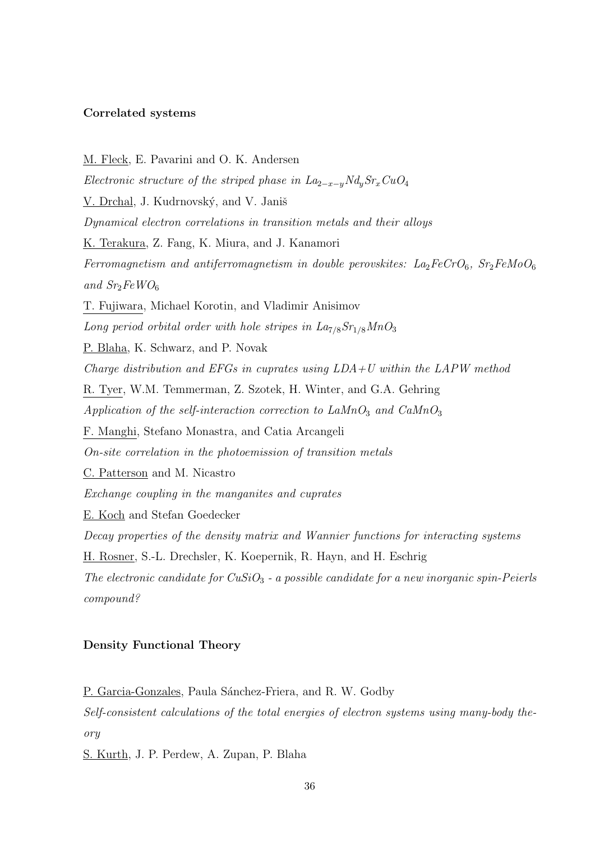### Correlated systems

M. Fleck, E. Pavarini and O. K. Andersen Electronic structure of the striped phase in  $La_{2-x-y}Nd_ySr_xCuO_4$ V. Drchal, J. Kudrnovský, and V. Janiš Dynamical electron correlations in transition metals and their alloys K. Terakura, Z. Fang, K. Miura, and J. Kanamori Ferromagnetism and antiferromagnetism in double perovskites:  $La_2FeCrO_6$ ,  $Sr_2FeMoO_6$ and  $Sr<sub>2</sub>FeWO<sub>6</sub>$ T. Fujiwara, Michael Korotin, and Vladimir Anisimov Long period orbital order with hole stripes in  $La<sub>7/8</sub>Sr<sub>1/8</sub>MnO<sub>3</sub>$ P. Blaha, K. Schwarz, and P. Novak Charge distribution and EFGs in cuprates using  $LDA+U$  within the LAPW method R. Tyer, W.M. Temmerman, Z. Szotek, H. Winter, and G.A. Gehring Application of the self-interaction correction to  $LaMnO<sub>3</sub>$  and  $CaMnO<sub>3</sub>$ F. Manghi, Stefano Monastra, and Catia Arcangeli On-site correlation in the photoemission of transition metals C. Patterson and M. Nicastro Exchange coupling in the manganites and cuprates E. Koch and Stefan Goedecker Decay properties of the density matrix and Wannier functions for interacting systems H. Rosner, S.-L. Drechsler, K. Koepernik, R. Hayn, and H. Eschrig The electronic candidate for  $CuSiO<sub>3</sub>$  - a possible candidate for a new inorganic spin-Peierls compound?

### Density Functional Theory

P. Garcia-Gonzales, Paula Sánchez-Friera, and R. W. Godby

Self-consistent calculations of the total energies of electron systems using many-body theory

S. Kurth, J. P. Perdew, A. Zupan, P. Blaha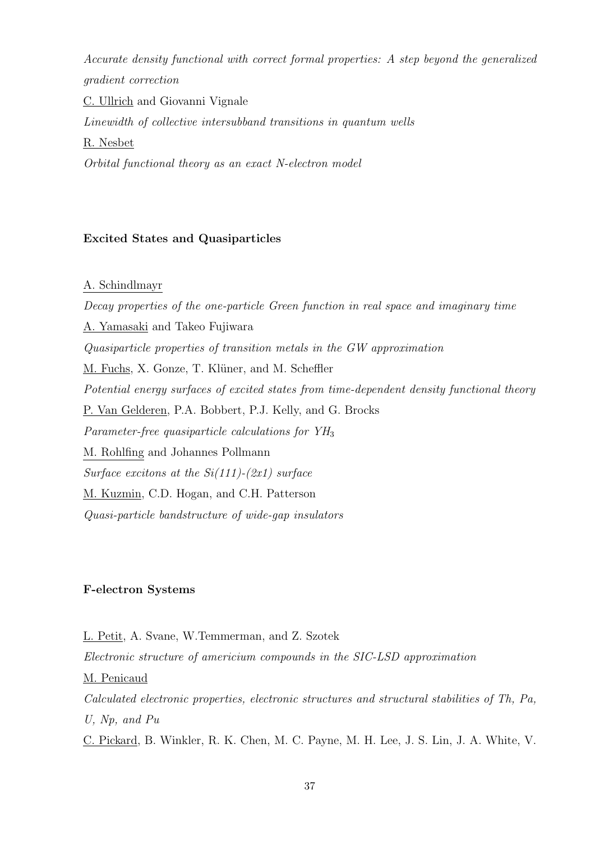Accurate density functional with correct formal properties: A step beyond the generalized gradient correction

C. Ullrich and Giovanni Vignale Linewidth of collective intersubband transitions in quantum wells R. Nesbet Orbital functional theory as an exact N-electron model

# Excited States and Quasiparticles

# A. Schindlmayr

Decay properties of the one-particle Green function in real space and imaginary time A. Yamasaki and Takeo Fujiwara Quasiparticle properties of transition metals in the GW approximation M. Fuchs, X. Gonze, T. Klüner, and M. Scheffler Potential energy surfaces of excited states from time-dependent density functional theory P. Van Gelderen, P.A. Bobbert, P.J. Kelly, and G. Brocks Parameter-free quasiparticle calculations for  $YH_3$ M. Rohlfing and Johannes Pollmann Surface excitons at the  $Si(111)$ - $(2x1)$  surface M. Kuzmin, C.D. Hogan, and C.H. Patterson Quasi-particle bandstructure of wide-gap insulators

# F-electron Systems

L. Petit, A. Svane, W.Temmerman, and Z. Szotek Electronic structure of americium compounds in the SIC-LSD approximation M. Penicaud Calculated electronic properties, electronic structures and structural stabilities of Th, Pa, U, Np, and Pu

C. Pickard, B. Winkler, R. K. Chen, M. C. Payne, M. H. Lee, J. S. Lin, J. A. White, V.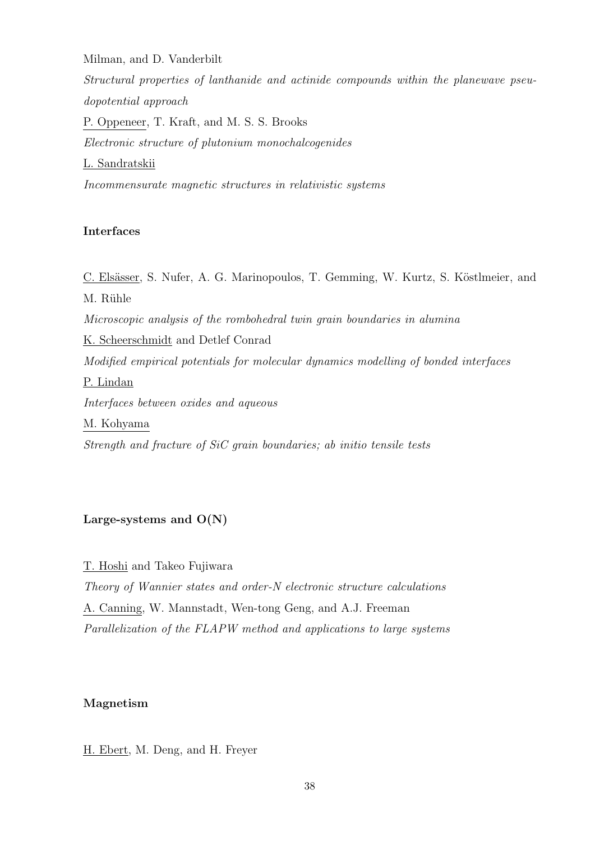Milman, and D. Vanderbilt

Structural properties of lanthanide and actinide compounds within the planewave pseudopotential approach P. Oppeneer, T. Kraft, and M. S. S. Brooks Electronic structure of plutonium monochalcogenides L. Sandratskii Incommensurate magnetic structures in relativistic systems

# Interfaces

C. Elsässer, S. Nufer, A. G. Marinopoulos, T. Gemming, W. Kurtz, S. Köstlmeier, and M. Rühle Microscopic analysis of the rombohedral twin grain boundaries in alumina K. Scheerschmidt and Detlef Conrad Modified empirical potentials for molecular dynamics modelling of bonded interfaces P. Lindan Interfaces between oxides and aqueous M. Kohyama Strength and fracture of SiC grain boundaries; ab initio tensile tests

# Large-systems and  $O(N)$

T. Hoshi and Takeo Fujiwara

Theory of Wannier states and order-N electronic structure calculations A. Canning, W. Mannstadt, Wen-tong Geng, and A.J. Freeman Parallelization of the FLAPW method and applications to large systems

# Magnetism

H. Ebert, M. Deng, and H. Freyer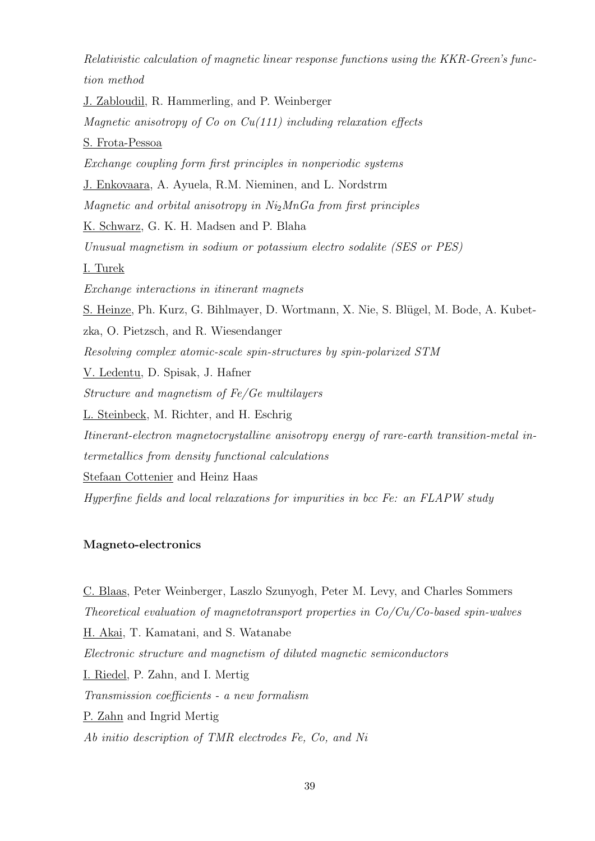Relativistic calculation of magnetic linear response functions using the KKR-Green's function method

J. Zabloudil, R. Hammerling, and P. Weinberger Magnetic anisotropy of  $Co$  on  $Cu(111)$  including relaxation effects S. Frota-Pessoa Exchange coupling form first principles in nonperiodic systems J. Enkovaara, A. Ayuela, R.M. Nieminen, and L. Nordstrm Magnetic and orbital anisotropy in  $Ni<sub>2</sub>MnGa$  from first principles K. Schwarz, G. K. H. Madsen and P. Blaha Unusual magnetism in sodium or potassium electro sodalite (SES or PES) I. Turek Exchange interactions in itinerant magnets S. Heinze, Ph. Kurz, G. Bihlmayer, D. Wortmann, X. Nie, S. Blügel, M. Bode, A. Kubetzka, O. Pietzsch, and R. Wiesendanger Resolving complex atomic-scale spin-structures by spin-polarized STM V. Ledentu, D. Spisak, J. Hafner Structure and magnetism of Fe/Ge multilayers L. Steinbeck, M. Richter, and H. Eschrig Itinerant-electron magnetocrystalline anisotropy energy of rare-earth transition-metal intermetallics from density functional calculations Stefaan Cottenier and Heinz Haas Hyperfine fields and local relaxations for impurities in bcc Fe: an FLAPW study

# Magneto-electronics

C. Blaas, Peter Weinberger, Laszlo Szunyogh, Peter M. Levy, and Charles Sommers Theoretical evaluation of magnetotransport properties in Co/Cu/Co-based spin-walves H. Akai, T. Kamatani, and S. Watanabe Electronic structure and magnetism of diluted magnetic semiconductors I. Riedel, P. Zahn, and I. Mertig Transmission coefficients - a new formalism P. Zahn and Ingrid Mertig Ab initio description of TMR electrodes Fe, Co, and Ni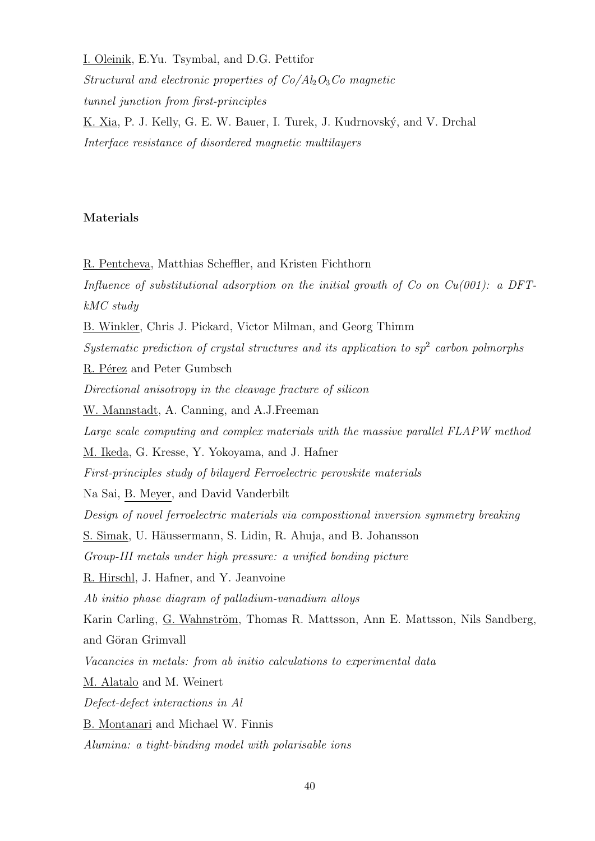I. Oleinik, E.Yu. Tsymbal, and D.G. Pettifor

Structural and electronic properties of  $Co\backslash Al_2O_3Co$  magnetic tunnel junction from first-principles K. Xia, P. J. Kelly, G. E. W. Bauer, I. Turek, J. Kudrnovský, and V. Drchal Interface resistance of disordered magnetic multilayers

# Materials

R. Pentcheva, Matthias Scheffler, and Kristen Fichthorn Influence of substitutional adsorption on the initial growth of  $Co$  on  $Cu(001)$ : a DFTkMC study

B. Winkler, Chris J. Pickard, Victor Milman, and Georg Thimm

Systematic prediction of crystal structures and its application to  $sp<sup>2</sup>$  carbon polmorphs

R. Pérez and Peter Gumbsch

Directional anisotropy in the cleavage fracture of silicon

W. Mannstadt, A. Canning, and A.J.Freeman

Large scale computing and complex materials with the massive parallel FLAPW method

M. Ikeda, G. Kresse, Y. Yokoyama, and J. Hafner

First-principles study of bilayerd Ferroelectric perovskite materials

Na Sai, B. Meyer, and David Vanderbilt

Design of novel ferroelectric materials via compositional inversion symmetry breaking

S. Simak, U. Häussermann, S. Lidin, R. Ahuja, and B. Johansson

Group-III metals under high pressure: a unified bonding picture

R. Hirschl, J. Hafner, and Y. Jeanvoine

Ab initio phase diagram of palladium-vanadium alloys

Karin Carling, G. Wahnström, Thomas R. Mattsson, Ann E. Mattsson, Nils Sandberg, and Göran Grimvall

Vacancies in metals: from ab initio calculations to experimental data

M. Alatalo and M. Weinert

Defect-defect interactions in Al

B. Montanari and Michael W. Finnis

Alumina: a tight-binding model with polarisable ions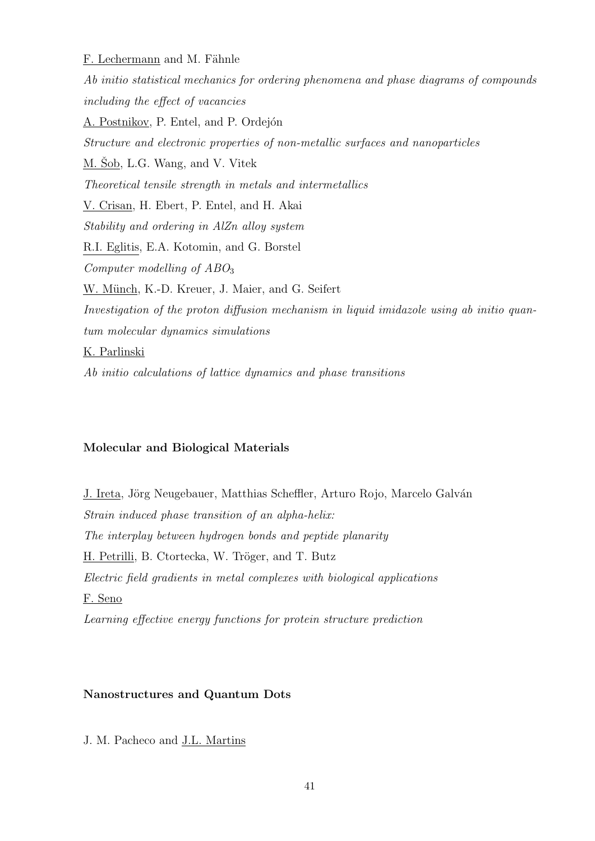F. Lechermann and M. Fähnle Ab initio statistical mechanics for ordering phenomena and phase diagrams of compounds including the effect of vacancies A. Postnikov, P. Entel, and P. Ordejón Structure and electronic properties of non-metallic surfaces and nanoparticles M. Šob, L.G. Wang, and V. Vitek Theoretical tensile strength in metals and intermetallics V. Crisan, H. Ebert, P. Entel, and H. Akai Stability and ordering in AlZn alloy system R.I. Eglitis, E.A. Kotomin, and G. Borstel Computer modelling of  $ABO<sub>3</sub>$ W. Münch, K.-D. Kreuer, J. Maier, and G. Seifert Investigation of the proton diffusion mechanism in liquid imidazole using ab initio quantum molecular dynamics simulations K. Parlinski

Ab initio calculations of lattice dynamics and phase transitions

# Molecular and Biological Materials

J. Ireta, Jörg Neugebauer, Matthias Scheffler, Arturo Rojo, Marcelo Galván Strain induced phase transition of an alpha-helix: The interplay between hydrogen bonds and peptide planarity H. Petrilli, B. Ctortecka, W. Tröger, and T. Butz Electric field gradients in metal complexes with biological applications F. Seno Learning effective energy functions for protein structure prediction

# Nanostructures and Quantum Dots

J. M. Pacheco and J.L. Martins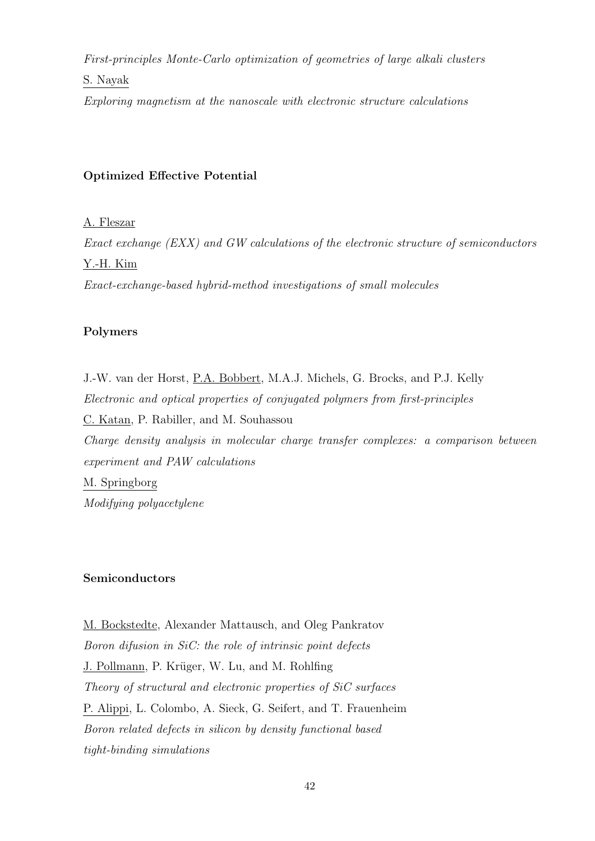First-principles Monte-Carlo optimization of geometries of large alkali clusters

# S. Nayak

Exploring magnetism at the nanoscale with electronic structure calculations

# Optimized Effective Potential

A. Fleszar

Exact exchange (EXX) and GW calculations of the electronic structure of semiconductors Y.-H. Kim

Exact-exchange-based hybrid-method investigations of small molecules

# Polymers

J.-W. van der Horst, P.A. Bobbert, M.A.J. Michels, G. Brocks, and P.J. Kelly Electronic and optical properties of conjugated polymers from first-principles C. Katan, P. Rabiller, and M. Souhassou Charge density analysis in molecular charge transfer complexes: a comparison between experiment and PAW calculations M. Springborg Modifying polyacetylene

# Semiconductors

M. Bockstedte, Alexander Mattausch, and Oleg Pankratov Boron difusion in SiC: the role of intrinsic point defects J. Pollmann, P. Krüger, W. Lu, and M. Rohlfing Theory of structural and electronic properties of SiC surfaces P. Alippi, L. Colombo, A. Sieck, G. Seifert, and T. Frauenheim Boron related defects in silicon by density functional based tight-binding simulations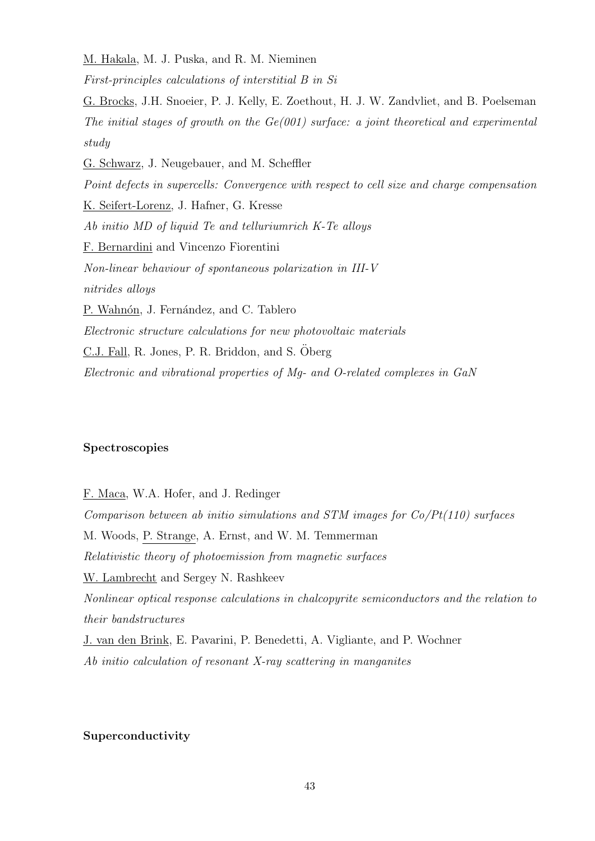M. Hakala, M. J. Puska, and R. M. Nieminen

First-principles calculations of interstitial B in Si

G. Brocks, J.H. Snoeier, P. J. Kelly, E. Zoethout, H. J. W. Zandvliet, and B. Poelseman The initial stages of growth on the  $Ge(001)$  surface: a joint theoretical and experimental study

G. Schwarz, J. Neugebauer, and M. Scheffler

Point defects in supercells: Convergence with respect to cell size and charge compensation K. Seifert-Lorenz, J. Hafner, G. Kresse Ab initio MD of liquid Te and telluriumrich K-Te alloys F. Bernardini and Vincenzo Fiorentini Non-linear behaviour of spontaneous polarization in III-V nitrides alloys

P. Wahnón, J. Fernández, and C. Tablero Electronic structure calculations for new photovoltaic materials C.J. Fall, R. Jones, P. R. Briddon, and S. Öberg Electronic and vibrational properties of Mg- and O-related complexes in GaN

# Spectroscopies

F. Maca, W.A. Hofer, and J. Redinger Comparison between ab initio simulations and STM images for Co/Pt(110) surfaces M. Woods, P. Strange, A. Ernst, and W. M. Temmerman Relativistic theory of photoemission from magnetic surfaces W. Lambrecht and Sergey N. Rashkeev Nonlinear optical response calculations in chalcopyrite semiconductors and the relation to their bandstructures J. van den Brink, E. Pavarini, P. Benedetti, A. Vigliante, and P. Wochner Ab initio calculation of resonant X-ray scattering in manganites

# Superconductivity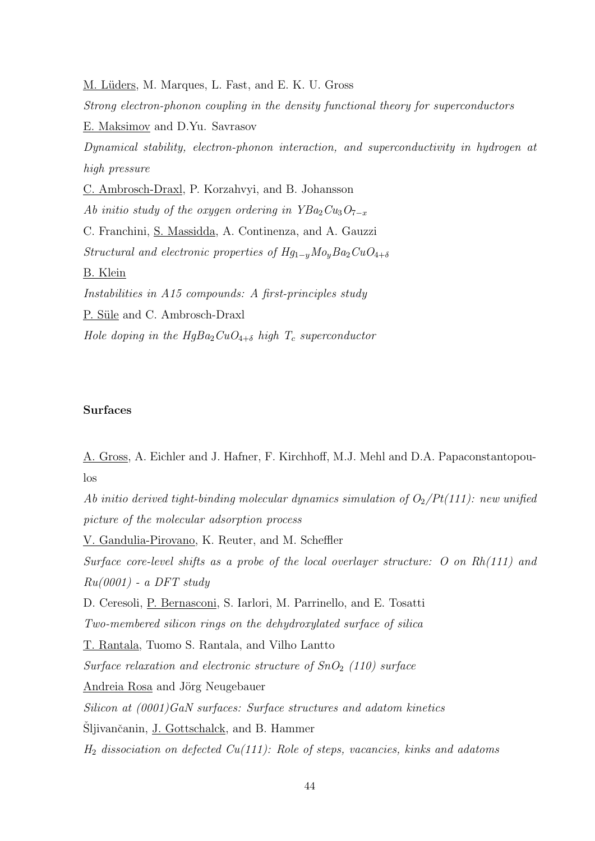M. Lüders, M. Marques, L. Fast, and E. K. U. Gross Strong electron-phonon coupling in the density functional theory for superconductors E. Maksimov and D.Yu. Savrasov Dynamical stability, electron-phonon interaction, and superconductivity in hydrogen at high pressure C. Ambrosch-Draxl, P. Korzahvyi, and B. Johansson Ab initio study of the oxygen ordering in  $YBa<sub>2</sub>Cu<sub>3</sub>O<sub>7-x</sub>$ C. Franchini, S. Massidda, A. Continenza, and A. Gauzzi Structural and electronic properties of  $Hg_{1-y}M_0gBa_2CuO_{4+\delta}$ B. Klein Instabilities in A15 compounds: A first-principles study P. Süle and C. Ambrosch-Draxl Hole doping in the  $HgBa_2CuO_{4+\delta}$  high  $T_c$  superconductor

# Surfaces

A. Gross, A. Eichler and J. Hafner, F. Kirchhoff, M.J. Mehl and D.A. Papaconstantopoulos

Ab initio derived tight-binding molecular dynamics simulation of  $O_2/Pt(111)$ : new unified picture of the molecular adsorption process

V. Gandulia-Pirovano, K. Reuter, and M. Scheffler

Surface core-level shifts as a probe of the local overlayer structure: O on Rh(111) and  $Ru(0001)$  - a DFT study

D. Ceresoli, P. Bernasconi, S. Iarlori, M. Parrinello, and E. Tosatti

Two-membered silicon rings on the dehydroxylated surface of silica

T. Rantala, Tuomo S. Rantala, and Vilho Lantto

Surface relaxation and electronic structure of  $SnO<sub>2</sub>$  (110) surface

Andreia Rosa and Jörg Neugebauer

Silicon at (0001)GaN surfaces: Surface structures and adatom kinetics

Šljivančanin, J. Gottschalck, and B. Hammer

 $H_2$  dissociation on defected Cu(111): Role of steps, vacancies, kinks and adatoms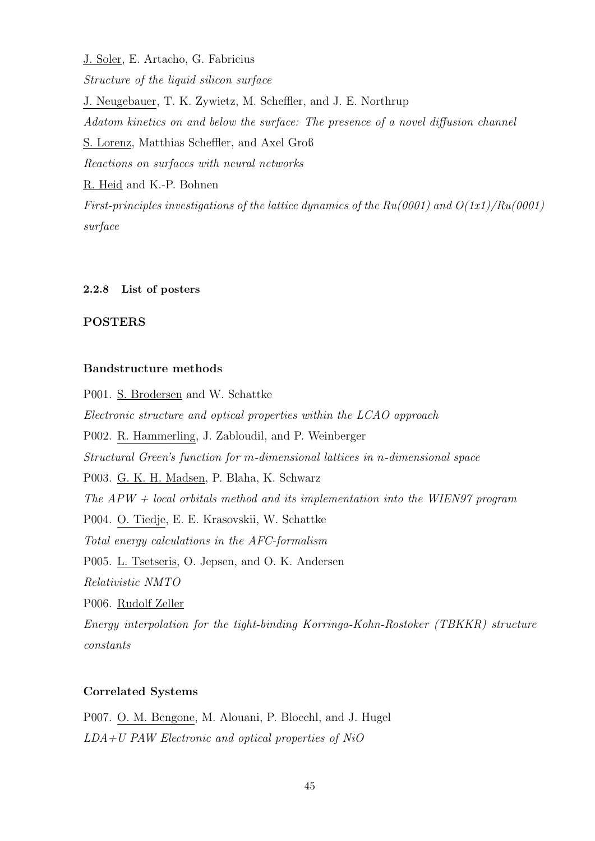J. Soler, E. Artacho, G. Fabricius Structure of the liquid silicon surface J. Neugebauer, T. K. Zywietz, M. Scheffler, and J. E. Northrup Adatom kinetics on and below the surface: The presence of a novel diffusion channel S. Lorenz, Matthias Scheffler, and Axel Groß Reactions on surfaces with neural networks R. Heid and K.-P. Bohnen

First-principles investigations of the lattice dynamics of the  $Ru(0001)$  and  $O(1x1)/Ru(0001)$ surface

### 2.2.8 List of posters

#### POSTERS

# Bandstructure methods

P001. S. Brodersen and W. Schattke Electronic structure and optical properties within the LCAO approach P002. R. Hammerling, J. Zabloudil, and P. Weinberger Structural Green's function for m-dimensional lattices in n-dimensional space P003. G. K. H. Madsen, P. Blaha, K. Schwarz The  $APW + local$  orbitals method and its implementation into the WIEN97 program P004. O. Tiedje, E. E. Krasovskii, W. Schattke Total energy calculations in the AFC-formalism P005. L. Tsetseris, O. Jepsen, and O. K. Andersen Relativistic NMTO P006. Rudolf Zeller Energy interpolation for the tight-binding Korringa-Kohn-Rostoker (TBKKR) structure

#### Correlated Systems

constants

P007. O. M. Bengone, M. Alouani, P. Bloechl, and J. Hugel LDA+U PAW Electronic and optical properties of NiO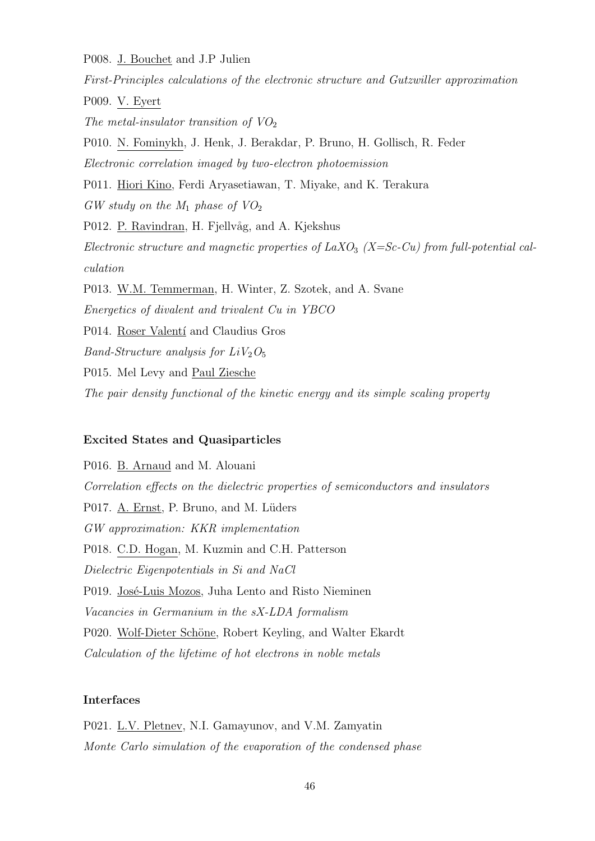P008. J. Bouchet and J.P Julien

First-Principles calculations of the electronic structure and Gutzwiller approximation P009. V. Eyert The metal-insulator transition of  $VO<sub>2</sub>$ P010. N. Fominykh, J. Henk, J. Berakdar, P. Bruno, H. Gollisch, R. Feder Electronic correlation imaged by two-electron photoemission P011. Hiori Kino, Ferdi Aryasetiawan, T. Miyake, and K. Terakura  $GW$  study on the  $M_1$  phase of  $VO_2$ P012. P. Ravindran, H. Fjellvåg, and A. Kjekshus Electronic structure and magnetic properties of  $LaXO<sub>3</sub>$  (X=Sc-Cu) from full-potential calculation P013. W.M. Temmerman, H. Winter, Z. Szotek, and A. Svane Energetics of divalent and trivalent Cu in YBCO P014. Roser Valentí and Claudius Gros Band-Structure analysis for  $LiV<sub>2</sub>O<sub>5</sub>$ P015. Mel Levy and Paul Ziesche The pair density functional of the kinetic energy and its simple scaling property

# Excited States and Quasiparticles

P016. B. Arnaud and M. Alouani Correlation effects on the dielectric properties of semiconductors and insulators P017. A. Ernst, P. Bruno, and M. Lüders GW approximation: KKR implementation P018. C.D. Hogan, M. Kuzmin and C.H. Patterson Dielectric Eigenpotentials in Si and NaCl P019. José-Luis Mozos, Juha Lento and Risto Nieminen Vacancies in Germanium in the sX-LDA formalism P020. Wolf-Dieter Schöne, Robert Keyling, and Walter Ekardt Calculation of the lifetime of hot electrons in noble metals

# Interfaces

P021. L.V. Pletnev, N.I. Gamayunov, and V.M. Zamyatin Monte Carlo simulation of the evaporation of the condensed phase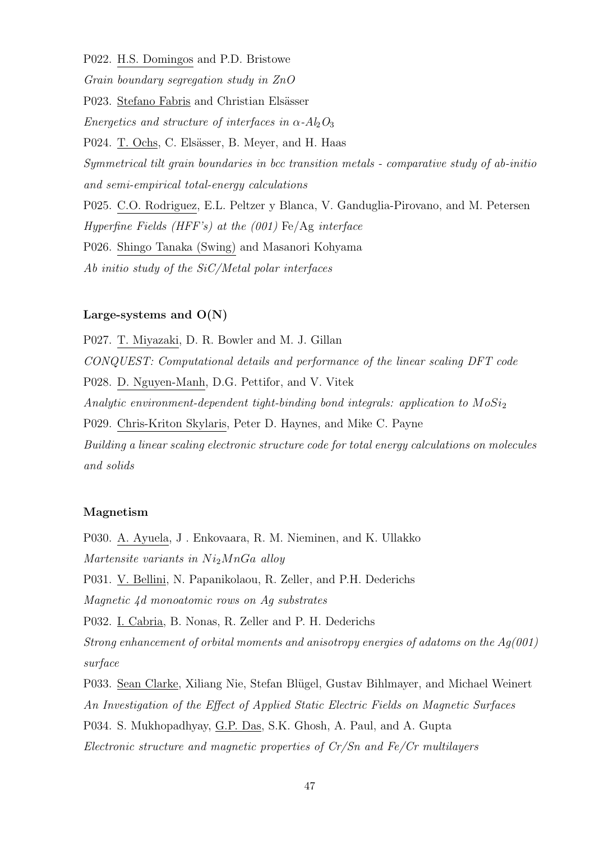P022. H.S. Domingos and P.D. Bristowe

Grain boundary segregation study in ZnO

P023. Stefano Fabris and Christian Elsässer

Energetics and structure of interfaces in  $\alpha$ -Al<sub>2</sub>O<sub>3</sub>

P024. T. Ochs, C. Elsässer, B. Meyer, and H. Haas

Symmetrical tilt grain boundaries in bcc transition metals - comparative study of ab-initio and semi-empirical total-energy calculations

P025. C.O. Rodriguez, E.L. Peltzer y Blanca, V. Ganduglia-Pirovano, and M. Petersen Hyperfine Fields (HFF's) at the  $(001)$  Fe/Ag interface P026. Shingo Tanaka (Swing) and Masanori Kohyama Ab initio study of the SiC/Metal polar interfaces

#### Large-systems and  $O(N)$

P027. T. Miyazaki, D. R. Bowler and M. J. Gillan CONQUEST: Computational details and performance of the linear scaling DFT code P028. D. Nguyen-Manh, D.G. Pettifor, and V. Vitek Analytic environment-dependent tight-binding bond integrals: application to  $MoSi<sub>2</sub>$ P029. Chris-Kriton Skylaris, Peter D. Haynes, and Mike C. Payne Building a linear scaling electronic structure code for total energy calculations on molecules and solids

# Magnetism

P030. A. Ayuela, J . Enkovaara, R. M. Nieminen, and K. Ullakko Martensite variants in  $Ni<sub>2</sub>MnGa$  alloy P031. V. Bellini, N. Papanikolaou, R. Zeller, and P.H. Dederichs Magnetic 4d monoatomic rows on Ag substrates P032. I. Cabria, B. Nonas, R. Zeller and P. H. Dederichs Strong enhancement of orbital moments and anisotropy energies of adatoms on the  $Aq(001)$ surface P033. Sean Clarke, Xiliang Nie, Stefan Blügel, Gustav Bihlmayer, and Michael Weinert An Investigation of the Effect of Applied Static Electric Fields on Magnetic Surfaces

P034. S. Mukhopadhyay, G.P. Das, S.K. Ghosh, A. Paul, and A. Gupta

Electronic structure and magnetic properties of Cr/Sn and Fe/Cr multilayers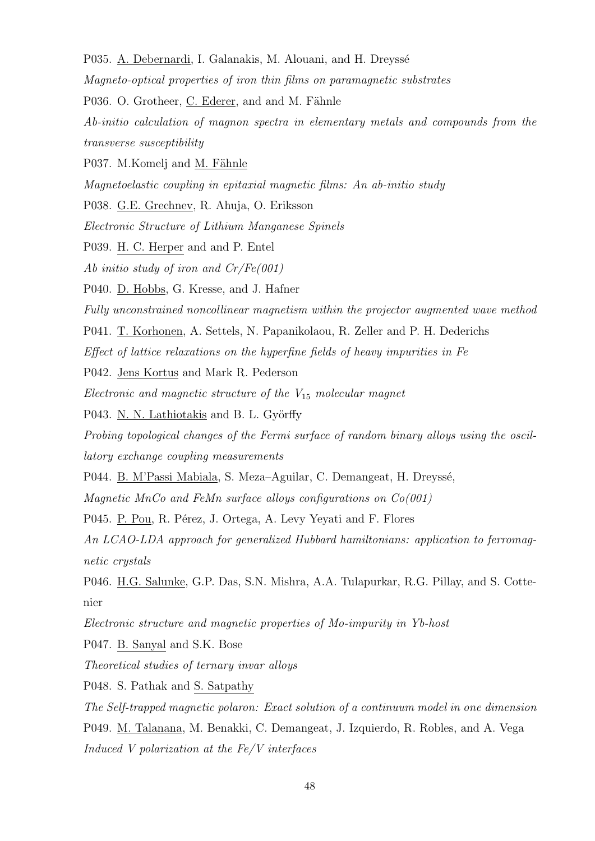- P035. A. Debernardi, I. Galanakis, M. Alouani, and H. Dreyssé
- Magneto-optical properties of iron thin films on paramagnetic substrates
- P036. O. Grotheer, C. Ederer, and and M. Fähnle
- Ab-initio calculation of magnon spectra in elementary metals and compounds from the transverse susceptibility
- P037. M.Komelj and M. Fähnle
- Magnetoelastic coupling in epitaxial magnetic films: An ab-initio study
- P038. G.E. Grechnev, R. Ahuja, O. Eriksson
- Electronic Structure of Lithium Manganese Spinels
- P039. H. C. Herper and and P. Entel
- Ab initio study of iron and Cr/Fe(001)
- P040. D. Hobbs, G. Kresse, and J. Hafner
- Fully unconstrained noncollinear magnetism within the projector augmented wave method
- P041. T. Korhonen, A. Settels, N. Papanikolaou, R. Zeller and P. H. Dederichs
- Effect of lattice relaxations on the hyperfine fields of heavy impurities in Fe
- P042. Jens Kortus and Mark R. Pederson
- Electronic and magnetic structure of the  $V_{15}$  molecular magnet
- P043. N. N. Lathiotakis and B. L. Györffy
- Probing topological changes of the Fermi surface of random binary alloys using the oscillatory exchange coupling measurements
- P044. B. M'Passi Mabiala, S. Meza–Aguilar, C. Demangeat, H. Dreyssé,
- Magnetic MnCo and FeMn surface allows configurations on  $Co(001)$
- P045. P. Pou, R. Pérez, J. Ortega, A. Levy Yeyati and F. Flores
- An LCAO-LDA approach for generalized Hubbard hamiltonians: application to ferromagnetic crystals
- P046. H.G. Salunke, G.P. Das, S.N. Mishra, A.A. Tulapurkar, R.G. Pillay, and S. Cottenier
- Electronic structure and magnetic properties of Mo-impurity in Yb-host
- P047. B. Sanyal and S.K. Bose
- Theoretical studies of ternary invar alloys
- P048. S. Pathak and S. Satpathy
- The Self-trapped magnetic polaron: Exact solution of a continuum model in one dimension
- P049. M. Talanana, M. Benakki, C. Demangeat, J. Izquierdo, R. Robles, and A. Vega
- Induced V polarization at the Fe/V interfaces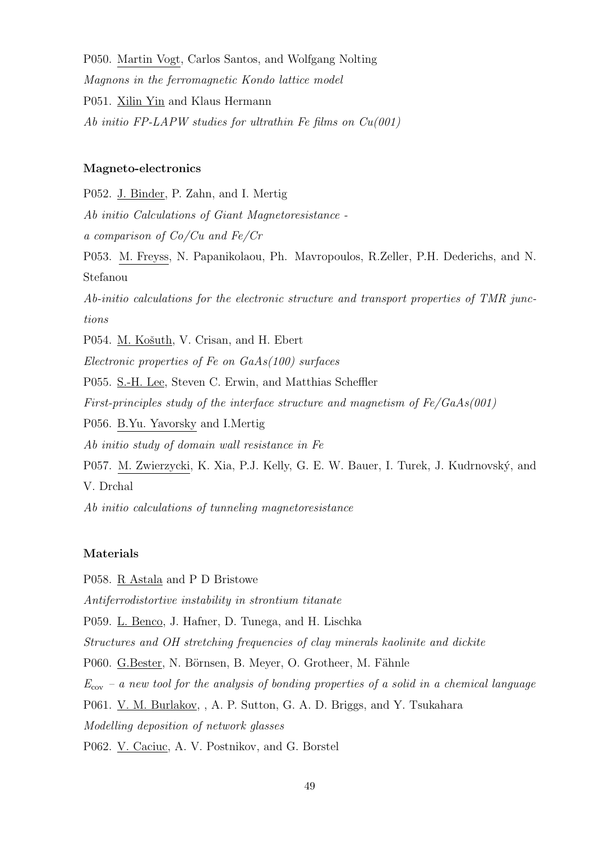P050. Martin Vogt, Carlos Santos, and Wolfgang Nolting Magnons in the ferromagnetic Kondo lattice model P051. Xilin Yin and Klaus Hermann Ab initio FP-LAPW studies for ultrathin Fe films on  $Cu(001)$ 

# Magneto-electronics

P052. J. Binder, P. Zahn, and I. Mertig Ab initio Calculations of Giant Magnetoresistance a comparison of Co/Cu and Fe/Cr P053. M. Freyss, N. Papanikolaou, Ph. Mavropoulos, R.Zeller, P.H. Dederichs, and N. Stefanou Ab-initio calculations for the electronic structure and transport properties of TMR junctions P054. M. Košuth, V. Crisan, and H. Ebert Electronic properties of Fe on GaAs(100) surfaces P055. S.-H. Lee, Steven C. Erwin, and Matthias Scheffler First-principles study of the interface structure and magnetism of Fe/GaAs(001) P056. B.Yu. Yavorsky and I.Mertig Ab initio study of domain wall resistance in Fe P057. M. Zwierzycki, K. Xia, P.J. Kelly, G. E. W. Bauer, I. Turek, J. Kudrnovský, and V. Drchal

Ab initio calculations of tunneling magnetoresistance

# Materials

P058. R Astala and P D Bristowe Antiferrodistortive instability in strontium titanate P059. L. Benco, J. Hafner, D. Tunega, and H. Lischka Structures and OH stretching frequencies of clay minerals kaolinite and dickite P060. G.Bester, N. Börnsen, B. Meyer, O. Grotheer, M. Fähnle  $E_{\rm cov}$  – a new tool for the analysis of bonding properties of a solid in a chemical language P061. V. M. Burlakov, , A. P. Sutton, G. A. D. Briggs, and Y. Tsukahara Modelling deposition of network glasses P062. V. Caciuc, A. V. Postnikov, and G. Borstel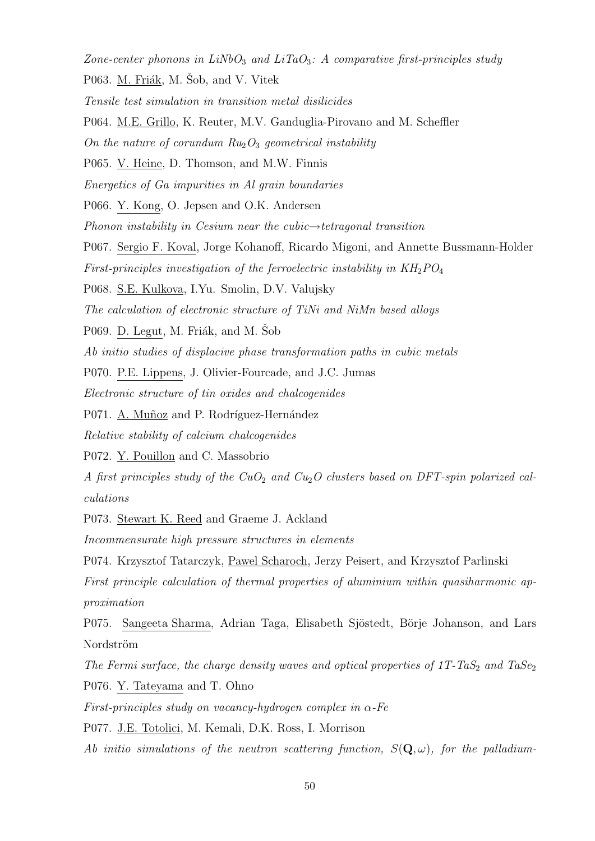Zone-center phonons in  $LiNbO<sub>3</sub>$  and  $LiTaO<sub>3</sub>$ : A comparative first-principles study

- P063. M. Friák, M. Šob, and V. Vitek
- Tensile test simulation in transition metal disilicides
- P064. M.E. Grillo, K. Reuter, M.V. Ganduglia-Pirovano and M. Scheffler

On the nature of corundum  $Ru_2O_3$  geometrical instability

P065. V. Heine, D. Thomson, and M.W. Finnis

Energetics of Ga impurities in Al grain boundaries

P066. Y. Kong, O. Jepsen and O.K. Andersen

- Phonon instability in Cesium near the cubic $\rightarrow$ tetragonal transition
- P067. Sergio F. Koval, Jorge Kohanoff, Ricardo Migoni, and Annette Bussmann-Holder
- First-principles investigation of the ferroelectric instability in  $KH_2PO_4$
- P068. S.E. Kulkova, I.Yu. Smolin, D.V. Valujsky

The calculation of electronic structure of TiNi and NiMn based alloys

- P069. D. Legut, M. Friák, and M. Sob
- Ab initio studies of displacive phase transformation paths in cubic metals
- P070. P.E. Lippens, J. Olivier-Fourcade, and J.C. Jumas

Electronic structure of tin oxides and chalcogenides

P071. A. Muñoz and P. Rodríguez-Hernández

Relative stability of calcium chalcogenides

P072. Y. Pouillon and C. Massobrio

A first principles study of the  $CuO<sub>2</sub>$  and  $Cu<sub>2</sub>O$  clusters based on DFT-spin polarized calculations

P073. Stewart K. Reed and Graeme J. Ackland

Incommensurate high pressure structures in elements

P074. Krzysztof Tatarczyk, Pawel Scharoch, Jerzy Peisert, and Krzysztof Parlinski

First principle calculation of thermal properties of aluminium within quasiharmonic approximation

P075. Sangeeta Sharma, Adrian Taga, Elisabeth Sjöstedt, Börje Johanson, and Lars Nordström

The Fermi surface, the charge density waves and optical properties of  $1T$ -TaS<sub>2</sub> and TaSe<sub>2</sub> P076. Y. Tateyama and T. Ohno

First-principles study on vacancy-hydrogen complex in  $\alpha$ -Fe

P077. J.E. Totolici, M. Kemali, D.K. Ross, I. Morrison

Ab initio simulations of the neutron scattering function,  $S(Q, \omega)$ , for the palladium-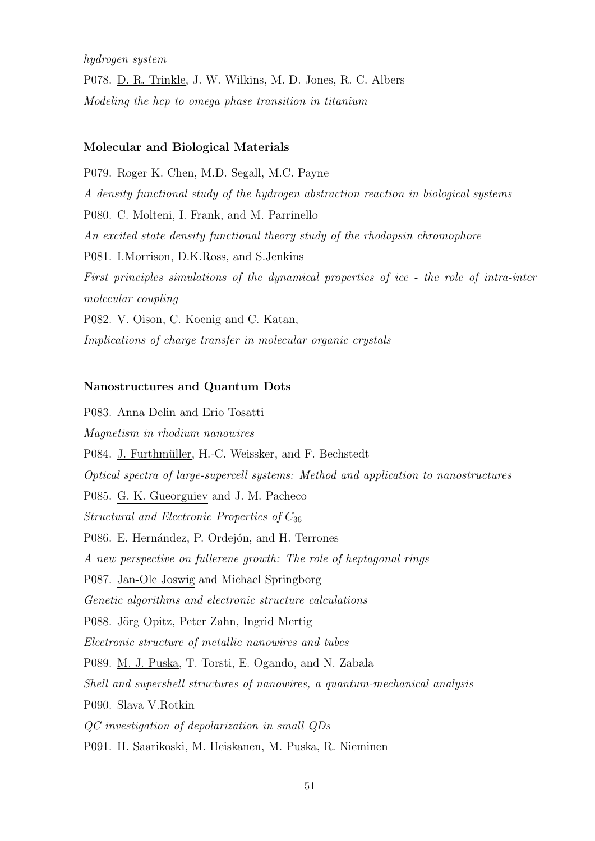hydrogen system

P078. D. R. Trinkle, J. W. Wilkins, M. D. Jones, R. C. Albers Modeling the hcp to omega phase transition in titanium

#### Molecular and Biological Materials

P079. Roger K. Chen, M.D. Segall, M.C. Payne A density functional study of the hydrogen abstraction reaction in biological systems P080. C. Molteni, I. Frank, and M. Parrinello An excited state density functional theory study of the rhodopsin chromophore P081. I.Morrison, D.K.Ross, and S.Jenkins First principles simulations of the dynamical properties of ice - the role of intra-inter molecular coupling P082. <u>V. Oison</u>, C. Koenig and C. Katan, Implications of charge transfer in molecular organic crystals

# Nanostructures and Quantum Dots

P083. Anna Delin and Erio Tosatti Magnetism in rhodium nanowires P084. J. Furthmüller, H.-C. Weissker, and F. Bechstedt Optical spectra of large-supercell systems: Method and application to nanostructures P085. G. K. Gueorguiev and J. M. Pacheco Structural and Electronic Properties of  $C_{36}$ P086. E. Hernández, P. Ordejón, and H. Terrones A new perspective on fullerene growth: The role of heptagonal rings P087. Jan-Ole Joswig and Michael Springborg Genetic algorithms and electronic structure calculations P088. Jörg Opitz, Peter Zahn, Ingrid Mertig Electronic structure of metallic nanowires and tubes P089. M. J. Puska, T. Torsti, E. Ogando, and N. Zabala Shell and supershell structures of nanowires, a quantum-mechanical analysis P090. Slava V.Rotkin QC investigation of depolarization in small QDs P091. H. Saarikoski, M. Heiskanen, M. Puska, R. Nieminen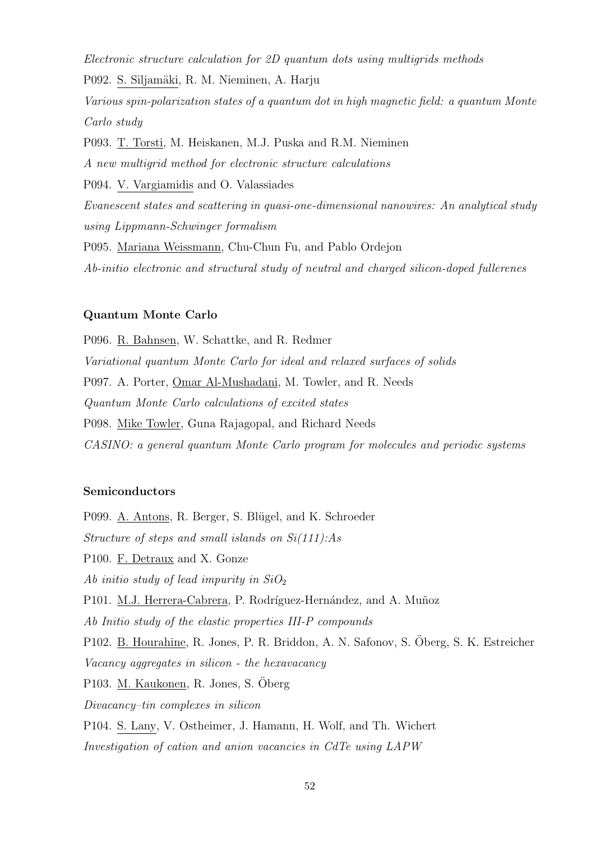Electronic structure calculation for 2D quantum dots using multigrids methods

P092. S. Siljamäki, R. M. Nieminen, A. Harju

Various spin-polarization states of a quantum dot in high magnetic field: a quantum Monte Carlo study

P093. T. Torsti, M. Heiskanen, M.J. Puska and R.M. Nieminen A new multigrid method for electronic structure calculations P094. V. Vargiamidis and O. Valassiades Evanescent states and scattering in quasi-one-dimensional nanowires: An analytical study using Lippmann-Schwinger formalism P095. Mariana Weissmann, Chu-Chun Fu, and Pablo Ordejon Ab-initio electronic and structural study of neutral and charged silicon-doped fullerenes

# Quantum Monte Carlo

P096. R. Bahnsen, W. Schattke, and R. Redmer Variational quantum Monte Carlo for ideal and relaxed surfaces of solids P097. A. Porter, Omar Al-Mushadani, M. Towler, and R. Needs Quantum Monte Carlo calculations of excited states P098. Mike Towler, Guna Rajagopal, and Richard Needs CASINO: a general quantum Monte Carlo program for molecules and periodic systems

#### Semiconductors

P099. A. Antons, R. Berger, S. Blügel, and K. Schroeder Structure of steps and small islands on Si(111):As P100. F. Detraux and X. Gonze Ab initio study of lead impurity in  $SiO<sub>2</sub>$ P101. M.J. Herrera-Cabrera, P. Rodríguez-Hernández, and A. Muñoz Ab Initio study of the elastic properties III-P compounds P102. B. Hourahine, R. Jones, P. R. Briddon, A. N. Safonov, S. Öberg, S. K. Estreicher Vacancy aggregates in silicon - the hexavacancy P103. M. Kaukonen, R. Jones, S. Oberg ¨ Divacancy–tin complexes in silicon P104. S. Lany, V. Ostheimer, J. Hamann, H. Wolf, and Th. Wichert Investigation of cation and anion vacancies in CdTe using LAPW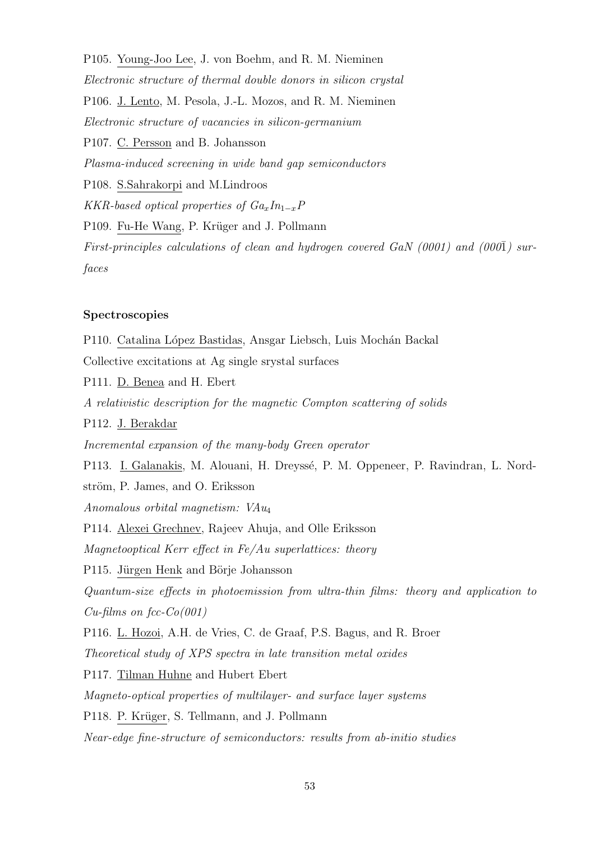P105. Young-Joo Lee, J. von Boehm, and R. M. Nieminen Electronic structure of thermal double donors in silicon crystal P106. J. Lento, M. Pesola, J.-L. Mozos, and R. M. Nieminen Electronic structure of vacancies in silicon-germanium P107. C. Persson and B. Johansson Plasma-induced screening in wide band gap semiconductors P108. S.Sahrakorpi and M.Lindroos KKR-based optical properties of  $Ga_xIn_{1-x}P$ P109. Fu-He Wang, P. Krüger and J. Pollmann First-principles calculations of clean and hydrogen covered GaN (0001) and (000 $\bar{1}$ ) surfaces

# Spectroscopies

P110. Catalina López Bastidas, Ansgar Liebsch, Luis Mochán Backal Collective excitations at Ag single srystal surfaces P111. D. Benea and H. Ebert A relativistic description for the magnetic Compton scattering of solids P112. J. Berakdar Incremental expansion of the many-body Green operator P113. I. Galanakis, M. Alouani, H. Dreyssé, P. M. Oppeneer, P. Ravindran, L. Nordström, P. James, and O. Eriksson Anomalous orbital magnetism: VAu<sup>4</sup> P114. Alexei Grechnev, Rajeev Ahuja, and Olle Eriksson Magnetooptical Kerr effect in Fe/Au superlattices: theory P115. Jürgen Henk and Börje Johansson Quantum-size effects in photoemission from ultra-thin films: theory and application to  $Cu$ -films on fcc- $Co(001)$ P116. L. Hozoi, A.H. de Vries, C. de Graaf, P.S. Bagus, and R. Broer Theoretical study of XPS spectra in late transition metal oxides P117. Tilman Huhne and Hubert Ebert Magneto-optical properties of multilayer- and surface layer systems P118. P. Krüger, S. Tellmann, and J. Pollmann Near-edge fine-structure of semiconductors: results from ab-initio studies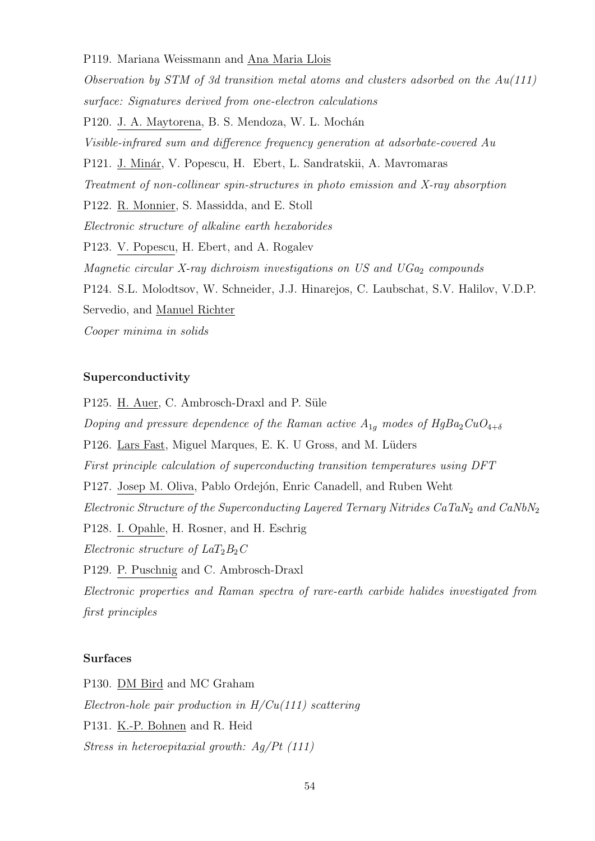#### P119. Mariana Weissmann and Ana Maria Llois

Observation by STM of 3d transition metal atoms and clusters adsorbed on the Au(111) surface: Signatures derived from one-electron calculations P120. J. A. Maytorena, B. S. Mendoza, W. L. Mochán Visible-infrared sum and difference frequency generation at adsorbate-covered Au P121. J. Minár, V. Popescu, H. Ebert, L. Sandratskii, A. Mavromaras Treatment of non-collinear spin-structures in photo emission and X-ray absorption P122. R. Monnier, S. Massidda, and E. Stoll Electronic structure of alkaline earth hexaborides P123. V. Popescu, H. Ebert, and A. Rogalev Magnetic circular X-ray dichroism investigations on US and  $UGa<sub>2</sub>$  compounds P124. S.L. Molodtsov, W. Schneider, J.J. Hinarejos, C. Laubschat, S.V. Halilov, V.D.P. Servedio, and Manuel Richter Cooper minima in solids

# Superconductivity

P125. H. Auer, C. Ambrosch-Draxl and P. Süle Doping and pressure dependence of the Raman active  $A_{1g}$  modes of HgBa<sub>2</sub>CuO<sub>4+δ</sub> P126. Lars Fast, Miguel Marques, E. K. U Gross, and M. Lüders First principle calculation of superconducting transition temperatures using DFT P127. Josep M. Oliva, Pablo Ordejón, Enric Canadell, and Ruben Weht Electronic Structure of the Superconducting Layered Ternary Nitrides  $CaTaN<sub>2</sub>$  and  $CaNbN<sub>2</sub>$ P128. I. Opahle, H. Rosner, and H. Eschrig Electronic structure of  $LaT_2B_2C$ P129. P. Puschnig and C. Ambrosch-Draxl Electronic properties and Raman spectra of rare-earth carbide halides investigated from first principles

#### Surfaces

P130. DM Bird and MC Graham Electron-hole pair production in  $H/Cu(111)$  scattering P131. K.-P. Bohnen and R. Heid Stress in heteroepitaxial growth: Ag/Pt (111)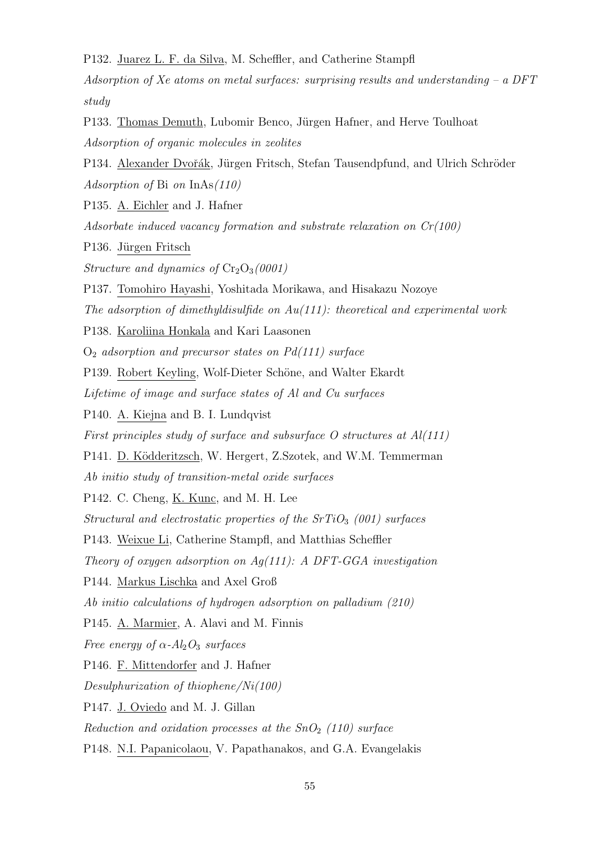P132. Juarez L. F. da Silva, M. Scheffler, and Catherine Stampfl

Adsorption of Xe atoms on metal surfaces: surprising results and understanding  $- a DFT$ study

P133. Thomas Demuth, Lubomir Benco, Jürgen Hafner, and Herve Toulhoat Adsorption of organic molecules in zeolites

P134. Alexander Dvořák, Jürgen Fritsch, Stefan Tausendpfund, and Ulrich Schröder Adsorption of Bi on InAs(110)

P135. A. Eichler and J. Hafner

Adsorbate induced vacancy formation and substrate relaxation on  $Cr(100)$ 

P136. Jürgen Fritsch

Structure and dynamics of  $Cr_2O_3(0001)$ 

P137. Tomohiro Hayashi, Yoshitada Morikawa, and Hisakazu Nozoye

The adsorption of dimethyldisulfide on  $Au(111)$ : theoretical and experimental work

P138. Karoliina Honkala and Kari Laasonen

 $O<sub>2</sub>$  adsorption and precursor states on Pd(111) surface

P139. Robert Keyling, Wolf-Dieter Schöne, and Walter Ekardt

Lifetime of image and surface states of Al and Cu surfaces

P140. A. Kiejna and B. I. Lundqvist

First principles study of surface and subsurface  $O$  structures at  $Al(111)$ 

P141. D. Ködderitzsch, W. Hergert, Z.Szotek, and W.M. Temmerman

Ab initio study of transition-metal oxide surfaces

P142. C. Cheng, <u>K. Kunc</u>, and M. H. Lee

Structural and electrostatic properties of the  $SrTiO<sub>3</sub>$  (001) surfaces

P143. Weixue Li, Catherine Stampfl, and Matthias Scheffler

Theory of oxygen adsorption on  $Aq(111)$ : A DFT-GGA investigation

P144. Markus Lischka and Axel Groß

Ab initio calculations of hydrogen adsorption on palladium (210)

P145. A. Marmier, A. Alavi and M. Finnis

Free energy of  $\alpha$ - $Al_2O_3$  surfaces

P146. F. Mittendorfer and J. Hafner

Desulphurization of thiophene/Ni(100)

P147. J. Oviedo and M. J. Gillan

Reduction and oxidation processes at the  $SnO<sub>2</sub>$  (110) surface

P148. N.I. Papanicolaou, V. Papathanakos, and G.A. Evangelakis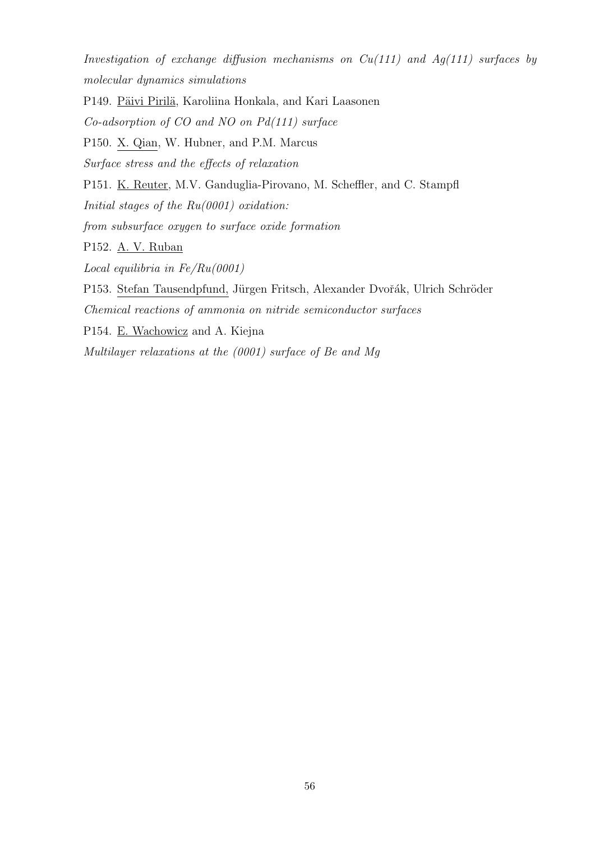Investigation of exchange diffusion mechanisms on  $Cu(111)$  and  $Ag(111)$  surfaces by molecular dynamics simulations

P149. Päivi Pirilä, Karoliina Honkala, and Kari Laasonen Co-adsorption of CO and NO on Pd(111) surface P150. X. Qian, W. Hubner, and P.M. Marcus Surface stress and the effects of relaxation P151. K. Reuter, M.V. Ganduglia-Pirovano, M. Scheffler, and C. Stampfl Initial stages of the  $Ru(0001)$  oxidation: from subsurface oxygen to surface oxide formation P152. A. V. Ruban Local equilibria in  $Fe/Ru(0001)$ P153. Stefan Tausendpfund, Jürgen Fritsch, Alexander Dvořák, Ulrich Schröder Chemical reactions of ammonia on nitride semiconductor surfaces P154. E. Wachowicz and A. Kiejna

Multilayer relaxations at the (0001) surface of Be and Mg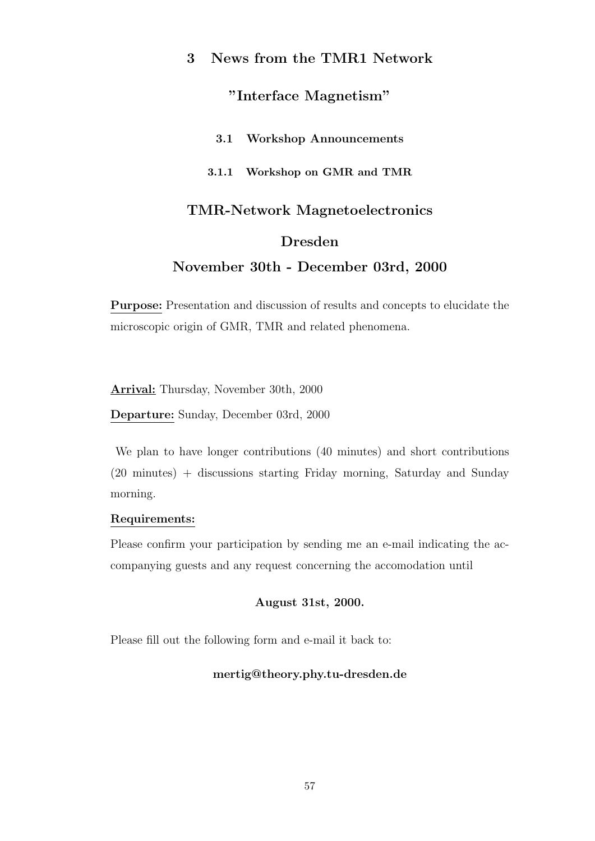# 3 News from the TMR1 Network

# "Interface Magnetism"

# 3.1 Workshop Announcements

# 3.1.1 Workshop on GMR and TMR

# TMR-Network Magnetoelectronics

# Dresden

# November 30th - December 03rd, 2000

Purpose: Presentation and discussion of results and concepts to elucidate the microscopic origin of GMR, TMR and related phenomena.

Arrival: Thursday, November 30th, 2000

Departure: Sunday, December 03rd, 2000

We plan to have longer contributions (40 minutes) and short contributions (20 minutes) + discussions starting Friday morning, Saturday and Sunday morning.

# Requirements:

Please confirm your participation by sending me an e-mail indicating the accompanying guests and any request concerning the accomodation until

# August 31st, 2000.

Please fill out the following form and e-mail it back to:

# mertig@theory.phy.tu-dresden.de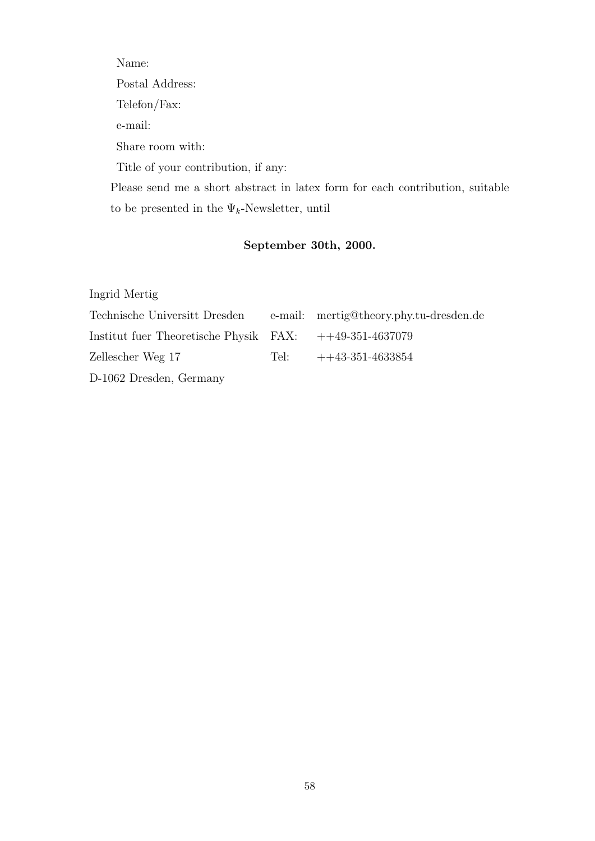Name: Postal Address: Telefon/Fax: e-mail: Share room with: Title of your contribution, if any: Please send me a short abstract in latex form for each contribution, suitable to be presented in the  $\Psi_k\text{-Newsletter, until}$ 

# September 30th, 2000.

Ingrid Mertig

| Technische Universitt Dresden e-mail: mertig@theory.phy.tu-dresden.de   |                         |
|-------------------------------------------------------------------------|-------------------------|
| Institut fuer Theoretische Physik $\overline{FAX}$ : $++49-351-4637079$ |                         |
| Zellescher Weg 17                                                       | Tel: $++43-351-4633854$ |
| D-1062 Dresden, Germany                                                 |                         |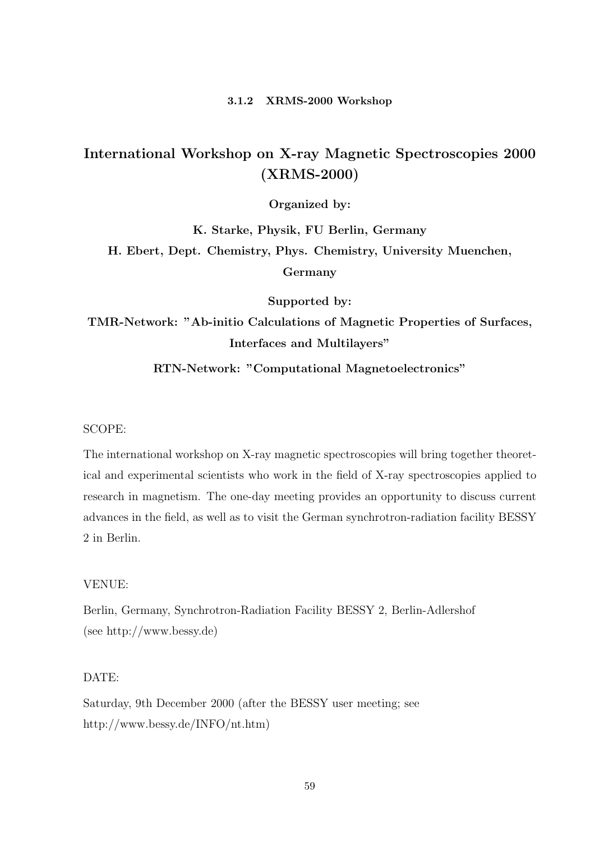#### 3.1.2 XRMS-2000 Workshop

# International Workshop on X-ray Magnetic Spectroscopies 2000 (XRMS-2000)

Organized by:

K. Starke, Physik, FU Berlin, Germany H. Ebert, Dept. Chemistry, Phys. Chemistry, University Muenchen, Germany

Supported by:

TMR-Network: "Ab-initio Calculations of Magnetic Properties of Surfaces, Interfaces and Multilayers"

RTN-Network: "Computational Magnetoelectronics"

#### SCOPE:

The international workshop on X-ray magnetic spectroscopies will bring together theoretical and experimental scientists who work in the field of X-ray spectroscopies applied to research in magnetism. The one-day meeting provides an opportunity to discuss current advances in the field, as well as to visit the German synchrotron-radiation facility BESSY 2 in Berlin.

#### VENUE:

Berlin, Germany, Synchrotron-Radiation Facility BESSY 2, Berlin-Adlershof (see http://www.bessy.de)

# DATE:

Saturday, 9th December 2000 (after the BESSY user meeting; see http://www.bessy.de/INFO/nt.htm)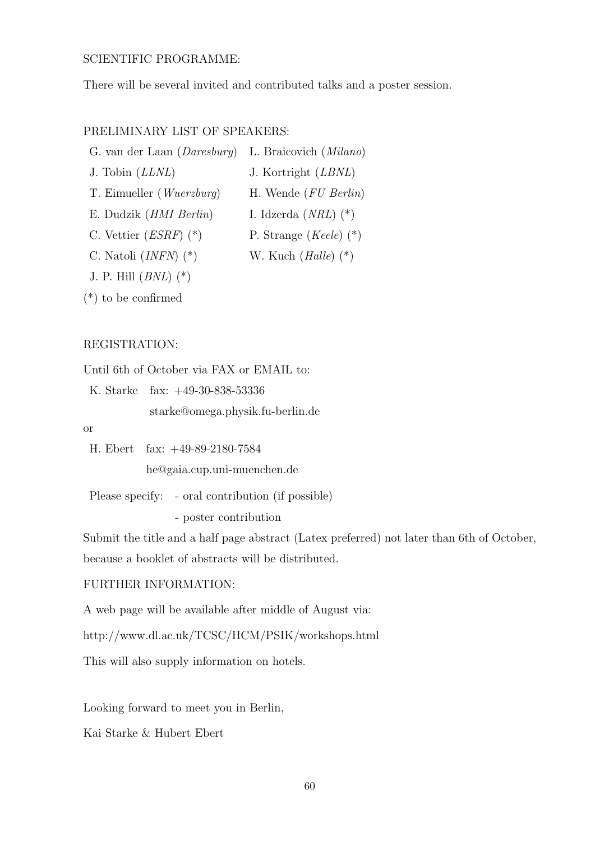# SCIENTIFIC PROGRAMME:

There will be several invited and contributed talks and a poster session.

# PRELIMINARY LIST OF SPEAKERS:

G. van der Laan (Daresbury) L. Braicovich (Milano)

J. Tobin (LLNL) J. Kortright (LBNL)

T. Eimueller (Wuerzburg) H. Wende (FU Berlin)

E. Dudzik (*HMI Berlin*) I. Idzerda (*NRL*) (\*)

C. Vettier  $(ESRF)$  (\*) P. Strange  $(Keele)$  (\*)

C. Natoli  $(INFN)$  (\*) W. Kuch  $(Halle)$  (\*)

J. P. Hill  $(BNL)$   $(*)$ 

(\*) to be confirmed

# REGISTRATION:

Until 6th of October via FAX or EMAIL to:

K. Starke fax: +49-30-838-53336 starke@omega.physik.fu-berlin.de

or

H. Ebert fax: +49-89-2180-7584

he@gaia.cup.uni-muenchen.de

Please specify: - oral contribution (if possible)

- poster contribution

Submit the title and a half page abstract (Latex preferred) not later than 6th of October,

because a booklet of abstracts will be distributed.

# FURTHER INFORMATION:

A web page will be available after middle of August via:

http://www.dl.ac.uk/TCSC/HCM/PSIK/workshops.html

This will also supply information on hotels.

Looking forward to meet you in Berlin,

Kai Starke & Hubert Ebert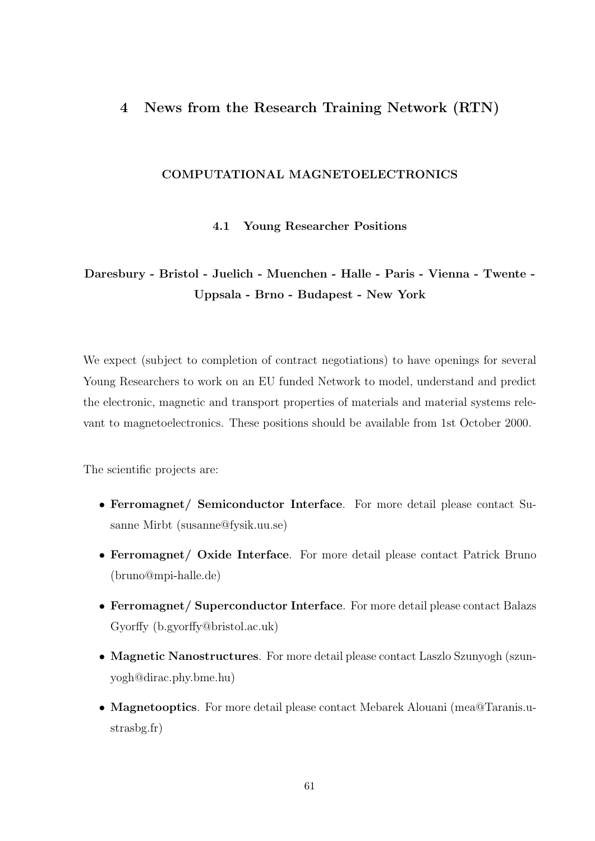# 4 News from the Research Training Network (RTN)

# COMPUTATIONAL MAGNETOELECTRONICS

4.1 Young Researcher Positions

# Daresbury - Bristol - Juelich - Muenchen - Halle - Paris - Vienna - Twente - Uppsala - Brno - Budapest - New York

We expect (subject to completion of contract negotiations) to have openings for several Young Researchers to work on an EU funded Network to model, understand and predict the electronic, magnetic and transport properties of materials and material systems relevant to magnetoelectronics. These positions should be available from 1st October 2000.

The scientific projects are:

- Ferromagnet/ Semiconductor Interface. For more detail please contact Susanne Mirbt (susanne@fysik.uu.se)
- Ferromagnet/ Oxide Interface. For more detail please contact Patrick Bruno (bruno@mpi-halle.de)
- Ferromagnet/ Superconductor Interface. For more detail please contact Balazs Gyorffy (b.gyorffy@bristol.ac.uk)
- Magnetic Nanostructures. For more detail please contact Laszlo Szunyogh (szunyogh@dirac.phy.bme.hu)
- Magnetooptics. For more detail please contact Mebarek Alouani (mea@Taranis.ustrasbg.fr)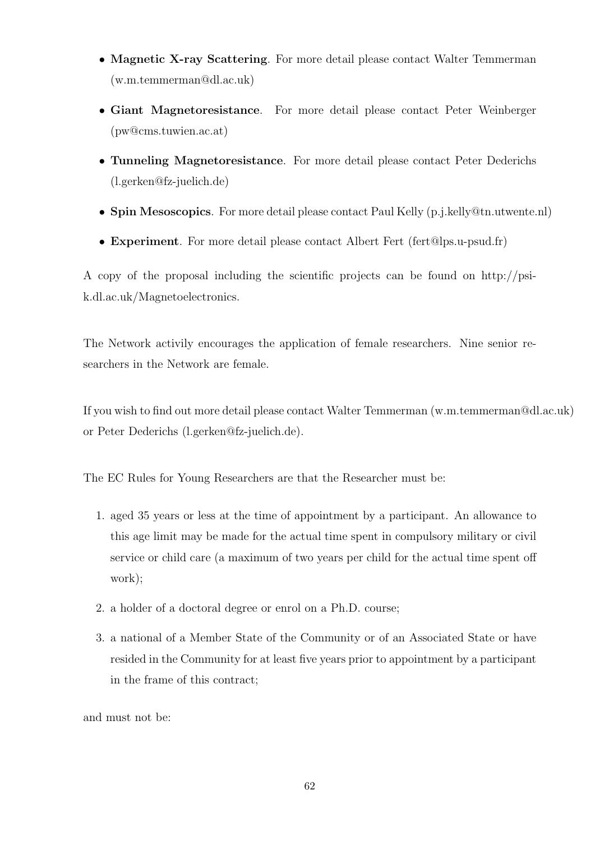- Magnetic X-ray Scattering. For more detail please contact Walter Temmerman (w.m.temmerman@dl.ac.uk)
- Giant Magnetoresistance. For more detail please contact Peter Weinberger (pw@cms.tuwien.ac.at)
- Tunneling Magnetoresistance. For more detail please contact Peter Dederichs (l.gerken@fz-juelich.de)
- Spin Mesoscopics. For more detail please contact Paul Kelly (p.j.kelly@tn.utwente.nl)
- Experiment. For more detail please contact Albert Fert (fert@lps.u-psud.fr)

A copy of the proposal including the scientific projects can be found on http://psik.dl.ac.uk/Magnetoelectronics.

The Network activily encourages the application of female researchers. Nine senior researchers in the Network are female.

If you wish to find out more detail please contact Walter Temmerman (w.m.temmerman@dl.ac.uk) or Peter Dederichs (l.gerken@fz-juelich.de).

The EC Rules for Young Researchers are that the Researcher must be:

- 1. aged 35 years or less at the time of appointment by a participant. An allowance to this age limit may be made for the actual time spent in compulsory military or civil service or child care (a maximum of two years per child for the actual time spent off work);
- 2. a holder of a doctoral degree or enrol on a Ph.D. course;
- 3. a national of a Member State of the Community or of an Associated State or have resided in the Community for at least five years prior to appointment by a participant in the frame of this contract;

and must not be: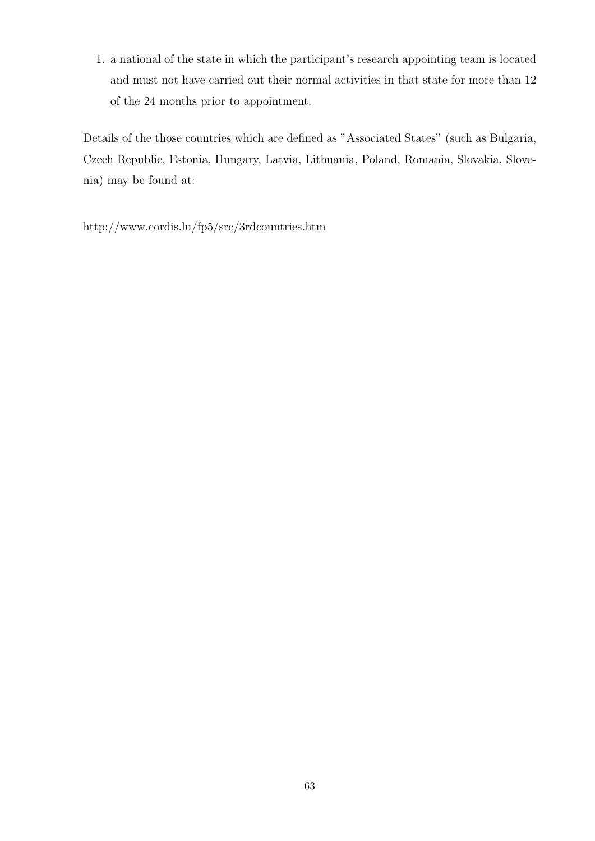1. a national of the state in which the participant's research appointing team is located and must not have carried out their normal activities in that state for more than 12 of the 24 months prior to appointment.

Details of the those countries which are defined as "Associated States" (such as Bulgaria, Czech Republic, Estonia, Hungary, Latvia, Lithuania, Poland, Romania, Slovakia, Slovenia) may be found at:

http://www.cordis.lu/fp5/src/3rdcountries.htm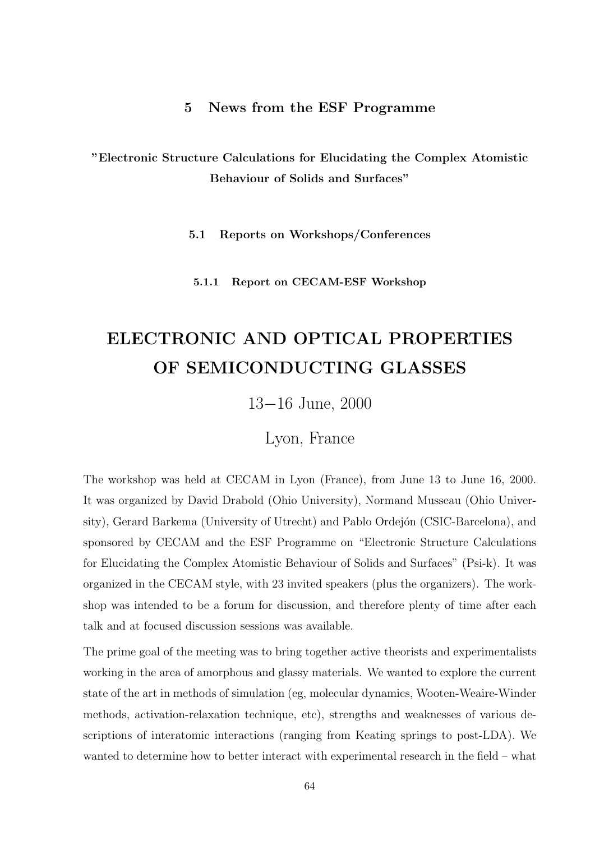# 5 News from the ESF Programme

"Electronic Structure Calculations for Elucidating the Complex Atomistic Behaviour of Solids and Surfaces"

5.1 Reports on Workshops/Conferences

5.1.1 Report on CECAM-ESF Workshop

# ELECTRONIC AND OPTICAL PROPERTIES OF SEMICONDUCTING GLASSES

13−16 June, 2000

Lyon, France

The workshop was held at CECAM in Lyon (France), from June 13 to June 16, 2000. It was organized by David Drabold (Ohio University), Normand Musseau (Ohio University), Gerard Barkema (University of Utrecht) and Pablo Ordejón (CSIC-Barcelona), and sponsored by CECAM and the ESF Programme on "Electronic Structure Calculations for Elucidating the Complex Atomistic Behaviour of Solids and Surfaces" (Psi-k). It was organized in the CECAM style, with 23 invited speakers (plus the organizers). The workshop was intended to be a forum for discussion, and therefore plenty of time after each talk and at focused discussion sessions was available.

The prime goal of the meeting was to bring together active theorists and experimentalists working in the area of amorphous and glassy materials. We wanted to explore the current state of the art in methods of simulation (eg, molecular dynamics, Wooten-Weaire-Winder methods, activation-relaxation technique, etc), strengths and weaknesses of various descriptions of interatomic interactions (ranging from Keating springs to post-LDA). We wanted to determine how to better interact with experimental research in the field – what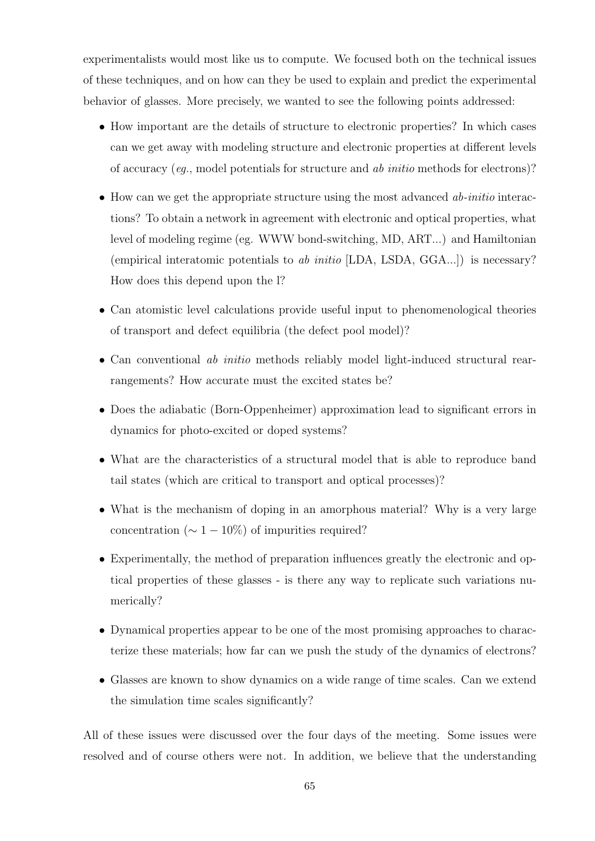experimentalists would most like us to compute. We focused both on the technical issues of these techniques, and on how can they be used to explain and predict the experimental behavior of glasses. More precisely, we wanted to see the following points addressed:

- How important are the details of structure to electronic properties? In which cases can we get away with modeling structure and electronic properties at different levels of accuracy (eg., model potentials for structure and ab initio methods for electrons)?
- How can we get the appropriate structure using the most advanced ab-initio interactions? To obtain a network in agreement with electronic and optical properties, what level of modeling regime (eg. WWW bond-switching, MD, ART...) and Hamiltonian (empirical interatomic potentials to ab initio [LDA, LSDA,  $GGA...$ ]) is necessary? How does this depend upon the l?
- Can atomistic level calculations provide useful input to phenomenological theories of transport and defect equilibria (the defect pool model)?
- Can conventional *ab initio* methods reliably model light-induced structural rearrangements? How accurate must the excited states be?
- Does the adiabatic (Born-Oppenheimer) approximation lead to significant errors in dynamics for photo-excited or doped systems?
- What are the characteristics of a structural model that is able to reproduce band tail states (which are critical to transport and optical processes)?
- What is the mechanism of doping in an amorphous material? Why is a very large concentration ( $\sim 1-10\%$ ) of impurities required?
- Experimentally, the method of preparation influences greatly the electronic and optical properties of these glasses - is there any way to replicate such variations numerically?
- Dynamical properties appear to be one of the most promising approaches to characterize these materials; how far can we push the study of the dynamics of electrons?
- Glasses are known to show dynamics on a wide range of time scales. Can we extend the simulation time scales significantly?

All of these issues were discussed over the four days of the meeting. Some issues were resolved and of course others were not. In addition, we believe that the understanding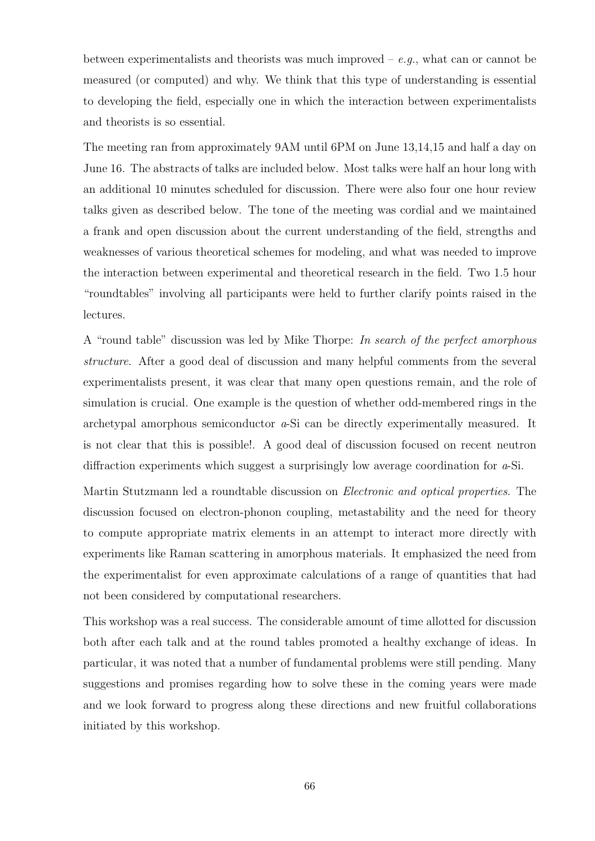between experimentalists and theorists was much improved  $-e.g.,$  what can or cannot be measured (or computed) and why. We think that this type of understanding is essential to developing the field, especially one in which the interaction between experimentalists and theorists is so essential.

The meeting ran from approximately 9AM until 6PM on June 13,14,15 and half a day on June 16. The abstracts of talks are included below. Most talks were half an hour long with an additional 10 minutes scheduled for discussion. There were also four one hour review talks given as described below. The tone of the meeting was cordial and we maintained a frank and open discussion about the current understanding of the field, strengths and weaknesses of various theoretical schemes for modeling, and what was needed to improve the interaction between experimental and theoretical research in the field. Two 1.5 hour "roundtables" involving all participants were held to further clarify points raised in the lectures.

A "round table" discussion was led by Mike Thorpe: In search of the perfect amorphous structure. After a good deal of discussion and many helpful comments from the several experimentalists present, it was clear that many open questions remain, and the role of simulation is crucial. One example is the question of whether odd-membered rings in the archetypal amorphous semiconductor a-Si can be directly experimentally measured. It is not clear that this is possible!. A good deal of discussion focused on recent neutron diffraction experiments which suggest a surprisingly low average coordination for a-Si.

Martin Stutzmann led a roundtable discussion on Electronic and optical properties. The discussion focused on electron-phonon coupling, metastability and the need for theory to compute appropriate matrix elements in an attempt to interact more directly with experiments like Raman scattering in amorphous materials. It emphasized the need from the experimentalist for even approximate calculations of a range of quantities that had not been considered by computational researchers.

This workshop was a real success. The considerable amount of time allotted for discussion both after each talk and at the round tables promoted a healthy exchange of ideas. In particular, it was noted that a number of fundamental problems were still pending. Many suggestions and promises regarding how to solve these in the coming years were made and we look forward to progress along these directions and new fruitful collaborations initiated by this workshop.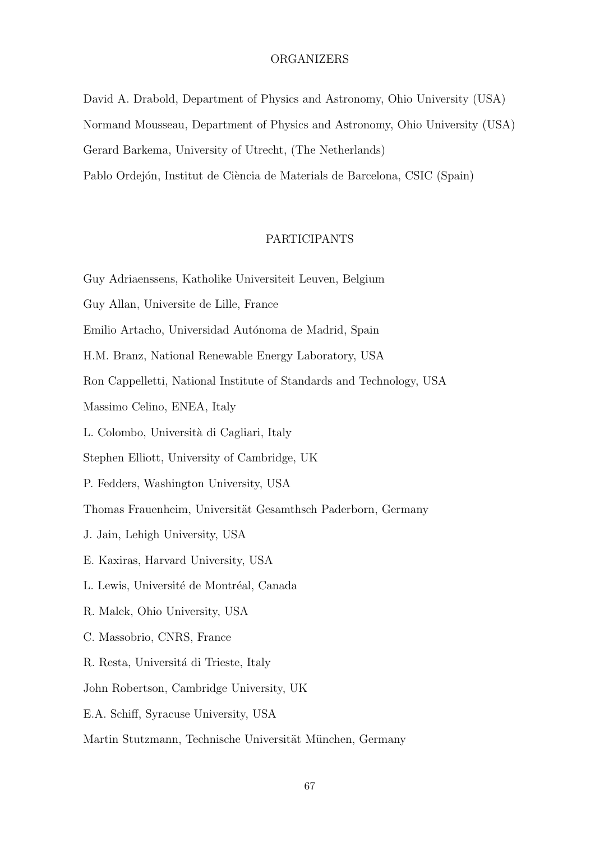#### ORGANIZERS

David A. Drabold, Department of Physics and Astronomy, Ohio University (USA) Normand Mousseau, Department of Physics and Astronomy, Ohio University (USA) Gerard Barkema, University of Utrecht, (The Netherlands) Pablo Ordejón, Institut de Ciència de Materials de Barcelona, CSIC (Spain)

# PARTICIPANTS

- Guy Adriaenssens, Katholike Universiteit Leuven, Belgium
- Guy Allan, Universite de Lille, France
- Emilio Artacho, Universidad Autónoma de Madrid, Spain
- H.M. Branz, National Renewable Energy Laboratory, USA
- Ron Cappelletti, National Institute of Standards and Technology, USA
- Massimo Celino, ENEA, Italy
- L. Colombo, Universit`a di Cagliari, Italy
- Stephen Elliott, University of Cambridge, UK
- P. Fedders, Washington University, USA
- Thomas Frauenheim, Universität Gesamthsch Paderborn, Germany
- J. Jain, Lehigh University, USA
- E. Kaxiras, Harvard University, USA
- L. Lewis, Université de Montréal, Canada
- R. Malek, Ohio University, USA
- C. Massobrio, CNRS, France
- R. Resta, Universitá di Trieste, Italy
- John Robertson, Cambridge University, UK
- E.A. Schiff, Syracuse University, USA
- Martin Stutzmann, Technische Universität München, Germany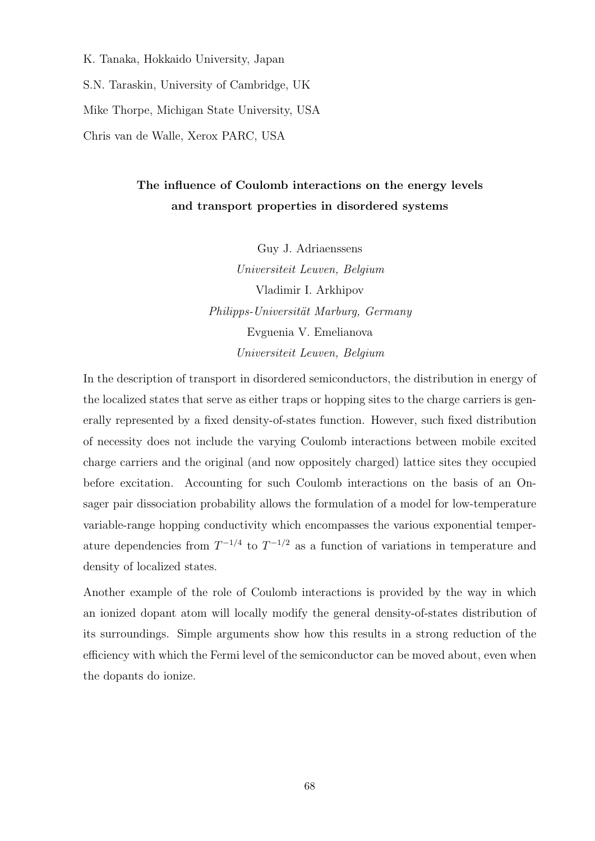K. Tanaka, Hokkaido University, Japan

S.N. Taraskin, University of Cambridge, UK

Mike Thorpe, Michigan State University, USA

Chris van de Walle, Xerox PARC, USA

# The influence of Coulomb interactions on the energy levels and transport properties in disordered systems

Guy J. Adriaenssens Universiteit Leuven, Belgium Vladimir I. Arkhipov Philipps-Universität Marburg, Germany Evguenia V. Emelianova Universiteit Leuven, Belgium

In the description of transport in disordered semiconductors, the distribution in energy of the localized states that serve as either traps or hopping sites to the charge carriers is generally represented by a fixed density-of-states function. However, such fixed distribution of necessity does not include the varying Coulomb interactions between mobile excited charge carriers and the original (and now oppositely charged) lattice sites they occupied before excitation. Accounting for such Coulomb interactions on the basis of an Onsager pair dissociation probability allows the formulation of a model for low-temperature variable-range hopping conductivity which encompasses the various exponential temperature dependencies from  $T^{-1/4}$  to  $T^{-1/2}$  as a function of variations in temperature and density of localized states.

Another example of the role of Coulomb interactions is provided by the way in which an ionized dopant atom will locally modify the general density-of-states distribution of its surroundings. Simple arguments show how this results in a strong reduction of the efficiency with which the Fermi level of the semiconductor can be moved about, even when the dopants do ionize.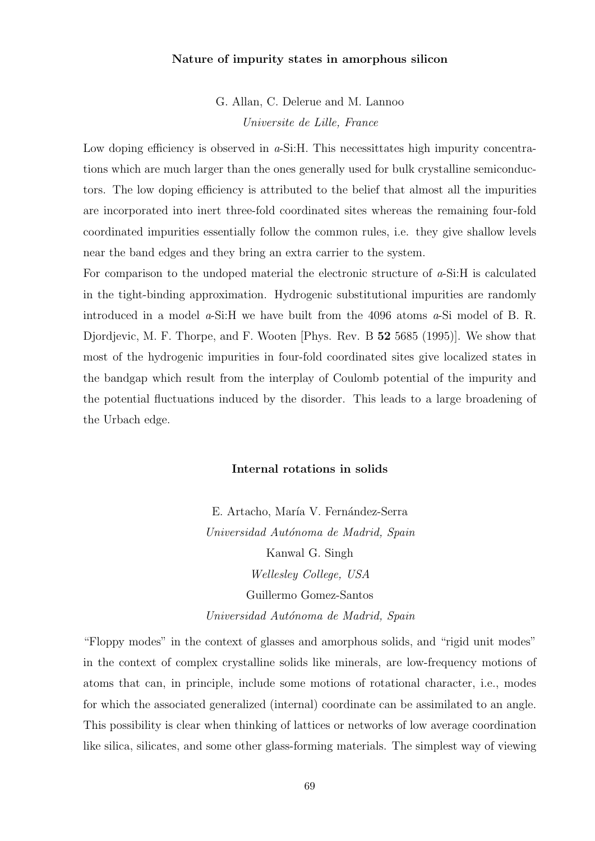# Nature of impurity states in amorphous silicon

G. Allan, C. Delerue and M. Lannoo Universite de Lille, France

Low doping efficiency is observed in  $a$ -Si:H. This necessittates high impurity concentrations which are much larger than the ones generally used for bulk crystalline semiconductors. The low doping efficiency is attributed to the belief that almost all the impurities are incorporated into inert three-fold coordinated sites whereas the remaining four-fold coordinated impurities essentially follow the common rules, i.e. they give shallow levels near the band edges and they bring an extra carrier to the system.

For comparison to the undoped material the electronic structure of  $a$ -Si:H is calculated in the tight-binding approximation. Hydrogenic substitutional impurities are randomly introduced in a model a-Si:H we have built from the 4096 atoms a-Si model of B. R. Djordjevic, M. F. Thorpe, and F. Wooten [Phys. Rev. B 52 5685 (1995)]. We show that most of the hydrogenic impurities in four-fold coordinated sites give localized states in the bandgap which result from the interplay of Coulomb potential of the impurity and the potential fluctuations induced by the disorder. This leads to a large broadening of the Urbach edge.

#### Internal rotations in solids

E. Artacho, María V. Fernández-Serra Universidad Autónoma de Madrid, Spain Kanwal G. Singh Wellesley College, USA Guillermo Gomez-Santos Universidad Autónoma de Madrid, Spain

"Floppy modes" in the context of glasses and amorphous solids, and "rigid unit modes" in the context of complex crystalline solids like minerals, are low-frequency motions of atoms that can, in principle, include some motions of rotational character, i.e., modes for which the associated generalized (internal) coordinate can be assimilated to an angle. This possibility is clear when thinking of lattices or networks of low average coordination like silica, silicates, and some other glass-forming materials. The simplest way of viewing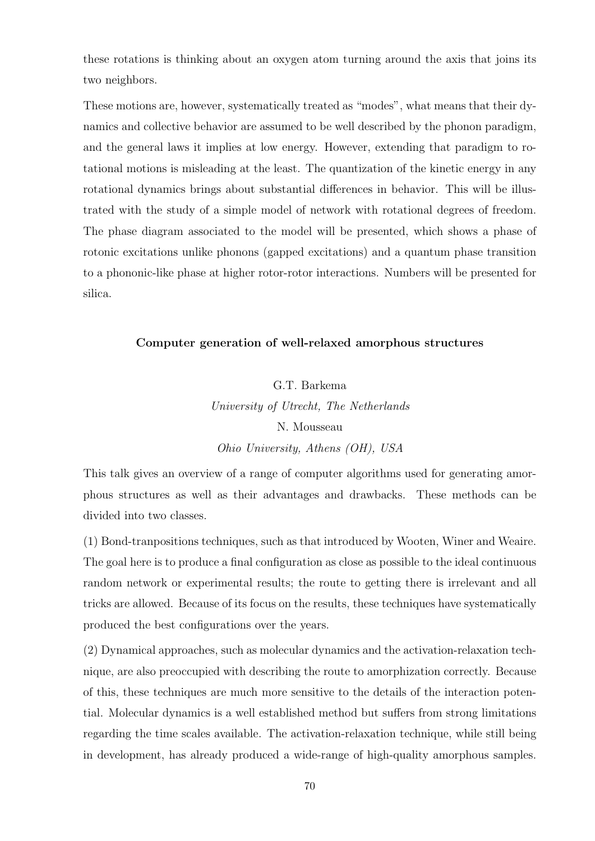these rotations is thinking about an oxygen atom turning around the axis that joins its two neighbors.

These motions are, however, systematically treated as "modes", what means that their dynamics and collective behavior are assumed to be well described by the phonon paradigm, and the general laws it implies at low energy. However, extending that paradigm to rotational motions is misleading at the least. The quantization of the kinetic energy in any rotational dynamics brings about substantial differences in behavior. This will be illustrated with the study of a simple model of network with rotational degrees of freedom. The phase diagram associated to the model will be presented, which shows a phase of rotonic excitations unlike phonons (gapped excitations) and a quantum phase transition to a phononic-like phase at higher rotor-rotor interactions. Numbers will be presented for silica.

# Computer generation of well-relaxed amorphous structures

# G.T. Barkema University of Utrecht, The Netherlands N. Mousseau Ohio University, Athens (OH), USA

This talk gives an overview of a range of computer algorithms used for generating amorphous structures as well as their advantages and drawbacks. These methods can be divided into two classes.

(1) Bond-tranpositions techniques, such as that introduced by Wooten, Winer and Weaire. The goal here is to produce a final configuration as close as possible to the ideal continuous random network or experimental results; the route to getting there is irrelevant and all tricks are allowed. Because of its focus on the results, these techniques have systematically produced the best configurations over the years.

(2) Dynamical approaches, such as molecular dynamics and the activation-relaxation technique, are also preoccupied with describing the route to amorphization correctly. Because of this, these techniques are much more sensitive to the details of the interaction potential. Molecular dynamics is a well established method but suffers from strong limitations regarding the time scales available. The activation-relaxation technique, while still being in development, has already produced a wide-range of high-quality amorphous samples.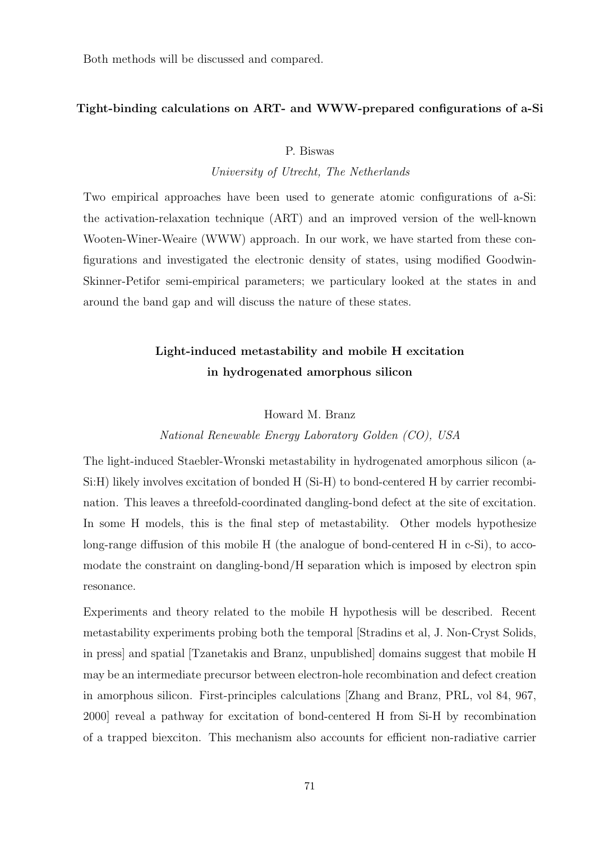Both methods will be discussed and compared.

# Tight-binding calculations on ART- and WWW-prepared configurations of a-Si

#### P. Biswas

University of Utrecht, The Netherlands

Two empirical approaches have been used to generate atomic configurations of a-Si: the activation-relaxation technique (ART) and an improved version of the well-known Wooten-Winer-Weaire (WWW) approach. In our work, we have started from these configurations and investigated the electronic density of states, using modified Goodwin-Skinner-Petifor semi-empirical parameters; we particulary looked at the states in and around the band gap and will discuss the nature of these states.

# Light-induced metastability and mobile H excitation in hydrogenated amorphous silicon

#### Howard M. Branz

#### National Renewable Energy Laboratory Golden (CO), USA

The light-induced Staebler-Wronski metastability in hydrogenated amorphous silicon (a-Si:H) likely involves excitation of bonded H (Si-H) to bond-centered H by carrier recombination. This leaves a threefold-coordinated dangling-bond defect at the site of excitation. In some H models, this is the final step of metastability. Other models hypothesize long-range diffusion of this mobile H (the analogue of bond-centered H in c-Si), to accomodate the constraint on dangling-bond/H separation which is imposed by electron spin resonance.

Experiments and theory related to the mobile H hypothesis will be described. Recent metastability experiments probing both the temporal [Stradins et al, J. Non-Cryst Solids, in press] and spatial [Tzanetakis and Branz, unpublished] domains suggest that mobile H may be an intermediate precursor between electron-hole recombination and defect creation in amorphous silicon. First-principles calculations [Zhang and Branz, PRL, vol 84, 967, 2000] reveal a pathway for excitation of bond-centered H from Si-H by recombination of a trapped biexciton. This mechanism also accounts for efficient non-radiative carrier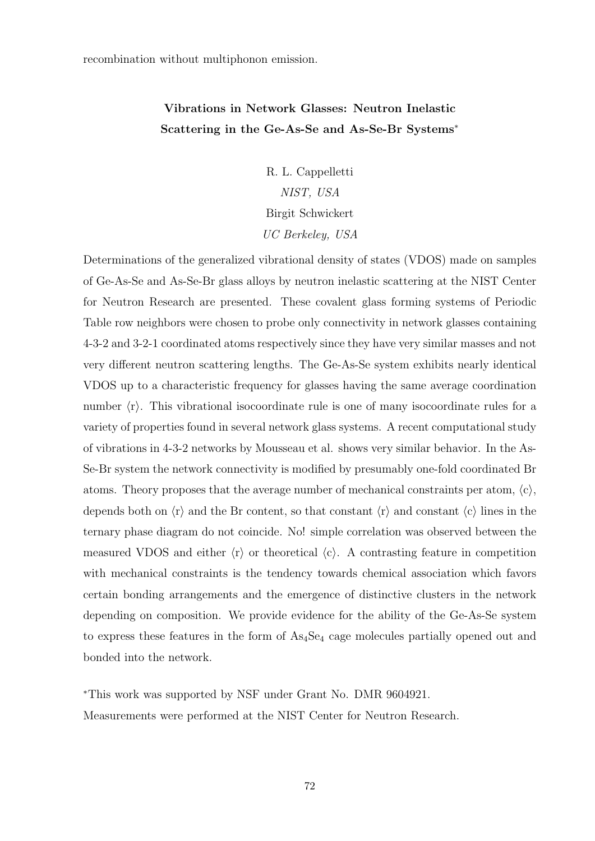recombination without multiphonon emission.

# Vibrations in Network Glasses: Neutron Inelastic Scattering in the Ge-As-Se and As-Se-Br Systems<sup>∗</sup>

R. L. Cappelletti NIST, USA Birgit Schwickert UC Berkeley, USA

Determinations of the generalized vibrational density of states (VDOS) made on samples of Ge-As-Se and As-Se-Br glass alloys by neutron inelastic scattering at the NIST Center for Neutron Research are presented. These covalent glass forming systems of Periodic Table row neighbors were chosen to probe only connectivity in network glasses containing 4-3-2 and 3-2-1 coordinated atoms respectively since they have very similar masses and not very different neutron scattering lengths. The Ge-As-Se system exhibits nearly identical VDOS up to a characteristic frequency for glasses having the same average coordination number  $\langle r \rangle$ . This vibrational isocoordinate rule is one of many isocoordinate rules for a variety of properties found in several network glass systems. A recent computational study of vibrations in 4-3-2 networks by Mousseau et al. shows very similar behavior. In the As-Se-Br system the network connectivity is modified by presumably one-fold coordinated Br atoms. Theory proposes that the average number of mechanical constraints per atom,  $\langle c \rangle$ , depends both on  $\langle r \rangle$  and the Br content, so that constant  $\langle r \rangle$  and constant  $\langle c \rangle$  lines in the ternary phase diagram do not coincide. No! simple correlation was observed between the measured VDOS and either  $\langle r \rangle$  or theoretical  $\langle c \rangle$ . A contrasting feature in competition with mechanical constraints is the tendency towards chemical association which favors certain bonding arrangements and the emergence of distinctive clusters in the network depending on composition. We provide evidence for the ability of the Ge-As-Se system to express these features in the form of  $As<sub>4</sub>Se<sub>4</sub>$  cage molecules partially opened out and bonded into the network.

<sup>∗</sup>This work was supported by NSF under Grant No. DMR 9604921. Measurements were performed at the NIST Center for Neutron Research.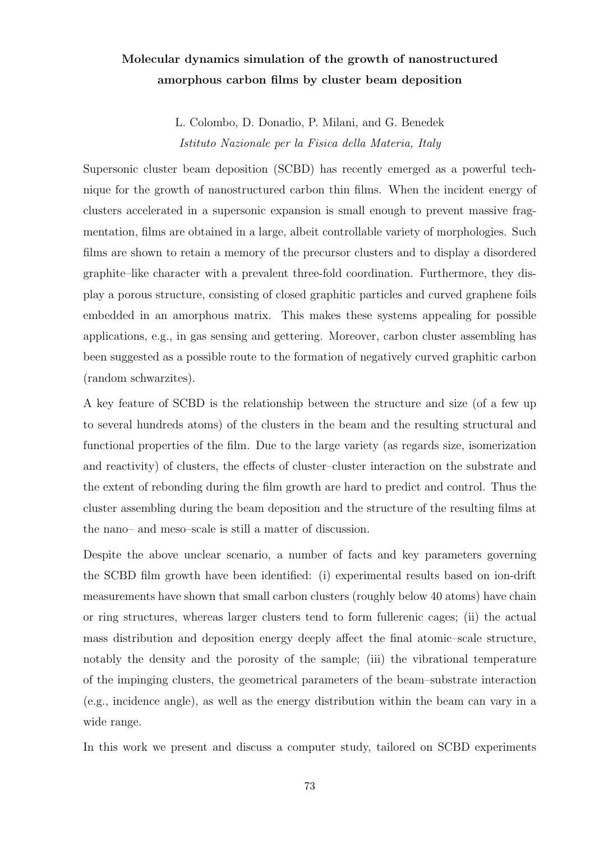# Molecular dynamics simulation of the growth of nanostructured amorphous carbon films by cluster beam deposition

L. Colombo, D. Donadio, P. Milani, and G. Benedek Istituto Nazionale per la Fisica della Materia, Italy

Supersonic cluster beam deposition (SCBD) has recently emerged as a powerful technique for the growth of nanostructured carbon thin films. When the incident energy of clusters accelerated in a supersonic expansion is small enough to prevent massive fragmentation, films are obtained in a large, albeit controllable variety of morphologies. Such films are shown to retain a memory of the precursor clusters and to display a disordered graphite–like character with a prevalent three-fold coordination. Furthermore, they display a porous structure, consisting of closed graphitic particles and curved graphene foils embedded in an amorphous matrix. This makes these systems appealing for possible applications, e.g., in gas sensing and gettering. Moreover, carbon cluster assembling has been suggested as a possible route to the formation of negatively curved graphitic carbon (random schwarzites).

A key feature of SCBD is the relationship between the structure and size (of a few up to several hundreds atoms) of the clusters in the beam and the resulting structural and functional properties of the film. Due to the large variety (as regards size, isomerization and reactivity) of clusters, the effects of cluster–cluster interaction on the substrate and the extent of rebonding during the film growth are hard to predict and control. Thus the cluster assembling during the beam deposition and the structure of the resulting films at the nano– and meso–scale is still a matter of discussion.

Despite the above unclear scenario, a number of facts and key parameters governing the SCBD film growth have been identified: (i) experimental results based on ion-drift measurements have shown that small carbon clusters (roughly below 40 atoms) have chain or ring structures, whereas larger clusters tend to form fullerenic cages; (ii) the actual mass distribution and deposition energy deeply affect the final atomic–scale structure, notably the density and the porosity of the sample; (iii) the vibrational temperature of the impinging clusters, the geometrical parameters of the beam–substrate interaction (e.g., incidence angle), as well as the energy distribution within the beam can vary in a wide range.

In this work we present and discuss a computer study, tailored on SCBD experiments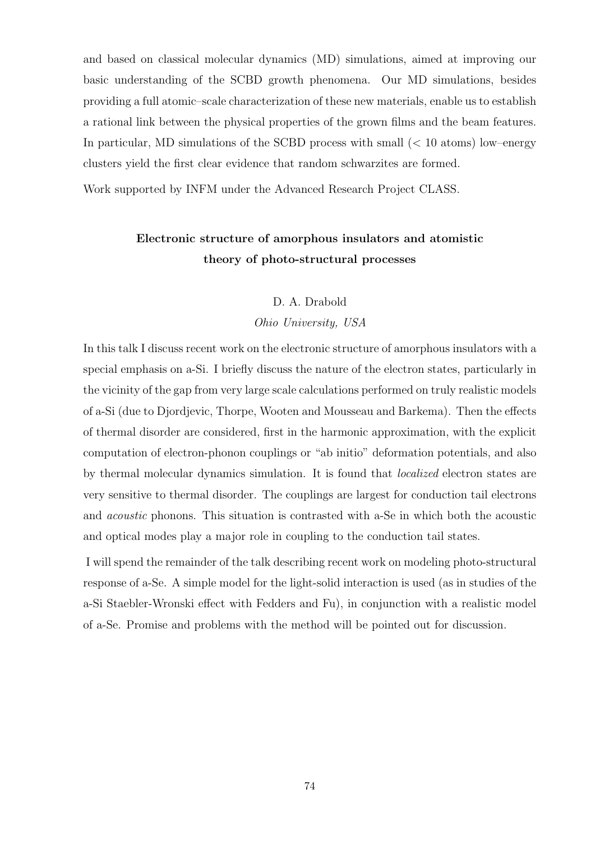and based on classical molecular dynamics (MD) simulations, aimed at improving our basic understanding of the SCBD growth phenomena. Our MD simulations, besides providing a full atomic–scale characterization of these new materials, enable us to establish a rational link between the physical properties of the grown films and the beam features. In particular, MD simulations of the SCBD process with small (< 10 atoms) low–energy clusters yield the first clear evidence that random schwarzites are formed.

Work supported by INFM under the Advanced Research Project CLASS.

# Electronic structure of amorphous insulators and atomistic theory of photo-structural processes

#### D. A. Drabold

#### Ohio University, USA

In this talk I discuss recent work on the electronic structure of amorphous insulators with a special emphasis on a-Si. I briefly discuss the nature of the electron states, particularly in the vicinity of the gap from very large scale calculations performed on truly realistic models of a-Si (due to Djordjevic, Thorpe, Wooten and Mousseau and Barkema). Then the effects of thermal disorder are considered, first in the harmonic approximation, with the explicit computation of electron-phonon couplings or "ab initio" deformation potentials, and also by thermal molecular dynamics simulation. It is found that localized electron states are very sensitive to thermal disorder. The couplings are largest for conduction tail electrons and acoustic phonons. This situation is contrasted with a-Se in which both the acoustic and optical modes play a major role in coupling to the conduction tail states.

I will spend the remainder of the talk describing recent work on modeling photo-structural response of a-Se. A simple model for the light-solid interaction is used (as in studies of the a-Si Staebler-Wronski effect with Fedders and Fu), in conjunction with a realistic model of a-Se. Promise and problems with the method will be pointed out for discussion.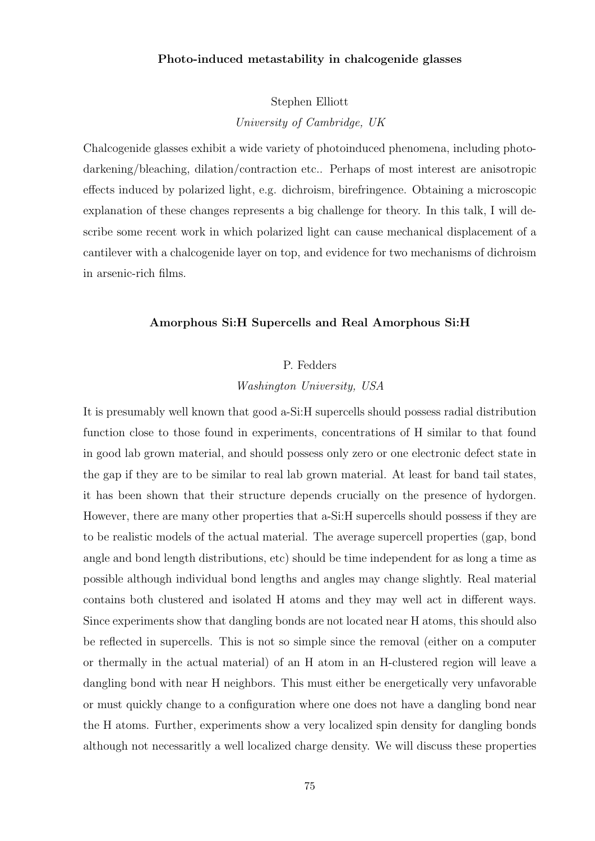## Photo-induced metastability in chalcogenide glasses

Stephen Elliott

University of Cambridge, UK

Chalcogenide glasses exhibit a wide variety of photoinduced phenomena, including photodarkening/bleaching, dilation/contraction etc.. Perhaps of most interest are anisotropic effects induced by polarized light, e.g. dichroism, birefringence. Obtaining a microscopic explanation of these changes represents a big challenge for theory. In this talk, I will describe some recent work in which polarized light can cause mechanical displacement of a cantilever with a chalcogenide layer on top, and evidence for two mechanisms of dichroism in arsenic-rich films.

### Amorphous Si:H Supercells and Real Amorphous Si:H

### P. Fedders

Washington University, USA

It is presumably well known that good a-Si:H supercells should possess radial distribution function close to those found in experiments, concentrations of H similar to that found in good lab grown material, and should possess only zero or one electronic defect state in the gap if they are to be similar to real lab grown material. At least for band tail states, it has been shown that their structure depends crucially on the presence of hydorgen. However, there are many other properties that a-Si:H supercells should possess if they are to be realistic models of the actual material. The average supercell properties (gap, bond angle and bond length distributions, etc) should be time independent for as long a time as possible although individual bond lengths and angles may change slightly. Real material contains both clustered and isolated H atoms and they may well act in different ways. Since experiments show that dangling bonds are not located near H atoms, this should also be reflected in supercells. This is not so simple since the removal (either on a computer or thermally in the actual material) of an H atom in an H-clustered region will leave a dangling bond with near H neighbors. This must either be energetically very unfavorable or must quickly change to a configuration where one does not have a dangling bond near the H atoms. Further, experiments show a very localized spin density for dangling bonds although not necessaritly a well localized charge density. We will discuss these properties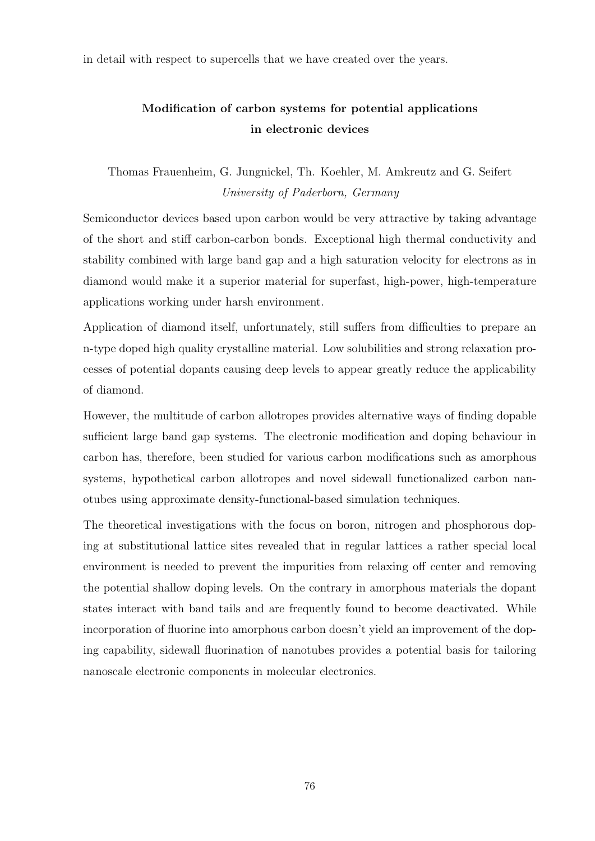in detail with respect to supercells that we have created over the years.

# Modification of carbon systems for potential applications in electronic devices

Thomas Frauenheim, G. Jungnickel, Th. Koehler, M. Amkreutz and G. Seifert University of Paderborn, Germany

Semiconductor devices based upon carbon would be very attractive by taking advantage of the short and stiff carbon-carbon bonds. Exceptional high thermal conductivity and stability combined with large band gap and a high saturation velocity for electrons as in diamond would make it a superior material for superfast, high-power, high-temperature applications working under harsh environment.

Application of diamond itself, unfortunately, still suffers from difficulties to prepare an n-type doped high quality crystalline material. Low solubilities and strong relaxation processes of potential dopants causing deep levels to appear greatly reduce the applicability of diamond.

However, the multitude of carbon allotropes provides alternative ways of finding dopable sufficient large band gap systems. The electronic modification and doping behaviour in carbon has, therefore, been studied for various carbon modifications such as amorphous systems, hypothetical carbon allotropes and novel sidewall functionalized carbon nanotubes using approximate density-functional-based simulation techniques.

The theoretical investigations with the focus on boron, nitrogen and phosphorous doping at substitutional lattice sites revealed that in regular lattices a rather special local environment is needed to prevent the impurities from relaxing off center and removing the potential shallow doping levels. On the contrary in amorphous materials the dopant states interact with band tails and are frequently found to become deactivated. While incorporation of fluorine into amorphous carbon doesn't yield an improvement of the doping capability, sidewall fluorination of nanotubes provides a potential basis for tailoring nanoscale electronic components in molecular electronics.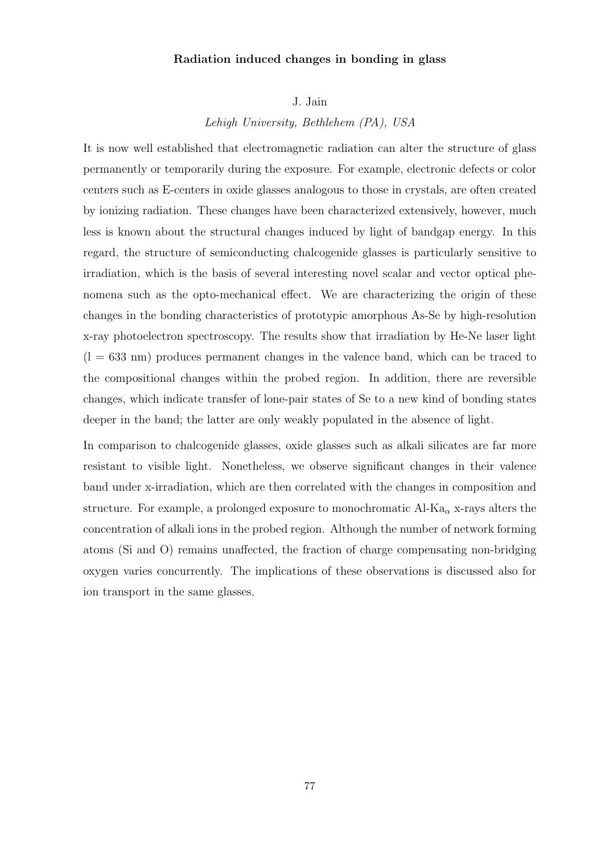## Radiation induced changes in bonding in glass

J. Jain

Lehigh University, Bethlehem (PA), USA

It is now well established that electromagnetic radiation can alter the structure of glass permanently or temporarily during the exposure. For example, electronic defects or color centers such as E-centers in oxide glasses analogous to those in crystals, are often created by ionizing radiation. These changes have been characterized extensively, however, much less is known about the structural changes induced by light of bandgap energy. In this regard, the structure of semiconducting chalcogenide glasses is particularly sensitive to irradiation, which is the basis of several interesting novel scalar and vector optical phenomena such as the opto-mechanical effect. We are characterizing the origin of these changes in the bonding characteristics of prototypic amorphous As-Se by high-resolution x-ray photoelectron spectroscopy. The results show that irradiation by He-Ne laser light  $(l = 633$  nm) produces permanent changes in the valence band, which can be traced to the compositional changes within the probed region. In addition, there are reversible changes, which indicate transfer of lone-pair states of Se to a new kind of bonding states deeper in the band; the latter are only weakly populated in the absence of light.

In comparison to chalcogenide glasses, oxide glasses such as alkali silicates are far more resistant to visible light. Nonetheless, we observe significant changes in their valence band under x-irradiation, which are then correlated with the changes in composition and structure. For example, a prolonged exposure to monochromatic  $Al-Ka_{\alpha}$  x-rays alters the concentration of alkali ions in the probed region. Although the number of network forming atoms (Si and O) remains unaffected, the fraction of charge compensating non-bridging oxygen varies concurrently. The implications of these observations is discussed also for ion transport in the same glasses.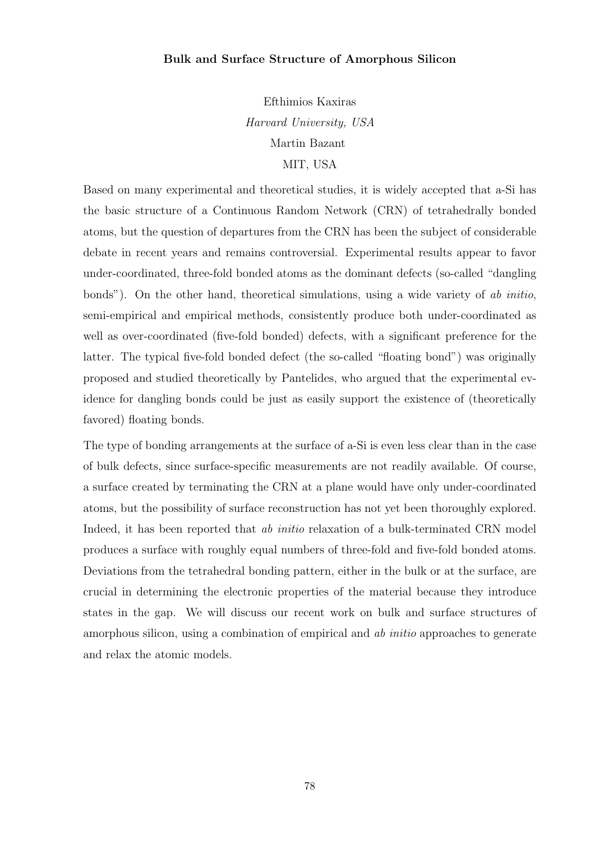## Bulk and Surface Structure of Amorphous Silicon

Efthimios Kaxiras Harvard University, USA Martin Bazant MIT, USA

Based on many experimental and theoretical studies, it is widely accepted that a-Si has the basic structure of a Continuous Random Network (CRN) of tetrahedrally bonded atoms, but the question of departures from the CRN has been the subject of considerable debate in recent years and remains controversial. Experimental results appear to favor under-coordinated, three-fold bonded atoms as the dominant defects (so-called "dangling bonds"). On the other hand, theoretical simulations, using a wide variety of ab initio, semi-empirical and empirical methods, consistently produce both under-coordinated as well as over-coordinated (five-fold bonded) defects, with a significant preference for the latter. The typical five-fold bonded defect (the so-called "floating bond") was originally proposed and studied theoretically by Pantelides, who argued that the experimental evidence for dangling bonds could be just as easily support the existence of (theoretically favored) floating bonds.

The type of bonding arrangements at the surface of a-Si is even less clear than in the case of bulk defects, since surface-specific measurements are not readily available. Of course, a surface created by terminating the CRN at a plane would have only under-coordinated atoms, but the possibility of surface reconstruction has not yet been thoroughly explored. Indeed, it has been reported that *ab initio* relaxation of a bulk-terminated CRN model produces a surface with roughly equal numbers of three-fold and five-fold bonded atoms. Deviations from the tetrahedral bonding pattern, either in the bulk or at the surface, are crucial in determining the electronic properties of the material because they introduce states in the gap. We will discuss our recent work on bulk and surface structures of amorphous silicon, using a combination of empirical and *ab initio* approaches to generate and relax the atomic models.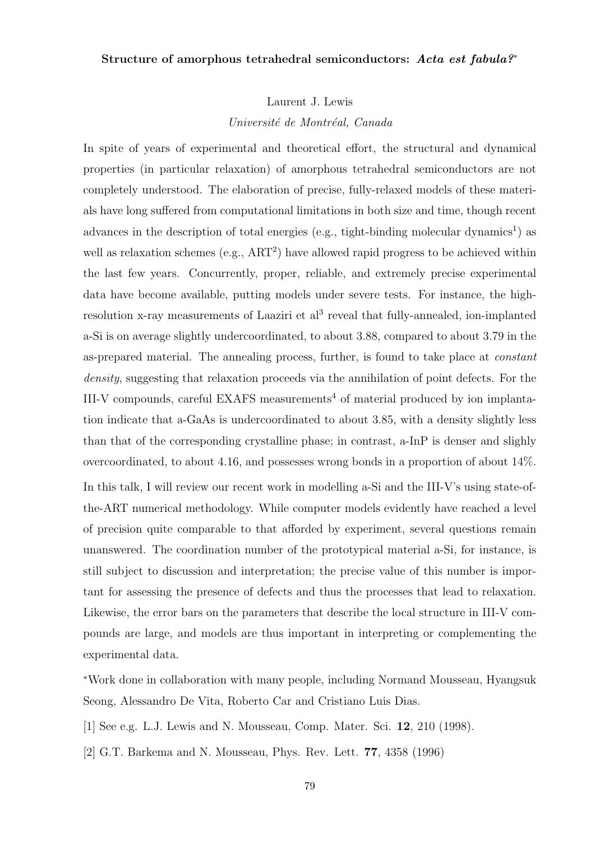## Structure of amorphous tetrahedral semiconductors: Acta est fabula?<sup>∗</sup>

Laurent J. Lewis

Université de Montréal, Canada

In spite of years of experimental and theoretical effort, the structural and dynamical properties (in particular relaxation) of amorphous tetrahedral semiconductors are not completely understood. The elaboration of precise, fully-relaxed models of these materials have long suffered from computational limitations in both size and time, though recent advances in the description of total energies (e.g., tight-binding molecular dynamics<sup>1</sup>) as well as relaxation schemes (e.g., ART<sup>2</sup>) have allowed rapid progress to be achieved within the last few years. Concurrently, proper, reliable, and extremely precise experimental data have become available, putting models under severe tests. For instance, the highresolution x-ray measurements of Laaziri et al<sup>3</sup> reveal that fully-annealed, ion-implanted a-Si is on average slightly undercoordinated, to about 3.88, compared to about 3.79 in the as-prepared material. The annealing process, further, is found to take place at constant density, suggesting that relaxation proceeds via the annihilation of point defects. For the III-V compounds, careful EXAFS measurements<sup>4</sup> of material produced by ion implantation indicate that a-GaAs is undercoordinated to about 3.85, with a density slightly less than that of the corresponding crystalline phase; in contrast, a-InP is denser and slighly overcoordinated, to about 4.16, and possesses wrong bonds in a proportion of about 14%. In this talk, I will review our recent work in modelling a-Si and the III-V's using state-ofthe-ART numerical methodology. While computer models evidently have reached a level of precision quite comparable to that afforded by experiment, several questions remain unanswered. The coordination number of the prototypical material a-Si, for instance, is still subject to discussion and interpretation; the precise value of this number is important for assessing the presence of defects and thus the processes that lead to relaxation. Likewise, the error bars on the parameters that describe the local structure in III-V compounds are large, and models are thus important in interpreting or complementing the experimental data.

<sup>∗</sup>Work done in collaboration with many people, including Normand Mousseau, Hyangsuk Seong, Alessandro De Vita, Roberto Car and Cristiano Luis Dias.

[1] See e.g. L.J. Lewis and N. Mousseau, Comp. Mater. Sci. 12, 210 (1998).

[2] G.T. Barkema and N. Mousseau, Phys. Rev. Lett. 77, 4358 (1996)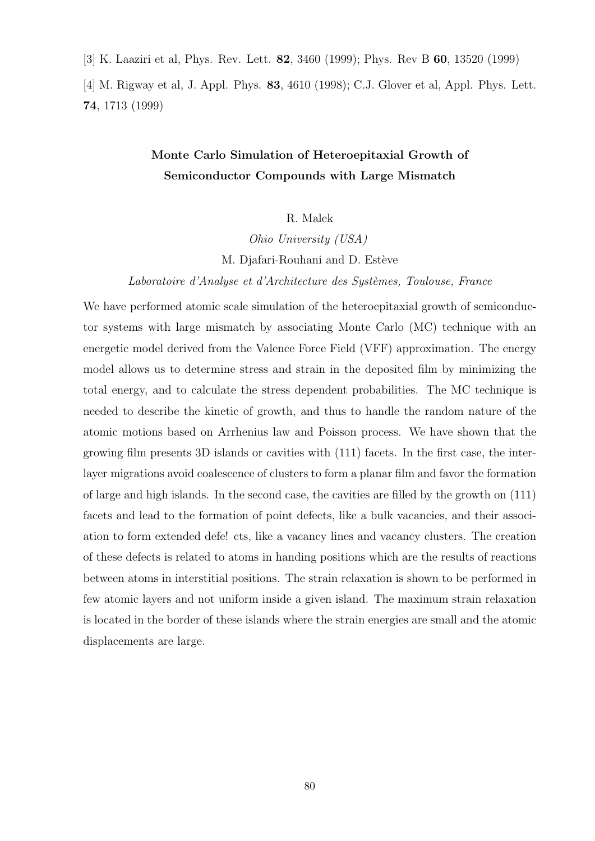[3] K. Laaziri et al, Phys. Rev. Lett. 82, 3460 (1999); Phys. Rev B 60, 13520 (1999)

[4] M. Rigway et al, J. Appl. Phys. 83, 4610 (1998); C.J. Glover et al, Appl. Phys. Lett. 74, 1713 (1999)

# Monte Carlo Simulation of Heteroepitaxial Growth of Semiconductor Compounds with Large Mismatch

R. Malek

Ohio University (USA)

M. Djafari-Rouhani and D. Estève

Laboratoire d'Analyse et d'Architecture des Systèmes, Toulouse, France

We have performed atomic scale simulation of the heteroepitaxial growth of semiconductor systems with large mismatch by associating Monte Carlo (MC) technique with an energetic model derived from the Valence Force Field (VFF) approximation. The energy model allows us to determine stress and strain in the deposited film by minimizing the total energy, and to calculate the stress dependent probabilities. The MC technique is needed to describe the kinetic of growth, and thus to handle the random nature of the atomic motions based on Arrhenius law and Poisson process. We have shown that the growing film presents 3D islands or cavities with (111) facets. In the first case, the interlayer migrations avoid coalescence of clusters to form a planar film and favor the formation of large and high islands. In the second case, the cavities are filled by the growth on (111) facets and lead to the formation of point defects, like a bulk vacancies, and their association to form extended defe! cts, like a vacancy lines and vacancy clusters. The creation of these defects is related to atoms in handing positions which are the results of reactions between atoms in interstitial positions. The strain relaxation is shown to be performed in few atomic layers and not uniform inside a given island. The maximum strain relaxation is located in the border of these islands where the strain energies are small and the atomic displacements are large.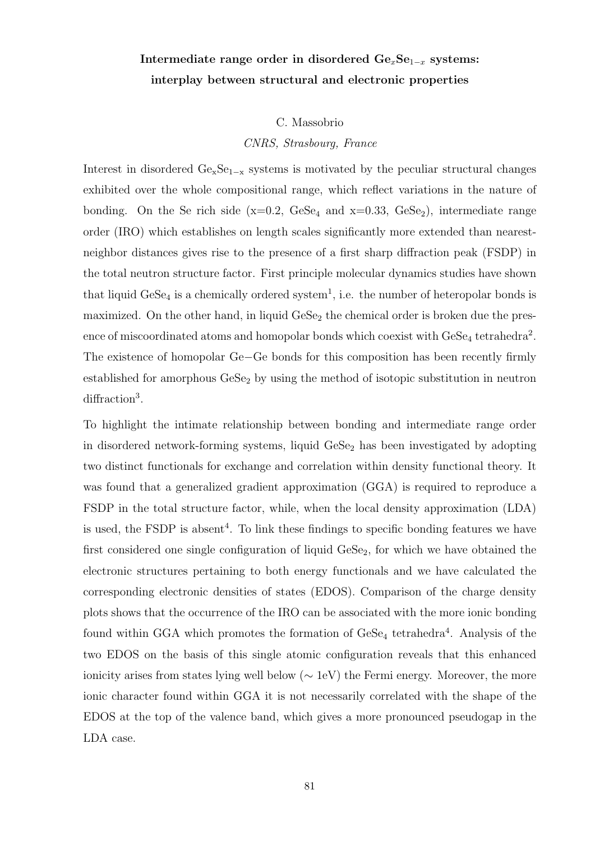# Intermediate range order in disordered  $Ge_xSe_{1-x}$  systems: interplay between structural and electronic properties

C. Massobrio

CNRS, Strasbourg, France

Interest in disordered  $Ge_xSe_{1-x}$  systems is motivated by the peculiar structural changes exhibited over the whole compositional range, which reflect variations in the nature of bonding. On the Se rich side  $(x=0.2, GeSe<sub>4</sub>$  and  $x=0.33, GeSe<sub>2</sub>)$ , intermediate range order (IRO) which establishes on length scales significantly more extended than nearestneighbor distances gives rise to the presence of a first sharp diffraction peak (FSDP) in the total neutron structure factor. First principle molecular dynamics studies have shown that liquid  $\text{GeSe}_4$  is a chemically ordered system<sup>1</sup>, i.e. the number of heteropolar bonds is maximized. On the other hand, in liquid  $\text{GeSe}_2$  the chemical order is broken due the presence of miscoordinated atoms and homopolar bonds which coexist with  $\text{GeSe}_4$  tetrahedra<sup>2</sup>. The existence of homopolar Ge−Ge bonds for this composition has been recently firmly established for amorphous  $\text{GeSe}_2$  by using the method of isotopic substitution in neutron diffraction<sup>3</sup>.

To highlight the intimate relationship between bonding and intermediate range order in disordered network-forming systems, liquid  $\text{GeSe}_2$  has been investigated by adopting two distinct functionals for exchange and correlation within density functional theory. It was found that a generalized gradient approximation (GGA) is required to reproduce a FSDP in the total structure factor, while, when the local density approximation (LDA) is used, the  $\text{FSDP}$  is absent<sup>4</sup>. To link these findings to specific bonding features we have first considered one single configuration of liquid  $\text{GeSe}_2$ , for which we have obtained the electronic structures pertaining to both energy functionals and we have calculated the corresponding electronic densities of states (EDOS). Comparison of the charge density plots shows that the occurrence of the IRO can be associated with the more ionic bonding found within GGA which promotes the formation of  $\text{GeSe}_4$  tetrahedra<sup>4</sup>. Analysis of the two EDOS on the basis of this single atomic configuration reveals that this enhanced ionicity arises from states lying well below (∼ 1eV) the Fermi energy. Moreover, the more ionic character found within GGA it is not necessarily correlated with the shape of the EDOS at the top of the valence band, which gives a more pronounced pseudogap in the LDA case.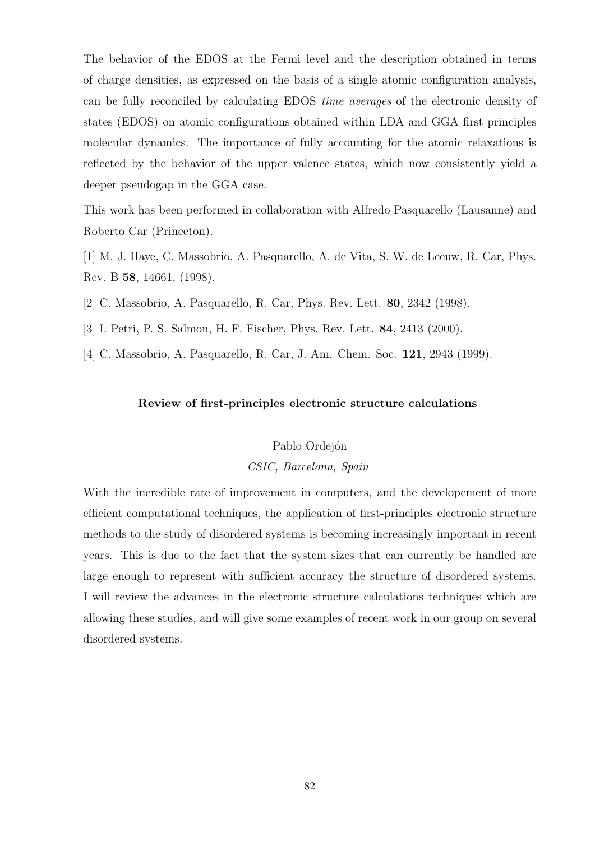The behavior of the EDOS at the Fermi level and the description obtained in terms of charge densities, as expressed on the basis of a single atomic configuration analysis, can be fully reconciled by calculating EDOS time averages of the electronic density of states (EDOS) on atomic configurations obtained within LDA and GGA first principles molecular dynamics. The importance of fully accounting for the atomic relaxations is reflected by the behavior of the upper valence states, which now consistently yield a deeper pseudogap in the GGA case.

This work has been performed in collaboration with Alfredo Pasquarello (Lausanne) and Roberto Car (Princeton).

[1] M. J. Haye, C. Massobrio, A. Pasquarello, A. de Vita, S. W. de Leeuw, R. Car, Phys. Rev. B 58, 14661, (1998).

[2] C. Massobrio, A. Pasquarello, R. Car, Phys. Rev. Lett. 80, 2342 (1998).

[3] I. Petri, P. S. Salmon, H. F. Fischer, Phys. Rev. Lett. 84, 2413 (2000).

[4] C. Massobrio, A. Pasquarello, R. Car, J. Am. Chem. Soc. 121, 2943 (1999).

### Review of first-principles electronic structure calculations

# Pablo Ordejón

### CSIC, Barcelona, Spain

With the incredible rate of improvement in computers, and the developement of more efficient computational techniques, the application of first-principles electronic structure methods to the study of disordered systems is becoming increasingly important in recent years. This is due to the fact that the system sizes that can currently be handled are large enough to represent with sufficient accuracy the structure of disordered systems. I will review the advances in the electronic structure calculations techniques which are allowing these studies, and will give some examples of recent work in our group on several disordered systems.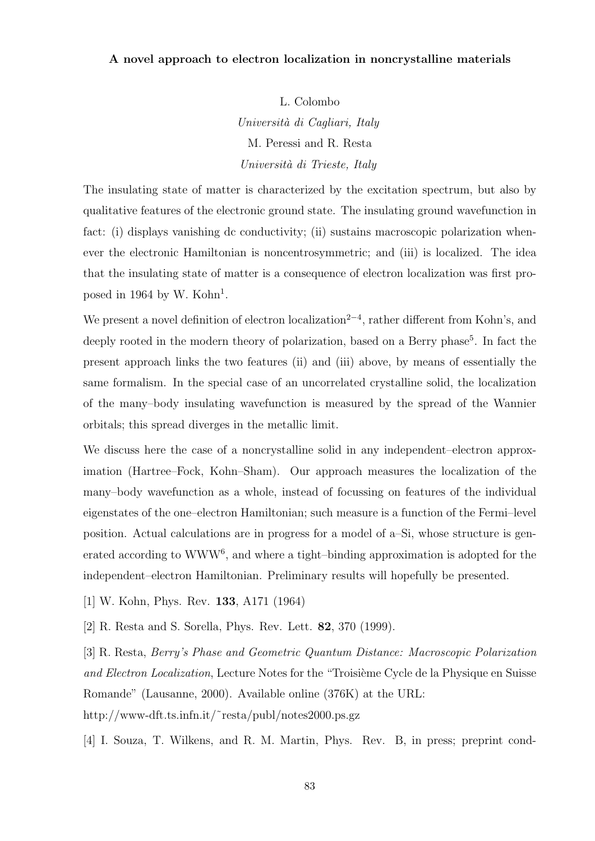## A novel approach to electron localization in noncrystalline materials

L. Colombo Università di Cagliari, Italy M. Peressi and R. Resta Università di Trieste, Italy

The insulating state of matter is characterized by the excitation spectrum, but also by qualitative features of the electronic ground state. The insulating ground wavefunction in fact: (i) displays vanishing dc conductivity; (ii) sustains macroscopic polarization whenever the electronic Hamiltonian is noncentrosymmetric; and (iii) is localized. The idea that the insulating state of matter is a consequence of electron localization was first proposed in 1964 by W. Kohn<sup>1</sup>.

We present a novel definition of electron localization<sup>2-4</sup>, rather different from Kohn's, and deeply rooted in the modern theory of polarization, based on a Berry phase<sup>5</sup>. In fact the present approach links the two features (ii) and (iii) above, by means of essentially the same formalism. In the special case of an uncorrelated crystalline solid, the localization of the many–body insulating wavefunction is measured by the spread of the Wannier orbitals; this spread diverges in the metallic limit.

We discuss here the case of a noncrystalline solid in any independent–electron approximation (Hartree–Fock, Kohn–Sham). Our approach measures the localization of the many–body wavefunction as a whole, instead of focussing on features of the individual eigenstates of the one–electron Hamiltonian; such measure is a function of the Fermi–level position. Actual calculations are in progress for a model of a–Si, whose structure is generated according to  $WWW<sup>6</sup>$ , and where a tight-binding approximation is adopted for the independent–electron Hamiltonian. Preliminary results will hopefully be presented.

- [1] W. Kohn, Phys. Rev. 133, A171 (1964)
- [2] R. Resta and S. Sorella, Phys. Rev. Lett. 82, 370 (1999).

[3] R. Resta, Berry's Phase and Geometric Quantum Distance: Macroscopic Polarization and Electron Localization, Lecture Notes for the "Troisième Cycle de la Physique en Suisse Romande" (Lausanne, 2000). Available online (376K) at the URL: http://www-dft.ts.infn.it/˜resta/publ/notes2000.ps.gz

[4] I. Souza, T. Wilkens, and R. M. Martin, Phys. Rev. B, in press; preprint cond-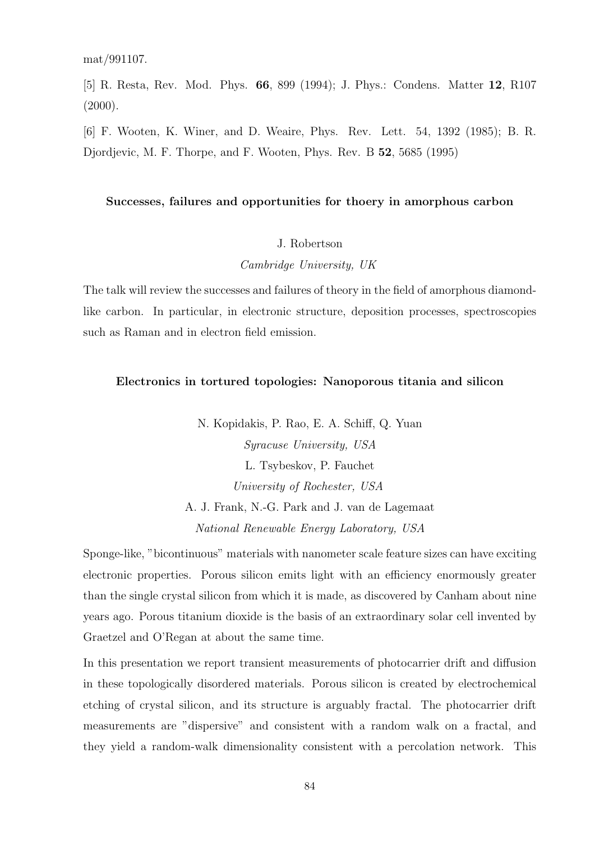[5] R. Resta, Rev. Mod. Phys. 66, 899 (1994); J. Phys.: Condens. Matter 12, R107  $(2000)$ .

[6] F. Wooten, K. Winer, and D. Weaire, Phys. Rev. Lett. 54, 1392 (1985); B. R. Djordjevic, M. F. Thorpe, and F. Wooten, Phys. Rev. B 52, 5685 (1995)

### Successes, failures and opportunities for thoery in amorphous carbon

#### J. Robertson

Cambridge University, UK

The talk will review the successes and failures of theory in the field of amorphous diamondlike carbon. In particular, in electronic structure, deposition processes, spectroscopies such as Raman and in electron field emission.

### Electronics in tortured topologies: Nanoporous titania and silicon

N. Kopidakis, P. Rao, E. A. Schiff, Q. Yuan Syracuse University, USA L. Tsybeskov, P. Fauchet University of Rochester, USA A. J. Frank, N.-G. Park and J. van de Lagemaat National Renewable Energy Laboratory, USA

Sponge-like, "bicontinuous" materials with nanometer scale feature sizes can have exciting electronic properties. Porous silicon emits light with an efficiency enormously greater than the single crystal silicon from which it is made, as discovered by Canham about nine years ago. Porous titanium dioxide is the basis of an extraordinary solar cell invented by Graetzel and O'Regan at about the same time.

In this presentation we report transient measurements of photocarrier drift and diffusion in these topologically disordered materials. Porous silicon is created by electrochemical etching of crystal silicon, and its structure is arguably fractal. The photocarrier drift measurements are "dispersive" and consistent with a random walk on a fractal, and they yield a random-walk dimensionality consistent with a percolation network. This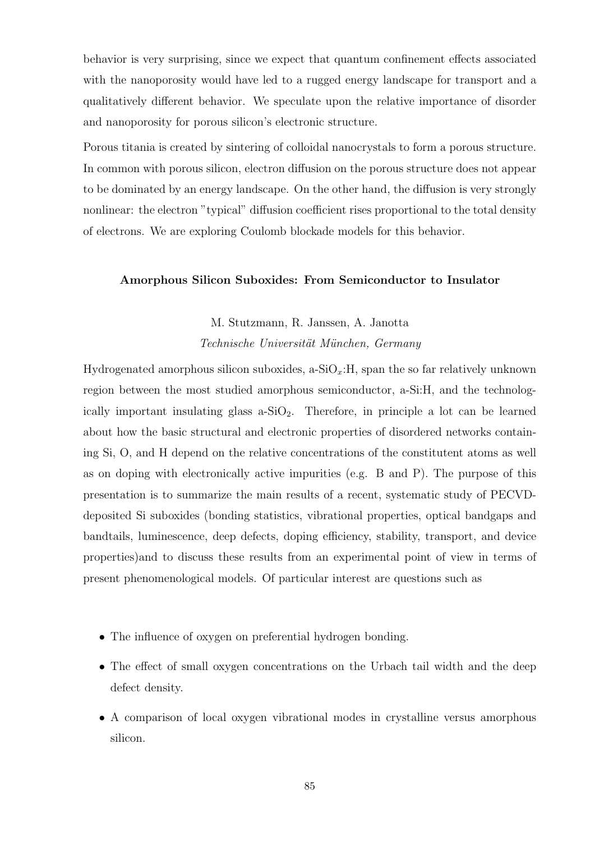behavior is very surprising, since we expect that quantum confinement effects associated with the nanoporosity would have led to a rugged energy landscape for transport and a qualitatively different behavior. We speculate upon the relative importance of disorder and nanoporosity for porous silicon's electronic structure.

Porous titania is created by sintering of colloidal nanocrystals to form a porous structure. In common with porous silicon, electron diffusion on the porous structure does not appear to be dominated by an energy landscape. On the other hand, the diffusion is very strongly nonlinear: the electron "typical" diffusion coefficient rises proportional to the total density of electrons. We are exploring Coulomb blockade models for this behavior.

## Amorphous Silicon Suboxides: From Semiconductor to Insulator

# M. Stutzmann, R. Janssen, A. Janotta Technische Universität München, Germany

Hydrogenated amorphous silicon suboxides,  $a-SiO_x$ : H, span the so far relatively unknown region between the most studied amorphous semiconductor, a-Si:H, and the technologically important insulating glass  $a-SiO_2$ . Therefore, in principle a lot can be learned about how the basic structural and electronic properties of disordered networks containing Si, O, and H depend on the relative concentrations of the constitutent atoms as well as on doping with electronically active impurities (e.g. B and P). The purpose of this presentation is to summarize the main results of a recent, systematic study of PECVDdeposited Si suboxides (bonding statistics, vibrational properties, optical bandgaps and bandtails, luminescence, deep defects, doping efficiency, stability, transport, and device properties)and to discuss these results from an experimental point of view in terms of present phenomenological models. Of particular interest are questions such as

- The influence of oxygen on preferential hydrogen bonding.
- The effect of small oxygen concentrations on the Urbach tail width and the deep defect density.
- A comparison of local oxygen vibrational modes in crystalline versus amorphous silicon.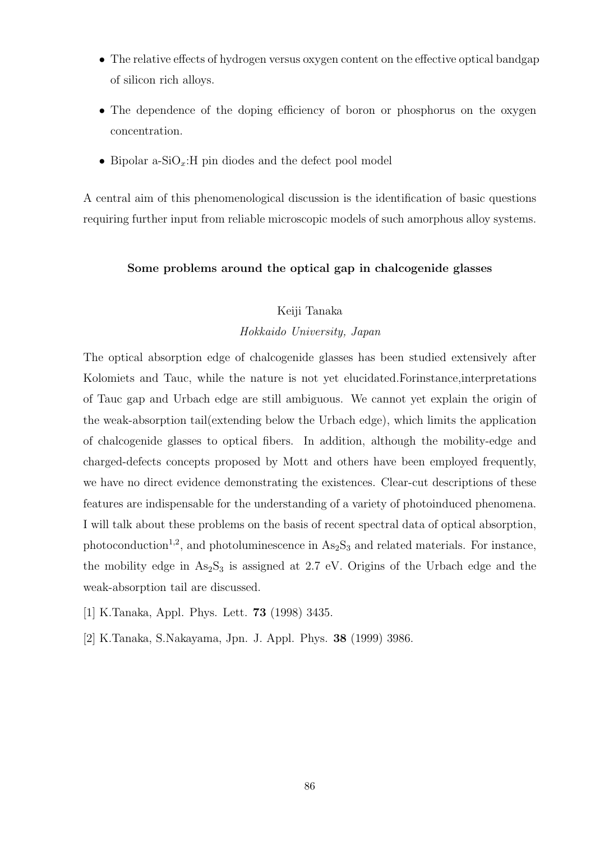- The relative effects of hydrogen versus oxygen content on the effective optical bandgap of silicon rich alloys.
- The dependence of the doping efficiency of boron or phosphorus on the oxygen concentration.
- Bipolar a-SiO<sub>x</sub>: H pin diodes and the defect pool model

A central aim of this phenomenological discussion is the identification of basic questions requiring further input from reliable microscopic models of such amorphous alloy systems.

## Some problems around the optical gap in chalcogenide glasses

# Keiji Tanaka

### Hokkaido University, Japan

The optical absorption edge of chalcogenide glasses has been studied extensively after Kolomiets and Tauc, while the nature is not yet elucidated.Forinstance,interpretations of Tauc gap and Urbach edge are still ambiguous. We cannot yet explain the origin of the weak-absorption tail(extending below the Urbach edge), which limits the application of chalcogenide glasses to optical fibers. In addition, although the mobility-edge and charged-defects concepts proposed by Mott and others have been employed frequently, we have no direct evidence demonstrating the existences. Clear-cut descriptions of these features are indispensable for the understanding of a variety of photoinduced phenomena. I will talk about these problems on the basis of recent spectral data of optical absorption, photoconduction<sup>1,2</sup>, and photoluminescence in  $\text{As}_2\text{S}_3$  and related materials. For instance, the mobility edge in  $As_2S_3$  is assigned at 2.7 eV. Origins of the Urbach edge and the weak-absorption tail are discussed.

- [1] K.Tanaka, Appl. Phys. Lett. 73 (1998) 3435.
- [2] K.Tanaka, S.Nakayama, Jpn. J. Appl. Phys. 38 (1999) 3986.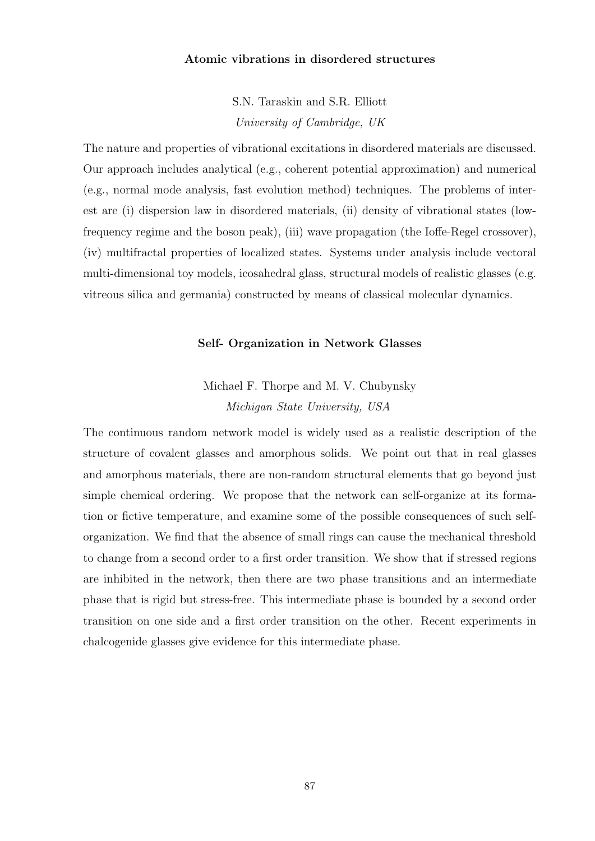### Atomic vibrations in disordered structures

S.N. Taraskin and S.R. Elliott University of Cambridge, UK

The nature and properties of vibrational excitations in disordered materials are discussed. Our approach includes analytical (e.g., coherent potential approximation) and numerical (e.g., normal mode analysis, fast evolution method) techniques. The problems of interest are (i) dispersion law in disordered materials, (ii) density of vibrational states (lowfrequency regime and the boson peak), (iii) wave propagation (the Ioffe-Regel crossover), (iv) multifractal properties of localized states. Systems under analysis include vectoral multi-dimensional toy models, icosahedral glass, structural models of realistic glasses (e.g. vitreous silica and germania) constructed by means of classical molecular dynamics.

### Self- Organization in Network Glasses

Michael F. Thorpe and M. V. Chubynsky Michigan State University, USA

The continuous random network model is widely used as a realistic description of the structure of covalent glasses and amorphous solids. We point out that in real glasses and amorphous materials, there are non-random structural elements that go beyond just simple chemical ordering. We propose that the network can self-organize at its formation or fictive temperature, and examine some of the possible consequences of such selforganization. We find that the absence of small rings can cause the mechanical threshold to change from a second order to a first order transition. We show that if stressed regions are inhibited in the network, then there are two phase transitions and an intermediate phase that is rigid but stress-free. This intermediate phase is bounded by a second order transition on one side and a first order transition on the other. Recent experiments in chalcogenide glasses give evidence for this intermediate phase.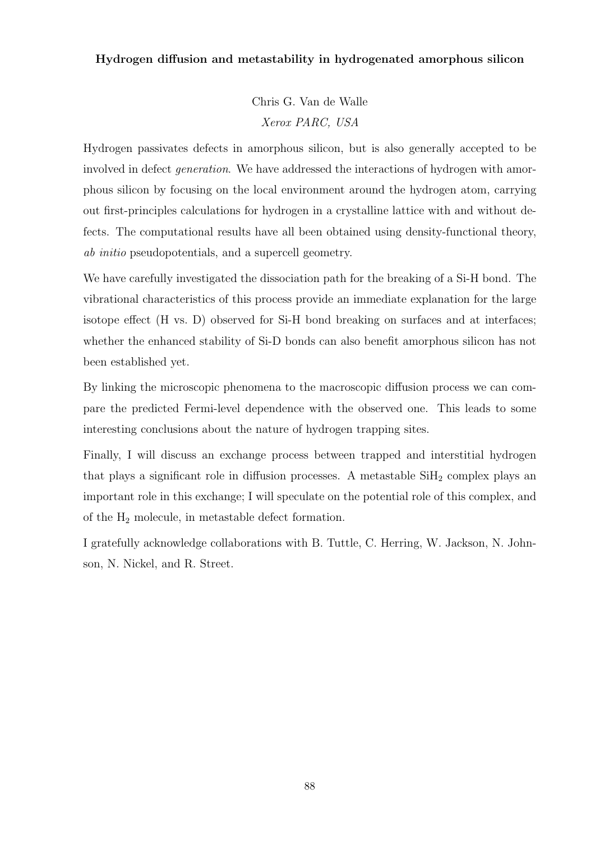# Hydrogen diffusion and metastability in hydrogenated amorphous silicon

Chris G. Van de Walle Xerox PARC, USA

Hydrogen passivates defects in amorphous silicon, but is also generally accepted to be involved in defect generation. We have addressed the interactions of hydrogen with amorphous silicon by focusing on the local environment around the hydrogen atom, carrying out first-principles calculations for hydrogen in a crystalline lattice with and without defects. The computational results have all been obtained using density-functional theory, ab initio pseudopotentials, and a supercell geometry.

We have carefully investigated the dissociation path for the breaking of a Si-H bond. The vibrational characteristics of this process provide an immediate explanation for the large isotope effect (H vs. D) observed for Si-H bond breaking on surfaces and at interfaces; whether the enhanced stability of Si-D bonds can also benefit amorphous silicon has not been established yet.

By linking the microscopic phenomena to the macroscopic diffusion process we can compare the predicted Fermi-level dependence with the observed one. This leads to some interesting conclusions about the nature of hydrogen trapping sites.

Finally, I will discuss an exchange process between trapped and interstitial hydrogen that plays a significant role in diffusion processes. A metastable  $SiH<sub>2</sub>$  complex plays an important role in this exchange; I will speculate on the potential role of this complex, and of the  $H_2$  molecule, in metastable defect formation.

I gratefully acknowledge collaborations with B. Tuttle, C. Herring, W. Jackson, N. Johnson, N. Nickel, and R. Street.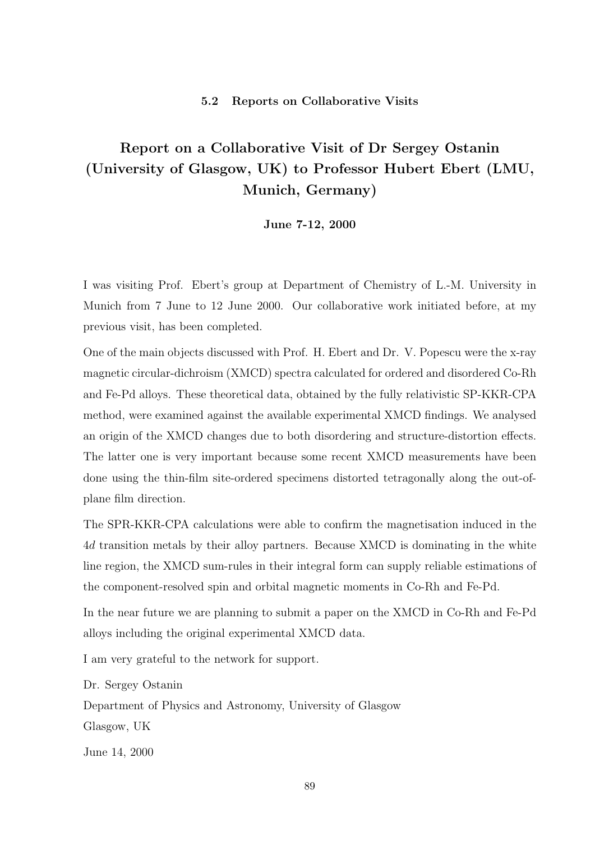### 5.2 Reports on Collaborative Visits

# Report on a Collaborative Visit of Dr Sergey Ostanin (University of Glasgow, UK) to Professor Hubert Ebert (LMU, Munich, Germany)

June 7-12, 2000

I was visiting Prof. Ebert's group at Department of Chemistry of L.-M. University in Munich from 7 June to 12 June 2000. Our collaborative work initiated before, at my previous visit, has been completed.

One of the main objects discussed with Prof. H. Ebert and Dr. V. Popescu were the x-ray magnetic circular-dichroism (XMCD) spectra calculated for ordered and disordered Co-Rh and Fe-Pd alloys. These theoretical data, obtained by the fully relativistic SP-KKR-CPA method, were examined against the available experimental XMCD findings. We analysed an origin of the XMCD changes due to both disordering and structure-distortion effects. The latter one is very important because some recent XMCD measurements have been done using the thin-film site-ordered specimens distorted tetragonally along the out-ofplane film direction.

The SPR-KKR-CPA calculations were able to confirm the magnetisation induced in the 4d transition metals by their alloy partners. Because XMCD is dominating in the white line region, the XMCD sum-rules in their integral form can supply reliable estimations of the component-resolved spin and orbital magnetic moments in Co-Rh and Fe-Pd.

In the near future we are planning to submit a paper on the XMCD in Co-Rh and Fe-Pd alloys including the original experimental XMCD data.

I am very grateful to the network for support.

Dr. Sergey Ostanin

Department of Physics and Astronomy, University of Glasgow Glasgow, UK

June 14, 2000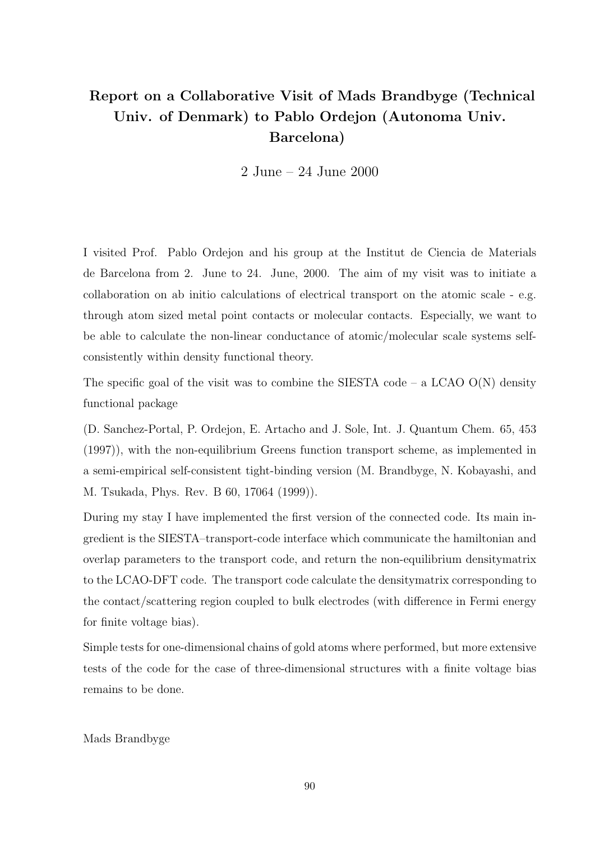# Report on a Collaborative Visit of Mads Brandbyge (Technical Univ. of Denmark) to Pablo Ordejon (Autonoma Univ. Barcelona)

2 June – 24 June 2000

I visited Prof. Pablo Ordejon and his group at the Institut de Ciencia de Materials de Barcelona from 2. June to 24. June, 2000. The aim of my visit was to initiate a collaboration on ab initio calculations of electrical transport on the atomic scale - e.g. through atom sized metal point contacts or molecular contacts. Especially, we want to be able to calculate the non-linear conductance of atomic/molecular scale systems selfconsistently within density functional theory.

The specific goal of the visit was to combine the SIESTA code – a LCAO  $O(N)$  density functional package

(D. Sanchez-Portal, P. Ordejon, E. Artacho and J. Sole, Int. J. Quantum Chem. 65, 453 (1997)), with the non-equilibrium Greens function transport scheme, as implemented in a semi-empirical self-consistent tight-binding version (M. Brandbyge, N. Kobayashi, and M. Tsukada, Phys. Rev. B 60, 17064 (1999)).

During my stay I have implemented the first version of the connected code. Its main ingredient is the SIESTA–transport-code interface which communicate the hamiltonian and overlap parameters to the transport code, and return the non-equilibrium densitymatrix to the LCAO-DFT code. The transport code calculate the densitymatrix corresponding to the contact/scattering region coupled to bulk electrodes (with difference in Fermi energy for finite voltage bias).

Simple tests for one-dimensional chains of gold atoms where performed, but more extensive tests of the code for the case of three-dimensional structures with a finite voltage bias remains to be done.

### Mads Brandbyge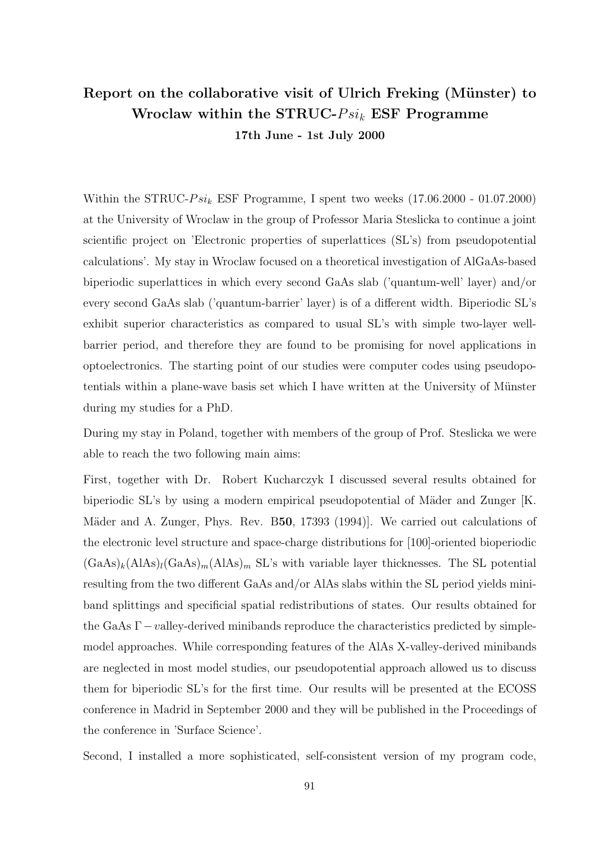# Report on the collaborative visit of Ulrich Freking (Münster) to Wroclaw within the STRUC- $Psi_k$  ESF Programme 17th June - 1st July 2000

Within the STRUC- $Psi$  ESF Programme, I spent two weeks (17.06.2000 - 01.07.2000) at the University of Wroclaw in the group of Professor Maria Steslicka to continue a joint scientific project on 'Electronic properties of superlattices (SL's) from pseudopotential calculations'. My stay in Wroclaw focused on a theoretical investigation of AlGaAs-based biperiodic superlattices in which every second GaAs slab ('quantum-well' layer) and/or every second GaAs slab ('quantum-barrier' layer) is of a different width. Biperiodic SL's exhibit superior characteristics as compared to usual SL's with simple two-layer wellbarrier period, and therefore they are found to be promising for novel applications in optoelectronics. The starting point of our studies were computer codes using pseudopotentials within a plane-wave basis set which I have written at the University of Münster during my studies for a PhD.

During my stay in Poland, together with members of the group of Prof. Steslicka we were able to reach the two following main aims:

First, together with Dr. Robert Kucharczyk I discussed several results obtained for biperiodic SL's by using a modern empirical pseudopotential of Mäder and Zunger  $[K.$ Mäder and A. Zunger, Phys. Rev. B50, 17393 (1994). We carried out calculations of the electronic level structure and space-charge distributions for [100]-oriented bioperiodic  $(GaAs)_k(AIAs)_l(GaAs)_m(AIAs)_m$  SL's with variable layer thicknesses. The SL potential resulting from the two different GaAs and/or AlAs slabs within the SL period yields miniband splittings and specificial spatial redistributions of states. Our results obtained for the GaAs  $\Gamma$  –valley-derived minibands reproduce the characteristics predicted by simplemodel approaches. While corresponding features of the AlAs X-valley-derived minibands are neglected in most model studies, our pseudopotential approach allowed us to discuss them for biperiodic SL's for the first time. Our results will be presented at the ECOSS conference in Madrid in September 2000 and they will be published in the Proceedings of the conference in 'Surface Science'.

Second, I installed a more sophisticated, self-consistent version of my program code,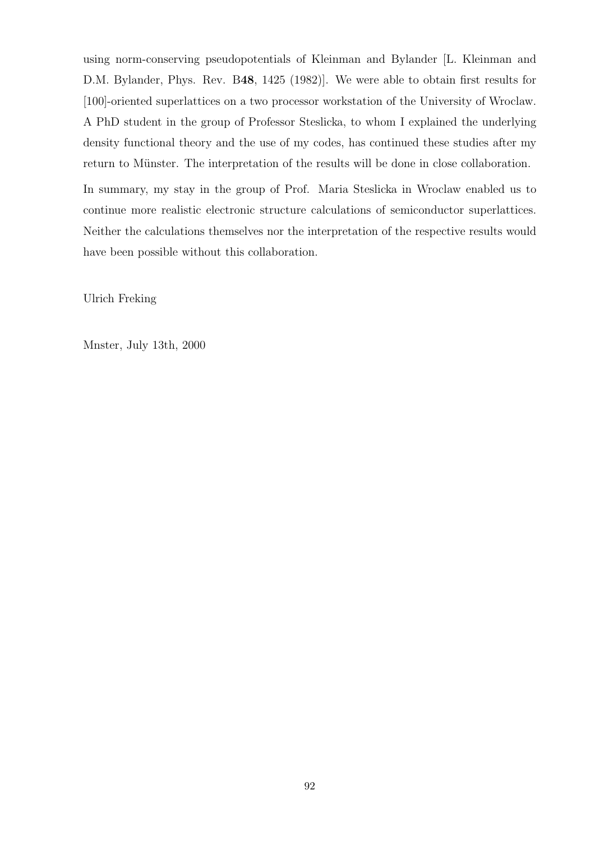using norm-conserving pseudopotentials of Kleinman and Bylander [L. Kleinman and D.M. Bylander, Phys. Rev. B48, 1425 (1982)]. We were able to obtain first results for [100]-oriented superlattices on a two processor workstation of the University of Wroclaw. A PhD student in the group of Professor Steslicka, to whom I explained the underlying density functional theory and the use of my codes, has continued these studies after my return to Münster. The interpretation of the results will be done in close collaboration.

In summary, my stay in the group of Prof. Maria Steslicka in Wroclaw enabled us to continue more realistic electronic structure calculations of semiconductor superlattices. Neither the calculations themselves nor the interpretation of the respective results would have been possible without this collaboration.

Ulrich Freking

Mnster, July 13th, 2000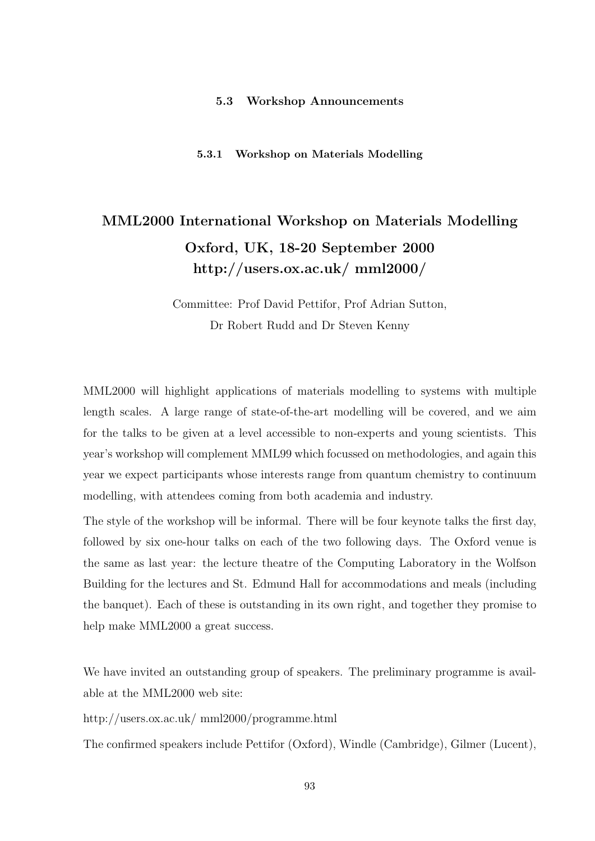### 5.3 Workshop Announcements

5.3.1 Workshop on Materials Modelling

# MML2000 International Workshop on Materials Modelling Oxford, UK, 18-20 September 2000 http://users.ox.ac.uk/ mml2000/

Committee: Prof David Pettifor, Prof Adrian Sutton, Dr Robert Rudd and Dr Steven Kenny

MML2000 will highlight applications of materials modelling to systems with multiple length scales. A large range of state-of-the-art modelling will be covered, and we aim for the talks to be given at a level accessible to non-experts and young scientists. This year's workshop will complement MML99 which focussed on methodologies, and again this year we expect participants whose interests range from quantum chemistry to continuum modelling, with attendees coming from both academia and industry.

The style of the workshop will be informal. There will be four keynote talks the first day, followed by six one-hour talks on each of the two following days. The Oxford venue is the same as last year: the lecture theatre of the Computing Laboratory in the Wolfson Building for the lectures and St. Edmund Hall for accommodations and meals (including the banquet). Each of these is outstanding in its own right, and together they promise to help make MML2000 a great success.

We have invited an outstanding group of speakers. The preliminary programme is available at the MML2000 web site:

http://users.ox.ac.uk/ mml2000/programme.html

The confirmed speakers include Pettifor (Oxford), Windle (Cambridge), Gilmer (Lucent),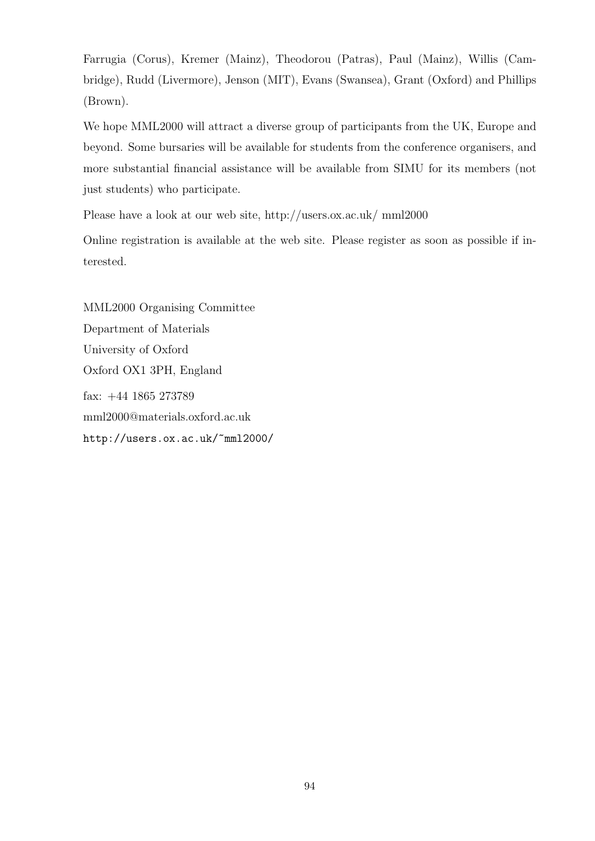Farrugia (Corus), Kremer (Mainz), Theodorou (Patras), Paul (Mainz), Willis (Cambridge), Rudd (Livermore), Jenson (MIT), Evans (Swansea), Grant (Oxford) and Phillips (Brown).

We hope MML2000 will attract a diverse group of participants from the UK, Europe and beyond. Some bursaries will be available for students from the conference organisers, and more substantial financial assistance will be available from SIMU for its members (not just students) who participate.

Please have a look at our web site, http://users.ox.ac.uk/ mml2000

Online registration is available at the web site. Please register as soon as possible if interested.

MML2000 Organising Committee Department of Materials University of Oxford Oxford OX1 3PH, England fax: +44 1865 273789 mml2000@materials.oxford.ac.uk http://users.ox.ac.uk/~mml2000/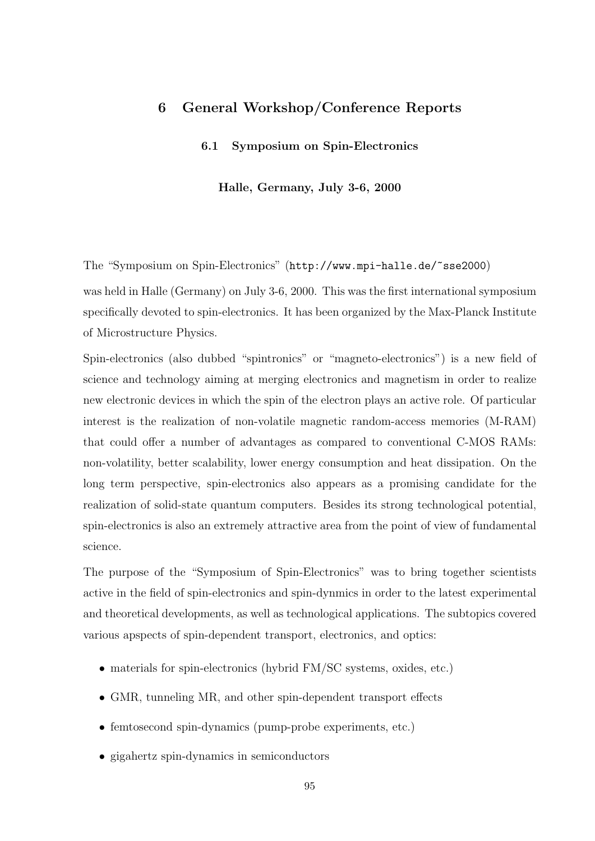# 6 General Workshop/Conference Reports

### 6.1 Symposium on Spin-Electronics

#### Halle, Germany, July 3-6, 2000

The "Symposium on Spin-Electronics" (http://www.mpi-halle.de/~sse2000)

was held in Halle (Germany) on July 3-6, 2000. This was the first international symposium specifically devoted to spin-electronics. It has been organized by the Max-Planck Institute of Microstructure Physics.

Spin-electronics (also dubbed "spintronics" or "magneto-electronics") is a new field of science and technology aiming at merging electronics and magnetism in order to realize new electronic devices in which the spin of the electron plays an active role. Of particular interest is the realization of non-volatile magnetic random-access memories (M-RAM) that could offer a number of advantages as compared to conventional C-MOS RAMs: non-volatility, better scalability, lower energy consumption and heat dissipation. On the long term perspective, spin-electronics also appears as a promising candidate for the realization of solid-state quantum computers. Besides its strong technological potential, spin-electronics is also an extremely attractive area from the point of view of fundamental science.

The purpose of the "Symposium of Spin-Electronics" was to bring together scientists active in the field of spin-electronics and spin-dynmics in order to the latest experimental and theoretical developments, as well as technological applications. The subtopics covered various apspects of spin-dependent transport, electronics, and optics:

- materials for spin-electronics (hybrid FM/SC systems, oxides, etc.)
- GMR, tunneling MR, and other spin-dependent transport effects
- femtosecond spin-dynamics (pump-probe experiments, etc.)
- gigahertz spin-dynamics in semiconductors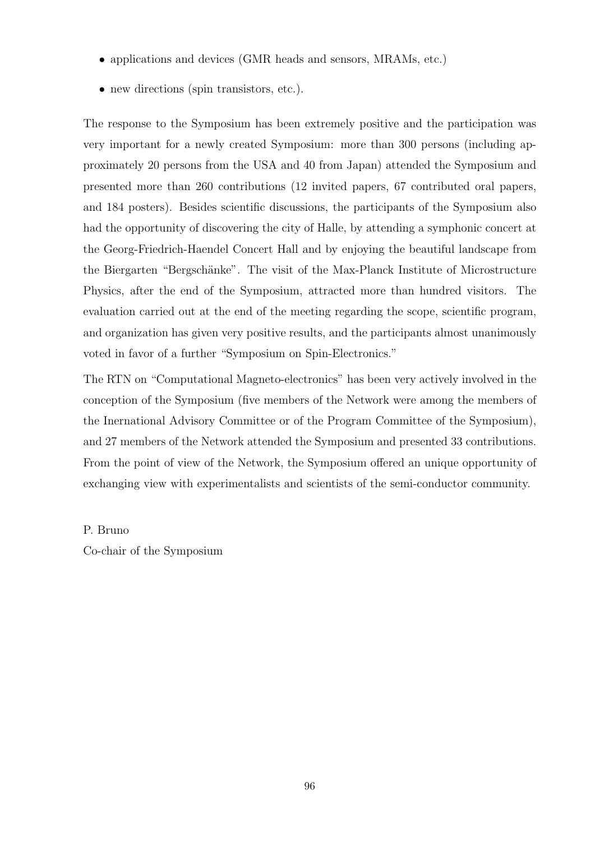- applications and devices (GMR heads and sensors, MRAMs, etc.)
- new directions (spin transistors, etc.).

The response to the Symposium has been extremely positive and the participation was very important for a newly created Symposium: more than 300 persons (including approximately 20 persons from the USA and 40 from Japan) attended the Symposium and presented more than 260 contributions (12 invited papers, 67 contributed oral papers, and 184 posters). Besides scientific discussions, the participants of the Symposium also had the opportunity of discovering the city of Halle, by attending a symphonic concert at the Georg-Friedrich-Haendel Concert Hall and by enjoying the beautiful landscape from the Biergarten "Bergschänke". The visit of the Max-Planck Institute of Microstructure Physics, after the end of the Symposium, attracted more than hundred visitors. The evaluation carried out at the end of the meeting regarding the scope, scientific program, and organization has given very positive results, and the participants almost unanimously voted in favor of a further "Symposium on Spin-Electronics."

The RTN on "Computational Magneto-electronics" has been very actively involved in the conception of the Symposium (five members of the Network were among the members of the Inernational Advisory Committee or of the Program Committee of the Symposium), and 27 members of the Network attended the Symposium and presented 33 contributions. From the point of view of the Network, the Symposium offered an unique opportunity of exchanging view with experimentalists and scientists of the semi-conductor community.

P. Bruno

Co-chair of the Symposium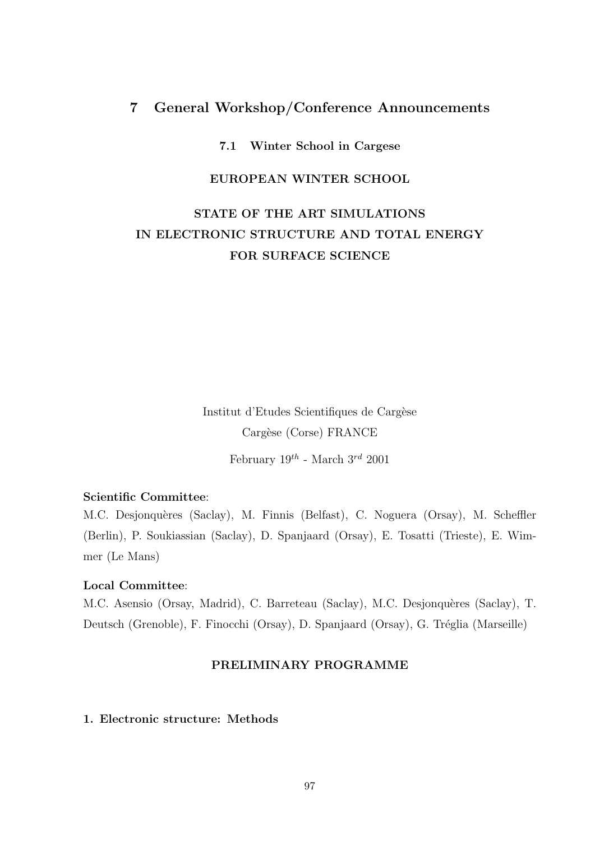# 7 General Workshop/Conference Announcements

## 7.1 Winter School in Cargese

## EUROPEAN WINTER SCHOOL

# STATE OF THE ART SIMULATIONS IN ELECTRONIC STRUCTURE AND TOTAL ENERGY FOR SURFACE SCIENCE

Institut d'Etudes Scientifiques de Cargèse Cargèse (Corse) FRANCE February  $19^{th}$  - March  $3^{rd}$  2001  $\,$ 

# Scientific Committee:

M.C. Desjonquères (Saclay), M. Finnis (Belfast), C. Noguera (Orsay), M. Scheffler (Berlin), P. Soukiassian (Saclay), D. Spanjaard (Orsay), E. Tosatti (Trieste), E. Wimmer (Le Mans)

### Local Committee:

M.C. Asensio (Orsay, Madrid), C. Barreteau (Saclay), M.C. Desjonquères (Saclay), T. Deutsch (Grenoble), F. Finocchi (Orsay), D. Spanjaard (Orsay), G. Tréglia (Marseille)

# PRELIMINARY PROGRAMME

# 1. Electronic structure: Methods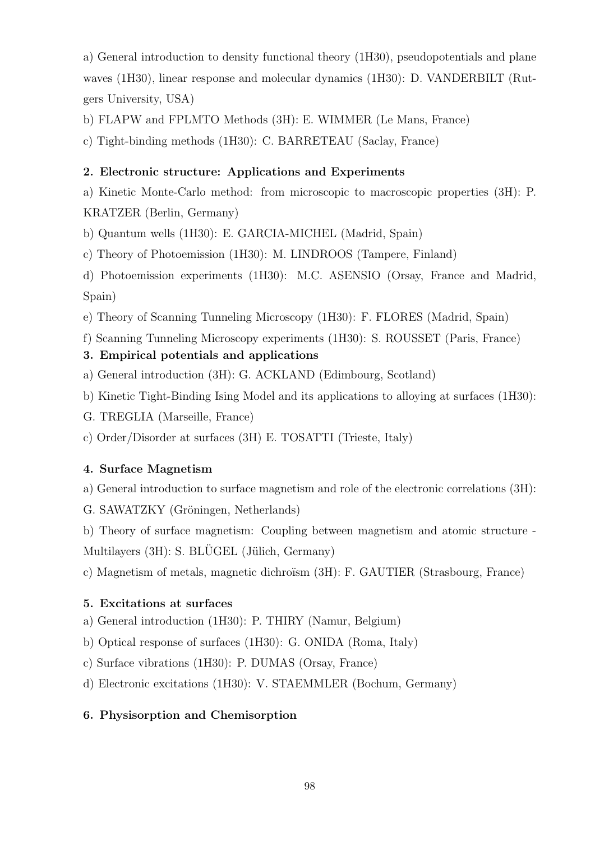a) General introduction to density functional theory (1H30), pseudopotentials and plane waves (1H30), linear response and molecular dynamics (1H30): D. VANDERBILT (Rutgers University, USA)

b) FLAPW and FPLMTO Methods (3H): E. WIMMER (Le Mans, France)

c) Tight-binding methods (1H30): C. BARRETEAU (Saclay, France)

# 2. Electronic structure: Applications and Experiments

a) Kinetic Monte-Carlo method: from microscopic to macroscopic properties (3H): P. KRATZER (Berlin, Germany)

b) Quantum wells (1H30): E. GARCIA-MICHEL (Madrid, Spain)

c) Theory of Photoemission (1H30): M. LINDROOS (Tampere, Finland)

d) Photoemission experiments (1H30): M.C. ASENSIO (Orsay, France and Madrid, Spain)

e) Theory of Scanning Tunneling Microscopy (1H30): F. FLORES (Madrid, Spain)

f) Scanning Tunneling Microscopy experiments (1H30): S. ROUSSET (Paris, France)

# 3. Empirical potentials and applications

- a) General introduction (3H): G. ACKLAND (Edimbourg, Scotland)
- b) Kinetic Tight-Binding Ising Model and its applications to alloying at surfaces (1H30):
- G. TREGLIA (Marseille, France)

c) Order/Disorder at surfaces (3H) E. TOSATTI (Trieste, Italy)

# 4. Surface Magnetism

a) General introduction to surface magnetism and role of the electronic correlations (3H):

G. SAWATZKY (Gröningen, Netherlands)

b) Theory of surface magnetism: Coupling between magnetism and atomic structure - Multilayers  $(3H)$ : S. BLÜGEL (Jülich, Germany)

c) Magnetism of metals, magnetic dichroïsm (3H): F. GAUTIER (Strasbourg, France)

# 5. Excitations at surfaces

- a) General introduction (1H30): P. THIRY (Namur, Belgium)
- b) Optical response of surfaces (1H30): G. ONIDA (Roma, Italy)
- c) Surface vibrations (1H30): P. DUMAS (Orsay, France)

d) Electronic excitations (1H30): V. STAEMMLER (Bochum, Germany)

# 6. Physisorption and Chemisorption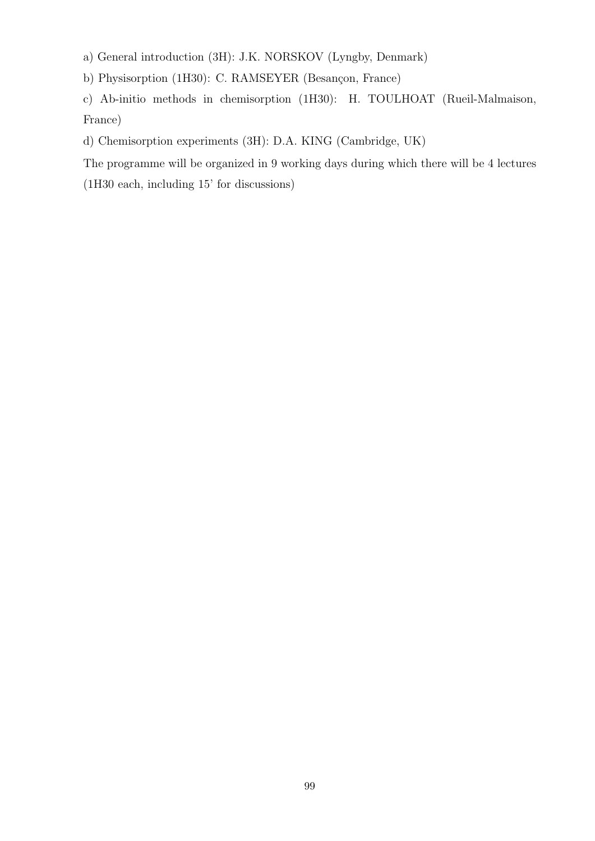a) General introduction (3H): J.K. NORSKOV (Lyngby, Denmark)

b) Physisorption (1H30): C. RAMSEYER (Besançon, France)

c) Ab-initio methods in chemisorption (1H30): H. TOULHOAT (Rueil-Malmaison, France)

d) Chemisorption experiments (3H): D.A. KING (Cambridge, UK)

The programme will be organized in 9 working days during which there will be 4 lectures (1H30 each, including 15' for discussions)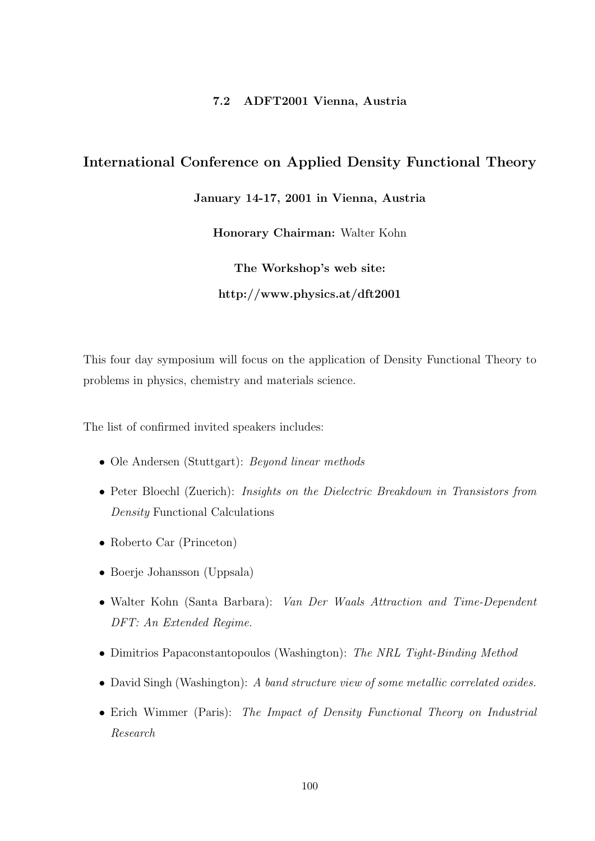## 7.2 ADFT2001 Vienna, Austria

# International Conference on Applied Density Functional Theory

January 14-17, 2001 in Vienna, Austria

Honorary Chairman: Walter Kohn

The Workshop's web site: http://www.physics.at/dft2001

This four day symposium will focus on the application of Density Functional Theory to problems in physics, chemistry and materials science.

The list of confirmed invited speakers includes:

- Ole Andersen (Stuttgart): *Beyond linear methods*
- Peter Bloechl (Zuerich): *Insights on the Dielectric Breakdown in Transistors from* Density Functional Calculations
- Roberto Car (Princeton)
- Boerje Johansson (Uppsala)
- Walter Kohn (Santa Barbara): Van Der Waals Attraction and Time-Dependent DFT: An Extended Regime.
- Dimitrios Papaconstantopoulos (Washington): The NRL Tight-Binding Method
- David Singh (Washington): A band structure view of some metallic correlated oxides.
- Erich Wimmer (Paris): The Impact of Density Functional Theory on Industrial Research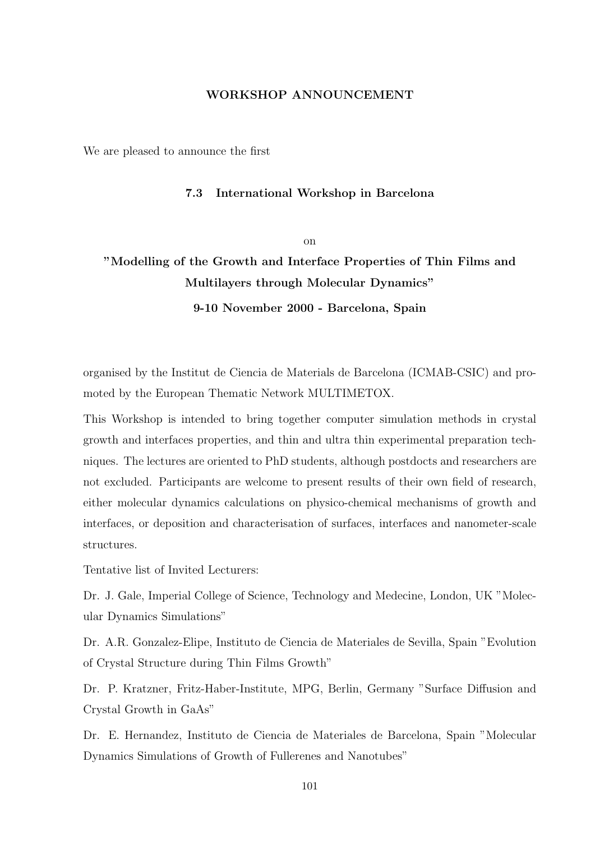## WORKSHOP ANNOUNCEMENT

We are pleased to announce the first

#### 7.3 International Workshop in Barcelona

on

# "Modelling of the Growth and Interface Properties of Thin Films and Multilayers through Molecular Dynamics"

9-10 November 2000 - Barcelona, Spain

organised by the Institut de Ciencia de Materials de Barcelona (ICMAB-CSIC) and promoted by the European Thematic Network MULTIMETOX.

This Workshop is intended to bring together computer simulation methods in crystal growth and interfaces properties, and thin and ultra thin experimental preparation techniques. The lectures are oriented to PhD students, although postdocts and researchers are not excluded. Participants are welcome to present results of their own field of research, either molecular dynamics calculations on physico-chemical mechanisms of growth and interfaces, or deposition and characterisation of surfaces, interfaces and nanometer-scale structures.

Tentative list of Invited Lecturers:

Dr. J. Gale, Imperial College of Science, Technology and Medecine, London, UK "Molecular Dynamics Simulations"

Dr. A.R. Gonzalez-Elipe, Instituto de Ciencia de Materiales de Sevilla, Spain "Evolution of Crystal Structure during Thin Films Growth"

Dr. P. Kratzner, Fritz-Haber-Institute, MPG, Berlin, Germany "Surface Diffusion and Crystal Growth in GaAs"

Dr. E. Hernandez, Instituto de Ciencia de Materiales de Barcelona, Spain "Molecular Dynamics Simulations of Growth of Fullerenes and Nanotubes"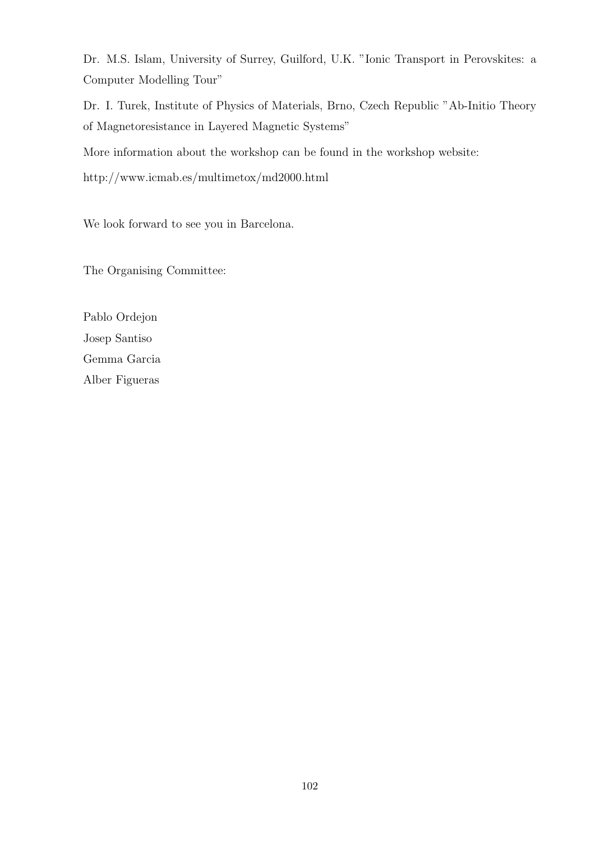Dr. M.S. Islam, University of Surrey, Guilford, U.K. "Ionic Transport in Perovskites: a Computer Modelling Tour"

Dr. I. Turek, Institute of Physics of Materials, Brno, Czech Republic "Ab-Initio Theory of Magnetoresistance in Layered Magnetic Systems"

More information about the workshop can be found in the workshop website:

http://www.icmab.es/multimetox/md2000.html

We look forward to see you in Barcelona.

The Organising Committee:

Pablo Ordejon Josep Santiso Gemma Garcia Alber Figueras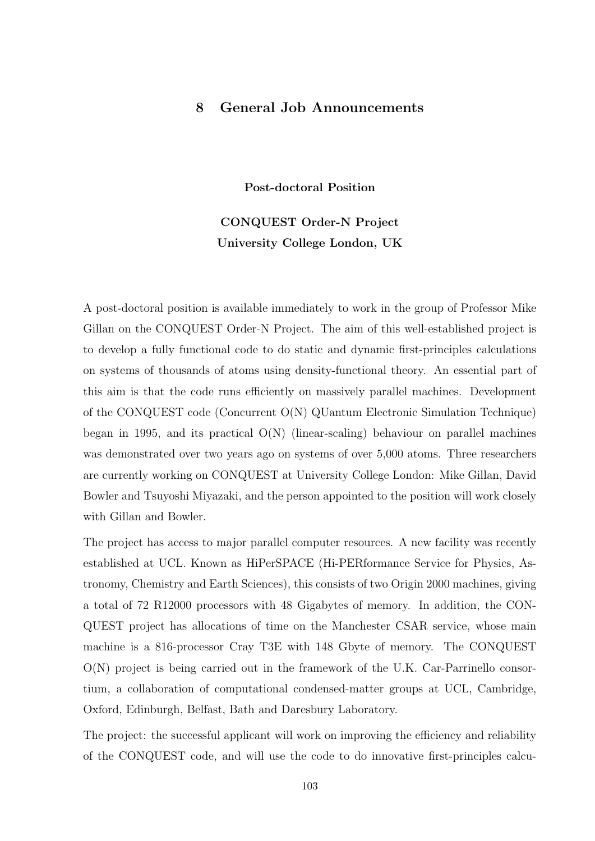# 8 General Job Announcements

Post-doctoral Position

# CONQUEST Order-N Project University College London, UK

A post-doctoral position is available immediately to work in the group of Professor Mike Gillan on the CONQUEST Order-N Project. The aim of this well-established project is to develop a fully functional code to do static and dynamic first-principles calculations on systems of thousands of atoms using density-functional theory. An essential part of this aim is that the code runs efficiently on massively parallel machines. Development of the CONQUEST code (Concurrent O(N) QUantum Electronic Simulation Technique) began in 1995, and its practical  $O(N)$  (linear-scaling) behaviour on parallel machines was demonstrated over two years ago on systems of over 5,000 atoms. Three researchers are currently working on CONQUEST at University College London: Mike Gillan, David Bowler and Tsuyoshi Miyazaki, and the person appointed to the position will work closely with Gillan and Bowler.

The project has access to major parallel computer resources. A new facility was recently established at UCL. Known as HiPerSPACE (Hi-PERformance Service for Physics, Astronomy, Chemistry and Earth Sciences), this consists of two Origin 2000 machines, giving a total of 72 R12000 processors with 48 Gigabytes of memory. In addition, the CON-QUEST project has allocations of time on the Manchester CSAR service, whose main machine is a 816-processor Cray T3E with 148 Gbyte of memory. The CONQUEST  $O(N)$  project is being carried out in the framework of the U.K. Car-Parrinello consortium, a collaboration of computational condensed-matter groups at UCL, Cambridge, Oxford, Edinburgh, Belfast, Bath and Daresbury Laboratory.

The project: the successful applicant will work on improving the efficiency and reliability of the CONQUEST code, and will use the code to do innovative first-principles calcu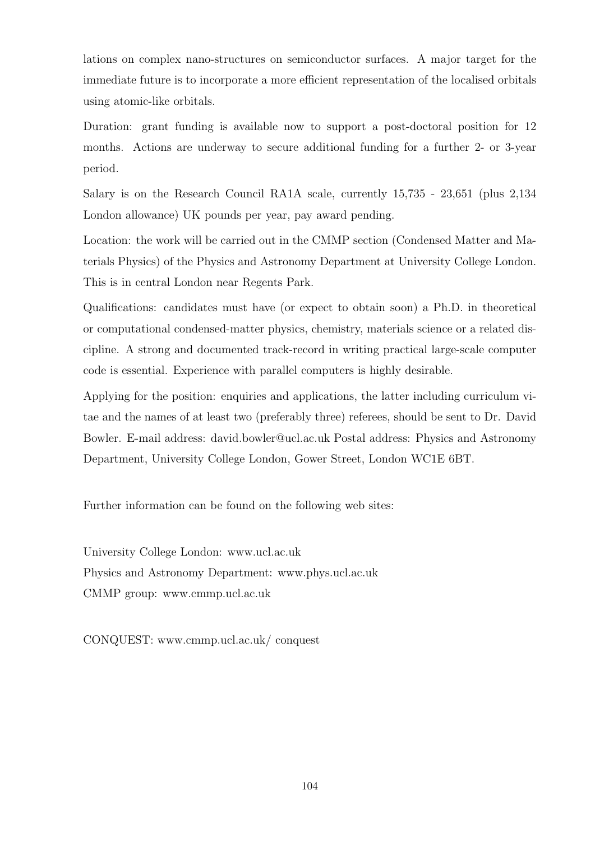lations on complex nano-structures on semiconductor surfaces. A major target for the immediate future is to incorporate a more efficient representation of the localised orbitals using atomic-like orbitals.

Duration: grant funding is available now to support a post-doctoral position for 12 months. Actions are underway to secure additional funding for a further 2- or 3-year period.

Salary is on the Research Council RA1A scale, currently 15,735 - 23,651 (plus 2,134 London allowance) UK pounds per year, pay award pending.

Location: the work will be carried out in the CMMP section (Condensed Matter and Materials Physics) of the Physics and Astronomy Department at University College London. This is in central London near Regents Park.

Qualifications: candidates must have (or expect to obtain soon) a Ph.D. in theoretical or computational condensed-matter physics, chemistry, materials science or a related discipline. A strong and documented track-record in writing practical large-scale computer code is essential. Experience with parallel computers is highly desirable.

Applying for the position: enquiries and applications, the latter including curriculum vitae and the names of at least two (preferably three) referees, should be sent to Dr. David Bowler. E-mail address: david.bowler@ucl.ac.uk Postal address: Physics and Astronomy Department, University College London, Gower Street, London WC1E 6BT.

Further information can be found on the following web sites:

University College London: www.ucl.ac.uk Physics and Astronomy Department: www.phys.ucl.ac.uk CMMP group: www.cmmp.ucl.ac.uk

CONQUEST: www.cmmp.ucl.ac.uk/ conquest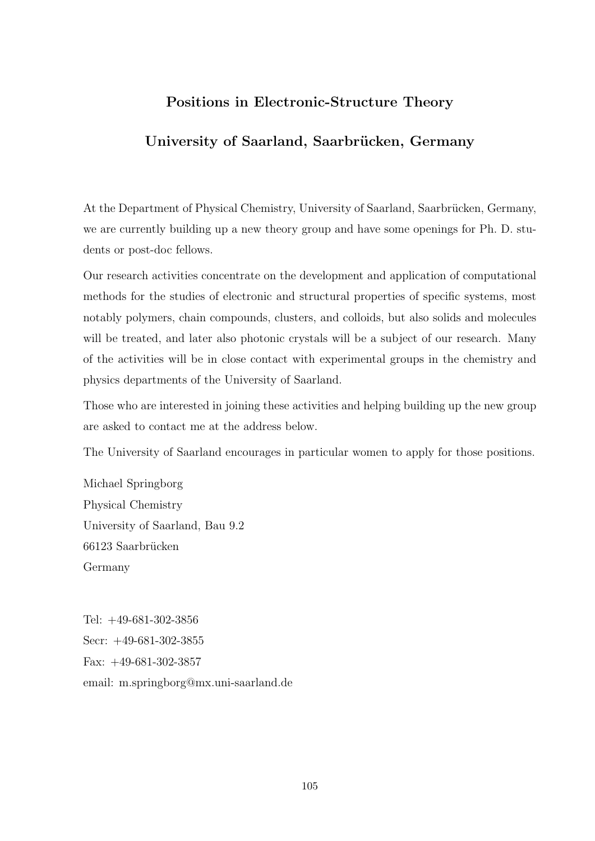# Positions in Electronic-Structure Theory

# University of Saarland, Saarbrücken, Germany

At the Department of Physical Chemistry, University of Saarland, Saarbrücken, Germany, we are currently building up a new theory group and have some openings for Ph. D. students or post-doc fellows.

Our research activities concentrate on the development and application of computational methods for the studies of electronic and structural properties of specific systems, most notably polymers, chain compounds, clusters, and colloids, but also solids and molecules will be treated, and later also photonic crystals will be a subject of our research. Many of the activities will be in close contact with experimental groups in the chemistry and physics departments of the University of Saarland.

Those who are interested in joining these activities and helping building up the new group are asked to contact me at the address below.

The University of Saarland encourages in particular women to apply for those positions.

Michael Springborg Physical Chemistry University of Saarland, Bau 9.2 66123 Saarbrücken Germany

Tel: +49-681-302-3856 Secr: +49-681-302-3855 Fax: +49-681-302-3857 email: m.springborg@mx.uni-saarland.de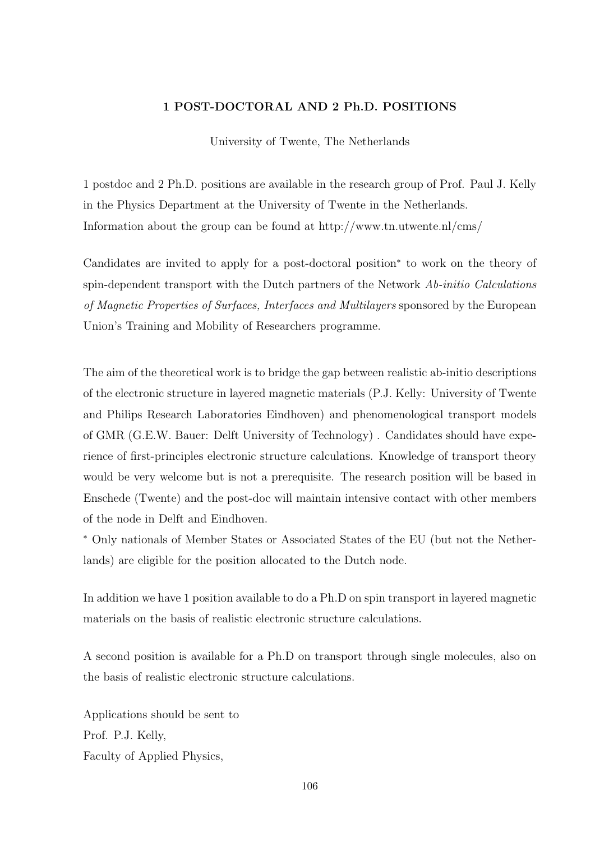# 1 POST-DOCTORAL AND 2 Ph.D. POSITIONS

University of Twente, The Netherlands

1 postdoc and 2 Ph.D. positions are available in the research group of Prof. Paul J. Kelly in the Physics Department at the University of Twente in the Netherlands. Information about the group can be found at http://www.tn.utwente.nl/cms/

Candidates are invited to apply for a post-doctoral position<sup>∗</sup> to work on the theory of spin-dependent transport with the Dutch partners of the Network Ab-initio Calculations of Magnetic Properties of Surfaces, Interfaces and Multilayers sponsored by the European Union's Training and Mobility of Researchers programme.

The aim of the theoretical work is to bridge the gap between realistic ab-initio descriptions of the electronic structure in layered magnetic materials (P.J. Kelly: University of Twente and Philips Research Laboratories Eindhoven) and phenomenological transport models of GMR (G.E.W. Bauer: Delft University of Technology) . Candidates should have experience of first-principles electronic structure calculations. Knowledge of transport theory would be very welcome but is not a prerequisite. The research position will be based in Enschede (Twente) and the post-doc will maintain intensive contact with other members of the node in Delft and Eindhoven.

<sup>∗</sup> Only nationals of Member States or Associated States of the EU (but not the Netherlands) are eligible for the position allocated to the Dutch node.

In addition we have 1 position available to do a Ph.D on spin transport in layered magnetic materials on the basis of realistic electronic structure calculations.

A second position is available for a Ph.D on transport through single molecules, also on the basis of realistic electronic structure calculations.

Applications should be sent to Prof. P.J. Kelly, Faculty of Applied Physics,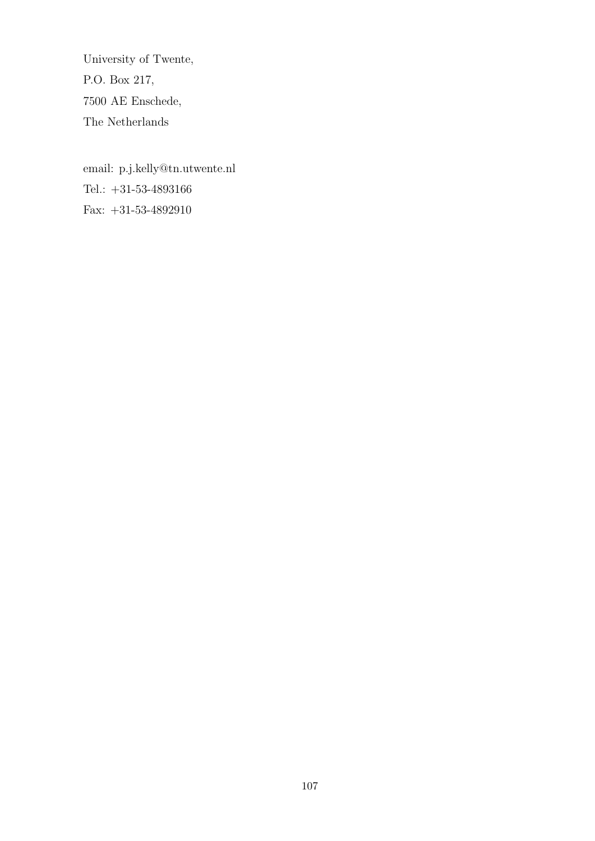University of Twente, P.O. Box 217, 7500 AE Enschede, The Netherlands

email: p.j.kelly@tn.utwente.nl Tel.: +31-53-4893166 Fax: +31-53-4892910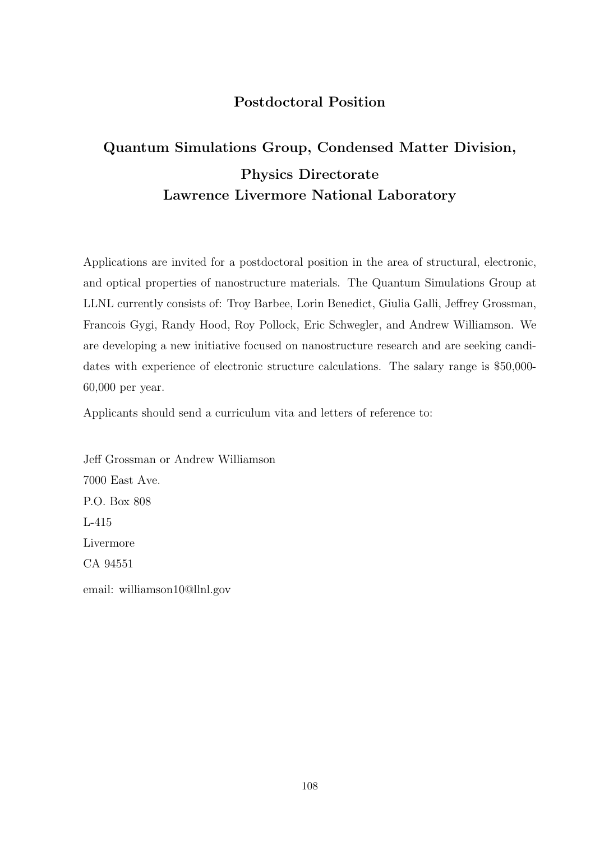# Postdoctoral Position

# Quantum Simulations Group, Condensed Matter Division, Physics Directorate Lawrence Livermore National Laboratory

Applications are invited for a postdoctoral position in the area of structural, electronic, and optical properties of nanostructure materials. The Quantum Simulations Group at LLNL currently consists of: Troy Barbee, Lorin Benedict, Giulia Galli, Jeffrey Grossman, Francois Gygi, Randy Hood, Roy Pollock, Eric Schwegler, and Andrew Williamson. We are developing a new initiative focused on nanostructure research and are seeking candidates with experience of electronic structure calculations. The salary range is \$50,000- 60,000 per year.

Applicants should send a curriculum vita and letters of reference to:

Jeff Grossman or Andrew Williamson 7000 East Ave. P.O. Box 808 L-415 Livermore CA 94551 email: williamson10@llnl.gov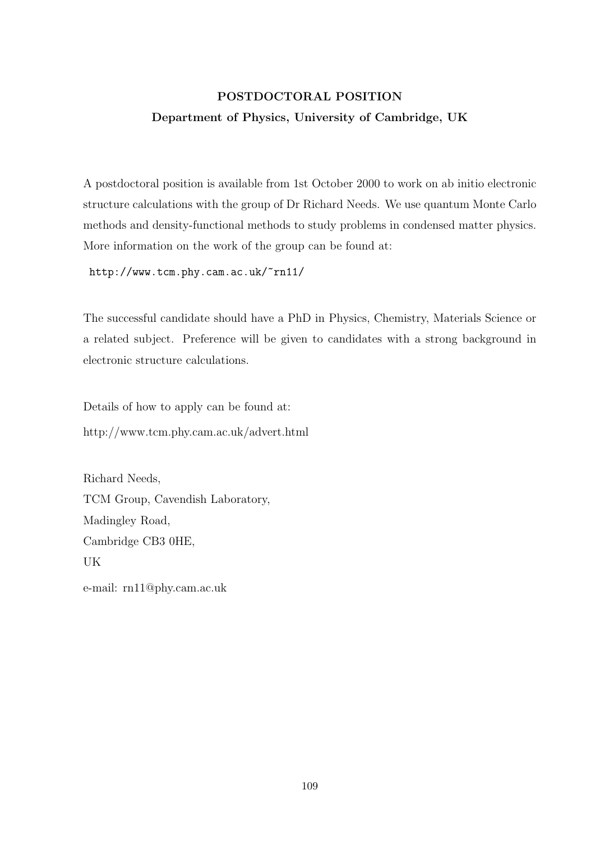### POSTDOCTORAL POSITION Department of Physics, University of Cambridge, UK

A postdoctoral position is available from 1st October 2000 to work on ab initio electronic structure calculations with the group of Dr Richard Needs. We use quantum Monte Carlo methods and density-functional methods to study problems in condensed matter physics. More information on the work of the group can be found at:

http://www.tcm.phy.cam.ac.uk/~rn11/

The successful candidate should have a PhD in Physics, Chemistry, Materials Science or a related subject. Preference will be given to candidates with a strong background in electronic structure calculations.

Details of how to apply can be found at: http://www.tcm.phy.cam.ac.uk/advert.html

Richard Needs, TCM Group, Cavendish Laboratory, Madingley Road, Cambridge CB3 0HE, UK

e-mail: rn11@phy.cam.ac.uk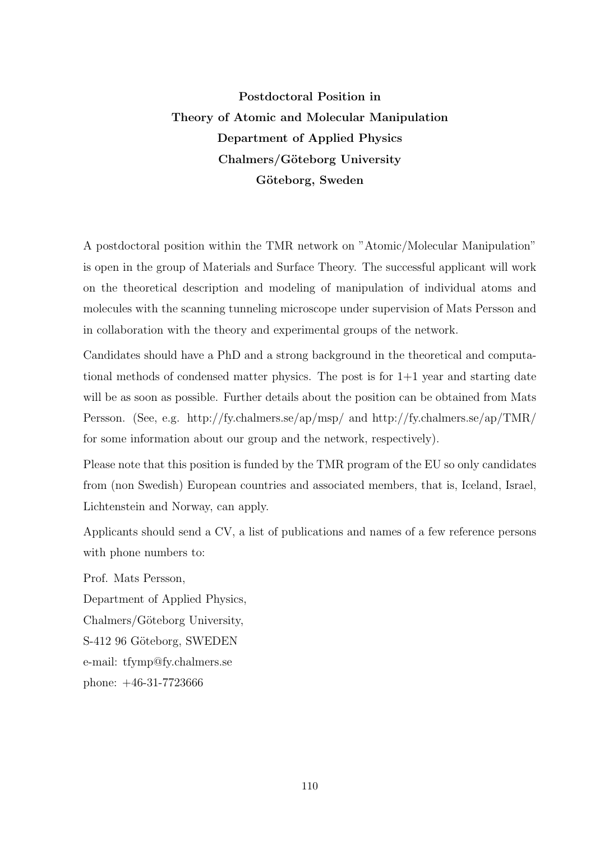### Postdoctoral Position in Theory of Atomic and Molecular Manipulation Department of Applied Physics Chalmers/Göteborg University Göteborg, Sweden

A postdoctoral position within the TMR network on "Atomic/Molecular Manipulation" is open in the group of Materials and Surface Theory. The successful applicant will work on the theoretical description and modeling of manipulation of individual atoms and molecules with the scanning tunneling microscope under supervision of Mats Persson and in collaboration with the theory and experimental groups of the network.

Candidates should have a PhD and a strong background in the theoretical and computational methods of condensed matter physics. The post is for 1+1 year and starting date will be as soon as possible. Further details about the position can be obtained from Mats Persson. (See, e.g. http://fy.chalmers.se/ap/msp/ and http://fy.chalmers.se/ap/TMR/ for some information about our group and the network, respectively).

Please note that this position is funded by the TMR program of the EU so only candidates from (non Swedish) European countries and associated members, that is, Iceland, Israel, Lichtenstein and Norway, can apply.

Applicants should send a CV, a list of publications and names of a few reference persons with phone numbers to:

Prof. Mats Persson, Department of Applied Physics, Chalmers/Göteborg University, S-412 96 Göteborg, SWEDEN e-mail: tfymp@fy.chalmers.se phone: +46-31-7723666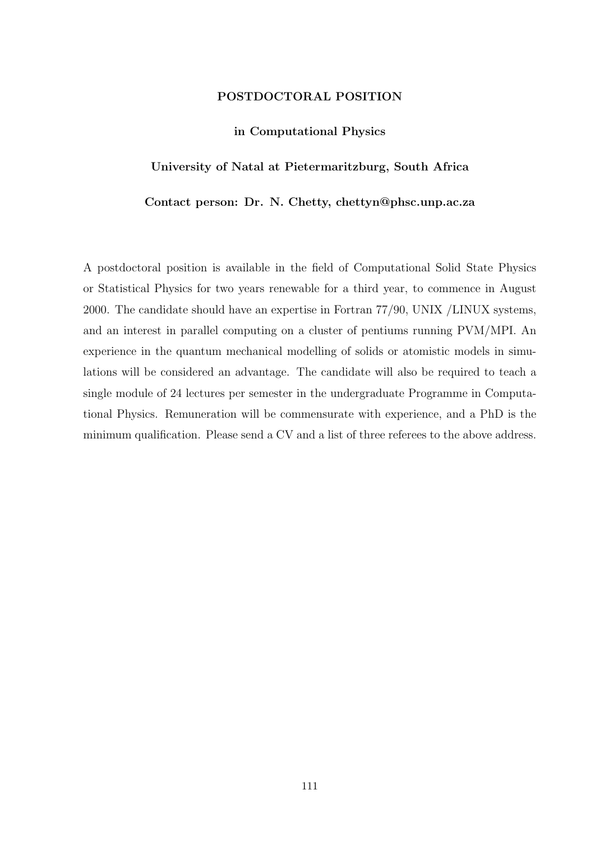### POSTDOCTORAL POSITION

### in Computational Physics

### University of Natal at Pietermaritzburg, South Africa

### Contact person: Dr. N. Chetty, chettyn@phsc.unp.ac.za

A postdoctoral position is available in the field of Computational Solid State Physics or Statistical Physics for two years renewable for a third year, to commence in August 2000. The candidate should have an expertise in Fortran 77/90, UNIX /LINUX systems, and an interest in parallel computing on a cluster of pentiums running PVM/MPI. An experience in the quantum mechanical modelling of solids or atomistic models in simulations will be considered an advantage. The candidate will also be required to teach a single module of 24 lectures per semester in the undergraduate Programme in Computational Physics. Remuneration will be commensurate with experience, and a PhD is the minimum qualification. Please send a CV and a list of three referees to the above address.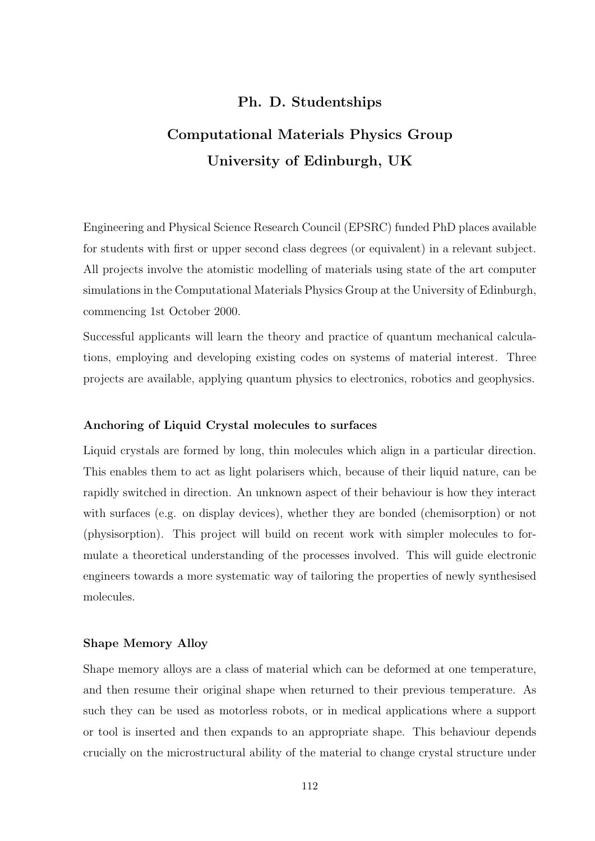### Ph. D. Studentships

### Computational Materials Physics Group University of Edinburgh, UK

Engineering and Physical Science Research Council (EPSRC) funded PhD places available for students with first or upper second class degrees (or equivalent) in a relevant subject. All projects involve the atomistic modelling of materials using state of the art computer simulations in the Computational Materials Physics Group at the University of Edinburgh, commencing 1st October 2000.

Successful applicants will learn the theory and practice of quantum mechanical calculations, employing and developing existing codes on systems of material interest. Three projects are available, applying quantum physics to electronics, robotics and geophysics.

### Anchoring of Liquid Crystal molecules to surfaces

Liquid crystals are formed by long, thin molecules which align in a particular direction. This enables them to act as light polarisers which, because of their liquid nature, can be rapidly switched in direction. An unknown aspect of their behaviour is how they interact with surfaces (e.g. on display devices), whether they are bonded (chemisorption) or not (physisorption). This project will build on recent work with simpler molecules to formulate a theoretical understanding of the processes involved. This will guide electronic engineers towards a more systematic way of tailoring the properties of newly synthesised molecules.

### Shape Memory Alloy

Shape memory alloys are a class of material which can be deformed at one temperature, and then resume their original shape when returned to their previous temperature. As such they can be used as motorless robots, or in medical applications where a support or tool is inserted and then expands to an appropriate shape. This behaviour depends crucially on the microstructural ability of the material to change crystal structure under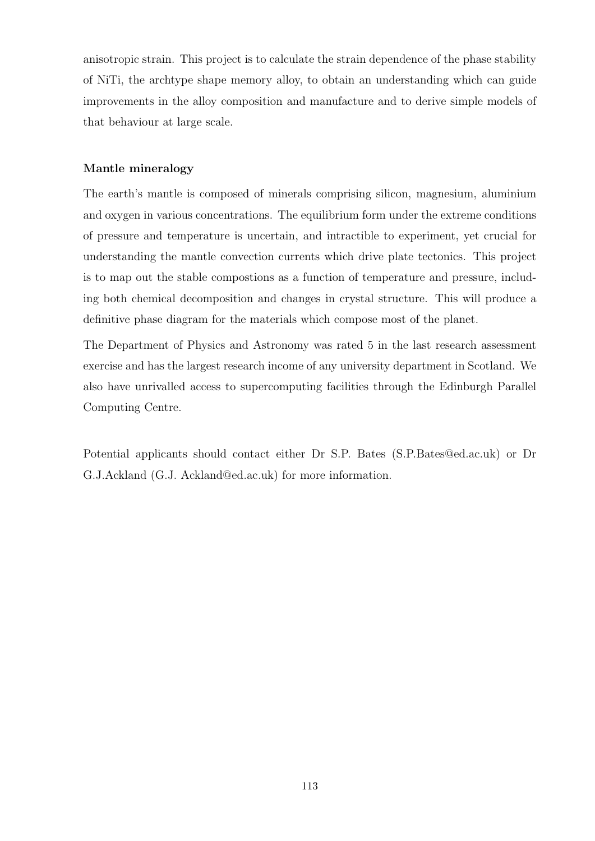anisotropic strain. This project is to calculate the strain dependence of the phase stability of NiTi, the archtype shape memory alloy, to obtain an understanding which can guide improvements in the alloy composition and manufacture and to derive simple models of that behaviour at large scale.

### Mantle mineralogy

The earth's mantle is composed of minerals comprising silicon, magnesium, aluminium and oxygen in various concentrations. The equilibrium form under the extreme conditions of pressure and temperature is uncertain, and intractible to experiment, yet crucial for understanding the mantle convection currents which drive plate tectonics. This project is to map out the stable compostions as a function of temperature and pressure, including both chemical decomposition and changes in crystal structure. This will produce a definitive phase diagram for the materials which compose most of the planet.

The Department of Physics and Astronomy was rated 5 in the last research assessment exercise and has the largest research income of any university department in Scotland. We also have unrivalled access to supercomputing facilities through the Edinburgh Parallel Computing Centre.

Potential applicants should contact either Dr S.P. Bates (S.P.Bates@ed.ac.uk) or Dr G.J.Ackland (G.J. Ackland@ed.ac.uk) for more information.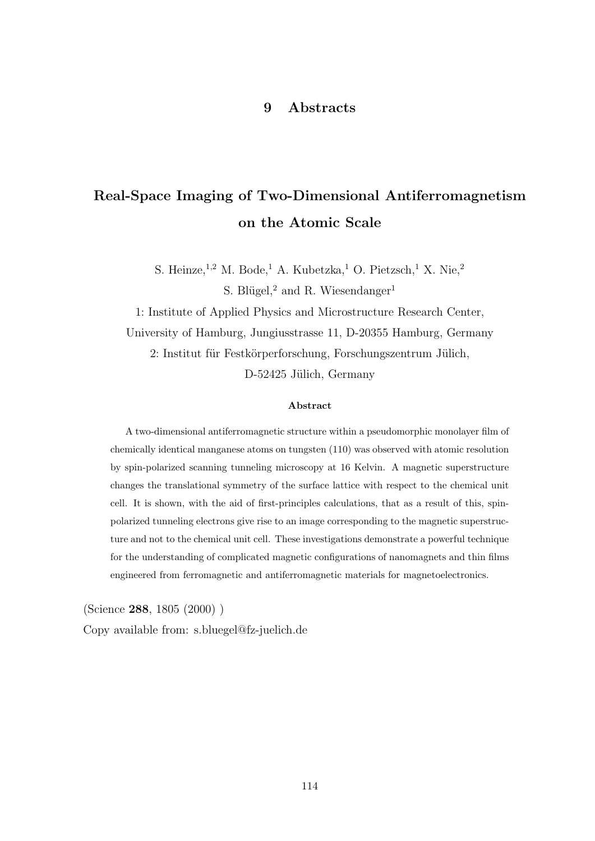### 9 Abstracts

### Real-Space Imaging of Two-Dimensional Antiferromagnetism on the Atomic Scale

S. Heinze, <sup>1,2</sup> M. Bode,<sup>1</sup> A. Kubetzka,<sup>1</sup> O. Pietzsch,<sup>1</sup> X. Nie,<sup>2</sup> S. Blügel,<sup>2</sup> and R. Wiesendanger<sup>1</sup>

1: Institute of Applied Physics and Microstructure Research Center, University of Hamburg, Jungiusstrasse 11, D-20355 Hamburg, Germany 2: Institut für Festkörperforschung, Forschungszentrum Jülich, D-52425 Jülich, Germany

#### Abstract

A two-dimensional antiferromagnetic structure within a pseudomorphic monolayer film of chemically identical manganese atoms on tungsten (110) was observed with atomic resolution by spin-polarized scanning tunneling microscopy at 16 Kelvin. A magnetic superstructure changes the translational symmetry of the surface lattice with respect to the chemical unit cell. It is shown, with the aid of first-principles calculations, that as a result of this, spinpolarized tunneling electrons give rise to an image corresponding to the magnetic superstructure and not to the chemical unit cell. These investigations demonstrate a powerful technique for the understanding of complicated magnetic configurations of nanomagnets and thin films engineered from ferromagnetic and antiferromagnetic materials for magnetoelectronics.

(Science 288, 1805 (2000) )

Copy available from: s.bluegel@fz-juelich.de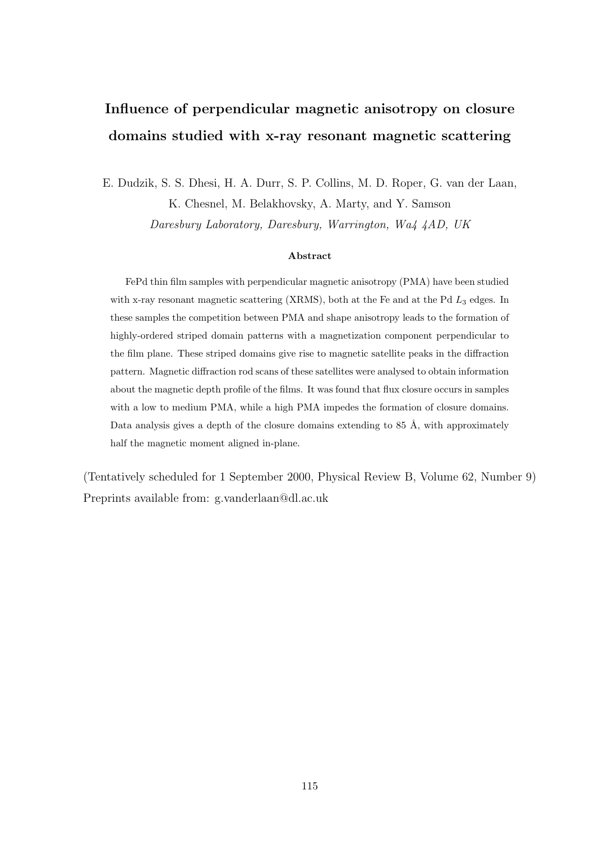## Influence of perpendicular magnetic anisotropy on closure domains studied with x-ray resonant magnetic scattering

E. Dudzik, S. S. Dhesi, H. A. Durr, S. P. Collins, M. D. Roper, G. van der Laan,

K. Chesnel, M. Belakhovsky, A. Marty, and Y. Samson

Daresbury Laboratory, Daresbury, Warrington, Wa4 4AD, UK

### Abstract

FePd thin film samples with perpendicular magnetic anisotropy (PMA) have been studied with x-ray resonant magnetic scattering (XRMS), both at the Fe and at the Pd  $L_3$  edges. In these samples the competition between PMA and shape anisotropy leads to the formation of highly-ordered striped domain patterns with a magnetization component perpendicular to the film plane. These striped domains give rise to magnetic satellite peaks in the diffraction pattern. Magnetic diffraction rod scans of these satellites were analysed to obtain information about the magnetic depth profile of the films. It was found that flux closure occurs in samples with a low to medium PMA, while a high PMA impedes the formation of closure domains. Data analysis gives a depth of the closure domains extending to  $85 \text{ Å}$ , with approximately half the magnetic moment aligned in-plane.

(Tentatively scheduled for 1 September 2000, Physical Review B, Volume 62, Number 9) Preprints available from: g.vanderlaan@dl.ac.uk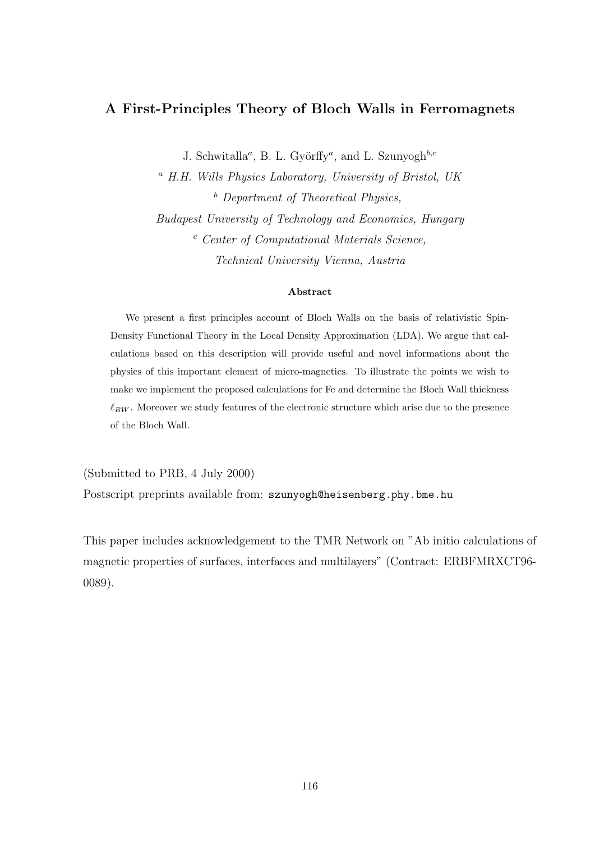### A First-Principles Theory of Bloch Walls in Ferromagnets

J. Schwitalla<sup>a</sup>, B. L. Györffy<sup>a</sup>, and L. Szunyogh<sup>b,c</sup>

<sup>a</sup> H.H. Wills Physics Laboratory, University of Bristol, UK  $<sup>b</sup>$  Department of Theoretical Physics,</sup> Budapest University of Technology and Economics, Hungary <sup>c</sup> Center of Computational Materials Science, Technical University Vienna, Austria

### Abstract

We present a first principles account of Bloch Walls on the basis of relativistic Spin-Density Functional Theory in the Local Density Approximation (LDA). We argue that calculations based on this description will provide useful and novel informations about the physics of this important element of micro-magnetics. To illustrate the points we wish to make we implement the proposed calculations for Fe and determine the Bloch Wall thickness  $\ell_{BW}$ . Moreover we study features of the electronic structure which arise due to the presence of the Bloch Wall.

(Submitted to PRB, 4 July 2000) Postscript preprints available from: szunyogh@heisenberg.phy.bme.hu

This paper includes acknowledgement to the TMR Network on "Ab initio calculations of magnetic properties of surfaces, interfaces and multilayers" (Contract: ERBFMRXCT96- 0089).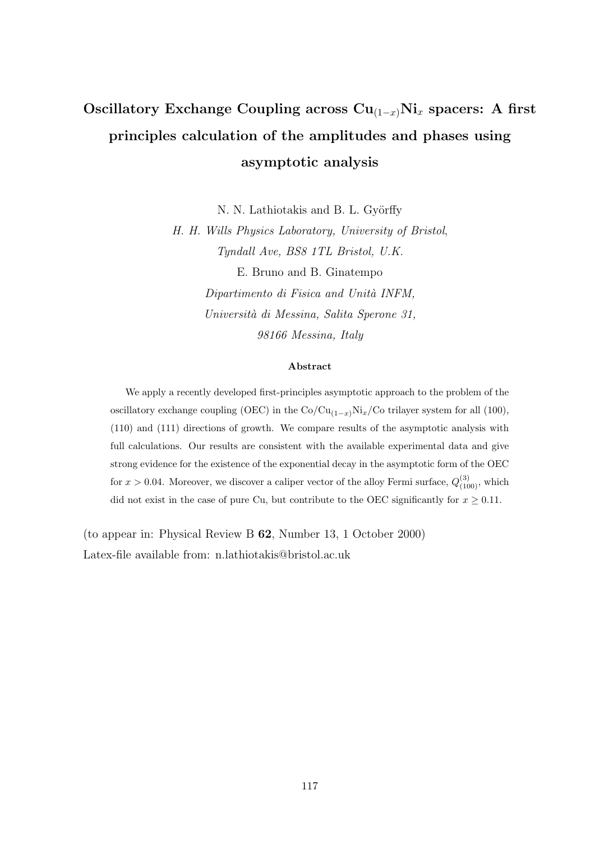## Oscillatory Exchange Coupling across  $Cu_{(1-x)}Ni_x$  spacers: A first principles calculation of the amplitudes and phases using asymptotic analysis

N. N. Lathiotakis and B. L. Györffy

H. H. Wills Physics Laboratory, University of Bristol, Tyndall Ave, BS8 1TL Bristol, U.K. E. Bruno and B. Ginatempo Dipartimento di Fisica and Unità INFM, Università di Messina, Salita Sperone 31, 98166 Messina, Italy

#### Abstract

We apply a recently developed first-principles asymptotic approach to the problem of the oscillatory exchange coupling (OEC) in the  $Co/Cu_{(1-x)}Ni_x/Co$  trilayer system for all (100), (110) and (111) directions of growth. We compare results of the asymptotic analysis with full calculations. Our results are consistent with the available experimental data and give strong evidence for the existence of the exponential decay in the asymptotic form of the OEC for  $x > 0.04$ . Moreover, we discover a caliper vector of the alloy Fermi surface,  $Q_{(100)}^{(3)}$ , which did not exist in the case of pure Cu, but contribute to the OEC significantly for  $x \geq 0.11$ .

(to appear in: Physical Review B 62, Number 13, 1 October 2000) Latex-file available from: n.lathiotakis@bristol.ac.uk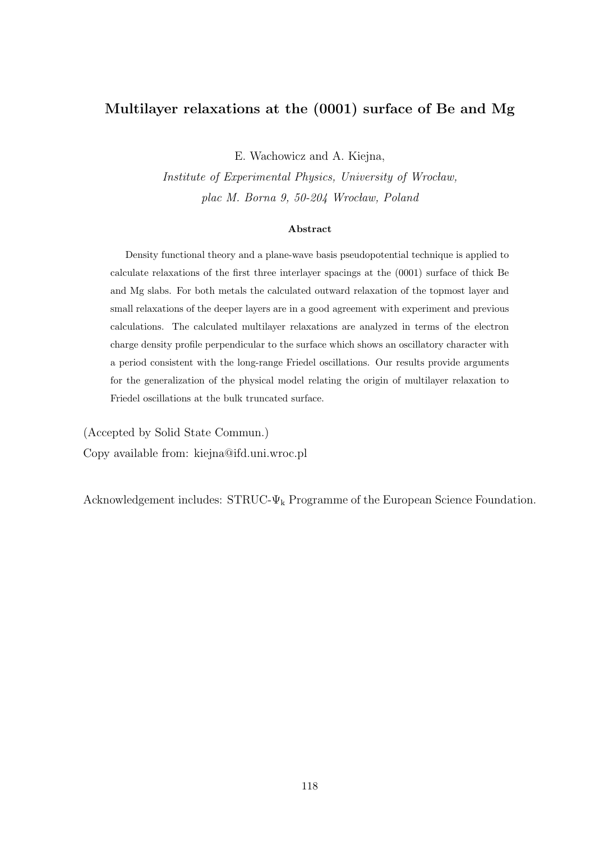### Multilayer relaxations at the (0001) surface of Be and Mg

E. Wachowicz and A. Kiejna,

Institute of Experimental Physics, University of Wrocław, plac M. Borna 9, 50-204 Wrocław, Poland

#### Abstract

Density functional theory and a plane-wave basis pseudopotential technique is applied to calculate relaxations of the first three interlayer spacings at the (0001) surface of thick Be and Mg slabs. For both metals the calculated outward relaxation of the topmost layer and small relaxations of the deeper layers are in a good agreement with experiment and previous calculations. The calculated multilayer relaxations are analyzed in terms of the electron charge density profile perpendicular to the surface which shows an oscillatory character with a period consistent with the long-range Friedel oscillations. Our results provide arguments for the generalization of the physical model relating the origin of multilayer relaxation to Friedel oscillations at the bulk truncated surface.

(Accepted by Solid State Commun.) Copy available from: kiejna@ifd.uni.wroc.pl

Acknowledgement includes:  $STRUC\text{-}\Psi_k$  Programme of the European Science Foundation.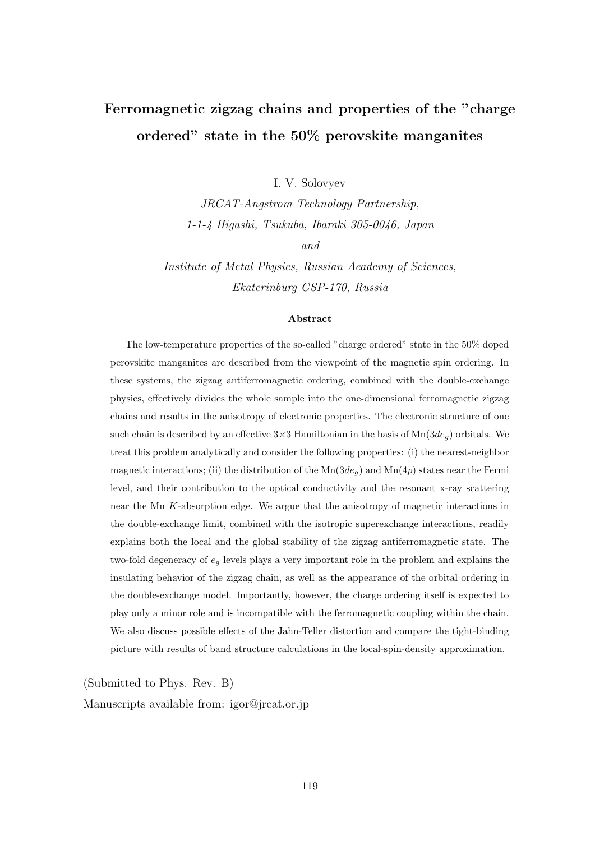## Ferromagnetic zigzag chains and properties of the "charge ordered" state in the 50% perovskite manganites

I. V. Solovyev

JRCAT-Angstrom Technology Partnership, 1-1-4 Higashi, Tsukuba, Ibaraki 305-0046, Japan and

Institute of Metal Physics, Russian Academy of Sciences, Ekaterinburg GSP-170, Russia

#### Abstract

The low-temperature properties of the so-called "charge ordered" state in the 50% doped perovskite manganites are described from the viewpoint of the magnetic spin ordering. In these systems, the zigzag antiferromagnetic ordering, combined with the double-exchange physics, effectively divides the whole sample into the one-dimensional ferromagnetic zigzag chains and results in the anisotropy of electronic properties. The electronic structure of one such chain is described by an effective  $3\times3$  Hamiltonian in the basis of  $\text{Mn}(3de_{\alpha})$  orbitals. We treat this problem analytically and consider the following properties: (i) the nearest-neighbor magnetic interactions; (ii) the distribution of the  $Mn(3de_q)$  and  $Mn(4p)$  states near the Fermi level, and their contribution to the optical conductivity and the resonant x-ray scattering near the Mn K-absorption edge. We argue that the anisotropy of magnetic interactions in the double-exchange limit, combined with the isotropic superexchange interactions, readily explains both the local and the global stability of the zigzag antiferromagnetic state. The two-fold degeneracy of  $e_g$  levels plays a very important role in the problem and explains the insulating behavior of the zigzag chain, as well as the appearance of the orbital ordering in the double-exchange model. Importantly, however, the charge ordering itself is expected to play only a minor role and is incompatible with the ferromagnetic coupling within the chain. We also discuss possible effects of the Jahn-Teller distortion and compare the tight-binding picture with results of band structure calculations in the local-spin-density approximation.

(Submitted to Phys. Rev. B)

Manuscripts available from: igor@jrcat.or.jp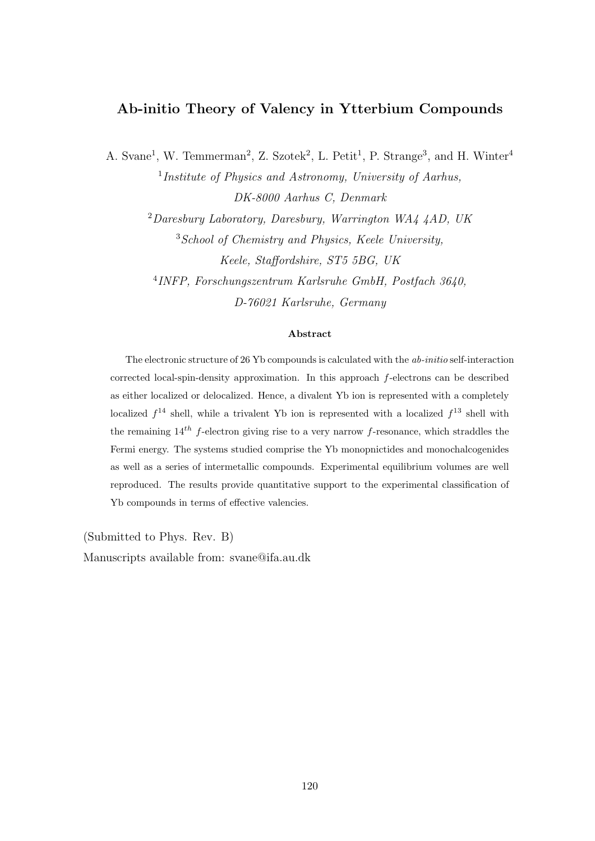### Ab-initio Theory of Valency in Ytterbium Compounds

A. Svane<sup>1</sup>, W. Temmerman<sup>2</sup>, Z. Szotek<sup>2</sup>, L. Petit<sup>1</sup>, P. Strange<sup>3</sup>, and H. Winter<sup>4</sup>

<sup>1</sup>Institute of Physics and Astronomy, University of Aarhus, DK-8000 Aarhus C, Denmark

 $^{2}Daresbury Laboratory$ , Daresbury, Warrington WA4 4AD, UK  $3$ School of Chemistry and Physics, Keele University, Keele, Staffordshire, ST5 5BG, UK

4 INFP, Forschungszentrum Karlsruhe GmbH, Postfach 3640, D-76021 Karlsruhe, Germany

### Abstract

The electronic structure of 26 Yb compounds is calculated with the ab-initio self-interaction corrected local-spin-density approximation. In this approach f-electrons can be described as either localized or delocalized. Hence, a divalent Yb ion is represented with a completely localized  $f^{14}$  shell, while a trivalent Yb ion is represented with a localized  $f^{13}$  shell with the remaining  $14^{th}$  f-electron giving rise to a very narrow f-resonance, which straddles the Fermi energy. The systems studied comprise the Yb monopnictides and monochalcogenides as well as a series of intermetallic compounds. Experimental equilibrium volumes are well reproduced. The results provide quantitative support to the experimental classification of Yb compounds in terms of effective valencies.

(Submitted to Phys. Rev. B)

Manuscripts available from: svane@ifa.au.dk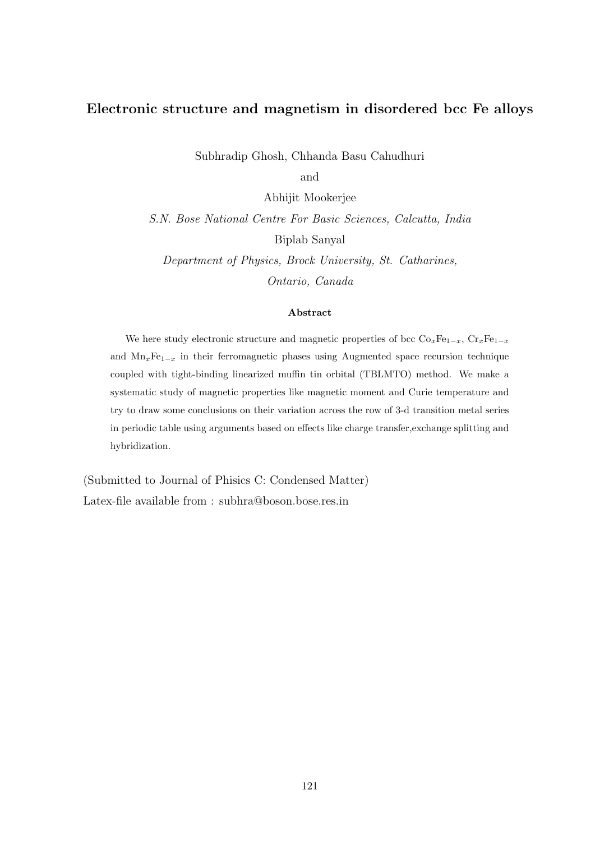### Electronic structure and magnetism in disordered bcc Fe alloys

Subhradip Ghosh, Chhanda Basu Cahudhuri

and

Abhijit Mookerjee

S.N. Bose National Centre For Basic Sciences, Calcutta, India Biplab Sanyal

Department of Physics, Brock University, St. Catharines, Ontario, Canada

#### Abstract

We here study electronic structure and magnetic properties of bcc  $Co_xFe_{1-x}$ ,  $Cr_xFe_{1-x}$ and  $Mn_xFe_{1-x}$  in their ferromagnetic phases using Augmented space recursion technique coupled with tight-binding linearized muffin tin orbital (TBLMTO) method. We make a systematic study of magnetic properties like magnetic moment and Curie temperature and try to draw some conclusions on their variation across the row of 3-d transition metal series in periodic table using arguments based on effects like charge transfer,exchange splitting and hybridization.

(Submitted to Journal of Phisics C: Condensed Matter) Latex-file available from : subhra@boson.bose.res.in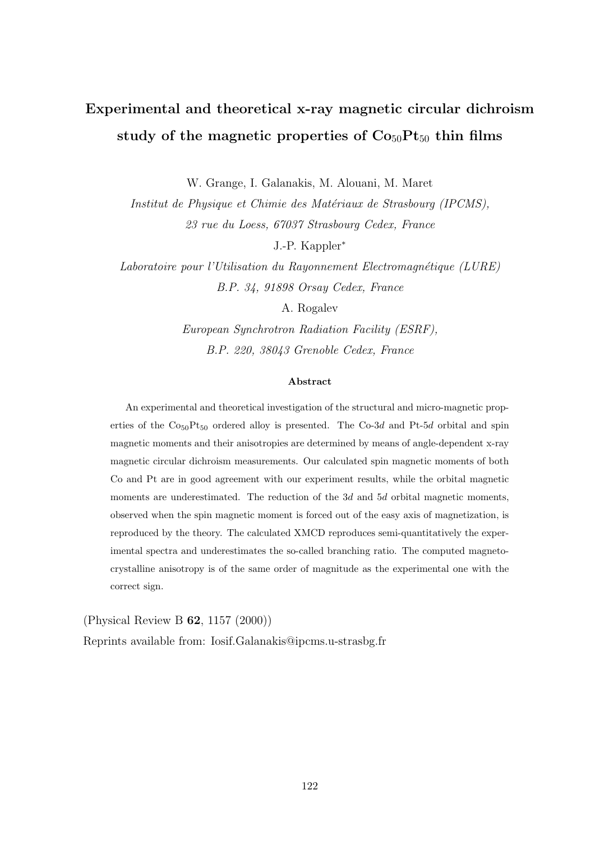## Experimental and theoretical x-ray magnetic circular dichroism study of the magnetic properties of  $Co<sub>50</sub>Pt<sub>50</sub>$  thin films

W. Grange, I. Galanakis, M. Alouani, M. Maret

Institut de Physique et Chimie des Matériaux de Strasbourg (IPCMS). 23 rue du Loess, 67037 Strasbourg Cedex, France

J.-P. Kappler<sup>∗</sup>

Laboratoire pour l'Utilisation du Rayonnement Electromagnétique (LURE) B.P. 34, 91898 Orsay Cedex, France

A. Rogalev

European Synchrotron Radiation Facility (ESRF), B.P. 220, 38043 Grenoble Cedex, France

### Abstract

An experimental and theoretical investigation of the structural and micro-magnetic properties of the  $Co_{50}Pt_{50}$  ordered alloy is presented. The  $Co-3d$  and Pt-5d orbital and spin magnetic moments and their anisotropies are determined by means of angle-dependent x-ray magnetic circular dichroism measurements. Our calculated spin magnetic moments of both Co and Pt are in good agreement with our experiment results, while the orbital magnetic moments are underestimated. The reduction of the 3d and 5d orbital magnetic moments, observed when the spin magnetic moment is forced out of the easy axis of magnetization, is reproduced by the theory. The calculated XMCD reproduces semi-quantitatively the experimental spectra and underestimates the so-called branching ratio. The computed magnetocrystalline anisotropy is of the same order of magnitude as the experimental one with the correct sign.

(Physical Review B 62, 1157 (2000))

Reprints available from: Iosif.Galanakis@ipcms.u-strasbg.fr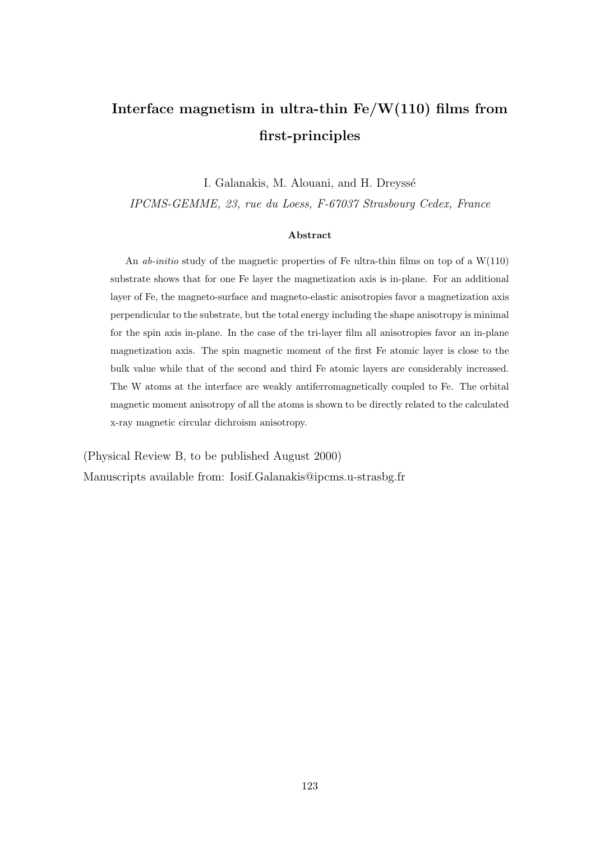## Interface magnetism in ultra-thin  $Fe/W(110)$  films from first-principles

I. Galanakis, M. Alouani, and H. Dreyssé

IPCMS-GEMME, 23, rue du Loess, F-67037 Strasbourg Cedex, France

#### Abstract

An *ab-initio* study of the magnetic properties of Fe ultra-thin films on top of a  $W(110)$ substrate shows that for one Fe layer the magnetization axis is in-plane. For an additional layer of Fe, the magneto-surface and magneto-elastic anisotropies favor a magnetization axis perpendicular to the substrate, but the total energy including the shape anisotropy is minimal for the spin axis in-plane. In the case of the tri-layer film all anisotropies favor an in-plane magnetization axis. The spin magnetic moment of the first Fe atomic layer is close to the bulk value while that of the second and third Fe atomic layers are considerably increased. The W atoms at the interface are weakly antiferromagnetically coupled to Fe. The orbital magnetic moment anisotropy of all the atoms is shown to be directly related to the calculated x-ray magnetic circular dichroism anisotropy.

(Physical Review B, to be published August 2000) Manuscripts available from: Iosif.Galanakis@ipcms.u-strasbg.fr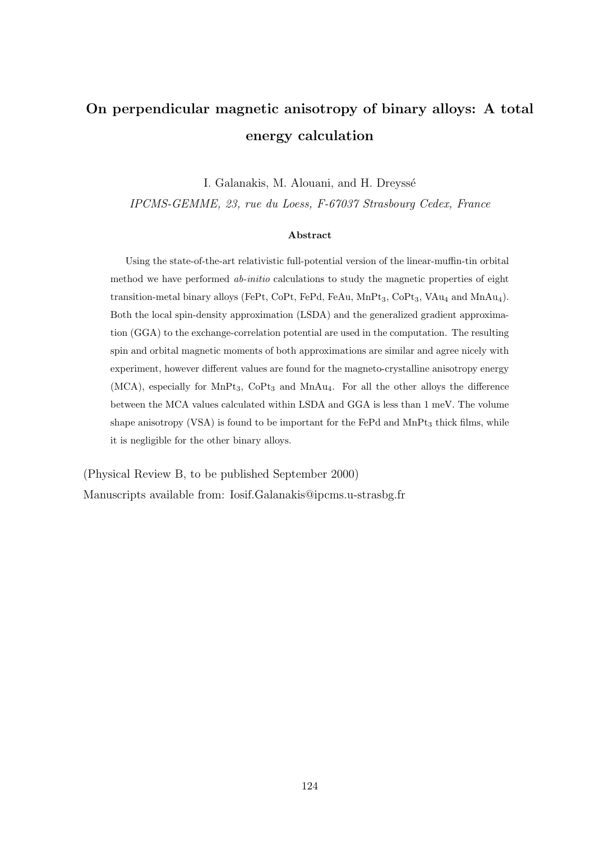## On perpendicular magnetic anisotropy of binary alloys: A total energy calculation

I. Galanakis, M. Alouani, and H. Dreyssé

IPCMS-GEMME, 23, rue du Loess, F-67037 Strasbourg Cedex, France

### Abstract

Using the state-of-the-art relativistic full-potential version of the linear-muffin-tin orbital method we have performed ab-initio calculations to study the magnetic properties of eight transition-metal binary alloys (FePt, CoPt, FePd, FeAu,  $MnPt_3$ ,  $CoPt_3$ ,  $VAu_4$  and  $MnAu_4$ ). Both the local spin-density approximation (LSDA) and the generalized gradient approximation (GGA) to the exchange-correlation potential are used in the computation. The resulting spin and orbital magnetic moments of both approximations are similar and agree nicely with experiment, however different values are found for the magneto-crystalline anisotropy energy (MCA), especially for  $MnPt_3$ ,  $CoPt_3$  and  $MnAu_4$ . For all the other alloys the difference between the MCA values calculated within LSDA and GGA is less than 1 meV. The volume shape anisotropy  $(VSA)$  is found to be important for the FePd and MnPt<sub>3</sub> thick films, while it is negligible for the other binary alloys.

(Physical Review B, to be published September 2000) Manuscripts available from: Iosif.Galanakis@ipcms.u-strasbg.fr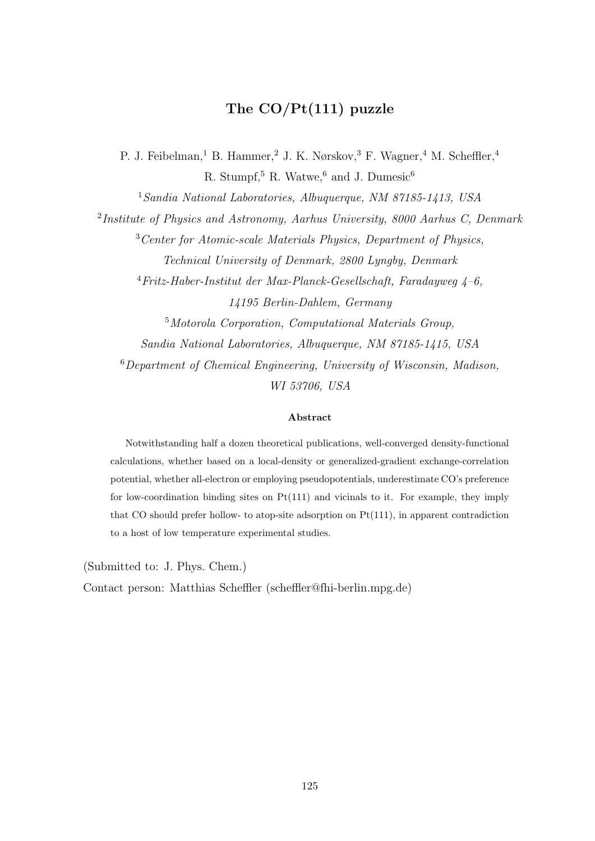### The CO/Pt(111) puzzle

P. J. Feibelman,<sup>1</sup> B. Hammer,<sup>2</sup> J. K. Nørskov,<sup>3</sup> F. Wagner,<sup>4</sup> M. Scheffler,<sup>4</sup> R. Stumpf,<sup>5</sup> R. Watwe,<sup>6</sup> and J. Dumesic<sup>6</sup>

<sup>1</sup>Sandia National Laboratories, Albuquerque, NM 87185-1413, USA

<sup>2</sup>Institute of Physics and Astronomy, Aarhus University, 8000 Aarhus C, Denmark

<sup>3</sup>Center for Atomic-scale Materials Physics, Department of Physics, Technical University of Denmark, 2800 Lyngby, Denmark

 $4$ Fritz-Haber-Institut der Max-Planck-Gesellschaft, Faradayweg  $4-6$ , 14195 Berlin-Dahlem, Germany

<sup>5</sup>Motorola Corporation, Computational Materials Group, Sandia National Laboratories, Albuquerque, NM 87185-1415, USA <sup>6</sup>Department of Chemical Engineering, University of Wisconsin, Madison, WI 53706, USA

#### Abstract

Notwithstanding half a dozen theoretical publications, well-converged density-functional calculations, whether based on a local-density or generalized-gradient exchange-correlation potential, whether all-electron or employing pseudopotentials, underestimate CO's preference for low-coordination binding sites on Pt(111) and vicinals to it. For example, they imply that CO should prefer hollow- to atop-site adsorption on  $Pt(111)$ , in apparent contradiction to a host of low temperature experimental studies.

(Submitted to: J. Phys. Chem.)

Contact person: Matthias Scheffler (scheffler@fhi-berlin.mpg.de)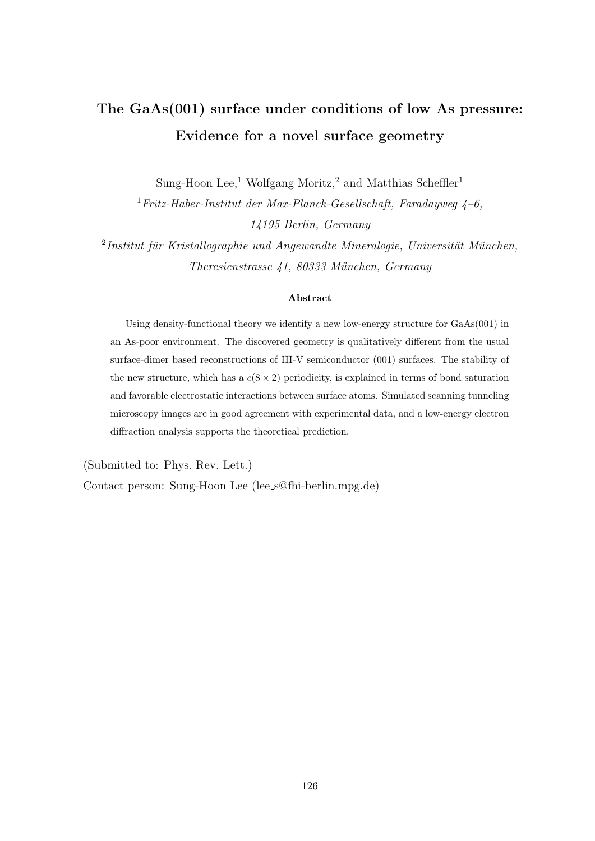## The GaAs(001) surface under conditions of low As pressure: Evidence for a novel surface geometry

Sung-Hoon Lee,<sup>1</sup> Wolfgang Moritz,<sup>2</sup> and Matthias Scheffler<sup>1</sup>

 $1$ Fritz-Haber-Institut der Max-Planck-Gesellschaft, Faradayweg  $\lambda$ -6, 14195 Berlin, Germany

 $2$ Institut für Kristallographie und Angewandte Mineralogie, Universität München, Theresienstrasse 41, 80333 München, Germany

### Abstract

Using density-functional theory we identify a new low-energy structure for GaAs(001) in an As-poor environment. The discovered geometry is qualitatively different from the usual surface-dimer based reconstructions of III-V semiconductor (001) surfaces. The stability of the new structure, which has a  $c(8 \times 2)$  periodicity, is explained in terms of bond saturation and favorable electrostatic interactions between surface atoms. Simulated scanning tunneling microscopy images are in good agreement with experimental data, and a low-energy electron diffraction analysis supports the theoretical prediction.

(Submitted to: Phys. Rev. Lett.)

Contact person: Sung-Hoon Lee (lee s@fhi-berlin.mpg.de)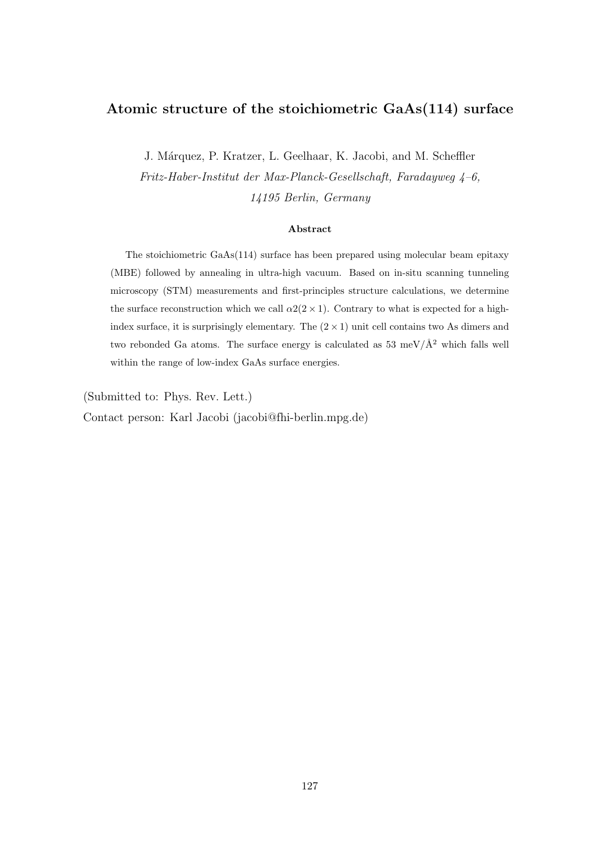### Atomic structure of the stoichiometric GaAs(114) surface

J. M´arquez, P. Kratzer, L. Geelhaar, K. Jacobi, and M. Scheffler Fritz-Haber-Institut der Max-Planck-Gesellschaft, Faradayweg  $4-6$ , 14195 Berlin, Germany

#### Abstract

The stoichiometric GaAs(114) surface has been prepared using molecular beam epitaxy (MBE) followed by annealing in ultra-high vacuum. Based on in-situ scanning tunneling microscopy (STM) measurements and first-principles structure calculations, we determine the surface reconstruction which we call  $\alpha$ 2(2 × 1). Contrary to what is expected for a highindex surface, it is surprisingly elementary. The  $(2 \times 1)$  unit cell contains two As dimers and two rebonded Ga atoms. The surface energy is calculated as 53 meV/ $\AA$ <sup>2</sup> which falls well within the range of low-index GaAs surface energies.

(Submitted to: Phys. Rev. Lett.)

Contact person: Karl Jacobi (jacobi@fhi-berlin.mpg.de)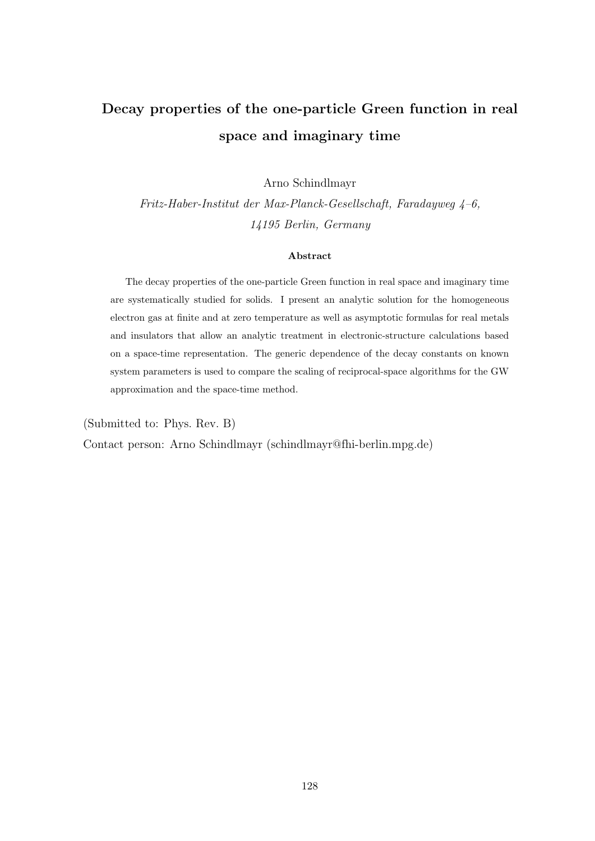## Decay properties of the one-particle Green function in real space and imaginary time

Arno Schindlmayr

Fritz-Haber-Institut der Max-Planck-Gesellschaft, Faradayweg  $4-6$ , 14195 Berlin, Germany

### Abstract

The decay properties of the one-particle Green function in real space and imaginary time are systematically studied for solids. I present an analytic solution for the homogeneous electron gas at finite and at zero temperature as well as asymptotic formulas for real metals and insulators that allow an analytic treatment in electronic-structure calculations based on a space-time representation. The generic dependence of the decay constants on known system parameters is used to compare the scaling of reciprocal-space algorithms for the GW approximation and the space-time method.

(Submitted to: Phys. Rev. B)

Contact person: Arno Schindlmayr (schindlmayr@fhi-berlin.mpg.de)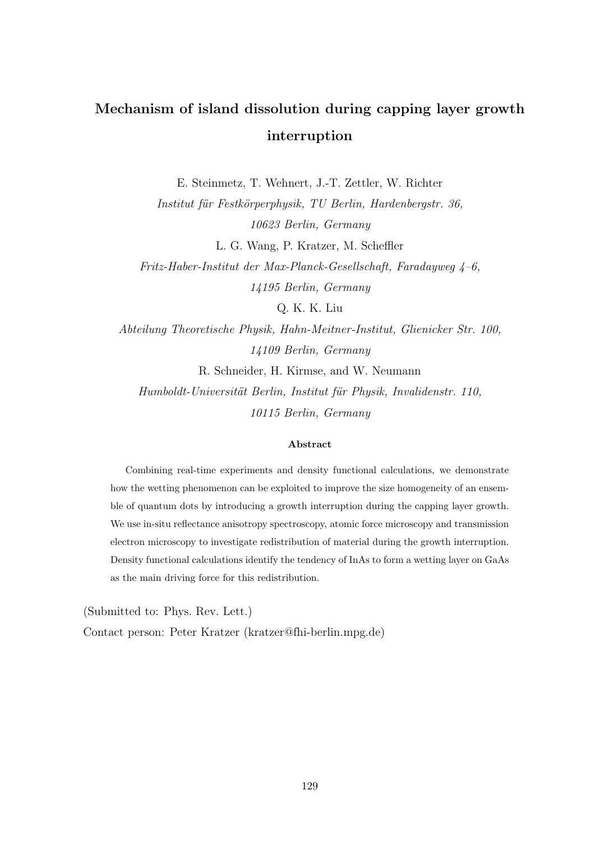## Mechanism of island dissolution during capping layer growth interruption

E. Steinmetz, T. Wehnert, J.-T. Zettler, W. Richter

Institut für Festkörperphysik, TU Berlin, Hardenbergstr. 36, 10623 Berlin, Germany

L. G. Wang, P. Kratzer, M. Scheffler

Fritz-Haber-Institut der Max-Planck-Gesellschaft, Faradayweg  $4-6$ , 14195 Berlin, Germany

Q. K. K. Liu

Abteilung Theoretische Physik, Hahn-Meitner-Institut, Glienicker Str. 100, 14109 Berlin, Germany R. Schneider, H. Kirmse, and W. Neumann

Humboldt-Universität Berlin, Institut für Physik, Invalidenstr. 110, 10115 Berlin, Germany

### Abstract

Combining real-time experiments and density functional calculations, we demonstrate how the wetting phenomenon can be exploited to improve the size homogeneity of an ensemble of quantum dots by introducing a growth interruption during the capping layer growth. We use in-situ reflectance anisotropy spectroscopy, atomic force microscopy and transmission electron microscopy to investigate redistribution of material during the growth interruption. Density functional calculations identify the tendency of InAs to form a wetting layer on GaAs as the main driving force for this redistribution.

(Submitted to: Phys. Rev. Lett.)

Contact person: Peter Kratzer (kratzer@fhi-berlin.mpg.de)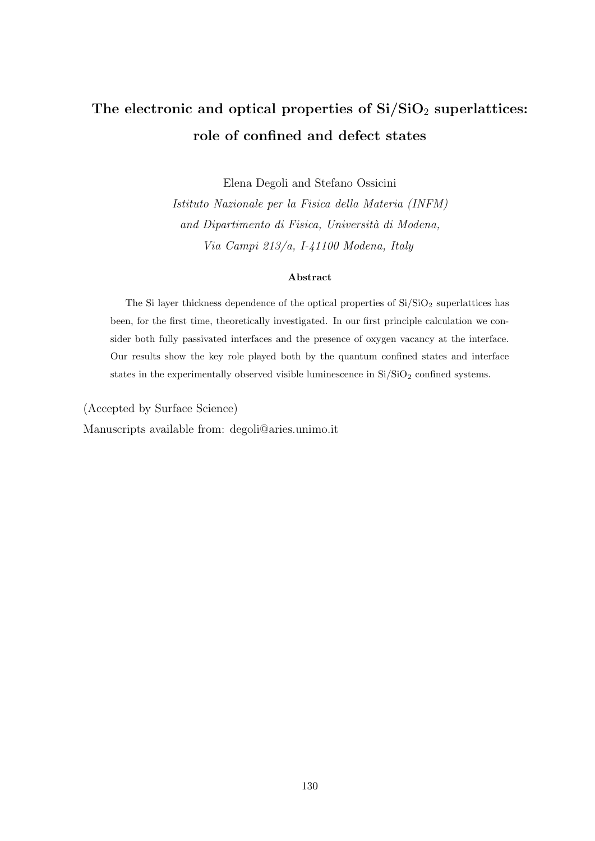## The electronic and optical properties of  $Si/SiO<sub>2</sub>$  superlattices: role of confined and defect states

Elena Degoli and Stefano Ossicini

Istituto Nazionale per la Fisica della Materia (INFM) and Dipartimento di Fisica, Università di Modena, Via Campi 213/a, I-41100 Modena, Italy

#### Abstract

The Si layer thickness dependence of the optical properties of  $Si/SiO<sub>2</sub>$  superlattices has been, for the first time, theoretically investigated. In our first principle calculation we consider both fully passivated interfaces and the presence of oxygen vacancy at the interface. Our results show the key role played both by the quantum confined states and interface states in the experimentally observed visible luminescence in  $\mathrm{Si}/\mathrm{SiO}_2$  confined systems.

(Accepted by Surface Science)

Manuscripts available from: degoli@aries.unimo.it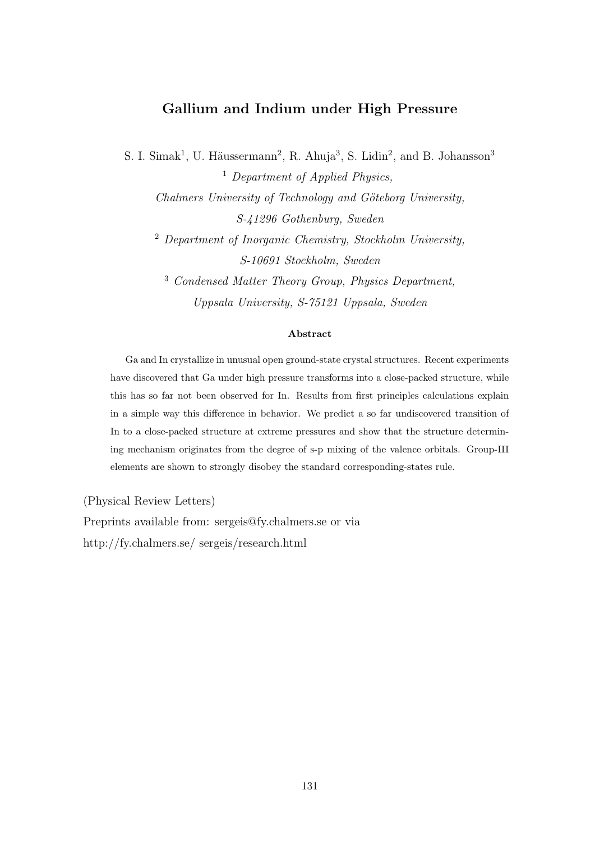### Gallium and Indium under High Pressure

S. I. Simak<sup>1</sup>, U. Häussermann<sup>2</sup>, R. Ahuja<sup>3</sup>, S. Lidin<sup>2</sup>, and B. Johansson<sup>3</sup> <sup>1</sup> Department of Applied Physics,

Chalmers University of Technology and Göteborg University, S-41296 Gothenburg, Sweden

<sup>2</sup> Department of Inorganic Chemistry, Stockholm University, S-10691 Stockholm, Sweden

<sup>3</sup> Condensed Matter Theory Group, Physics Department, Uppsala University, S-75121 Uppsala, Sweden

### Abstract

Ga and In crystallize in unusual open ground-state crystal structures. Recent experiments have discovered that Ga under high pressure transforms into a close-packed structure, while this has so far not been observed for In. Results from first principles calculations explain in a simple way this difference in behavior. We predict a so far undiscovered transition of In to a close-packed structure at extreme pressures and show that the structure determining mechanism originates from the degree of s-p mixing of the valence orbitals. Group-III elements are shown to strongly disobey the standard corresponding-states rule.

(Physical Review Letters)

Preprints available from: sergeis@fy.chalmers.se or via http://fy.chalmers.se/ sergeis/research.html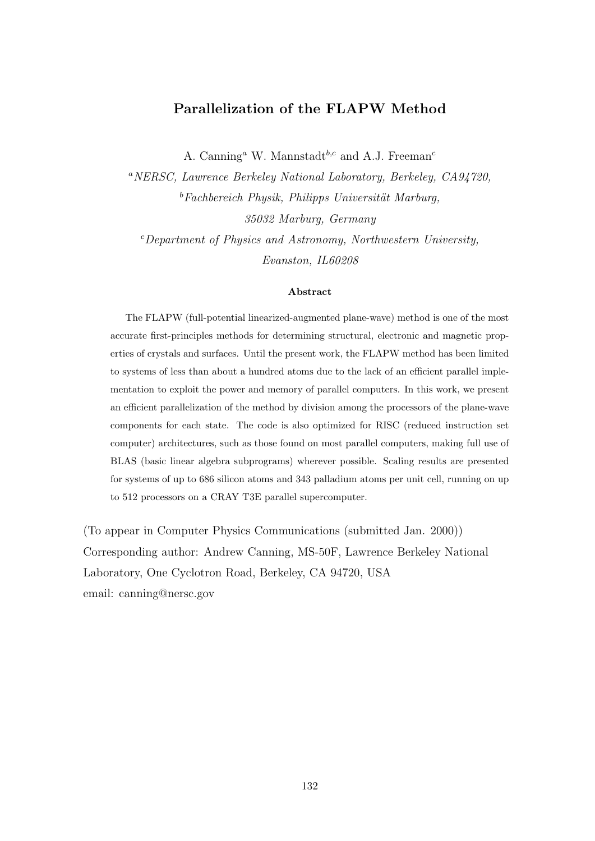### Parallelization of the FLAPW Method

A. Canning<sup>a</sup> W. Mannstadt<sup>b,c</sup> and A.J. Freeman<sup>c</sup>

<sup>a</sup>NERSC, Lawrence Berkeley National Laboratory, Berkeley, CA94720,  $b$ Fachbereich Physik, Philipps Universität Marburg, 35032 Marburg, Germany

 $c$ Department of Physics and Astronomy, Northwestern University, Evanston, IL60208

### Abstract

The FLAPW (full-potential linearized-augmented plane-wave) method is one of the most accurate first-principles methods for determining structural, electronic and magnetic properties of crystals and surfaces. Until the present work, the FLAPW method has been limited to systems of less than about a hundred atoms due to the lack of an efficient parallel implementation to exploit the power and memory of parallel computers. In this work, we present an efficient parallelization of the method by division among the processors of the plane-wave components for each state. The code is also optimized for RISC (reduced instruction set computer) architectures, such as those found on most parallel computers, making full use of BLAS (basic linear algebra subprograms) wherever possible. Scaling results are presented for systems of up to 686 silicon atoms and 343 palladium atoms per unit cell, running on up to 512 processors on a CRAY T3E parallel supercomputer.

(To appear in Computer Physics Communications (submitted Jan. 2000)) Corresponding author: Andrew Canning, MS-50F, Lawrence Berkeley National Laboratory, One Cyclotron Road, Berkeley, CA 94720, USA email: canning@nersc.gov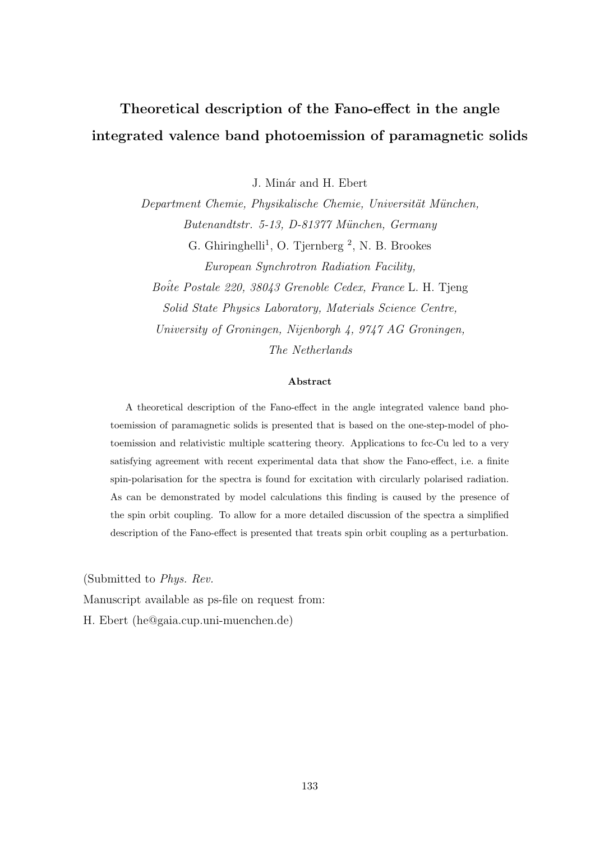## Theoretical description of the Fano-effect in the angle integrated valence band photoemission of paramagnetic solids

J. Minár and H. Ebert

Department Chemie, Physikalische Chemie, Universität München, Butenandtstr. 5-13, D-81377 M¨unchen, Germany G. Ghiringhelli<sup>1</sup>, O. Tjernberg<sup>2</sup>, N. B. Brookes European Synchrotron Radiation Facility, Boite Postale 220, 38043 Grenoble Cedex, France L. H. Tjeng Solid State Physics Laboratory, Materials Science Centre,

University of Groningen, Nijenborgh 4, 9747 AG Groningen, The Netherlands

### Abstract

A theoretical description of the Fano-effect in the angle integrated valence band photoemission of paramagnetic solids is presented that is based on the one-step-model of photoemission and relativistic multiple scattering theory. Applications to fcc-Cu led to a very satisfying agreement with recent experimental data that show the Fano-effect, i.e. a finite spin-polarisation for the spectra is found for excitation with circularly polarised radiation. As can be demonstrated by model calculations this finding is caused by the presence of the spin orbit coupling. To allow for a more detailed discussion of the spectra a simplified description of the Fano-effect is presented that treats spin orbit coupling as a perturbation.

(Submitted to Phys. Rev.

Manuscript available as ps-file on request from:

H. Ebert (he@gaia.cup.uni-muenchen.de)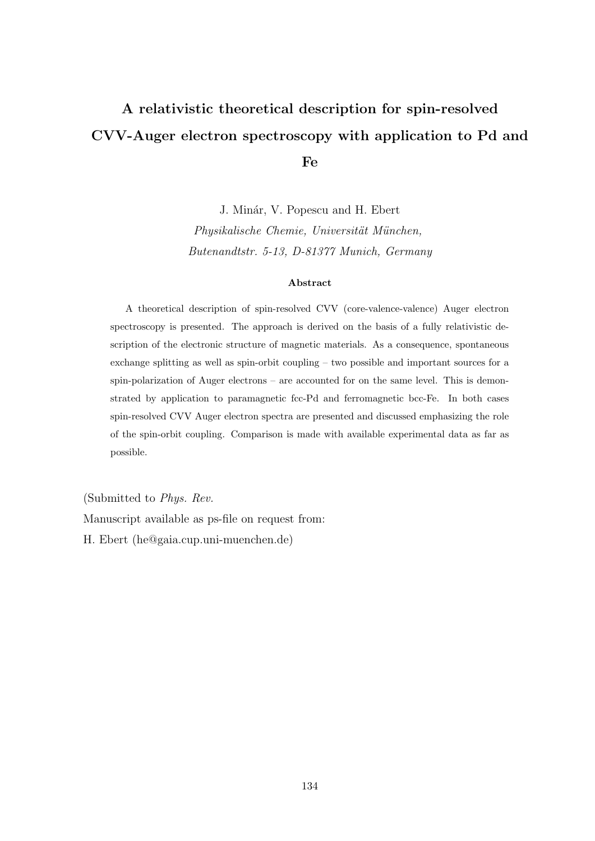## A relativistic theoretical description for spin-resolved CVV-Auger electron spectroscopy with application to Pd and Fe

J. Minár, V. Popescu and H. Ebert Physikalische Chemie, Universität München, Butenandtstr. 5-13, D-81377 Munich, Germany

#### Abstract

A theoretical description of spin-resolved CVV (core-valence-valence) Auger electron spectroscopy is presented. The approach is derived on the basis of a fully relativistic description of the electronic structure of magnetic materials. As a consequence, spontaneous exchange splitting as well as spin-orbit coupling – two possible and important sources for a spin-polarization of Auger electrons – are accounted for on the same level. This is demonstrated by application to paramagnetic fcc-Pd and ferromagnetic bcc-Fe. In both cases spin-resolved CVV Auger electron spectra are presented and discussed emphasizing the role of the spin-orbit coupling. Comparison is made with available experimental data as far as possible.

(Submitted to Phys. Rev.

Manuscript available as ps-file on request from:

H. Ebert (he@gaia.cup.uni-muenchen.de)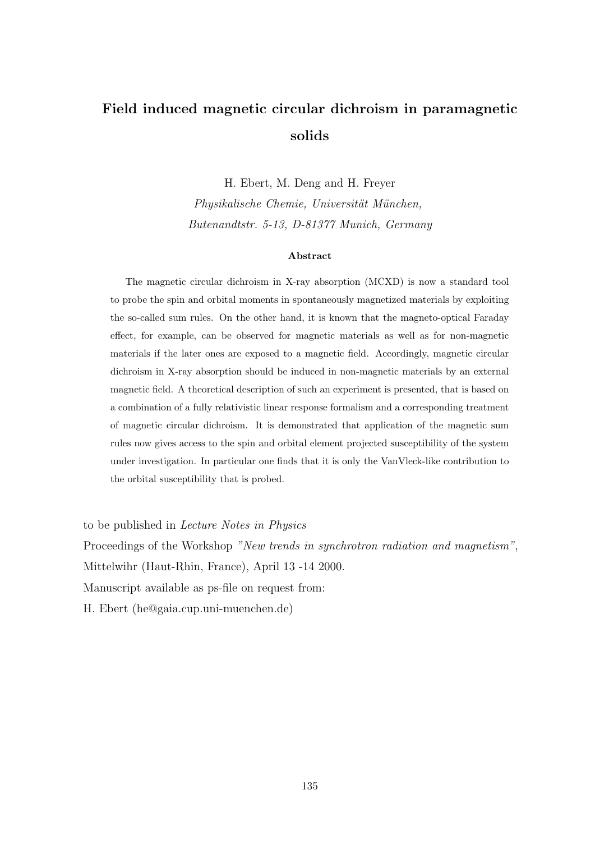### Field induced magnetic circular dichroism in paramagnetic solids

H. Ebert, M. Deng and H. Freyer Physikalische Chemie, Universität München, Butenandtstr. 5-13, D-81377 Munich, Germany

#### Abstract

The magnetic circular dichroism in X-ray absorption (MCXD) is now a standard tool to probe the spin and orbital moments in spontaneously magnetized materials by exploiting the so-called sum rules. On the other hand, it is known that the magneto-optical Faraday effect, for example, can be observed for magnetic materials as well as for non-magnetic materials if the later ones are exposed to a magnetic field. Accordingly, magnetic circular dichroism in X-ray absorption should be induced in non-magnetic materials by an external magnetic field. A theoretical description of such an experiment is presented, that is based on a combination of a fully relativistic linear response formalism and a corresponding treatment of magnetic circular dichroism. It is demonstrated that application of the magnetic sum rules now gives access to the spin and orbital element projected susceptibility of the system under investigation. In particular one finds that it is only the VanVleck-like contribution to the orbital susceptibility that is probed.

to be published in Lecture Notes in Physics

Proceedings of the Workshop "New trends in synchrotron radiation and magnetism",

Mittelwihr (Haut-Rhin, France), April 13 -14 2000.

Manuscript available as ps-file on request from:

H. Ebert (he@gaia.cup.uni-muenchen.de)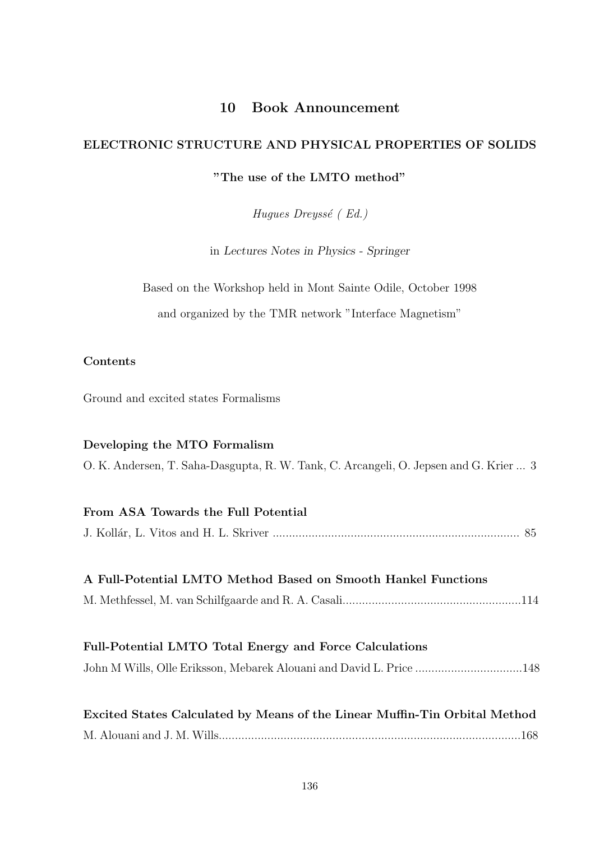### 10 Book Announcement

# ELECTRONIC STRUCTURE AND PHYSICAL PROPERTIES OF SOLIDS

### "The use of the LMTO method"

Hugues Dreyssé (Ed.)

in Lectures Notes in Physics - Springer

|  | Based on the Workshop held in Mont Sainte Odile, October 1998 |  |  |  |
|--|---------------------------------------------------------------|--|--|--|
|  | and organized by the TMR network "Interface Magnetism"        |  |  |  |

### Contents

Ground and excited states Formalisms

### Developing the MTO Formalism

O. K. Andersen, T. Saha-Dasgupta, R. W. Tank, C. Arcangeli, O. Jepsen and G. Krier ... 3

| From ASA Towards the Full Potential                                        |
|----------------------------------------------------------------------------|
|                                                                            |
|                                                                            |
| A Full-Potential LMTO Method Based on Smooth Hankel Functions              |
|                                                                            |
|                                                                            |
| Full-Potential LMTO Total Energy and Force Calculations                    |
| John M Wills, Olle Eriksson, Mebarek Alouani and David L. Price 148        |
|                                                                            |
| Excited States Calculated by Means of the Linear Muffin-Tin Orbital Method |
|                                                                            |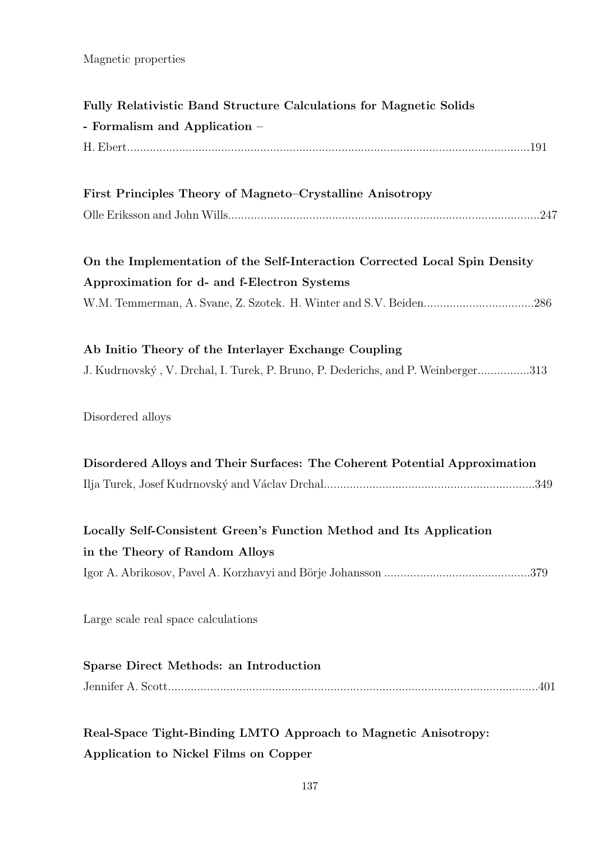Magnetic properties

| Fully Relativistic Band Structure Calculations for Magnetic Solids                                                        |  |  |  |  |  |  |  |
|---------------------------------------------------------------------------------------------------------------------------|--|--|--|--|--|--|--|
| - Formalism and Application -                                                                                             |  |  |  |  |  |  |  |
|                                                                                                                           |  |  |  |  |  |  |  |
| First Principles Theory of Magneto-Crystalline Anisotropy                                                                 |  |  |  |  |  |  |  |
|                                                                                                                           |  |  |  |  |  |  |  |
| On the Implementation of the Self-Interaction Corrected Local Spin Density<br>Approximation for d- and f-Electron Systems |  |  |  |  |  |  |  |
|                                                                                                                           |  |  |  |  |  |  |  |
| Ab Initio Theory of the Interlayer Exchange Coupling                                                                      |  |  |  |  |  |  |  |
| J. Kudrnovský, V. Drchal, I. Turek, P. Bruno, P. Dederichs, and P. Weinberger313                                          |  |  |  |  |  |  |  |
| Disordered alloys                                                                                                         |  |  |  |  |  |  |  |
| Disordered Alloys and Their Surfaces: The Coherent Potential Approximation                                                |  |  |  |  |  |  |  |
|                                                                                                                           |  |  |  |  |  |  |  |
| Locally Self-Consistent Green's Function Method and Its Application<br>in the Theory of Random Alloys                     |  |  |  |  |  |  |  |
|                                                                                                                           |  |  |  |  |  |  |  |
| Large scale real space calculations                                                                                       |  |  |  |  |  |  |  |
| Sparse Direct Methods: an Introduction                                                                                    |  |  |  |  |  |  |  |
|                                                                                                                           |  |  |  |  |  |  |  |
| Real-Space Tight-Binding LMTO Approach to Magnetic Anisotropy:                                                            |  |  |  |  |  |  |  |
| Application to Nickel Films on Copper                                                                                     |  |  |  |  |  |  |  |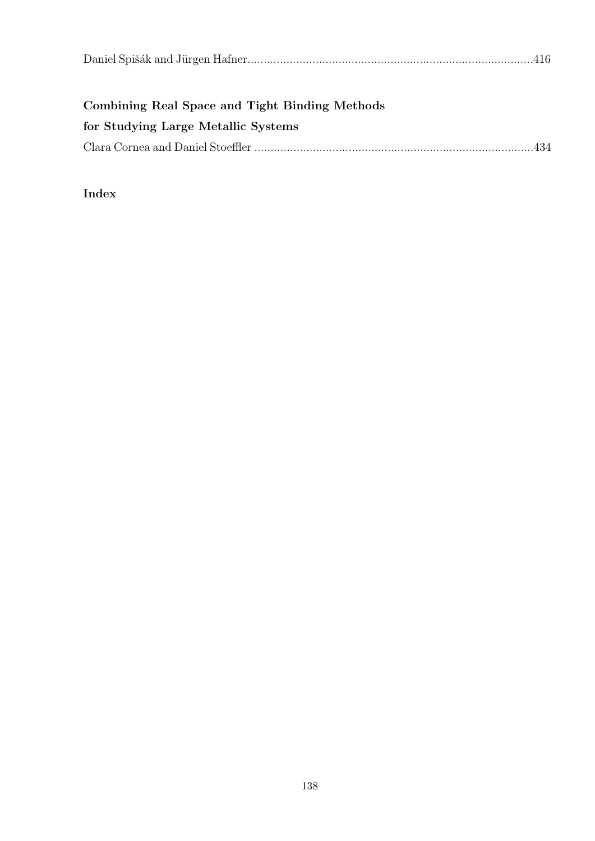| Combining Real Space and Tight Binding Methods |  |
|------------------------------------------------|--|
| for Studying Large Metallic Systems            |  |
|                                                |  |

### Index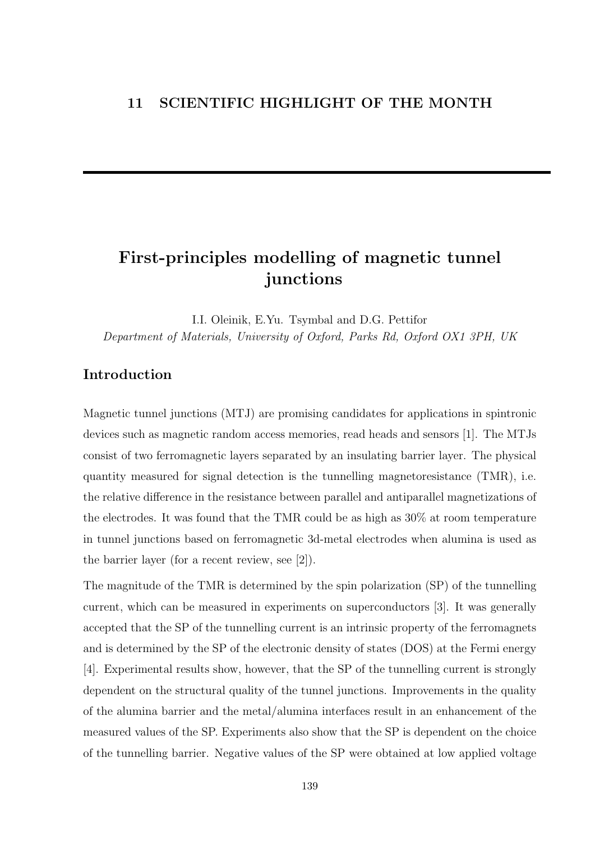### First-principles modelling of magnetic tunnel junctions

I.I. Oleinik, E.Yu. Tsymbal and D.G. Pettifor Department of Materials, University of Oxford, Parks Rd, Oxford OX1 3PH, UK

### Introduction

Magnetic tunnel junctions (MTJ) are promising candidates for applications in spintronic devices such as magnetic random access memories, read heads and sensors [1]. The MTJs consist of two ferromagnetic layers separated by an insulating barrier layer. The physical quantity measured for signal detection is the tunnelling magnetoresistance (TMR), i.e. the relative difference in the resistance between parallel and antiparallel magnetizations of the electrodes. It was found that the TMR could be as high as 30% at room temperature in tunnel junctions based on ferromagnetic 3d-metal electrodes when alumina is used as the barrier layer (for a recent review, see [2]).

The magnitude of the TMR is determined by the spin polarization (SP) of the tunnelling current, which can be measured in experiments on superconductors [3]. It was generally accepted that the SP of the tunnelling current is an intrinsic property of the ferromagnets and is determined by the SP of the electronic density of states (DOS) at the Fermi energy [4]. Experimental results show, however, that the SP of the tunnelling current is strongly dependent on the structural quality of the tunnel junctions. Improvements in the quality of the alumina barrier and the metal/alumina interfaces result in an enhancement of the measured values of the SP. Experiments also show that the SP is dependent on the choice of the tunnelling barrier. Negative values of the SP were obtained at low applied voltage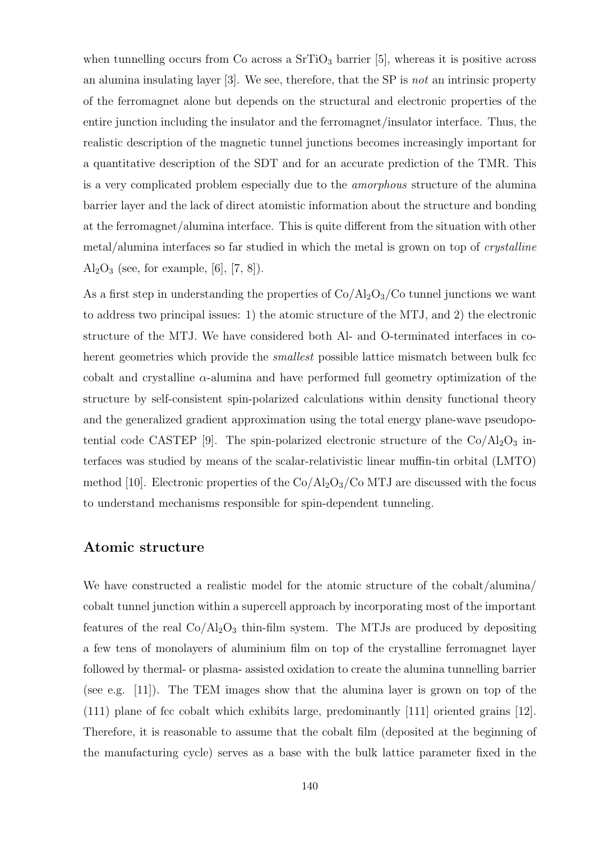when tunnelling occurs from Co across a  $SrTiO<sub>3</sub>$  barrier [5], whereas it is positive across an alumina insulating layer  $[3]$ . We see, therefore, that the SP is not an intrinsic property of the ferromagnet alone but depends on the structural and electronic properties of the entire junction including the insulator and the ferromagnet/insulator interface. Thus, the realistic description of the magnetic tunnel junctions becomes increasingly important for a quantitative description of the SDT and for an accurate prediction of the TMR. This is a very complicated problem especially due to the amorphous structure of the alumina barrier layer and the lack of direct atomistic information about the structure and bonding at the ferromagnet/alumina interface. This is quite different from the situation with other metal/alumina interfaces so far studied in which the metal is grown on top of crystalline  $Al_2O_3$  (see, for example, [6], [7, 8]).

As a first step in understanding the properties of  $Co/Al_2O_3/Co$  tunnel junctions we want to address two principal issues: 1) the atomic structure of the MTJ, and 2) the electronic structure of the MTJ. We have considered both Al- and O-terminated interfaces in coherent geometries which provide the *smallest* possible lattice mismatch between bulk fcc cobalt and crystalline  $\alpha$ -alumina and have performed full geometry optimization of the structure by self-consistent spin-polarized calculations within density functional theory and the generalized gradient approximation using the total energy plane-wave pseudopotential code CASTEP [9]. The spin-polarized electronic structure of the  $Co/Al_2O_3$  interfaces was studied by means of the scalar-relativistic linear muffin-tin orbital (LMTO) method [10]. Electronic properties of the  $Co/Al_2O_3/Co$  MTJ are discussed with the focus to understand mechanisms responsible for spin-dependent tunneling.

### Atomic structure

We have constructed a realistic model for the atomic structure of the cobalt/alumina/ cobalt tunnel junction within a supercell approach by incorporating most of the important features of the real  $Co/Al_2O_3$  thin-film system. The MTJs are produced by depositing a few tens of monolayers of aluminium film on top of the crystalline ferromagnet layer followed by thermal- or plasma- assisted oxidation to create the alumina tunnelling barrier (see e.g. [11]). The TEM images show that the alumina layer is grown on top of the (111) plane of fcc cobalt which exhibits large, predominantly [111] oriented grains [12]. Therefore, it is reasonable to assume that the cobalt film (deposited at the beginning of the manufacturing cycle) serves as a base with the bulk lattice parameter fixed in the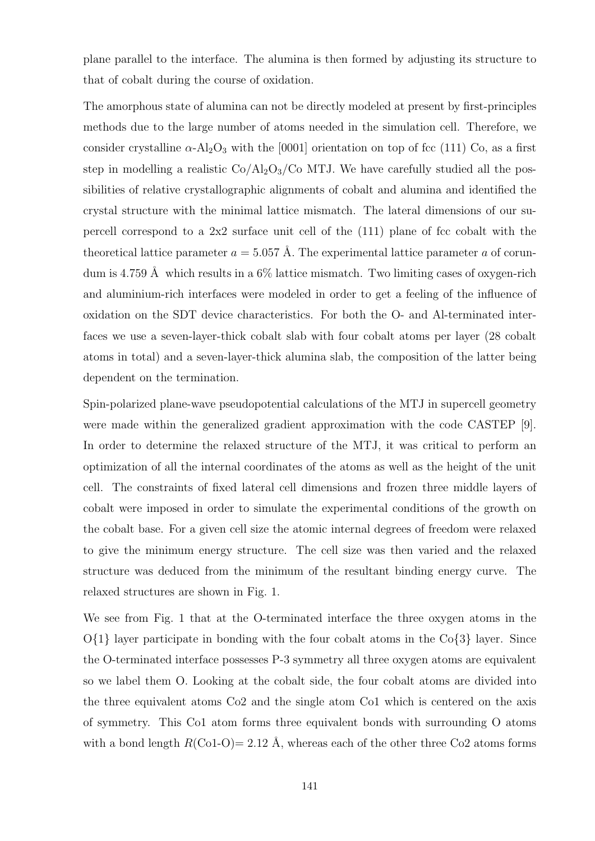plane parallel to the interface. The alumina is then formed by adjusting its structure to that of cobalt during the course of oxidation.

The amorphous state of alumina can not be directly modeled at present by first-principles methods due to the large number of atoms needed in the simulation cell. Therefore, we consider crystalline  $\alpha$ -Al<sub>2</sub>O<sub>3</sub> with the [0001] orientation on top of fcc (111) Co, as a first step in modelling a realistic  $Co/Al_2O_3/Co$  MTJ. We have carefully studied all the possibilities of relative crystallographic alignments of cobalt and alumina and identified the crystal structure with the minimal lattice mismatch. The lateral dimensions of our supercell correspond to a  $2x^2$  surface unit cell of the  $(111)$  plane of fcc cobalt with the theoretical lattice parameter  $a = 5.057$  Å. The experimental lattice parameter a of corundum is 4.759 Å which results in a  $6\%$  lattice mismatch. Two limiting cases of oxygen-rich and aluminium-rich interfaces were modeled in order to get a feeling of the influence of oxidation on the SDT device characteristics. For both the O- and Al-terminated interfaces we use a seven-layer-thick cobalt slab with four cobalt atoms per layer (28 cobalt atoms in total) and a seven-layer-thick alumina slab, the composition of the latter being dependent on the termination.

Spin-polarized plane-wave pseudopotential calculations of the MTJ in supercell geometry were made within the generalized gradient approximation with the code CASTEP [9]. In order to determine the relaxed structure of the MTJ, it was critical to perform an optimization of all the internal coordinates of the atoms as well as the height of the unit cell. The constraints of fixed lateral cell dimensions and frozen three middle layers of cobalt were imposed in order to simulate the experimental conditions of the growth on the cobalt base. For a given cell size the atomic internal degrees of freedom were relaxed to give the minimum energy structure. The cell size was then varied and the relaxed structure was deduced from the minimum of the resultant binding energy curve. The relaxed structures are shown in Fig. 1.

We see from Fig. 1 that at the O-terminated interface the three oxygen atoms in the  $O\{1\}$  layer participate in bonding with the four cobalt atoms in the  $Co\{3\}$  layer. Since the O-terminated interface possesses P-3 symmetry all three oxygen atoms are equivalent so we label them O. Looking at the cobalt side, the four cobalt atoms are divided into the three equivalent atoms Co2 and the single atom Co1 which is centered on the axis of symmetry. This Co1 atom forms three equivalent bonds with surrounding O atoms with a bond length  $R(\text{Co1-O})= 2.12 \text{ Å}$ , whereas each of the other three Co2 atoms forms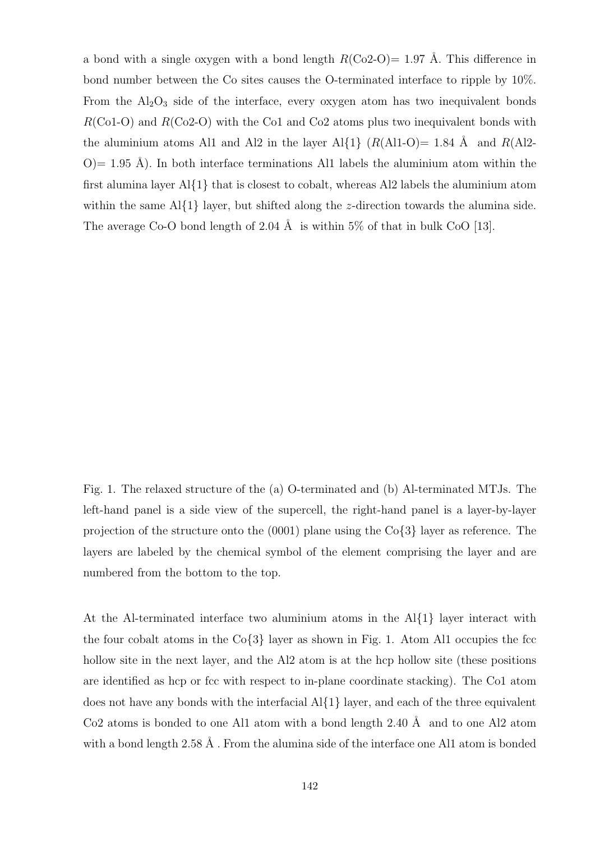a bond with a single oxygen with a bond length  $R(\text{Co2-O})= 1.97$  Å. This difference in bond number between the Co sites causes the O-terminated interface to ripple by 10%. From the  $Al_2O_3$  side of the interface, every oxygen atom has two inequivalent bonds  $R(C_01-O)$  and  $R(C_02-O)$  with the Co1 and Co2 atoms plus two inequivalent bonds with the aluminium atoms Al1 and Al2 in the layer Al{1}  $(R(A11-0)= 1.84 \text{ Å}$  and  $R(A12 O=1.95$  Å). In both interface terminations Al1 labels the aluminium atom within the first alumina layer  $A\{1\}$  that is closest to cobalt, whereas Al2 labels the aluminium atom within the same  $A\{1\}$  layer, but shifted along the *z*-direction towards the alumina side. The average Co-O bond length of 2.04 Å is within 5% of that in bulk CoO [13].

Fig. 1. The relaxed structure of the (a) O-terminated and (b) Al-terminated MTJs. The left-hand panel is a side view of the supercell, the right-hand panel is a layer-by-layer projection of the structure onto the  $(0001)$  plane using the  $Co\{3\}$  layer as reference. The layers are labeled by the chemical symbol of the element comprising the layer and are numbered from the bottom to the top.

At the Al-terminated interface two aluminium atoms in the Al{1} layer interact with the four cobalt atoms in the  $Co\{3\}$  layer as shown in Fig. 1. Atom Al1 occupies the fcc hollow site in the next layer, and the Al2 atom is at the hcp hollow site (these positions are identified as hcp or fcc with respect to in-plane coordinate stacking). The Co1 atom does not have any bonds with the interfacial  $A\{1\}$  layer, and each of the three equivalent Co2 atoms is bonded to one Al1 atom with a bond length  $2.40 \text{ Å}$  and to one Al2 atom with a bond length  $2.58 \text{ Å}$ . From the alumina side of the interface one Al1 atom is bonded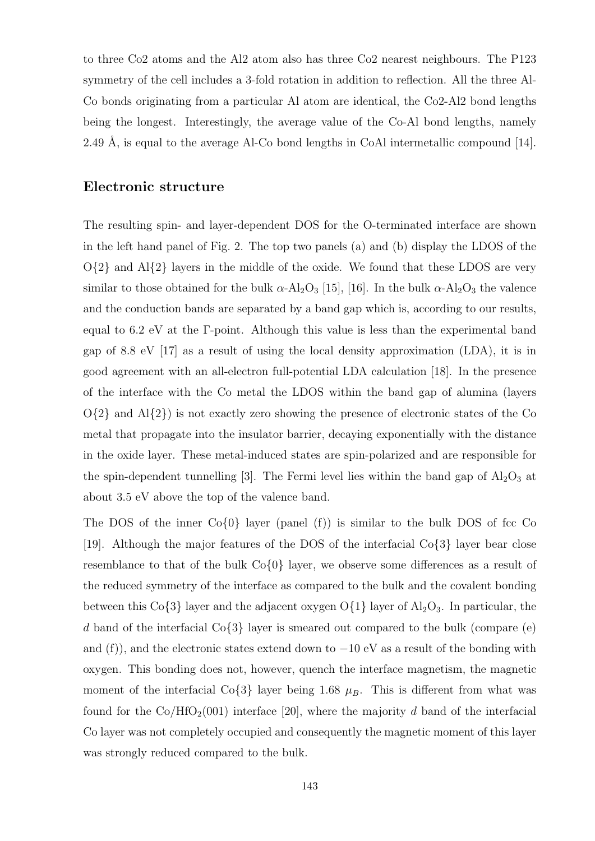to three Co2 atoms and the Al2 atom also has three Co2 nearest neighbours. The P123 symmetry of the cell includes a 3-fold rotation in addition to reflection. All the three Al-Co bonds originating from a particular Al atom are identical, the Co2-Al2 bond lengths being the longest. Interestingly, the average value of the Co-Al bond lengths, namely 2.49 Å, is equal to the average Al-Co bond lengths in CoAl intermetallic compound  $[14]$ .

### Electronic structure

The resulting spin- and layer-dependent DOS for the O-terminated interface are shown in the left hand panel of Fig. 2. The top two panels (a) and (b) display the LDOS of the  $O\{2\}$  and  $Al\{2\}$  layers in the middle of the oxide. We found that these LDOS are very similar to those obtained for the bulk  $\alpha$ -Al<sub>2</sub>O<sub>3</sub> [15], [16]. In the bulk  $\alpha$ -Al<sub>2</sub>O<sub>3</sub> the valence and the conduction bands are separated by a band gap which is, according to our results, equal to 6.2 eV at the Γ-point. Although this value is less than the experimental band gap of 8.8 eV [17] as a result of using the local density approximation (LDA), it is in good agreement with an all-electron full-potential LDA calculation [18]. In the presence of the interface with the Co metal the LDOS within the band gap of alumina (layers  $O(2)$  and  $Al(2)$  is not exactly zero showing the presence of electronic states of the Co metal that propagate into the insulator barrier, decaying exponentially with the distance in the oxide layer. These metal-induced states are spin-polarized and are responsible for the spin-dependent tunnelling [3]. The Fermi level lies within the band gap of  $\text{Al}_2\text{O}_3$  at about 3.5 eV above the top of the valence band.

The DOS of the inner  $Co\{0\}$  layer (panel (f)) is similar to the bulk DOS of fcc Co [19]. Although the major features of the DOS of the interfacial  $Co\{3\}$  layer bear close resemblance to that of the bulk  $Co\{0\}$  layer, we observe some differences as a result of the reduced symmetry of the interface as compared to the bulk and the covalent bonding between this Co $\{3\}$  layer and the adjacent oxygen O $\{1\}$  layer of Al<sub>2</sub>O<sub>3</sub>. In particular, the d band of the interfacial  $\text{Co}\lbrace 3\rbrace$  layer is smeared out compared to the bulk (compare (e) and (f)), and the electronic states extend down to  $-10$  eV as a result of the bonding with oxygen. This bonding does not, however, quench the interface magnetism, the magnetic moment of the interfacial Co $\{3\}$  layer being 1.68  $\mu_B$ . This is different from what was found for the  $Co/HfO<sub>2</sub>(001)$  interface [20], where the majority d band of the interfacial Co layer was not completely occupied and consequently the magnetic moment of this layer was strongly reduced compared to the bulk.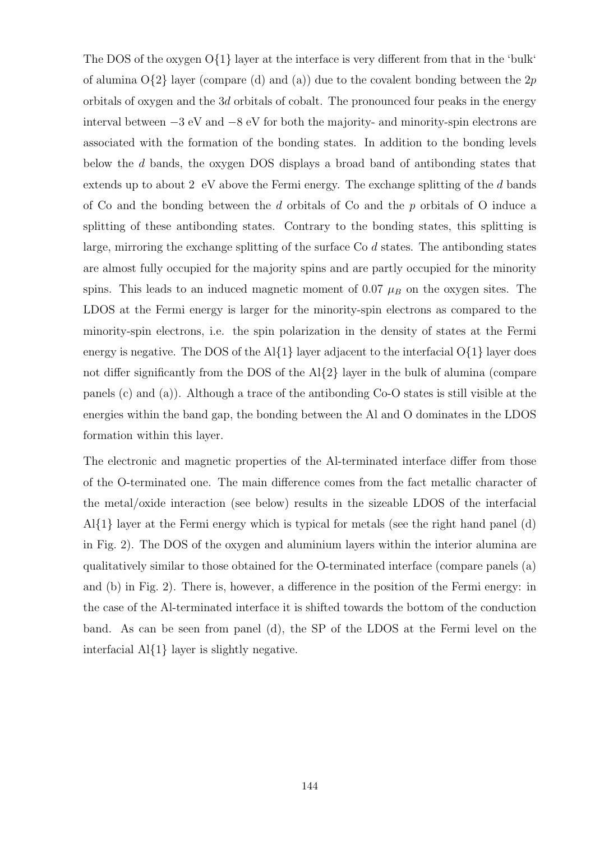The DOS of the oxygen  $O\{1\}$  layer at the interface is very different from that in the 'bulk' of alumina  $O\{2\}$  layer (compare (d) and (a)) due to the covalent bonding between the 2p orbitals of oxygen and the 3d orbitals of cobalt. The pronounced four peaks in the energy interval between −3 eV and −8 eV for both the majority- and minority-spin electrons are associated with the formation of the bonding states. In addition to the bonding levels below the d bands, the oxygen DOS displays a broad band of antibonding states that extends up to about 2 eV above the Fermi energy. The exchange splitting of the  $d$  bands of Co and the bonding between the d orbitals of Co and the p orbitals of O induce a splitting of these antibonding states. Contrary to the bonding states, this splitting is large, mirroring the exchange splitting of the surface Co d states. The antibonding states are almost fully occupied for the majority spins and are partly occupied for the minority spins. This leads to an induced magnetic moment of 0.07  $\mu_B$  on the oxygen sites. The LDOS at the Fermi energy is larger for the minority-spin electrons as compared to the minority-spin electrons, i.e. the spin polarization in the density of states at the Fermi energy is negative. The DOS of the Al $\{1\}$  layer adjacent to the interfacial  $O\{1\}$  layer does not differ significantly from the DOS of the Al $\{2\}$  layer in the bulk of alumina (compare panels (c) and (a)). Although a trace of the antibonding Co-O states is still visible at the energies within the band gap, the bonding between the Al and O dominates in the LDOS formation within this layer.

The electronic and magnetic properties of the Al-terminated interface differ from those of the O-terminated one. The main difference comes from the fact metallic character of the metal/oxide interaction (see below) results in the sizeable LDOS of the interfacial  $A\{1\}$  layer at the Fermi energy which is typical for metals (see the right hand panel (d) in Fig. 2). The DOS of the oxygen and aluminium layers within the interior alumina are qualitatively similar to those obtained for the O-terminated interface (compare panels (a) and (b) in Fig. 2). There is, however, a difference in the position of the Fermi energy: in the case of the Al-terminated interface it is shifted towards the bottom of the conduction band. As can be seen from panel (d), the SP of the LDOS at the Fermi level on the interfacial Al{1} layer is slightly negative.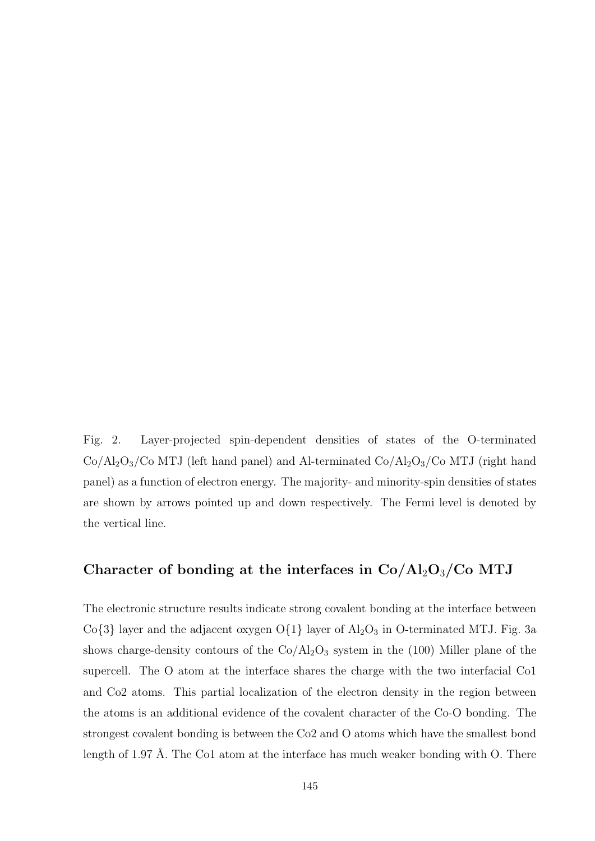Fig. 2. Layer-projected spin-dependent densities of states of the O-terminated  $Co/Al_2O_3/Co$  MTJ (left hand panel) and Al-terminated  $Co/Al_2O_3/Co$  MTJ (right hand panel) as a function of electron energy. The majority- and minority-spin densities of states are shown by arrows pointed up and down respectively. The Fermi level is denoted by the vertical line.

## Character of bonding at the interfaces in  $Co/Al_2O_3/Co$  MTJ

The electronic structure results indicate strong covalent bonding at the interface between Co $\{3\}$  layer and the adjacent oxygen O $\{1\}$  layer of  $\mathrm{Al}_2\mathrm{O}_3$  in O-terminated MTJ. Fig. 3a shows charge-density contours of the  $Co/Al_2O_3$  system in the (100) Miller plane of the supercell. The O atom at the interface shares the charge with the two interfacial Co1 and Co2 atoms. This partial localization of the electron density in the region between the atoms is an additional evidence of the covalent character of the Co-O bonding. The strongest covalent bonding is between the Co2 and O atoms which have the smallest bond length of 1.97 Å. The Co1 atom at the interface has much weaker bonding with O. There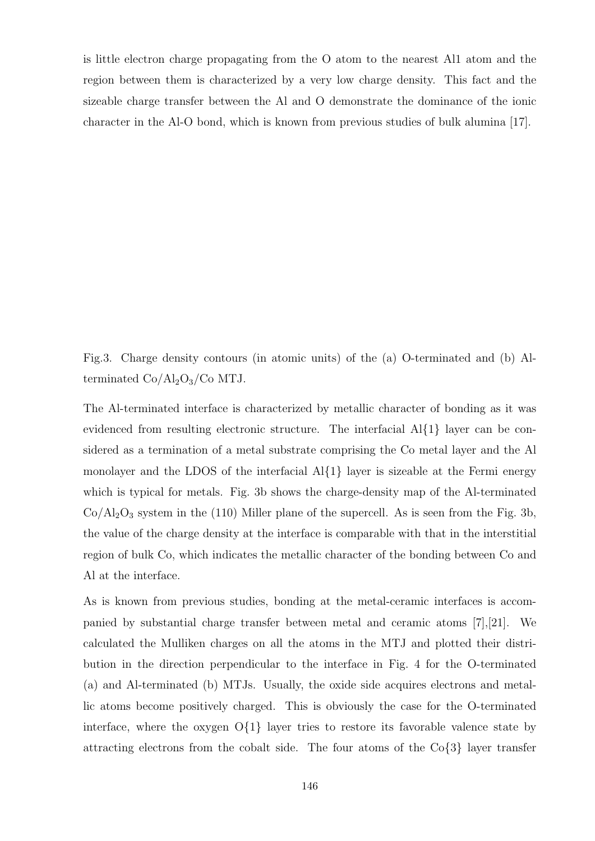is little electron charge propagating from the O atom to the nearest Al1 atom and the region between them is characterized by a very low charge density. This fact and the sizeable charge transfer between the Al and O demonstrate the dominance of the ionic character in the Al-O bond, which is known from previous studies of bulk alumina [17].

Fig.3. Charge density contours (in atomic units) of the (a) O-terminated and (b) Alterminated  $Co/Al_2O_3/Co$  MTJ.

The Al-terminated interface is characterized by metallic character of bonding as it was evidenced from resulting electronic structure. The interfacial Al{1} layer can be considered as a termination of a metal substrate comprising the Co metal layer and the Al monolayer and the LDOS of the interfacial  $A\{1\}$  layer is sizeable at the Fermi energy which is typical for metals. Fig. 3b shows the charge-density map of the Al-terminated  $Co/Al<sub>2</sub>O<sub>3</sub>$  system in the (110) Miller plane of the supercell. As is seen from the Fig. 3b, the value of the charge density at the interface is comparable with that in the interstitial region of bulk Co, which indicates the metallic character of the bonding between Co and Al at the interface.

As is known from previous studies, bonding at the metal-ceramic interfaces is accompanied by substantial charge transfer between metal and ceramic atoms [7],[21]. We calculated the Mulliken charges on all the atoms in the MTJ and plotted their distribution in the direction perpendicular to the interface in Fig. 4 for the O-terminated (a) and Al-terminated (b) MTJs. Usually, the oxide side acquires electrons and metallic atoms become positively charged. This is obviously the case for the O-terminated interface, where the oxygen  $O\{1\}$  layer tries to restore its favorable valence state by attracting electrons from the cobalt side. The four atoms of the  $\text{Co}\lbrace 3\rbrace$  layer transfer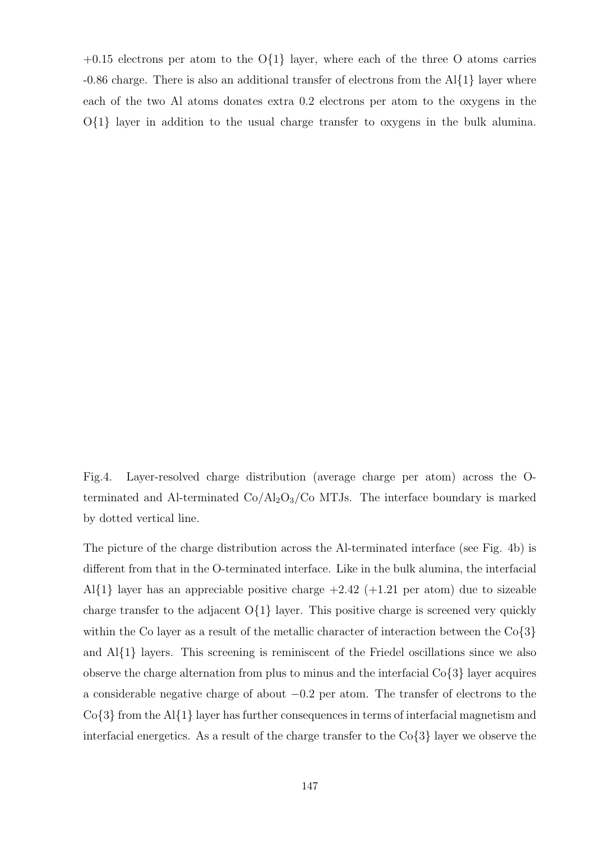$+0.15$  electrons per atom to the O $\{1\}$  layer, where each of the three O atoms carries -0.86 charge. There is also an additional transfer of electrons from the Al{1} layer where each of the two Al atoms donates extra 0.2 electrons per atom to the oxygens in the  $O\{1\}$  layer in addition to the usual charge transfer to oxygens in the bulk alumina.

Fig.4. Layer-resolved charge distribution (average charge per atom) across the Oterminated and Al-terminated  $Co/Al_2O_3/Co$  MTJs. The interface boundary is marked by dotted vertical line.

The picture of the charge distribution across the Al-terminated interface (see Fig. 4b) is different from that in the O-terminated interface. Like in the bulk alumina, the interfacial Al{1} layer has an appreciable positive charge  $+2.42$  ( $+1.21$  per atom) due to sizeable charge transfer to the adjacent  $O\{1\}$  layer. This positive charge is screened very quickly within the Co layer as a result of the metallic character of interaction between the Co $\{3\}$ and  $A\{1\}$  layers. This screening is reminiscent of the Friedel oscillations since we also observe the charge alternation from plus to minus and the interfacial  $\text{Co}\lbrace 3\rbrace$  layer acquires a considerable negative charge of about −0.2 per atom. The transfer of electrons to the Co{3} from the Al{1} layer has further consequences in terms of interfacial magnetism and interfacial energetics. As a result of the charge transfer to the  $\text{Co}\lbrace 3\rbrace$  layer we observe the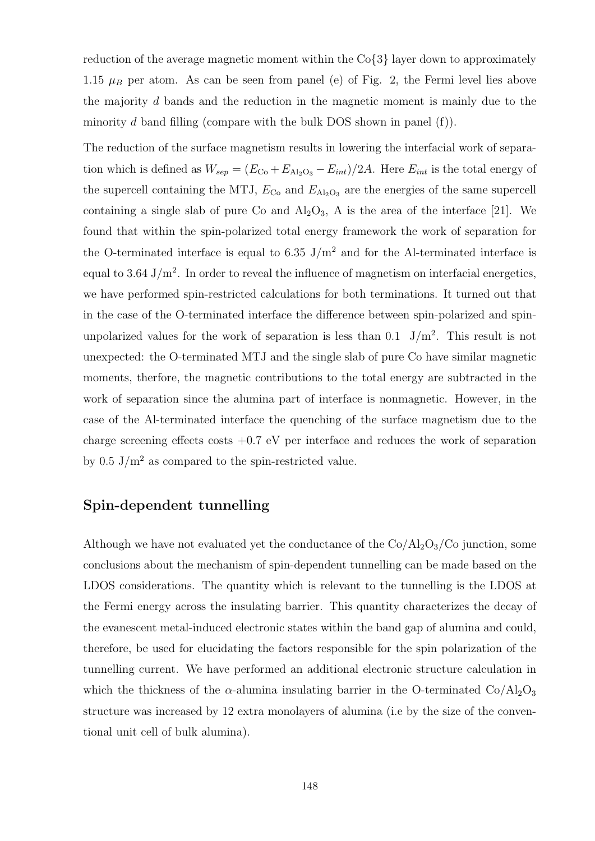reduction of the average magnetic moment within the Co{3} layer down to approximately 1.15  $\mu$ B per atom. As can be seen from panel (e) of Fig. 2, the Fermi level lies above the majority d bands and the reduction in the magnetic moment is mainly due to the minority d band filling (compare with the bulk DOS shown in panel  $(f)$ ).

The reduction of the surface magnetism results in lowering the interfacial work of separation which is defined as  $W_{sep} = (E_{Co} + E_{Al_2O_3} - E_{int})/2A$ . Here  $E_{int}$  is the total energy of the supercell containing the MTJ,  $E_{\text{Co}}$  and  $E_{\text{Al}_2\text{O}_3}$  are the energies of the same supercell containing a single slab of pure Co and  $\text{Al}_2\text{O}_3$ , A is the area of the interface [21]. We found that within the spin-polarized total energy framework the work of separation for the O-terminated interface is equal to 6.35 J/m<sup>2</sup> and for the Al-terminated interface is equal to 3.64  $J/m^2$ . In order to reveal the influence of magnetism on interfacial energetics, we have performed spin-restricted calculations for both terminations. It turned out that in the case of the O-terminated interface the difference between spin-polarized and spinunpolarized values for the work of separation is less than  $0.1$  J/m<sup>2</sup>. This result is not unexpected: the O-terminated MTJ and the single slab of pure Co have similar magnetic moments, therfore, the magnetic contributions to the total energy are subtracted in the work of separation since the alumina part of interface is nonmagnetic. However, in the case of the Al-terminated interface the quenching of the surface magnetism due to the charge screening effects costs  $+0.7$  eV per interface and reduces the work of separation by  $0.5 \text{ J/m}^2$  as compared to the spin-restricted value.

## Spin-dependent tunnelling

Although we have not evaluated yet the conductance of the  $Co/Al_2O_3/Co$  junction, some conclusions about the mechanism of spin-dependent tunnelling can be made based on the LDOS considerations. The quantity which is relevant to the tunnelling is the LDOS at the Fermi energy across the insulating barrier. This quantity characterizes the decay of the evanescent metal-induced electronic states within the band gap of alumina and could, therefore, be used for elucidating the factors responsible for the spin polarization of the tunnelling current. We have performed an additional electronic structure calculation in which the thickness of the  $\alpha$ -alumina insulating barrier in the O-terminated Co/Al<sub>2</sub>O<sub>3</sub> structure was increased by 12 extra monolayers of alumina (i.e by the size of the conventional unit cell of bulk alumina).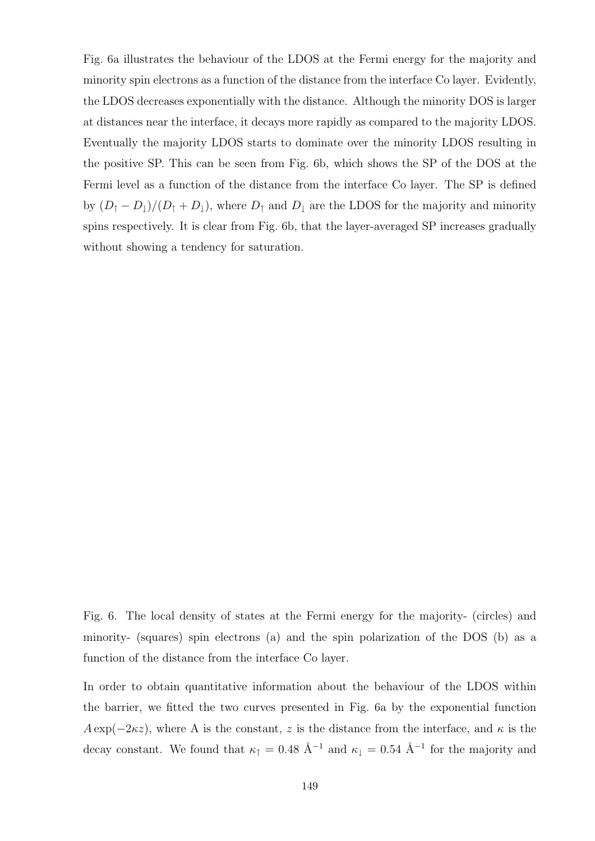Fig. 6a illustrates the behaviour of the LDOS at the Fermi energy for the majority and minority spin electrons as a function of the distance from the interface Co layer. Evidently, the LDOS decreases exponentially with the distance. Although the minority DOS is larger at distances near the interface, it decays more rapidly as compared to the majority LDOS. Eventually the majority LDOS starts to dominate over the minority LDOS resulting in the positive SP. This can be seen from Fig. 6b, which shows the SP of the DOS at the Fermi level as a function of the distance from the interface Co layer. The SP is defined by  $(D_{\uparrow} - D_{\downarrow})/(D_{\uparrow} + D_{\downarrow})$ , where  $D_{\uparrow}$  and  $D_{\downarrow}$  are the LDOS for the majority and minority spins respectively. It is clear from Fig. 6b, that the layer-averaged SP increases gradually without showing a tendency for saturation.

Fig. 6. The local density of states at the Fermi energy for the majority- (circles) and minority- (squares) spin electrons (a) and the spin polarization of the DOS (b) as a function of the distance from the interface Co layer.

In order to obtain quantitative information about the behaviour of the LDOS within the barrier, we fitted the two curves presented in Fig. 6a by the exponential function  $A \exp(-2\kappa z)$ , where A is the constant, z is the distance from the interface, and  $\kappa$  is the decay constant. We found that  $\kappa_{\uparrow} = 0.48 \text{ Å}^{-1}$  and  $\kappa_{\downarrow} = 0.54 \text{ Å}^{-1}$  for the majority and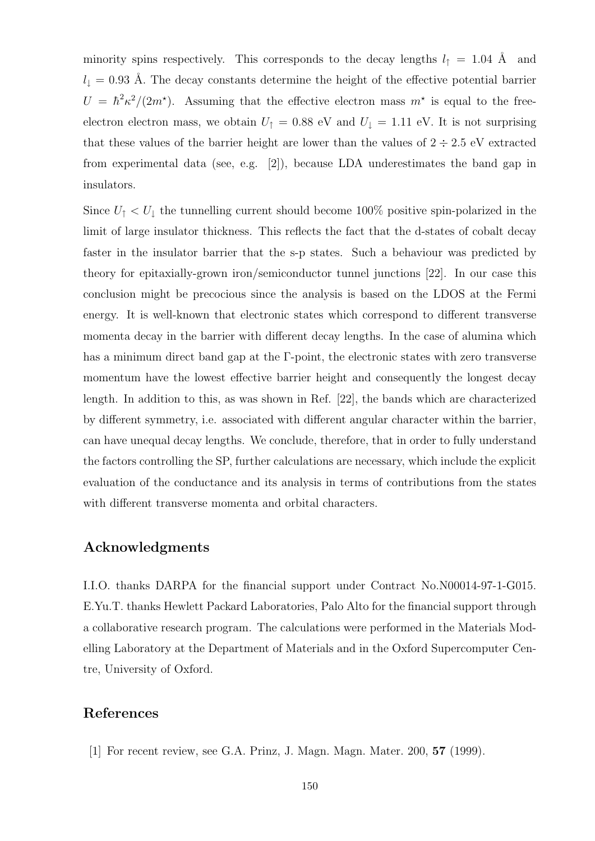minority spins respectively. This corresponds to the decay lengths  $l_{\uparrow} = 1.04$  Å and  $l_{\perp} = 0.93$  Å. The decay constants determine the height of the effective potential barrier  $U = \hbar^2 \kappa^2/(2m^*)$ . Assuming that the effective electron mass  $m^*$  is equal to the freeelectron electron mass, we obtain  $U_{\uparrow} = 0.88$  eV and  $U_{\downarrow} = 1.11$  eV. It is not surprising that these values of the barrier height are lower than the values of  $2 \div 2.5$  eV extracted from experimental data (see, e.g. [2]), because LDA underestimates the band gap in insulators.

Since  $U_{\uparrow} < U_{\downarrow}$  the tunnelling current should become 100% positive spin-polarized in the limit of large insulator thickness. This reflects the fact that the d-states of cobalt decay faster in the insulator barrier that the s-p states. Such a behaviour was predicted by theory for epitaxially-grown iron/semiconductor tunnel junctions [22]. In our case this conclusion might be precocious since the analysis is based on the LDOS at the Fermi energy. It is well-known that electronic states which correspond to different transverse momenta decay in the barrier with different decay lengths. In the case of alumina which has a minimum direct band gap at the Γ-point, the electronic states with zero transverse momentum have the lowest effective barrier height and consequently the longest decay length. In addition to this, as was shown in Ref. [22], the bands which are characterized by different symmetry, i.e. associated with different angular character within the barrier, can have unequal decay lengths. We conclude, therefore, that in order to fully understand the factors controlling the SP, further calculations are necessary, which include the explicit evaluation of the conductance and its analysis in terms of contributions from the states with different transverse momenta and orbital characters.

## Acknowledgments

I.I.O. thanks DARPA for the financial support under Contract No.N00014-97-1-G015. E.Yu.T. thanks Hewlett Packard Laboratories, Palo Alto for the financial support through a collaborative research program. The calculations were performed in the Materials Modelling Laboratory at the Department of Materials and in the Oxford Supercomputer Centre, University of Oxford.

## References

[1] For recent review, see G.A. Prinz, J. Magn. Magn. Mater. 200, 57 (1999).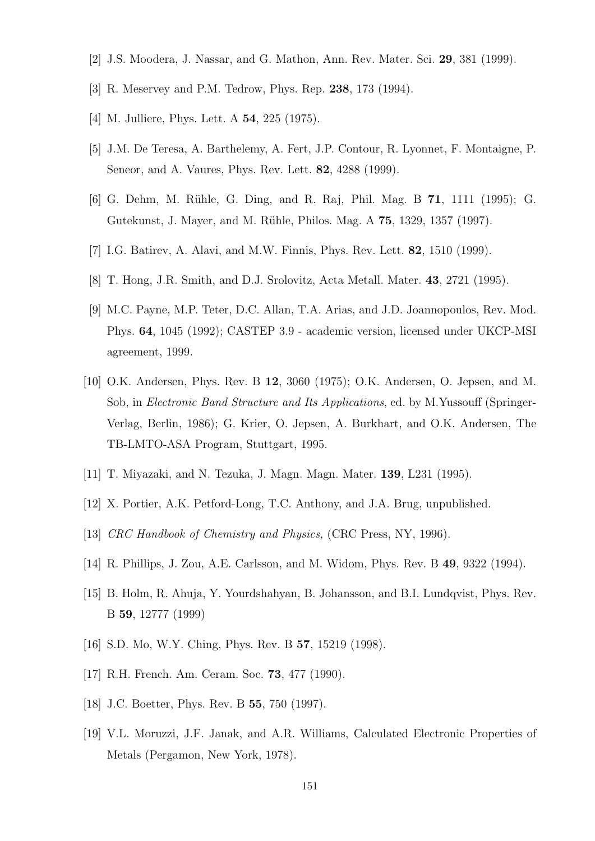- [2] J.S. Moodera, J. Nassar, and G. Mathon, Ann. Rev. Mater. Sci. 29, 381 (1999).
- [3] R. Meservey and P.M. Tedrow, Phys. Rep. 238, 173 (1994).
- [4] M. Julliere, Phys. Lett. A **54**, 225 (1975).
- [5] J.M. De Teresa, A. Barthelemy, A. Fert, J.P. Contour, R. Lyonnet, F. Montaigne, P. Seneor, and A. Vaures, Phys. Rev. Lett. 82, 4288 (1999).
- [6] G. Dehm, M. R¨uhle, G. Ding, and R. Raj, Phil. Mag. B 71, 1111 (1995); G. Gutekunst, J. Mayer, and M. Rühle, Philos. Mag. A 75, 1329, 1357 (1997).
- [7] I.G. Batirev, A. Alavi, and M.W. Finnis, Phys. Rev. Lett. 82, 1510 (1999).
- [8] T. Hong, J.R. Smith, and D.J. Srolovitz, Acta Metall. Mater. 43, 2721 (1995).
- [9] M.C. Payne, M.P. Teter, D.C. Allan, T.A. Arias, and J.D. Joannopoulos, Rev. Mod. Phys. 64, 1045 (1992); CASTEP 3.9 - academic version, licensed under UKCP-MSI agreement, 1999.
- [10] O.K. Andersen, Phys. Rev. B 12, 3060 (1975); O.K. Andersen, O. Jepsen, and M. Sob, in Electronic Band Structure and Its Applications, ed. by M.Yussouff (Springer-Verlag, Berlin, 1986); G. Krier, O. Jepsen, A. Burkhart, and O.K. Andersen, The TB-LMTO-ASA Program, Stuttgart, 1995.
- [11] T. Miyazaki, and N. Tezuka, J. Magn. Magn. Mater. 139, L231 (1995).
- [12] X. Portier, A.K. Petford-Long, T.C. Anthony, and J.A. Brug, unpublished.
- [13] CRC Handbook of Chemistry and Physics, (CRC Press, NY, 1996).
- [14] R. Phillips, J. Zou, A.E. Carlsson, and M. Widom, Phys. Rev. B 49, 9322 (1994).
- [15] B. Holm, R. Ahuja, Y. Yourdshahyan, B. Johansson, and B.I. Lundqvist, Phys. Rev. B 59, 12777 (1999)
- [16] S.D. Mo, W.Y. Ching, Phys. Rev. B 57, 15219 (1998).
- [17] R.H. French. Am. Ceram. Soc. **73**, 477 (1990).
- [18] J.C. Boetter, Phys. Rev. B **55**, 750 (1997).
- [19] V.L. Moruzzi, J.F. Janak, and A.R. Williams, Calculated Electronic Properties of Metals (Pergamon, New York, 1978).